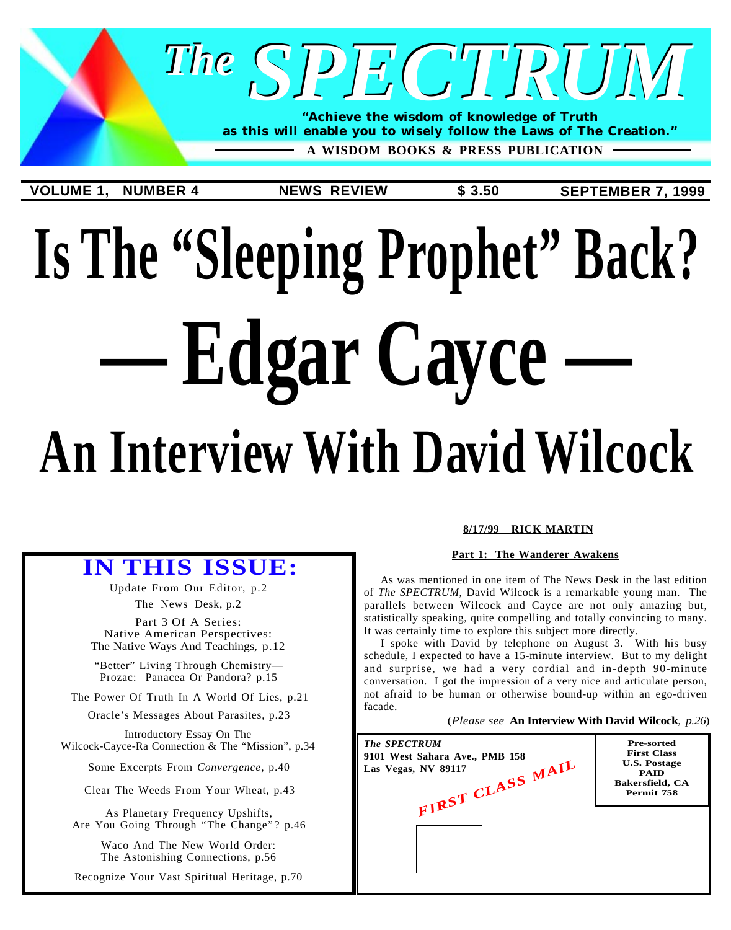## *The SPECTRUM SPECTRUM* **"Achieve the wisdom of knowledge of Truth as this will enable you to wisely follow the Laws of The Creation." A WISDOM BOOKS & PRESS PUBLICATION**

**VOLUME 1, NUMBER 4 NEWS REVIEW \$ 3.50 SEPTEMBER 7, 1999**

# **Is The "Sleeping Prophet" Back?** Edgar Cayce **An Interview With David Wilcock**

## **IN THIS ISSUE:**

[Update From Our Editor, p.2](#page-1-0) [The News Desk, p.2](#page-1-0) Part 3 Of A Series: Native American Perspectives: [The Native Ways And Teachings, p.12](#page-11-0)

["Better" Living Through Chemistry—](#page-14-0) Prozac: Panacea Or Pandora? p.15

[The Power Of Truth In A World Of Lies, p.21](#page-20-0)

[Oracle's Messages About Parasites, p.23](#page-22-0)

Introductory Essay On The [Wilcock-Cayce-Ra Connection & The "Mission", p.34](#page-33-0)

[Some Excerpts From](#page-39-0) *Convergence*, p.40

[Clear The Weeds From Your Wheat, p.43](#page-42-0)

As Planetary Frequency Upshifts, [Are You Going Through "The Change"? p.46](#page-45-0)

Waco And The New World Order: [The Astonishing Connections, p.56](#page-55-0)

[Recognize Your Vast Spiritual Heritage, p.70](#page-69-0)

#### **8/17/99 RICK MARTIN**

#### **Part 1: The Wanderer Awakens**

As was mentioned in one item of The News Desk in the last edition of *The SPECTRUM*, David Wilcock is a remarkable young man. The parallels between Wilcock and Cayce are not only amazing but, statistically speaking, quite compelling and totally convincing to many. It was certainly time to explore this subject more directly.

I spoke with David by telephone on August 3. With his busy schedule, I expected to have a 15-minute interview. But to my delight and surprise, we had a very cordial and in-depth 90-minute conversation. I got the impression of a very nice and articulate person, not afraid to be human or otherwise bound-up within an ego-driven facade.

(*Please see* **[An Interview With David Wilcock](#page-25-0)**, *p.26*)

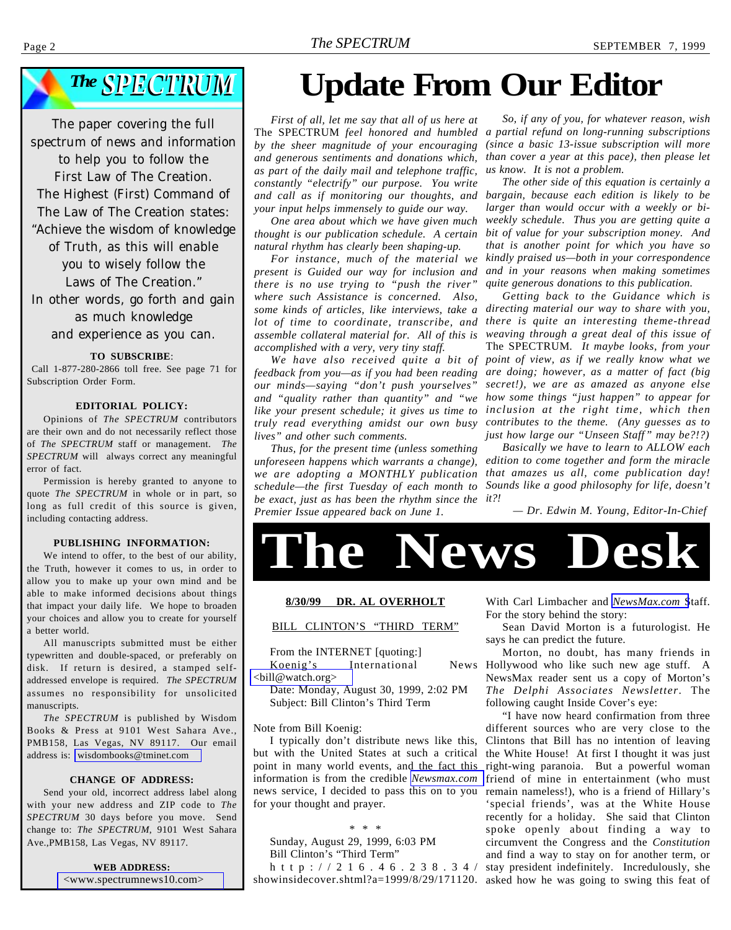<span id="page-1-0"></span>*The SPECTRUM* 

The paper covering the full spectrum of news and information to help you to follow the First Law of The Creation. The Highest (First) Command of The Law of The Creation states: "Achieve the wisdom of knowledge of Truth, as this will enable you to wisely follow the Laws of The Creation." In other words, go forth and gain as much knowledge and experience as you can.

#### **TO SUBSCRIBE**:

 Call 1-877-280-2866 toll free. See page 71 for Subscription Order Form.

#### **EDITORIAL POLICY:**

Opinions of *The SPECTRUM* contributors are their own and do not necessarily reflect those of *The SPECTRUM* staff or management. *The SPECTRUM* will always correct any meaningful error of fact.

Permission is hereby granted to anyone to quote *The SPECTRUM* in whole or in part, so long as full credit of this source is given, including contacting address.

#### **PUBLISHING INFORMATION:**

We intend to offer, to the best of our ability, the Truth, however it comes to us, in order to allow you to make up your own mind and be able to make informed decisions about things that impact your daily life. We hope to broaden your choices and allow you to create for yourself a better world.

All manuscripts submitted must be either typewritten and double-spaced, or preferably on disk. If return is desired, a stamped selfaddressed envelope is required. *The SPECTRUM* assumes no responsibility for unsolicited manuscripts.

*The SPECTRUM* is published by Wisdom Books & Press at 9101 West Sahara Ave., PMB158, Las Vegas, NV 89117. Our email address is: [wisdombooks@tminet.com](mailto:wisdombooks@tminet.com)

#### **CHANGE OF ADDRESS:**

Send your old, incorrect address label along with your new address and ZIP code to *The SPECTRUM* 30 days before you move. Send change to: *The SPECTRUM*, 9101 West Sahara Ave.,PMB158, Las Vegas, NV 89117.

> **WEB ADDRESS:**  [<www.spectrumnews10.com>](http://www.spectrumnews10.com)

## **Update From Our Editor**

*First of all, let me say that all of us here at by the sheer magnitude of your encouraging and generous sentiments and donations which, as part of the daily mail and telephone traffic, constantly "electrify" our purpose. You write and call as if monitoring our thoughts, and your input helps immensely to guide our way.*

*One area about which we have given much thought is our publication schedule. A certain natural rhythm has clearly been shaping-up.*

*For instance, much of the material we present is Guided our way for inclusion and there is no use trying to "push the river" where such Assistance is concerned. Also, assemble collateral material for. All of this is accomplished with a very, very tiny staff.*

*We have also received quite a bit of our minds—saying "don't push yourselves" lives" and other such comments.*

*Thus, for the present time (unless something unforeseen happens which warrants a change), be exact, just as has been the rhythm since the it?! Premier Issue appeared back on June 1.*

The SPECTRUM *feel honored and humbled a partial refund on long-running subscriptions So, if any of you, for whatever reason, wish (since a basic 13-issue subscription will more than cover a year at this pace), then please let us know. It is not a problem.*

> *The other side of this equation is certainly a bargain, because each edition is likely to be larger than would occur with a weekly or biweekly schedule. Thus you are getting quite a bit of value for your subscription money. And that is another point for which you have so kindly praised us—both in your correspondence and in your reasons when making sometimes quite generous donations to this publication.*

*some kinds of articles, like interviews, take a directing material our way to share with you, lot of time to coordinate, transcribe, and there is quite an interesting theme-thread feedback from you—as if you had been reading are doing; however, as a matter of fact (big and "quality rather than quantity" and "we how some things "just happen" to appear for like your present schedule; it gives us time to inclusion at the right time, which then truly read everything amidst our own busy contributes to the theme. (Any guesses as to Getting back to the Guidance which is weaving through a great deal of this issue of* The SPECTRUM*. It maybe looks, from your point of view, as if we really know what we secret!), we are as amazed as anyone else just how large our "Unseen Staff" may be?!?)*

*we are adopting a MONTHLY publication that amazes us all, come publication day! schedule—the first Tuesday of each month to Sounds like a good philosophy for life, doesn't Basically we have to learn to ALLOW each edition to come together and form the miracle*

 *— Dr. Edwin M. Young, Editor-In-Chief*



#### **8/30/99 DR. AL OVERHOLT**

#### BILL CLINTON'S "THIRD TERM"

From the INTERNET [quoting:] Koenig's International [<bill@watch.org>](mailto:bill@watch.org)

Date: Monday, August 30, 1999, 2:02 PM Subject: Bill Clinton's Third Term

Note from Bill Koenig:

I typically don't distribute news like this, but with the United States at such a critical point in many world events, and the fact this information is from the credible *[Newsmax.com](http://www.Newsmax.com)* news service, I decided to pass this on to you for your thought and prayer.

#### \* \* \*

Sunday, August 29, 1999, 6:03 PM Bill Clinton's "Third Term"

http://216.46.238.34/

With Carl Limbacher and *[NewsMax.com](http://www.Newsmax.com)* Staff. For the story behind the story:

Sean David Morton is a futurologist. He says he can predict the future.

Morton, no doubt, has many friends in News Hollywood who like such new age stuff. A NewsMax reader sent us a copy of Morton's *The Delphi Associates Newsletter*. The following caught Inside Cover's eye:

showinsidecover.shtml?a=1999/8/29/171120. asked how he was going to swing this feat of "I have now heard confirmation from three different sources who are very close to the Clintons that Bill has no intention of leaving the White House! At first I thought it was just right-wing paranoia. But a powerful woman friend of mine in entertainment (who must remain nameless!), who is a friend of Hillary's 'special friends', was at the White House recently for a holiday. She said that Clinton spoke openly about finding a way to circumvent the Congress and the *Constitution* and find a way to stay on for another term, or stay president indefinitely. Incredulously, she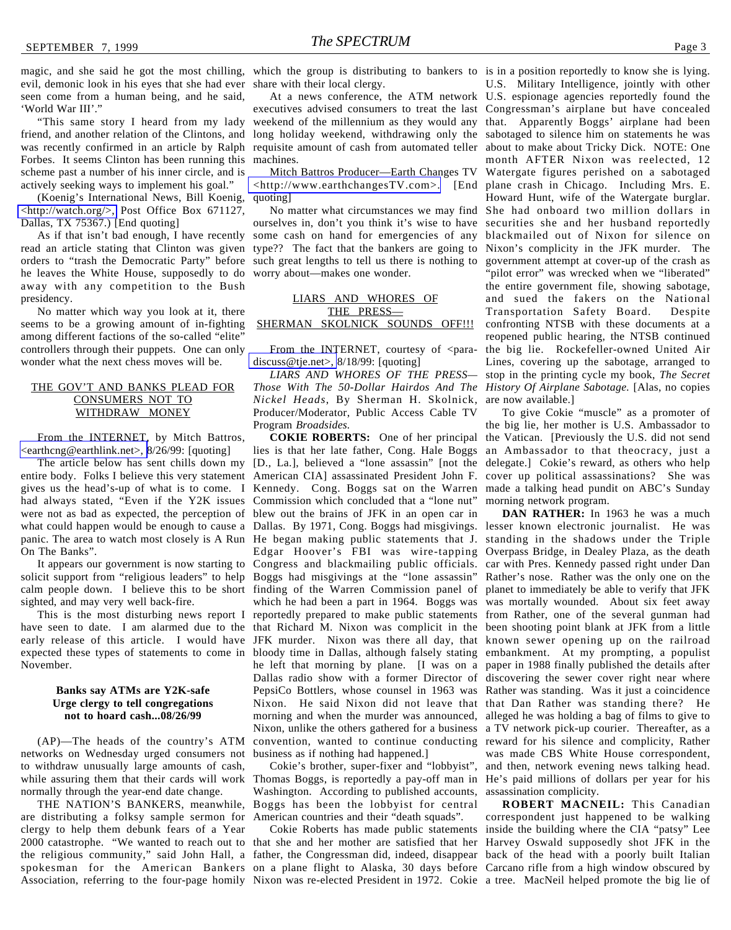evil, demonic look in his eyes that she had ever share with their local clergy. seen come from a human being, and he said, 'World War III'."

"This same story I heard from my lady friend, and another relation of the Clintons, and was recently confirmed in an article by Ralph Forbes. It seems Clinton has been running this scheme past a number of his inner circle, and is actively seeking ways to implement his goal."

(Koenig's International News, Bill Koenig, [<http://watch.org/>,](http://www.watch.org) Post Office Box 671127, Dallas, TX 75367.) [End quoting]

As if that isn't bad enough, I have recently read an article stating that Clinton was given type?? The fact that the bankers are going to orders to "trash the Democratic Party" before he leaves the White House, supposedly to do worry about—makes one wonder. away with any competition to the Bush presidency.

No matter which way you look at it, there seems to be a growing amount of in-fighting among different factions of the so-called "elite" controllers through their puppets. One can only wonder what the next chess moves will be.

#### THE GOV'T AND BANKS PLEAD FOR CONSUMERS NOT TO WITHDRAW MONEY

From the INTERNET, by Mitch Battros, [<earthcng@earthlink.net>,](mailto:earthcng@earthlink.net) 8/26/99: [quoting]

The article below has sent chills down my gives us the head's-up of what is to come. I had always stated, "Even if the Y2K issues Commission which concluded that a "lone nut" were not as bad as expected, the perception of blew out the brains of JFK in an open car in panic. The area to watch most closely is A Run He began making public statements that J. On The Banks".

solicit support from "religious leaders" to help Boggs had misgivings at the "lone assassin" calm people down. I believe this to be short finding of the Warren Commission panel of sighted, and may very well back-fire.

have seen to date. I am alarmed due to the that Richard M. Nixon was complicit in the expected these types of statements to come in bloody time in Dallas, although falsely stating November.

#### **Banks say ATMs are Y2K-safe Urge clergy to tell congregations not to hoard cash...08/26/99**

(AP)—The heads of the country's ATM networks on Wednesday urged consumers not to withdraw unusually large amounts of cash, while assuring them that their cards will work normally through the year-end date change.

THE NATION'S BANKERS, meanwhile, are distributing a folksy sample sermon for American countries and their "death squads". clergy to help them debunk fears of a Year 2000 catastrophe. "We wanted to reach out to that she and her mother are satisfied that her Harvey Oswald supposedly shot JFK in the the religious community," said John Hall, a father, the Congressman did, indeed, disappear back of the head with a poorly built Italian spokesman for the American Bankers on a plane flight to Alaska, 30 days before Carcano rifle from a high window obscured by Association, referring to the four-page homily Nixon was re-elected President in 1972. Cokie a tree. MacNeil helped promote the big lie of

machines.

quoting]

No matter what circumstances we may find ourselves in, don't you think it's wise to have some cash on hand for emergencies of any such great lengths to tell us there is nothing to

#### LIARS AND WHORES OF THE PRESS— SHERMAN SKOLNICK SOUNDS OFF!!!

From the INTERNET, courtesy of  $\leq$  para[discuss@tje.net>,](mailto:para-discuss@tje.net) 8/18/99: [quoting]

*LIARS AND WHORES OF THE PRESS— Those With The 50-Dollar Hairdos And The History Of Airplane Sabotage.* [Alas, no copies *Nickel Heads*, By Sherman H. Skolnick, Producer/Moderator, Public Access Cable TV Program *Broadsides.*

entire body. Folks I believe this very statement American CIA] assassinated President John F. cover up political assassinations? She was what could happen would be enough to cause a Dallas. By 1971, Cong. Boggs had misgivings. lesser known electronic journalist. He was It appears our government is now starting to Congress and blackmailing public officials. This is the most disturbing news report I reportedly prepared to make public statements early release of this article. I would have JFK murder. Nixon was there all day, that known sewer opening up on the railroad lies is that her late father, Cong. Hale Boggs [D., La.], believed a "lone assassin" [not the delegate.] Cokie's reward, as others who help Kennedy. Cong. Boggs sat on the Warren made a talking head pundit on ABC's Sunday Edgar Hoover's FBI was wire-tapping which he had been a part in 1964. Boggs was he left that morning by plane. [I was on a Dallas radio show with a former Director of PepsiCo Bottlers, whose counsel in 1963 was Nixon. He said Nixon did not leave that that Dan Rather was standing there? He morning and when the murder was announced, Nixon, unlike the others gathered for a business convention, wanted to continue conducting business as if nothing had happened.]

> Cokie's brother, super-fixer and "lobbyist", Thomas Boggs, is reportedly a pay-off man in Washington. According to published accounts, Boggs has been the lobbyist for central

Cokie Roberts has made public statements

magic, and she said he got the most chilling, which the group is distributing to bankers to is in a position reportedly to know she is lying. At a news conference, the ATM network U.S. espionage agencies reportedly found the executives advised consumers to treat the last Congressman's airplane but have concealed weekend of the millennium as they would any that. Apparently Boggs' airplane had been long holiday weekend, withdrawing only the sabotaged to silence him on statements he was requisite amount of cash from automated teller about to make about Tricky Dick. NOTE: One Mitch Battros Producer—Earth Changes TV Watergate figures perished on a sabotaged [<http://www.earthchangesTV.com>.](http://www.earthchangesTV.com) [End plane crash in Chicago. Including Mrs. E. U.S. Military Intelligence, jointly with other month AFTER Nixon was reelected, 12 Howard Hunt, wife of the Watergate burglar. She had onboard two million dollars in securities she and her husband reportedly blackmailed out of Nixon for silence on Nixon's complicity in the JFK murder. The government attempt at cover-up of the crash as 'pilot error" was wrecked when we "liberated" the entire government file, showing sabotage, and sued the fakers on the National Transportation Safety Board. Despite confronting NTSB with these documents at a reopened public hearing, the NTSB continued the big lie. Rockefeller-owned United Air Lines, covering up the sabotage, arranged to stop in the printing cycle my book, *The Secret* are now available.]

> **COKIE ROBERTS:** One of her principal the Vatican. [Previously the U.S. did not send To give Cokie "muscle" as a promoter of the big lie, her mother is U.S. Ambassador to an Ambassador to that theocracy, just a morning network program.

> > **DAN RATHER:** In 1963 he was a much standing in the shadows under the Triple Overpass Bridge, in Dealey Plaza, as the death car with Pres. Kennedy passed right under Dan Rather's nose. Rather was the only one on the planet to immediately be able to verify that JFK was mortally wounded. About six feet away from Rather, one of the several gunman had been shooting point blank at JFK from a little embankment. At my prompting, a populist paper in 1988 finally published the details after discovering the sewer cover right near where Rather was standing. Was it just a coincidence alleged he was holding a bag of films to give to a TV network pick-up courier. Thereafter, as a reward for his silence and complicity, Rather was made CBS White House correspondent, and then, network evening news talking head. He's paid millions of dollars per year for his assassination complicity.

> > **ROBERT MACNEIL:** This Canadian correspondent just happened to be walking inside the building where the CIA "patsy" Lee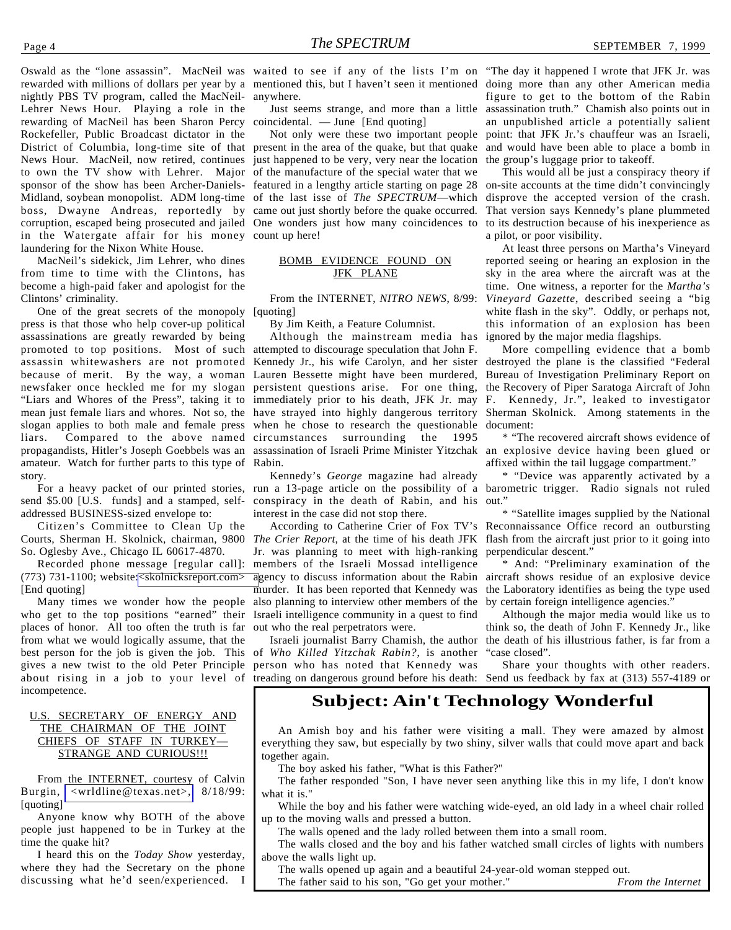rewarded with millions of dollars per year by a mentioned this, but I haven't seen it mentioned doing more than any other American media nightly PBS TV program, called the MacNeil-Lehrer News Hour. Playing a role in the rewarding of MacNeil has been Sharon Percy Rockefeller, Public Broadcast dictator in the District of Columbia, long-time site of that present in the area of the quake, but that quake News Hour. MacNeil, now retired, continues just happened to be very, very near the location to own the TV show with Lehrer. Major of the manufacture of the special water that we sponsor of the show has been Archer-Daniels-featured in a lengthy article starting on page 28 Midland, soybean monopolist. ADM long-time of the last isse of *The SPECTRUM*—which boss, Dwayne Andreas, reportedly by came out just shortly before the quake occurred. corruption, escaped being prosecuted and jailed One wonders just how many coincidences to in the Watergate affair for his money count up here! laundering for the Nixon White House.

MacNeil's sidekick, Jim Lehrer, who dines from time to time with the Clintons, has become a high-paid faker and apologist for the Clintons' criminality.

One of the great secrets of the monopoly [quoting] press is that those who help cover-up political assassinations are greatly rewarded by being promoted to top positions. Most of such attempted to discourage speculation that John F. assassin whitewashers are not promoted Kennedy Jr., his wife Carolyn, and her sister destroyed the plane is the classified "Federal because of merit. By the way, a woman Lauren Bessette might have been murdered, newsfaker once heckled me for my slogan persistent questions arise. For one thing, "Liars and Whores of the Press", taking it to mean just female liars and whores. Not so, the have strayed into highly dangerous territory slogan applies to both male and female press when he chose to research the questionable liars. Compared to the above named circumstances surrounding the 1995 propagandists, Hitler's Joseph Goebbels was an assassination of Israeli Prime Minister Yitzchak an explosive device having been glued or amateur. Watch for further parts to this type of Rabin. story.

send \$5.00 [U.S. funds] and a stamped, selfaddressed BUSINESS-sized envelope to:

Citizen's Committee to Clean Up the Courts, Sherman H. Skolnick, chairman, 9800 So. Oglesby Ave., Chicago IL 60617-4870.

Recorded phone message [regular call]: (773) 731-1100; website:[<skolnicksreport.com>](http://www.skolnicksreport.com) [End quoting]

Many times we wonder how the people who get to the top positions "earned" their places of honor. All too often the truth is far from what we would logically assume, that the best person for the job is given the job. This gives a new twist to the old Peter Principle about rising in a job to your level of incompetence.

#### U.S. SECRETARY OF ENERGY AND THE CHAIRMAN OF THE JOINT CHIEFS OF STAFF IN TURKEY— STRANGE AND CURIOUS!!!

From the INTERNET, courtesy of Calvin Burgin, [<wrldline@texas.net>,](mailto:wrldline@texas.net) 8/18/99: [quoting]

Anyone know why BOTH of the above people just happened to be in Turkey at the time the quake hit?

I heard this on the *Today Show* yesterday, where they had the Secretary on the phone discussing what he'd seen/experienced. I

Oswald as the "lone assassin". MacNeil was waited to see if any of the lists I'm on "The day it happened I wrote that JFK Jr. was anywhere.

> Just seems strange, and more than a little coincidental. — June [End quoting]

Not only were these two important people

#### BOMB EVIDENCE FOUND ON JFK PLANE

From the INTERNET, *NITRO NEWS*, 8/99:

By Jim Keith, a Feature Columnist.

Although the mainstream media has immediately prior to his death, JFK Jr. may

Kennedy's *George* magazine had already conspiracy in the death of Rabin, and his out." interest in the case did not stop there.

*The Crier Report*, at the time of his death JFK Jr. was planning to meet with high-ranking members of the Israeli Mossad intelligence agency to discuss information about the Rabin murder. It has been reported that Kennedy was also planning to interview other members of the Israeli intelligence community in a quest to find out who the real perpetrators were.

Israeli journalist Barry Chamish, the author of *Who Killed Yitzchak Rabin?*, is another person who has noted that Kennedy was treading on dangerous ground before his death: Send us feedback by fax at (313) 557-4189 or

figure to get to the bottom of the Rabin assassination truth." Chamish also points out in an unpublished article a potentially salient point: that JFK Jr.'s chauffeur was an Israeli, and would have been able to place a bomb in the group's luggage prior to takeoff.

This would all be just a conspiracy theory if on-site accounts at the time didn't convincingly disprove the accepted version of the crash. That version says Kennedy's plane plummeted to its destruction because of his inexperience as a pilot, or poor visibility.

At least three persons on Martha's Vineyard reported seeing or hearing an explosion in the sky in the area where the aircraft was at the time. One witness, a reporter for the *Martha's Vineyard Gazette*, described seeing a "big white flash in the sky". Oddly, or perhaps not, this information of an explosion has been ignored by the major media flagships.

More compelling evidence that a bomb Bureau of Investigation Preliminary Report on the Recovery of Piper Saratoga Aircraft of John F. Kennedy, Jr.", leaked to investigator Sherman Skolnick. Among statements in the document:

\* "The recovered aircraft shows evidence of affixed within the tail luggage compartment."

For a heavy packet of our printed stories, run a 13-page article on the possibility of a barometric trigger. Radio signals not ruled \* "Device was apparently activated by a

> According to Catherine Crier of Fox TV's Reconnaissance Office record an outbursting \* "Satellite images supplied by the National flash from the aircraft just prior to it going into perpendicular descent."

> > \* And: "Preliminary examination of the aircraft shows residue of an explosive device the Laboratory identifies as being the type used by certain foreign intelligence agencies."

> > Although the major media would like us to think so, the death of John F. Kennedy Jr., like the death of his illustrious father, is far from a "case closed".

> > Share your thoughts with other readers.

### **Subject: Ain't Technology Wonderful**

An Amish boy and his father were visiting a mall. They were amazed by almost everything they saw, but especially by two shiny, silver walls that could move apart and back together again.

The boy asked his father, "What is this Father?"

The father responded "Son, I have never seen anything like this in my life, I don't know what it is."

While the boy and his father were watching wide-eyed, an old lady in a wheel chair rolled up to the moving walls and pressed a button.

The walls opened and the lady rolled between them into a small room.

The walls closed and the boy and his father watched small circles of lights with numbers above the walls light up.

The walls opened up again and a beautiful 24-year-old woman stepped out. The father said to his son, "Go get your mother." *From the Internet*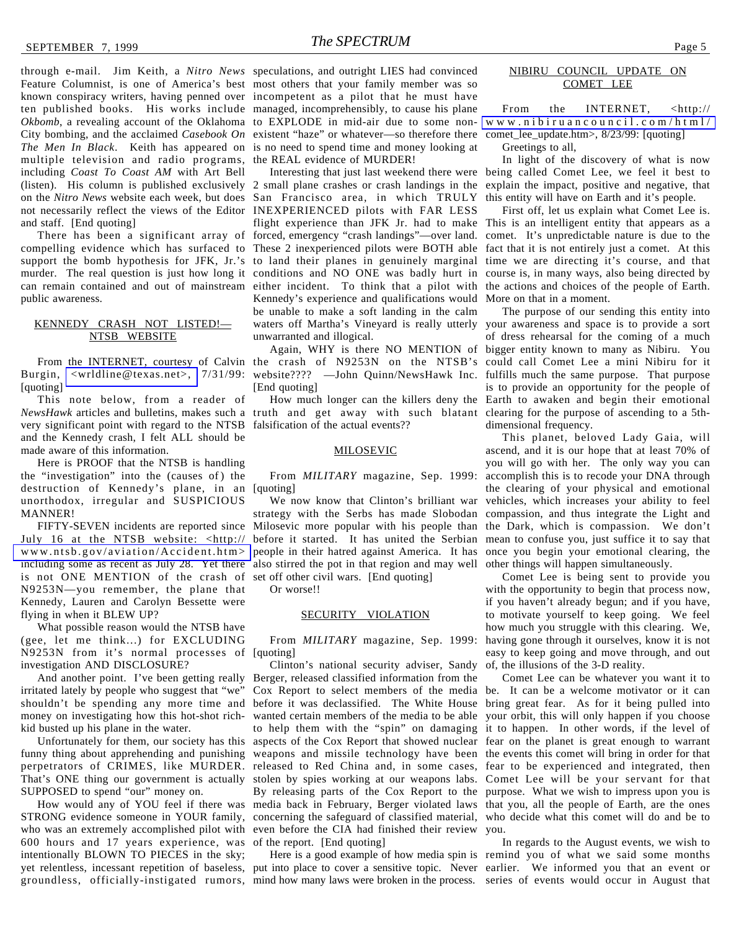Feature Columnist, is one of America's best most others that your family member was so known conspiracy writers, having penned over incompetent as a pilot that he must have ten published books. His works include managed, incomprehensibly, to cause his plane *Okbomb*, a revealing account of the Oklahoma to EXPLODE in mid-air due to some non-City bombing, and the acclaimed *Casebook On* existent "haze" or whatever—so therefore there *The Men In Black*. Keith has appeared on is no need to spend time and money looking at multiple television and radio programs, the REAL evidence of MURDER! including *Coast To Coast AM* with Art Bell (listen). His column is published exclusively 2 small plane crashes or crash landings in the on the *Nitro News* website each week, but does San Francisco area, in which TRULY not necessarily reflect the views of the Editor INEXPERIENCED pilots with FAR LESS and staff. [End quoting]

public awareness.

#### KENNEDY CRASH NOT LISTED!— NTSB WEBSITE

Burgin, [<wrldline@texas.net>,](mailto:wrldline@texas.net) 7/31/99: website???? —John Quinn/NewsHawk Inc. fulfills much the same purpose. That purpose [quoting]

This note below, from a reader of NewsHawk articles and bulletins, makes such a truth and get away with such blatant clearing for the purpose of ascending to a 5thvery significant point with regard to the NTSB falsification of the actual events?? and the Kennedy crash, I felt ALL should be made aware of this information.

Here is PROOF that the NTSB is handling the "investigation" into the (causes of ) the destruction of Kennedy's plane, in an [quoting] unorthodox, irregular and SUSPICIOUS MANNER!

FIFTY-SEVEN incidents are reported since July 16 at the NTSB website: <http:// [www.ntsb.gov/aviation/Accident.htm>](http://www.ntsb.gov/aviation/Accident.htm) including some as recent as July 28. Yet there is not ONE MENTION of the crash of N9253N—you remember, the plane that Kennedy, Lauren and Carolyn Bessette were flying in when it BLEW UP?

What possible reason would the NTSB have (gee, let me think...) for EXCLUDING N9253N from it's normal processes of [quoting] investigation AND DISCLOSURE?

irritated lately by people who suggest that "we" money on investigating how this hot-shot richkid busted up his plane in the water.

That's ONE thing our government is actually SUPPOSED to spend "our" money on.

600 hours and 17 years experience, was of the report. [End quoting] intentionally BLOWN TO PIECES in the sky; yet relentless, incessant repetition of baseless, put into place to cover a sensitive topic. Never earlier. We informed you that an event or groundless, officially-instigated rumors, mind how many laws were broken in the process. series of events would occur in August that

through e-mail. Jim Keith, a *Nitro News* speculations, and outright LIES had convinced

There has been a significant array of forced, emergency "crash landings"—over land. compelling evidence which has surfaced to These 2 inexperienced pilots were BOTH able fact that it is not entirely just a comet. At this support the bomb hypothesis for JFK, Jr.'s to land their planes in genuinely marginal time we are directing it's course, and that murder. The real question is just how long it conditions and NO ONE was badly hurt in course is, in many ways, also being directed by can remain contained and out of mainstream either incident. To think that a pilot with the actions and choices of the people of Earth. flight experience than JFK Jr. had to make This is an intelligent entity that appears as a Kennedy's experience and qualifications would More on that in a moment. be unable to make a soft landing in the calm waters off Martha's Vineyard is really utterly your awareness and space is to provide a sort unwarranted and illogical.

[End quoting]

#### MILOSEVIC

We now know that Clinton's brilliant war strategy with the Serbs has made Slobodan Milosevic more popular with his people than before it started. It has united the Serbian people in their hatred against America. It has also stirred the pot in that region and may well set off other civil wars. [End quoting]

Or worse!!

#### SECURITY VIOLATION

From *MILITARY* magazine, Sep. 1999:

And another point. I've been getting really Berger, released classified information from the shouldn't be spending any more time and before it was declassified. The White House bring great fear. As for it being pulled into Unfortunately for them, our society has this aspects of the Cox Report that showed nuclear fear on the planet is great enough to warrant funny thing about apprehending and punishing weapons and missile technology have been the events this comet will bring in order for that perpetrators of CRIMES, like MURDER. released to Red China and, in some cases, fear to be experienced and integrated, then How would any of YOU feel if there was media back in February, Berger violated laws that you, all the people of Earth, are the ones STRONG evidence someone in YOUR family, concerning the safeguard of classified material, who decide what this comet will do and be to who was an extremely accomplished pilot with even before the CIA had finished their review you. Clinton's national security adviser, Sandy Cox Report to select members of the media be. It can be a welcome motivator or it can wanted certain members of the media to be able to help them with the "spin" on damaging it to happen. In other words, if the level of stolen by spies working at our weapons labs. Comet Lee will be your servant for that By releasing parts of the Cox Report to the purpose. What we wish to impress upon you is

#### NIBIRU COUNCIL UPDATE ON COMET LEE

From the INTERNET, <http:// [www.nibiruancouncil.com/html/](http://www.nibiruancouncil.com/html/comet_lee_update.htm) comet\_lee\_update.htm>, 8/23/99: [quoting] Greetings to all,

Interesting that just last weekend there were being called Comet Lee, we feel it best to In light of the discovery of what is now explain the impact, positive and negative, that this entity will have on Earth and it's people.

> First off, let us explain what Comet Lee is. comet. It's unpredictable nature is due to the

From the INTERNET, courtesy of Calvin the crash of N9253N on the NTSB's could call Comet Lee a mini Nibiru for it Again, WHY is there NO MENTION of bigger entity known to many as Nibiru. You How much longer can the killers deny the Earth to awaken and begin their emotional The purpose of our sending this entity into of dress rehearsal for the coming of a much is to provide an opportunity for the people of dimensional frequency.

> From *MILITARY* magazine, Sep. 1999: accomplish this is to recode your DNA through This planet, beloved Lady Gaia, will ascend, and it is our hope that at least 70% of you will go with her. The only way you can the clearing of your physical and emotional vehicles, which increases your ability to feel compassion, and thus integrate the Light and the Dark, which is compassion. We don't mean to confuse you, just suffice it to say that once you begin your emotional clearing, the other things will happen simultaneously.

> > Comet Lee is being sent to provide you with the opportunity to begin that process now, if you haven't already begun; and if you have, to motivate yourself to keep going. We feel how much you struggle with this clearing. We, having gone through it ourselves, know it is not easy to keep going and move through, and out of, the illusions of the 3-D reality.

> > Comet Lee can be whatever you want it to your orbit, this will only happen if you choose

Here is a good example of how media spin is remind you of what we said some months In regards to the August events, we wish to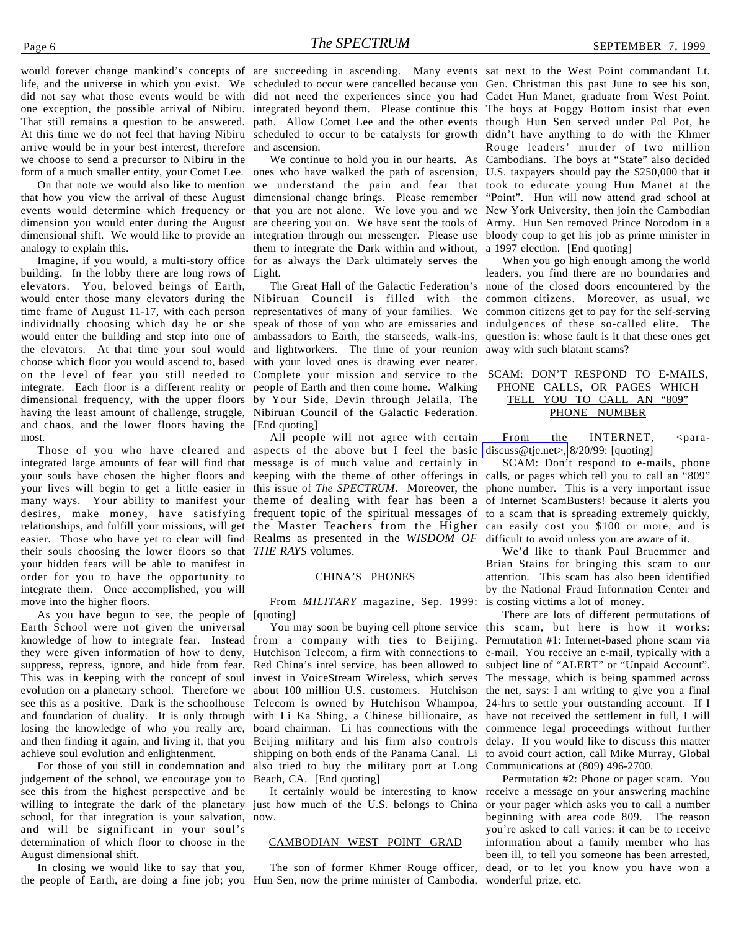would forever change mankind's concepts of are succeeding in ascending. Many events sat next to the West Point commandant Lt. life, and the universe in which you exist. We scheduled to occur were cancelled because you Gen. Christman this past June to see his son, did not say what those events would be with did not need the experiences since you had Cadet Hun Manet, graduate from West Point. one exception, the possible arrival of Nibiru. integrated beyond them. Please continue this The boys at Foggy Bottom insist that even That still remains a question to be answered. path. Allow Comet Lee and the other events though Hun Sen served under Pol Pot, he At this time we do not feel that having Nibiru scheduled to occur to be catalysts for growth didn't have anything to do with the Khmer arrive would be in your best interest, therefore we choose to send a precursor to Nibiru in the form of a much smaller entity, your Comet Lee.

On that note we would also like to mention that how you view the arrival of these August events would determine which frequency or dimension you would enter during the August dimensional shift. We would like to provide an analogy to explain this.

Imagine, if you would, a multi-story office building. In the lobby there are long rows of elevators. You, beloved beings of Earth, would enter those many elevators during the Nibiruan Council is filled with the common citizens. Moreover, as usual, we time frame of August 11-17, with each person representatives of many of your families. We common citizens get to pay for the self-serving individually choosing which day he or she speak of those of you who are emissaries and indulgences of these so-called elite. The would enter the building and step into one of the elevators. At that time your soul would choose which floor you would ascend to, based with your loved ones is drawing ever nearer. on the level of fear you still needed to Complete your mission and service to the integrate. Each floor is a different reality or people of Earth and then come home. Walking dimensional frequency, with the upper floors by Your Side, Devin through Jelaila, The having the least amount of challenge, struggle, Nibiruan Council of the Galactic Federation. and chaos, and the lower floors having the [End quoting] most.

integrated large amounts of fear will find that message is of much value and certainly in your souls have chosen the higher floors and keeping with the theme of other offerings in calls, or pages which tell you to call an "809" your lives will begin to get a little easier in this issue of *The SPECTRUM*. Moreover, the phone number. This is a very important issue many ways. Your ability to manifest your desires, make money, have satisfying frequent topic of the spiritual messages of to a scam that is spreading extremely quickly, relationships, and fulfill your missions, will get the Master Teachers from the Higher can easily cost you \$100 or more, and is easier. Those who have yet to clear will find Realms as presented in the *WISDOM OF* difficult to avoid unless you are aware of it. their souls choosing the lower floors so that *THE RAYS* volumes. your hidden fears will be able to manifest in order for you to have the opportunity to integrate them. Once accomplished, you will move into the higher floors.

As you have begun to see, the people of [quoting] Earth School were not given the universal knowledge of how to integrate fear. Instead they were given information of how to deny, suppress, repress, ignore, and hide from fear. This was in keeping with the concept of soul evolution on a planetary school. Therefore we see this as a positive. Dark is the schoolhouse and foundation of duality. It is only through losing the knowledge of who you really are, and then finding it again, and living it, that you achieve soul evolution and enlightenment.

For those of you still in condemnation and judgement of the school, we encourage you to see this from the highest perspective and be willing to integrate the dark of the planetary just how much of the U.S. belongs to China or your pager which asks you to call a number school, for that integration is your salvation, now. and will be significant in your soul's determination of which floor to choose in the August dimensional shift.

In closing we would like to say that you,

and ascension.

ones who have walked the path of ascension, U.S. taxpayers should pay the \$250,000 that it we understand the pain and fear that took to educate young Hun Manet at the dimensional change brings. Please remember "Point". Hun will now attend grad school at that you are not alone. We love you and we New York University, then join the Cambodian are cheering you on. We have sent the tools of Army. Hun Sen removed Prince Norodom in a integration through our messenger. Please use bloody coup to get his job as prime minister in them to integrate the Dark within and without, a 1997 election. [End quoting] for as always the Dark ultimately serves the Light.

ambassadors to Earth, the starseeds, walk-ins, question is: whose fault is it that these ones get and lightworkers. The time of your reunion away with such blatant scams?

Those of you who have cleared and aspects of the above but I feel the basic All people will not agree with certain theme of dealing with fear has been a of Internet ScamBusters! because it alerts you

#### CHINA'S PHONES

From *MILITARY* magazine, Sep. 1999: is costing victims a lot of money.

from a company with ties to Beijing. Permutation #1: Internet-based phone scam via Hutchison Telecom, a firm with connections to e-mail. You receive an e-mail, typically with a Red China's intel service, has been allowed to invest in VoiceStream Wireless, which serves about 100 million U.S. customers. Hutchison Telecom is owned by Hutchison Whampoa, with Li Ka Shing, a Chinese billionaire, as have not received the settlement in full, I will board chairman. Li has connections with the commence legal proceedings without further Beijing military and his firm also controls delay. If you would like to discuss this matter shipping on both ends of the Panama Canal. Li to avoid court action, call Mike Murray, Global also tried to buy the military port at Long Communications at (809) 496-2700. Beach, CA. [End quoting]

#### CAMBODIAN WEST POINT GRAD

the people of Earth, are doing a fine job; you Hun Sen, now the prime minister of Cambodia, The son of former Khmer Rouge officer,

We continue to hold you in our hearts. As Cambodians. The boys at "State" also decided Rouge leaders' murder of two million

The Great Hall of the Galactic Federation's none of the closed doors encountered by the When you go high enough among the world leaders, you find there are no boundaries and

#### SCAM: DON'T RESPOND TO E-MAILS, PHONE CALLS, OR PAGES WHICH TELL YOU TO CALL AN "809" PHONE NUMBER

From the INTERNET, <para[discuss@tje.net>,](mailto:para-discuss@tje.net) 8/20/99: [quoting]

SCAM: Don't respond to e-mails, phone

We'd like to thank Paul Bruemmer and Brian Stains for bringing this scam to our attention. This scam has also been identified by the National Fraud Information Center and

You may soon be buying cell phone service this scam, but here is how it works: There are lots of different permutations of subject line of "ALERT" or "Unpaid Account". The message, which is being spammed across the net, says: I am writing to give you a final 24-hrs to settle your outstanding account. If I

It certainly would be interesting to know receive a message on your answering machine Permutation #2: Phone or pager scam. You beginning with area code 809. The reason you're asked to call varies: it can be to receive information about a family member who has been ill, to tell you someone has been arrested, dead, or to let you know you have won a wonderful prize, etc.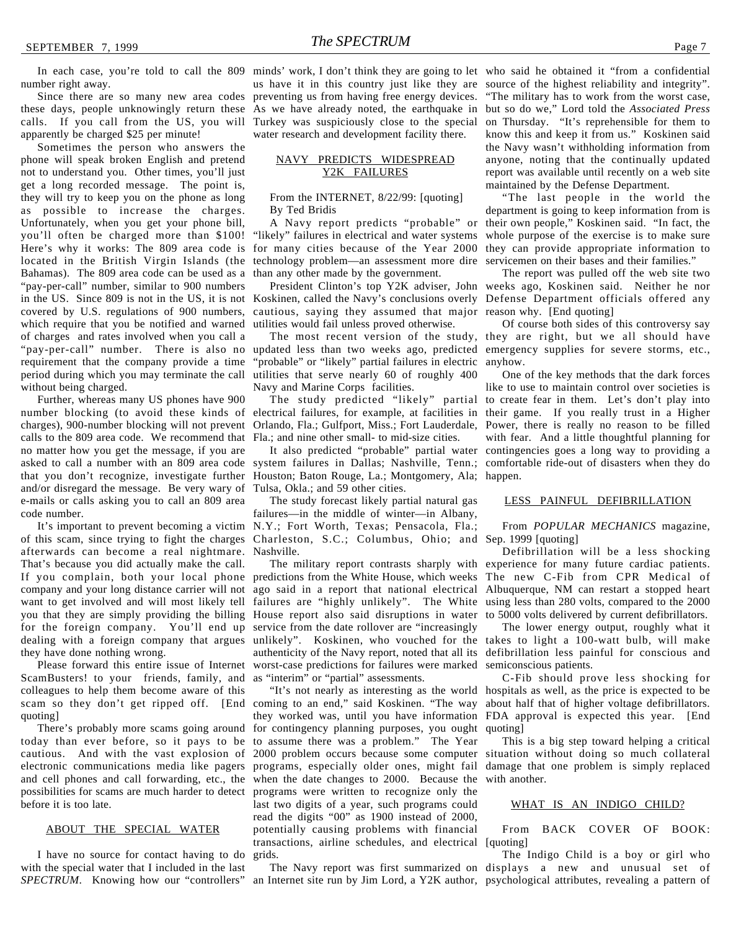number right away.

Since there are so many new area codes these days, people unknowingly return these calls. If you call from the US, you will apparently be charged \$25 per minute!

Sometimes the person who answers the phone will speak broken English and pretend not to understand you. Other times, you'll just get a long recorded message. The point is, they will try to keep you on the phone as long as possible to increase the charges. Unfortunately, when you get your phone bill, you'll often be charged more than \$100! "likely" failures in electrical and water systems Here's why it works: The 809 area code is for many cities because of the Year 2000 located in the British Virgin Islands (the Bahamas). The 809 area code can be used as a "pay-per-call" number, similar to 900 numbers in the US. Since 809 is not in the US, it is not Koskinen, called the Navy's conclusions overly Defense Department officials offered any covered by U.S. regulations of 900 numbers, cautious, saying they assumed that major reason why. [End quoting] which require that you be notified and warned utilities would fail unless proved otherwise. of charges and rates involved when you call a "pay-per-call" number. There is also no updated less than two weeks ago, predicted emergency supplies for severe storms, etc., requirement that the company provide a time period during which you may terminate the call utilities that serve nearly 60 of roughly 400 without being charged.

Further, whereas many US phones have 900 number blocking (to avoid these kinds of electrical failures, for example, at facilities in their game. If you really trust in a Higher charges), 900-number blocking will not prevent calls to the 809 area code. We recommend that Fla.; and nine other small- to mid-size cities. no matter how you get the message, if you are and/or disregard the message. Be very wary of Tulsa, Okla.; and 59 other cities. e-mails or calls asking you to call an 809 area code number.

of this scam, since trying to fight the charges Charleston, S.C.; Columbus, Ohio; and Sep. 1999 [quoting] afterwards can become a real nightmare. That's because you did actually make the call. If you complain, both your local phone company and your long distance carrier will not want to get involved and will most likely tell you that they are simply providing the billing House report also said disruptions in water to 5000 volts delivered by current defibrillators. for the foreign company. You'll end up dealing with a foreign company that argues unlikely". Koskinen, who vouched for the takes to light a 100-watt bulb, will make they have done nothing wrong.

Please forward this entire issue of Internet ScamBusters! to your friends, family, and colleagues to help them become aware of this quoting]

There's probably more scams going around today than ever before, so it pays to be cautious. And with the vast explosion of electronic communications media like pagers and cell phones and call forwarding, etc., the possibilities for scams are much harder to detect before it is too late.

#### ABOUT THE SPECIAL WATER

I have no source for contact having to do with the special water that I included in the last *SPECTRUM*. Knowing how our "controllers"

preventing us from having free energy devices. As we have already noted, the earthquake in Turkey was suspiciously close to the special water research and development facility there.

#### NAVY PREDICTS WIDESPREAD Y2K FAILURES

#### From the INTERNET, 8/22/99: [quoting] By Ted Bridis

A Navy report predicts "probable" or technology problem—an assessment more dire than any other made by the government.

"probable" or "likely" partial failures in electric anyhow. Navy and Marine Corps facilities.

Orlando, Fla.; Gulfport, Miss.; Fort Lauderdale, Power, there is really no reason to be filled

asked to call a number with an 809 area code system failures in Dallas; Nashville, Tenn.; comfortable ride-out of disasters when they do that you don't recognize, investigate further Houston; Baton Rouge, La.; Montgomery, Ala; happen.

It's important to prevent becoming a victim N.Y.; Fort Worth, Texas; Pensacola, Fla.; The study forecast likely partial natural gas failures—in the middle of winter—in Albany, Nashville.

> service from the date rollover are "increasingly authenticity of the Navy report, noted that all its defibrillation less painful for conscious and worst-case predictions for failures were marked semiconscious patients. as "interim" or "partial" assessments.

scam so they don't get ripped off. [End coming to an end," said Koskinen. "The way about half that of higher voltage defibrillators. they worked was, until you have information FDA approval is expected this year. [End for contingency planning purposes, you ought to assume there was a problem." The Year 2000 problem occurs because some computer situation without doing so much collateral programs, especially older ones, might fail when the date changes to 2000. Because the programs were written to recognize only the last two digits of a year, such programs could read the digits "00" as 1900 instead of 2000, potentially causing problems with financial transactions, airline schedules, and electrical grids.

In each case, you're told to call the 809 minds' work, I don't think they are going to let who said he obtained it "from a confidential us have it in this country just like they are source of the highest reliability and integrity". "The military has to work from the worst case, but so do we," Lord told the *Associated Press* on Thursday. "It's reprehensible for them to know this and keep it from us." Koskinen said the Navy wasn't withholding information from anyone, noting that the continually updated report was available until recently on a web site maintained by the Defense Department.

> "The last people in the world the department is going to keep information from is their own people," Koskinen said. "In fact, the whole purpose of the exercise is to make sure they can provide appropriate information to servicemen on their bases and their families."

President Clinton's top Y2K adviser, John weeks ago, Koskinen said. Neither he nor The report was pulled off the web site two

The most recent version of the study, they are right, but we all should have Of course both sides of this controversy say

The study predicted "likely" partial to create fear in them. Let's don't play into It also predicted "probable" partial water contingencies goes a long way to providing a One of the key methods that the dark forces like to use to maintain control over societies is with fear. And a little thoughtful planning for

#### LESS PAINFUL DEFIBRILLATION

From *POPULAR MECHANICS* magazine,

The military report contrasts sharply with experience for many future cardiac patients. predictions from the White House, which weeks The new C-Fib from CPR Medical of ago said in a report that national electrical Albuquerque, NM can restart a stopped heart failures are "highly unlikely". The White using less than 280 volts, compared to the 2000 Defibrillation will be a less shocking

The lower energy output, roughly what it

"It's not nearly as interesting as the world hospitals as well, as the price is expected to be C-Fib should prove less shocking for quoting]

> This is a big step toward helping a critical damage that one problem is simply replaced with another.

#### WHAT IS AN INDIGO CHILD?

From BACK COVER OF BOOK: [quoting]

The Navy report was first summarized on displays a new and unusual set of an Internet site run by Jim Lord, a Y2K author, psychological attributes, revealing a pattern ofThe Indigo Child is a boy or girl who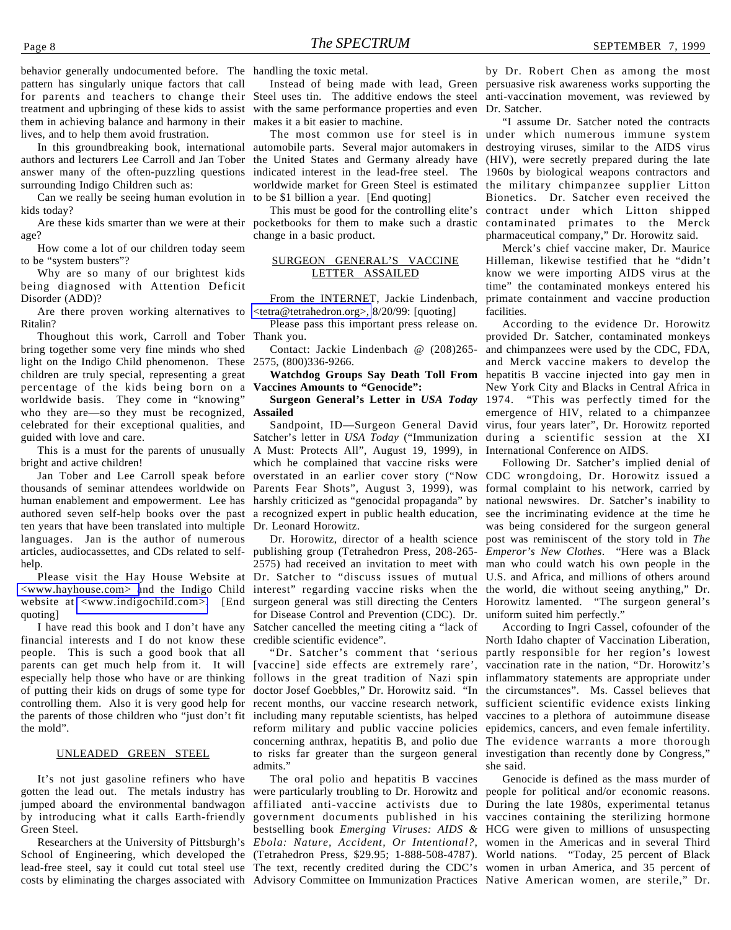behavior generally undocumented before. The handling the toxic metal. pattern has singularly unique factors that call treatment and upbringing of these kids to assist them in achieving balance and harmony in their lives, and to help them avoid frustration.

In this groundbreaking book, international authors and lecturers Lee Carroll and Jan Tober answer many of the often-puzzling questions surrounding Indigo Children such as:

Can we really be seeing human evolution in kids today?

Are these kids smarter than we were at their age?

How come a lot of our children today seem to be "system busters"?

Why are so many of our brightest kids being diagnosed with Attention Deficit Disorder (ADD)?

Are there proven working alternatives to [<tetra@tetrahedron.org>,](mailto:tetra@tetrahedron.org) 8/20/99: [quoting] Ritalin?

Thoughout this work, Carroll and Tober Thank you. bring together some very fine minds who shed light on the Indigo Child phenomenon. These 2575, (800)336-9266. children are truly special, representing a great percentage of the kids being born on a worldwide basis. They come in "knowing" who they are—so they must be recognized, celebrated for their exceptional qualities, and guided with love and care.

This is a must for the parents of unusually bright and active children!

thousands of seminar attendees worldwide on human enablement and empowerment. Lee has harshly criticized as "genocidal propaganda" by ten years that have been translated into multiple Dr. Leonard Horowitz. languages. Jan is the author of numerous articles, audiocassettes, and CDs related to selfhelp.

[<www.hayhouse.com> a](http://www.hayhouse.com)nd the Indigo Child website at [<www.indigochild.com>.](http://www.indigochild.com) [End quoting]

I have read this book and I don't have any financial interests and I do not know these people. This is such a good book that all parents can get much help from it. It will especially help those who have or are thinking of putting their kids on drugs of some type for controlling them. Also it is very good help for the parents of those children who "just don't fit the mold".

#### UNLEADED GREEN STEEL

It's not just gasoline refiners who have gotten the lead out. The metals industry has jumped aboard the environmental bandwagon affiliated anti-vaccine activists due to During the late 1980s, experimental tetanus by introducing what it calls Earth-friendly Green Steel.

Researchers at the University of Pittsburgh's School of Engineering, which developed the (Tetrahedron Press, \$29.95; 1-888-508-4787). World nations. "Today, 25 percent of Black lead-free steel, say it could cut total steel use The text, recently credited during the CDC's women in urban America, and 35 percent of costs by eliminating the charges associated with Advisory Committee on Immunization Practices Native American women, are sterile," Dr.

for parents and teachers to change their Steel uses tin. The additive endows the steel anti-vaccination movement, was reviewed by with the same performance properties and even makes it a bit easier to machine.

to be \$1 billion a year. [End quoting]

pocketbooks for them to make such a drastic change in a basic product.

#### SURGEON GENERAL'S VACCINE LETTER ASSAILED

From the INTERNET, Jackie Lindenbach,

Please pass this important press release on.

Contact: Jackie Lindenbach @ (208)265-

**Watchdog Groups Say Death Toll From Vaccines Amounts to "Genocide":**

**Assailed**

Jan Tober and Lee Carroll speak before overstated in an earlier cover story ("Now authored seven self-help books over the past a recognized expert in public health education, see the incriminating evidence at the time he Satcher's letter in *USA Today* ("Immunization A Must: Protects All", August 19, 1999), in which he complained that vaccine risks were Parents Fear Shots", August 3, 1999), was

Please visit the Hay House Website at Dr. Satcher to "discuss issues of mutual Dr. Horowitz, director of a health science publishing group (Tetrahedron Press, 208-265- 2575) had received an invitation to meet with interest" regarding vaccine risks when the surgeon general was still directing the Centers for Disease Control and Prevention (CDC). Dr. Satcher cancelled the meeting citing a "lack of credible scientific evidence".

> [vaccine] side effects are extremely rare', follows in the great tradition of Nazi spin inflammatory statements are appropriate under doctor Josef Goebbles," Dr. Horowitz said. "In the circumstances". Ms. Cassel believes that recent months, our vaccine research network, sufficient scientific evidence exists linking including many reputable scientists, has helped vaccines to a plethora of autoimmune disease reform military and public vaccine policies epidemics, cancers, and even female infertility. concerning anthrax, hepatitis B, and polio due The evidence warrants a more thorough to risks far greater than the surgeon general investigation than recently done by Congress," admits."

> The oral polio and hepatitis B vaccines were particularly troubling to Dr. Horowitz and people for political and/or economic reasons. government documents published in his vaccines containing the sterilizing hormone bestselling book *Emerging Viruses: AIDS &* HCG were given to millions of unsuspecting *Ebola: Nature, Accident, Or Intentional?*, women in the Americas and in several Third

Instead of being made with lead, Green persuasive risk awareness works supporting the by Dr. Robert Chen as among the most Dr. Satcher.

The most common use for steel is in under which numerous immune system automobile parts. Several major automakers in destroying viruses, similar to the AIDS virus the United States and Germany already have (HIV), were secretly prepared during the late indicated interest in the lead-free steel. The 1960s by biological weapons contractors and worldwide market for Green Steel is estimated the military chimpanzee supplier Litton This must be good for the controlling elite's contract under which Litton shipped "I assume Dr. Satcher noted the contracts Bionetics. Dr. Satcher even received the contaminated primates to the Merck pharmaceutical company," Dr. Horowitz said.

> Merck's chief vaccine maker, Dr. Maurice Hilleman, likewise testified that he "didn't know we were importing AIDS virus at the time" the contaminated monkeys entered his primate containment and vaccine production facilities.

**Surgeon General's Letter in** *USA Today* 1974. "This was perfectly timed for the Sandpoint, ID—Surgeon General David virus, four years later", Dr. Horowitz reported According to the evidence Dr. Horowitz provided Dr. Satcher, contaminated monkeys and chimpanzees were used by the CDC, FDA, and Merck vaccine makers to develop the hepatitis B vaccine injected into gay men in New York City and Blacks in Central Africa in emergence of HIV, related to a chimpanzee during a scientific session at the XI International Conference on AIDS.

Following Dr. Satcher's implied denial of CDC wrongdoing, Dr. Horowitz issued a formal complaint to his network, carried by national newswires. Dr. Satcher's inability to was being considered for the surgeon general post was reminiscent of the story told in *The Emperor's New Clothes*. "Here was a Black man who could watch his own people in the U.S. and Africa, and millions of others around the world, die without seeing anything," Dr. Horowitz lamented. "The surgeon general's uniform suited him perfectly."

"Dr. Satcher's comment that 'serious partly responsible for her region's lowest According to Ingri Cassel, cofounder of the North Idaho chapter of Vaccination Liberation, vaccination rate in the nation, "Dr. Horowitz's she said.

Genocide is defined as the mass murder of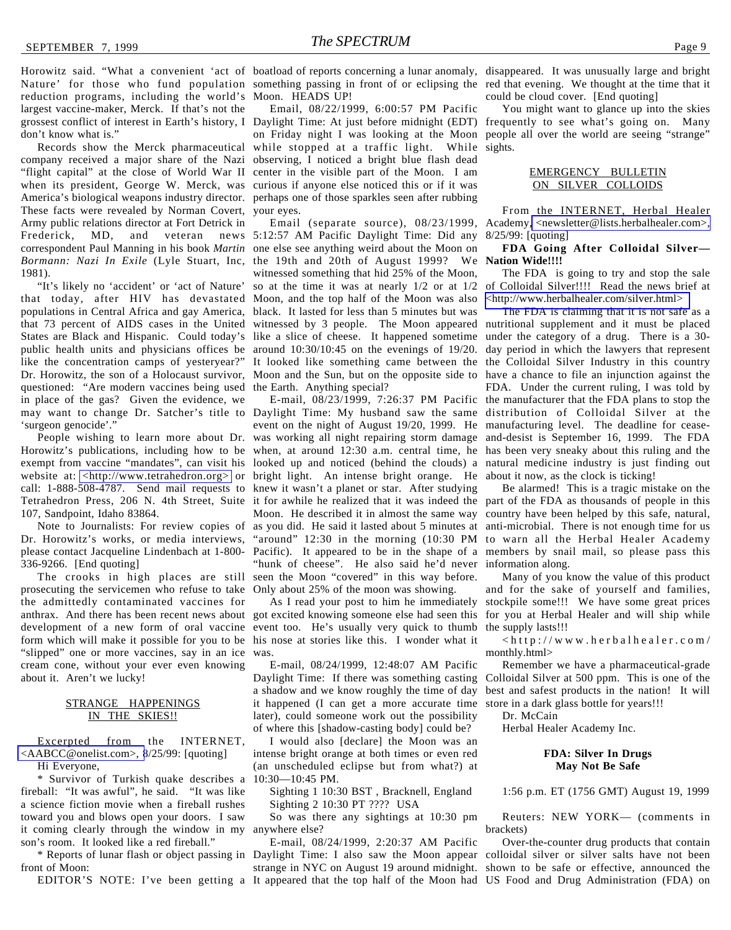Nature' for those who fund population something passing in front of or eclipsing the red that evening. We thought at the time that it reduction programs, including the world's Moon. HEADS UP! largest vaccine-maker, Merck. If that's not the grossest conflict of interest in Earth's history, I Daylight Time: At just before midnight (EDT) frequently to see what's going on. Many don't know what is."

company received a major share of the Nazi observing, I noticed a bright blue flash dead "flight capital" at the close of World War II center in the visible part of the Moon. I am when its president, George W. Merck, was curious if anyone else noticed this or if it was America's biological weapons industry director. perhaps one of those sparkles seen after rubbing These facts were revealed by Norman Covert, your eyes. Army public relations director at Fort Detrick in Frederick, MD, and veteran news 5:12:57 AM Pacific Daylight Time: Did any correspondent Paul Manning in his book *Martin* one else see anything weird about the Moon on *Bormann: Nazi In Exile* (Lyle Stuart, Inc, the 19th and 20th of August 1999? We **Nation Wide!!!!** 1981).

"It's likely no 'accident' or 'act of Nature' that today, after HIV has devastated Moon, and the top half of the Moon was also populations in Central Africa and gay America, black. It lasted for less than 5 minutes but was that 73 percent of AIDS cases in the United witnessed by 3 people. The Moon appeared nutritional supplement and it must be placed States are Black and Hispanic. Could today's like a slice of cheese. It happened sometime under the category of a drug. There is a 30 public health units and physicians offices be around 10:30/10:45 on the evenings of 19/20. like the concentration camps of yesteryear?" Dr. Horowitz, the son of a Holocaust survivor, questioned: "Are modern vaccines being used in place of the gas? Given the evidence, we may want to change Dr. Satcher's title to Daylight Time: My husband saw the same distribution of Colloidal Silver at the 'surgeon genocide'."

Horowitz's publications, including how to be exempt from vaccine "mandates", can visit his looked up and noticed (behind the clouds) a natural medicine industry is just finding out website at: [<http://www.tetrahedron.org>](http://www.tetrahedron.org) or bright light. An intense bright orange. He about it now, as the clock is ticking! call: 1-888-508-4787. Send mail requests to knew it wasn't a planet or star. After studying Tetrahedron Press, 206 N. 4th Street, Suite it for awhile he realized that it was indeed the part of the FDA as thousands of people in this 107, Sandpoint, Idaho 83864.

Dr. Horowitz's works, or media interviews, please contact Jacqueline Lindenbach at 1-800- Pacific). It appeared to be in the shape of a members by snail mail, so please pass this 336-9266. [End quoting]

The crooks in high places are still prosecuting the servicemen who refuse to take the admittedly contaminated vaccines for anthrax. And there has been recent news about got excited knowing someone else had seen this for you at Herbal Healer and will ship while development of a new form of oral vaccine form which will make it possible for you to be his nose at stories like this. I wonder what it "slipped" one or more vaccines, say in an ice was. cream cone, without your ever even knowing about it. Aren't we lucky!

#### STRANGE HAPPENINGS IN THE SKIES!!

Excerpted from the INTERNET, [<AABCC@onelist.com>, 8](mailto:AABCC@onelist.com)/25/99: [quoting] Hi Everyone,

\* Survivor of Turkish quake describes a fireball: "It was awful", he said. "It was like a science fiction movie when a fireball rushes toward you and blows open your doors. I saw it coming clearly through the window in my son's room. It looked like a red fireball."

front of Moon:

Horowitz said. "What a convenient 'act of boatload of reports concerning a lunar anomaly, disappeared. It was unusually large and bright

Records show the Merck pharmaceutical while stopped at a traffic light. While sights. Email, 08/22/1999, 6:00:57 PM Pacific on Friday night I was looking at the Moon people all over the world are seeing "strange"

> Email (separate source), 08/23/1999, witnessed something that hid 25% of the Moon, so at the time it was at nearly 1/2 or at 1/2 of Colloidal Silver!!!! Read the news brief at It looked like something came between the the Colloidal Silver Industry in this country Moon and the Sun, but on the opposite side to the Earth. Anything special?

"hunk of cheese". He also said he'd never information along. seen the Moon "covered" in this way before. Only about 25% of the moon was showing.

As I read your post to him he immediately event too. He's usually very quick to thumb the supply lasts!!!

E-mail, 08/24/1999, 12:48:07 AM Pacific Daylight Time: If there was something casting a shadow and we know roughly the time of day it happened (I can get a more accurate time store in a dark glass bottle for years!!! later), could someone work out the possibility of where this [shadow-casting body] could be?

I would also [declare] the Moon was an intense bright orange at both times or even red (an unscheduled eclipse but from what?) at 10:30—10:45 PM.

Sighting 1 10:30 BST , Bracknell, England Sighting 2 10:30 PT ???? USA

So was there any sightings at 10:30 pm anywhere else?

\* Reports of lunar flash or object passing in Daylight Time: I also saw the Moon appear E-mail, 08/24/1999, 2:20:37 AM Pacific strange in NYC on August 19 around midnight.

could be cloud cover. [End quoting]

You might want to glance up into the skies

#### EMERGENCY BULLETIN ON SILVER COLLOIDS

From the INTERNET, Herbal Healer Academy, [<newsletter@lists.herbalhealer.com>,](mailto:newsletter@lists.herbalhealer.com) 8/25/99: [quoting]

### **FDA Going After Colloidal Silver—**

The FDA is going to try and stop the sale [<http://www.herbalhealer.com/silver.html>](http://www.herbalhealer.com/silver.html)

People wishing to learn more about Dr. was working all night repairing storm damage and-desist is September 16, 1999. The FDA E-mail, 08/23/1999, 7:26:37 PM Pacific the manufacturer that the FDA plans to stop the event on the night of August 19/20, 1999. He manufacturing level. The deadline for ceasewhen, at around 12:30 a.m. central time, he has been very sneaky about this ruling and the The FDA is claiming that it is not safe as a day period in which the lawyers that represent have a chance to file an injunction against the FDA. Under the current ruling, I was told by

Note to Journalists: For review copies of as you did. He said it lasted about 5 minutes at anti-microbial. There is not enough time for us Moon. He described it in almost the same way country have been helped by this safe, natural, "around" 12:30 in the morning (10:30 PM to warn all the Herbal Healer Academy Be alarmed! This is a tragic mistake on the

> Many of you know the value of this product and for the sake of yourself and families, stockpile some!!! We have some great prices

> <http://www.herbalhealer.com/ monthly.html>

> Remember we have a pharmaceutical-grade Colloidal Silver at 500 ppm. This is one of the best and safest products in the nation! It will

Dr. McCain

Herbal Healer Academy Inc.

#### **FDA: Silver In Drugs May Not Be Safe**

1:56 p.m. ET (1756 GMT) August 19, 1999

Reuters: NEW YORK— (comments in brackets)

EDITOR'S NOTE: I've been getting a It appeared that the top half of the Moon had US Food and Drug Administration (FDA) onOver-the-counter drug products that contain colloidal silver or silver salts have not been shown to be safe or effective, announced the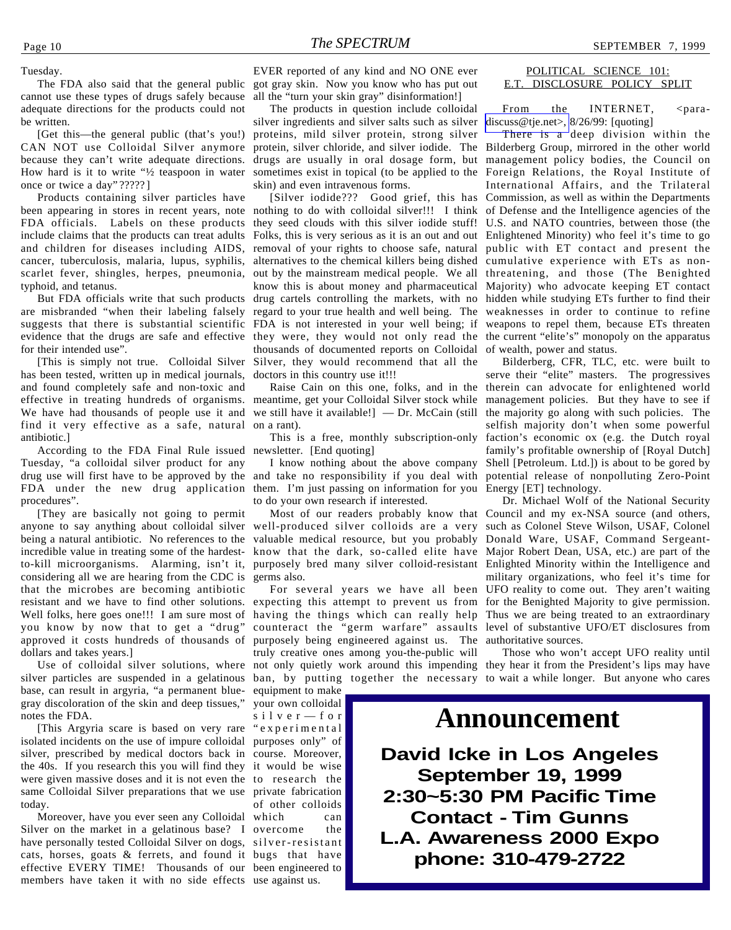Tuesday.

The FDA also said that the general public cannot use these types of drugs safely because adequate directions for the products could not be written.

[Get this—the general public (that's you!) CAN NOT use Colloidal Silver anymore because they can't write adequate directions. How hard is it to write "½ teaspoon in water once or twice a day" ????? ]

Products containing silver particles have been appearing in stores in recent years, note FDA officials. Labels on these products include claims that the products can treat adults and children for diseases including AIDS, cancer, tuberculosis, malaria, lupus, syphilis, scarlet fever, shingles, herpes, pneumonia, typhoid, and tetanus.

But FDA officials write that such products are misbranded "when their labeling falsely regard to your true health and well being. The weaknesses in order to continue to refine suggests that there is substantial scientific FDA is not interested in your well being; if weapons to repel them, because ETs threaten evidence that the drugs are safe and effective they were, they would not only read the the current "elite's" monopoly on the apparatus for their intended use".

has been tested, written up in medical journals, and found completely safe and non-toxic and effective in treating hundreds of organisms. meantime, get your Colloidal Silver stock while management policies. But they have to see if We have had thousands of people use it and we still have it available!] — Dr. McCain (still the majority go along with such policies. The find it very effective as a safe, natural on a rant). antibiotic.]

According to the FDA Final Rule issued newsletter. [End quoting] Tuesday, "a colloidal silver product for any drug use will first have to be approved by the and take no responsibility if you deal with FDA under the new drug application them. I'm just passing on information for you Energy [ET] technology. procedures".

[They are basically not going to permit anyone to say anything about colloidal silver well-produced silver colloids are a very being a natural antibiotic. No references to the incredible value in treating some of the hardestto-kill microorganisms. Alarming, isn't it, considering all we are hearing from the CDC is that the microbes are becoming antibiotic resistant and we have to find other solutions. expecting this attempt to prevent us from for the Benighted Majority to give permission. Well folks, here goes one!!! I am sure most of you know by now that to get a "drug" approved it costs hundreds of thousands of dollars and takes years.]

Use of colloidal silver solutions, where silver particles are suspended in a gelatinous base, can result in argyria, "a permanent bluegray discoloration of the skin and deep tissues," notes the FDA.

[This Argyria scare is based on very rare isolated incidents on the use of impure colloidal purposes only" of silver, prescribed by medical doctors back in course. Moreover, the 40s. If you research this you will find they it would be wise were given massive doses and it is not even the to research the same Colloidal Silver preparations that we use private fabrication today.

Moreover, have you ever seen any Colloidal which can Silver on the market in a gelatinous base? I overcome the have personally tested Colloidal Silver on dogs, silver-resistant cats, horses, goats & ferrets, and found it bugs that have effective EVERY TIME! Thousands of our been engineered to members have taken it with no side effects use against us.

EVER reported of any kind and NO ONE ever got gray skin. Now you know who has put out all the "turn your skin gray" disinformation!]

The products in question include colloidal silver ingredients and silver salts such as silver proteins, mild silver protein, strong silver protein, silver chloride, and silver iodide. The drugs are usually in oral dosage form, but sometimes exist in topical (to be applied to the skin) and even intravenous forms.

[This is simply not true. Colloidal Silver Silver, they would recommend that all the [Silver iodide??? Good grief, this has nothing to do with colloidal silver!!! I think they seed clouds with this silver iodide stuff! Folks, this is very serious as it is an out and out Enlightened Minority) who feel it's time to go removal of your rights to choose safe, natural alternatives to the chemical killers being dished cumulative experience with ETs as nonout by the mainstream medical people. We all threatening, and those (The Benighted know this is about money and pharmaceutical Majority) who advocate keeping ET contact drug cartels controlling the markets, with no hidden while studying ETs further to find their thousands of documented reports on Colloidal of wealth, power and status. doctors in this country use it!!!

to do your own research if interested.

valuable medical resource, but you probably Donald Ware, USAF, Command Sergeantknow that the dark, so-called elite have Major Robert Dean, USA, etc.) are part of the purposely bred many silver colloid-resistant Enlighted Minority within the Intelligence and germs also.

purposely being engineered against us. The authoritative sources. truly creative ones among you-the-public will

ban, by putting together the necessary to wait a while longer. But anyone who cares equipment to make

your own colloidal silver—for "experimental of other colloids

#### POLITICAL SCIENCE 101: E.T. DISCLOSURE POLICY SPLIT

From the INTERNET. <para[discuss@tje.net>,](mailto:para-discuss@tje.net) 8/26/99: [quoting]

There is a deep division within the Bilderberg Group, mirrored in the other world management policy bodies, the Council on Foreign Relations, the Royal Institute of International Affairs, and the Trilateral Commission, as well as within the Departments of Defense and the Intelligence agencies of the U.S. and NATO countries, between those (the public with ET contact and present the

Raise Cain on this one, folks, and in the therein can advocate for enlightened world This is a free, monthly subscription-only faction's economic ox (e.g. the Dutch royal I know nothing about the above company Shell [Petroleum. Ltd.]) is about to be gored by Bilderberg, CFR, TLC, etc. were built to serve their "elite" masters. The progressives selfish majority don't when some powerful family's profitable ownership of [Royal Dutch] potential release of nonpolluting Zero-Point

Most of our readers probably know that Council and my ex-NSA source (and others, For several years we have all been UFO reality to come out. They aren't waiting having the things which can really help Thus we are being treated to an extraordinary counteract the "germ warfare" assaults level of substantive UFO/ET disclosures from Dr. Michael Wolf of the National Security such as Colonel Steve Wilson, USAF, Colonel military organizations, who feel it's time for

not only quietly work around this impending they hear it from the President's lips may have Those who won't accept UFO reality until

### **Announcement**

**David Icke in Los Angeles September 19, 1999 2:30~5:30 PM Pacific Time Contact - Tim Gunns L.A. Awareness 2000 Expo phone: 310-479-2722**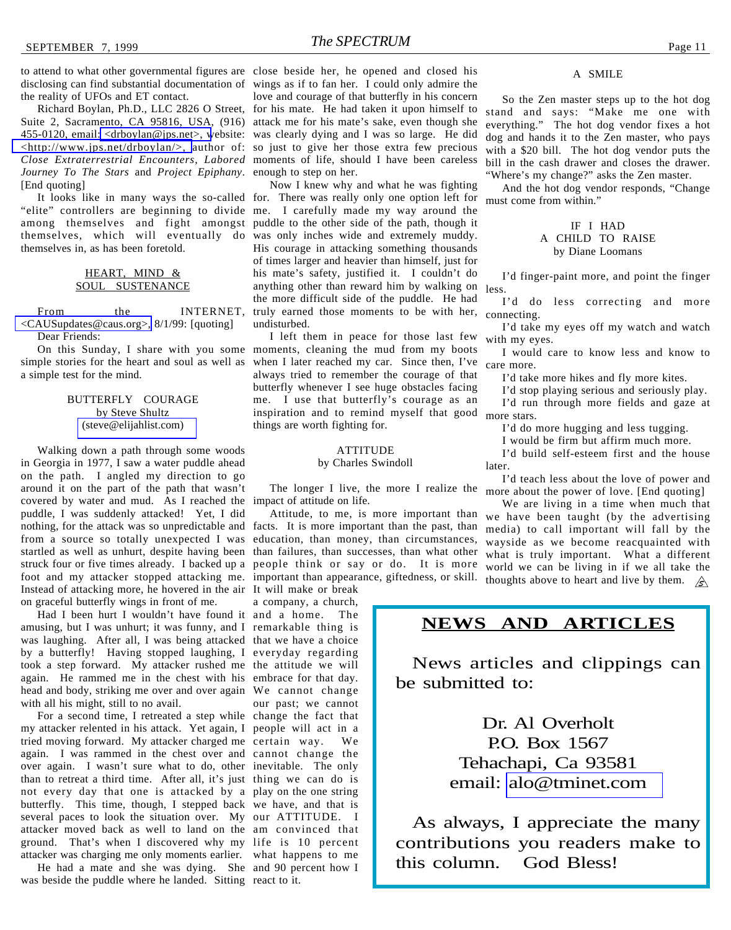disclosing can find substantial documentation of wings as if to fan her. I could only admire the the reality of UFOs and ET contact.

Suite 2, Sacramento, CA 95816, USA, (916) attack me for his mate's sake, even though she 455-0120, email: [<drboylan@jps.net>, w](mailto:drboylan@jps.net)ebsite: was clearly dying and I was so large. He did [<http://www.jps.net/drboylan/>,](http://www.jps.net/drboylan) author of: *Close Extraterrestrial Encounters*, *Labored Journey To The Stars* and *Project Epiphany*. [End quoting]

"elite" controllers are beginning to divide me. I carefully made my way around the among themselves and fight amongst puddle to the other side of the path, though it themselves, which will eventually do themselves in, as has been foretold.

#### HEART, MIND & SOUL SUSTENANCE

From the INTERNET, [<CAUSupdates@caus.org>,](mailto:CAUSupdates@caus.org) 8/1/99: [quoting] Dear Friends:

simple stories for the heart and soul as well as a simple test for the mind.

#### BUTTERFLY COURAGE by Steve Shultz [\(steve@elijahlist.com\)](mailto:steve@elijahlist.com)

Walking down a path through some woods in Georgia in 1977, I saw a water puddle ahead on the path. I angled my direction to go around it on the part of the path that wasn't covered by water and mud. As I reached the impact of attitude on life. puddle, I was suddenly attacked! Yet, I did nothing, for the attack was so unpredictable and facts. It is more important than the past, than from a source so totally unexpected I was startled as well as unhurt, despite having been struck four or five times already. I backed up a foot and my attacker stopped attacking me. Instead of attacking more, he hovered in the air It will make or break on graceful butterfly wings in front of me.

Had I been hurt I wouldn't have found it and a home. The amusing, but I was unhurt; it was funny, and I was laughing. After all, I was being attacked that we have a choice by a butterfly! Having stopped laughing, I everyday regarding took a step forward. My attacker rushed me the attitude we will again. He rammed me in the chest with his embrace for that day. head and body, striking me over and over again We cannot change with all his might, still to no avail.

For a second time, I retreated a step while change the fact that my attacker relented in his attack. Yet again, I people will act in a tried moving forward. My attacker charged me certain way. We again. I was rammed in the chest over and cannot change the over again. I wasn't sure what to do, other inevitable. The only than to retreat a third time. After all, it's just thing we can do is not every day that one is attacked by a play on the one string butterfly. This time, though, I stepped back we have, and that is several paces to look the situation over. My our ATTITUDE. I attacker moved back as well to land on the am convinced that ground. That's when I discovered why my life is 10 percent attacker was charging me only moments earlier. what happens to me

He had a mate and she was dying. She and 90 percent how I was beside the puddle where he landed. Sitting react to it.

to attend to what other governmental figures are close beside her, he opened and closed his Richard Boylan, Ph.D., LLC 2826 O Street, for his mate. He had taken it upon himself to love and courage of that butterfly in his concern so just to give her those extra few precious moments of life, should I have been careless enough to step on her.

It looks like in many ways the so-called for. There was really only one option left for Now I knew why and what he was fighting was only inches wide and extremely muddy. His courage in attacking something thousands of times larger and heavier than himself, just for his mate's safety, justified it. I couldn't do anything other than reward him by walking on less. the more difficult side of the puddle. He had truly earned those moments to be with her, undisturbed.

On this Sunday, I share with you some moments, cleaning the mud from my boots I left them in peace for those last few when I later reached my car. Since then, I've always tried to remember the courage of that butterfly whenever I see huge obstacles facing me. I use that butterfly's courage as an inspiration and to remind myself that good more stars. things are worth fighting for.

#### **ATTITUDE**

#### by Charles Swindoll

The longer I live, the more I realize the

Attitude, to me, is more important than education, than money, than circumstances, than failures, than successes, than what other people think or say or do. It is more important than appearance, giftedness, or skill.

a company, a church, remarkable thing is our past; we cannot

#### A SMILE

So the Zen master steps up to the hot dog stand and says: "Make me one with everything." The hot dog vendor fixes a hot dog and hands it to the Zen master, who pays with a \$20 bill. The hot dog vendor puts the bill in the cash drawer and closes the drawer. 'Where's my change?" asks the Zen master.

And the hot dog vendor responds, "Change must come from within."

#### IF I HAD A CHILD TO RAISE

#### by Diane Loomans

I'd finger-paint more, and point the finger

I'd do less correcting and more connecting.

I'd take my eyes off my watch and watch with my eyes.

I would care to know less and know to care more.

I'd take more hikes and fly more kites.

I'd stop playing serious and seriously play.

I'd run through more fields and gaze at

I'd do more hugging and less tugging.

I would be firm but affirm much more.

I'd build self-esteem first and the house later.

I'd teach less about the love of power and more about the power of love. [End quoting]

We are living in a time when much that we have been taught (by the advertising media) to call important will fall by the wayside as we become reacquainted with what is truly important. What a different world we can be living in if we all take the thoughts above to heart and live by them.  $\Diamond$ 

#### **NEWS AND ARTICLES**

News articles and clippings can be submitted to:

> Dr. Al Overholt P.O. Box 1567 Tehachapi, Ca 93581 email: [alo@tminet.com](mailto:alo@tminet.com)

As always, I appreciate the many contributions you readers make to this column. God Bless!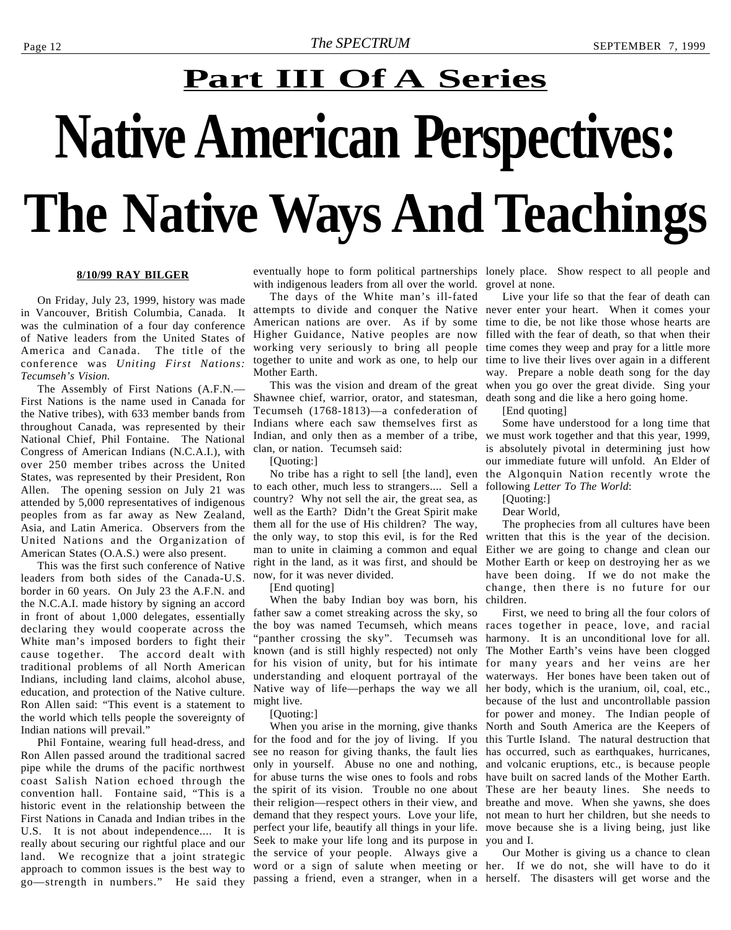## <span id="page-11-0"></span>**Native American Perspectives: The Native Ways And Teachings Part III Of A Series**

#### **8/10/99 RAY BILGER**

On Friday, July 23, 1999, history was made in Vancouver, British Columbia, Canada. It was the culmination of a four day conference of Native leaders from the United States of America and Canada. The title of the conference was *Uniting First Nations: Tecumseh's Vision.*

The Assembly of First Nations (A.F.N.— First Nations is the name used in Canada for the Native tribes), with 633 member bands from throughout Canada, was represented by their National Chief, Phil Fontaine. The National Congress of American Indians (N.C.A.I.), with over 250 member tribes across the United States, was represented by their President, Ron Allen. The opening session on July 21 was attended by 5,000 representatives of indigenous peoples from as far away as New Zealand, Asia, and Latin America. Observers from the United Nations and the Organization of American States (O.A.S.) were also present.

This was the first such conference of Native leaders from both sides of the Canada-U.S. border in 60 years. On July 23 the A.F.N. and the N.C.A.I. made history by signing an accord in front of about 1,000 delegates, essentially declaring they would cooperate across the White man's imposed borders to fight their cause together. The accord dealt with traditional problems of all North American Indians, including land claims, alcohol abuse, education, and protection of the Native culture. Ron Allen said: "This event is a statement to the world which tells people the sovereignty of Indian nations will prevail."

Phil Fontaine, wearing full head-dress, and Ron Allen passed around the traditional sacred pipe while the drums of the pacific northwest coast Salish Nation echoed through the convention hall. Fontaine said, "This is a historic event in the relationship between the First Nations in Canada and Indian tribes in the U.S. It is not about independence.... It is really about securing our rightful place and our land. We recognize that a joint strategic approach to common issues is the best way to go—strength in numbers." He said they passing a friend, even a stranger, when in a herself. The disasters will get worse and the

with indigenous leaders from all over the world. grovel at none.

The days of the White man's ill-fated attempts to divide and conquer the Native American nations are over. As if by some Higher Guidance, Native peoples are now working very seriously to bring all people together to unite and work as one, to help our Mother Earth.

This was the vision and dream of the great Shawnee chief, warrior, orator, and statesman, Tecumseh (1768-1813)—a confederation of Indians where each saw themselves first as Indian, and only then as a member of a tribe, we must work together and that this year, 1999, clan, or nation. Tecumseh said:

[Quoting:]

No tribe has a right to sell [the land], even to each other, much less to strangers.... Sell a country? Why not sell the air, the great sea, as well as the Earth? Didn't the Great Spirit make them all for the use of His children? The way, the only way, to stop this evil, is for the Red man to unite in claiming a common and equal right in the land, as it was first, and should be now, for it was never divided.

[End quoting]

When the baby Indian boy was born, his father saw a comet streaking across the sky, so the boy was named Tecumseh, which means "panther crossing the sky". Tecumseh was known (and is still highly respected) not only for his vision of unity, but for his intimate understanding and eloquent portrayal of the Native way of life—perhaps the way we all might live.

#### [Quoting:]

When you arise in the morning, give thanks for the food and for the joy of living. If you see no reason for giving thanks, the fault lies only in yourself. Abuse no one and nothing, for abuse turns the wise ones to fools and robs the spirit of its vision. Trouble no one about their religion—respect others in their view, and demand that they respect yours. Love your life, perfect your life, beautify all things in your life. Seek to make your life long and its purpose in the service of your people. Always give a word or a sign of salute when meeting or her. If we do not, she will have to do it

eventually hope to form political partnerships lonely place. Show respect to all people and

Live your life so that the fear of death can never enter your heart. When it comes your time to die, be not like those whose hearts are filled with the fear of death, so that when their time comes they weep and pray for a little more time to live their lives over again in a different way. Prepare a noble death song for the day when you go over the great divide. Sing your death song and die like a hero going home.

[End quoting]

Some have understood for a long time that is absolutely pivotal in determining just how our immediate future will unfold. An Elder of the Algonquin Nation recently wrote the following *Letter To The World*:

#### [Quoting:]

Dear World,

The prophecies from all cultures have been written that this is the year of the decision. Either we are going to change and clean our Mother Earth or keep on destroying her as we have been doing. If we do not make the change, then there is no future for our children.

First, we need to bring all the four colors of races together in peace, love, and racial harmony. It is an unconditional love for all. The Mother Earth's veins have been clogged for many years and her veins are her waterways. Her bones have been taken out of her body, which is the uranium, oil, coal, etc., because of the lust and uncontrollable passion for power and money. The Indian people of North and South America are the Keepers of this Turtle Island. The natural destruction that has occurred, such as earthquakes, hurricanes, and volcanic eruptions, etc., is because people have built on sacred lands of the Mother Earth. These are her beauty lines. She needs to breathe and move. When she yawns, she does not mean to hurt her children, but she needs to move because she is a living being, just like you and I.

Our Mother is giving us a chance to clean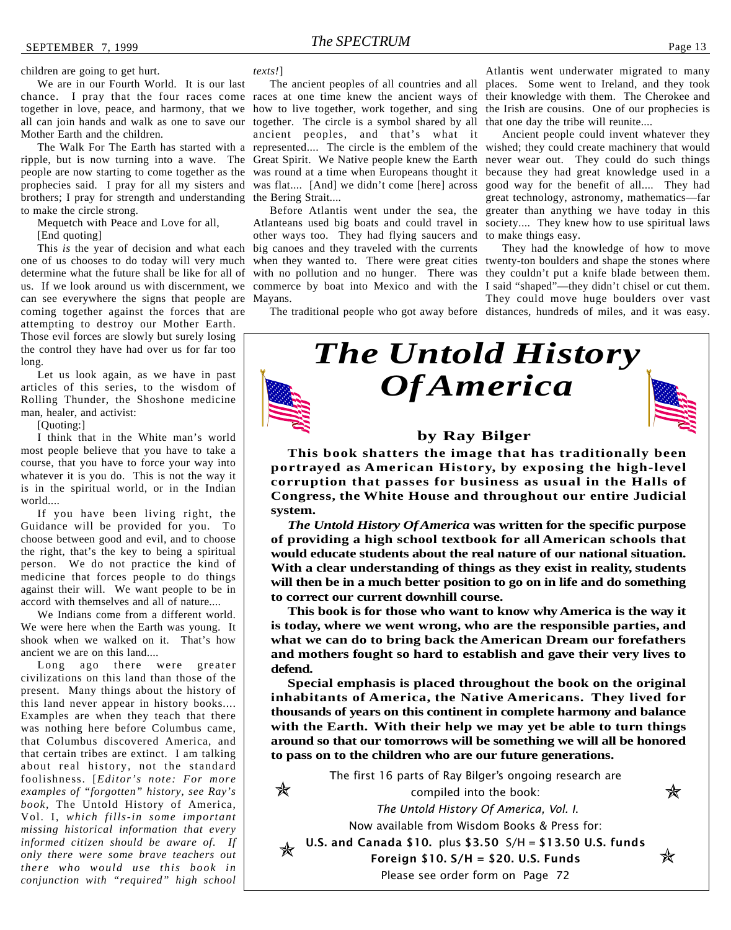children are going to get hurt.

We are in our Fourth World. It is our last chance. I pray that the four races come races at one time knew the ancient ways of their knowledge with them. The Cherokee and together in love, peace, and harmony, that we how to live together, work together, and sing the Irish are cousins. One of our prophecies is all can join hands and walk as one to save our together. The circle is a symbol shared by all that one day the tribe will reunite.... Mother Earth and the children.

ripple, but is now turning into a wave. The Great Spirit. We Native people knew the Earth never wear out. They could do such things people are now starting to come together as the prophecies said. I pray for all my sisters and brothers; I pray for strength and understanding to make the circle strong.

Mequetch with Peace and Love for all,

[End quoting]

This *is* the year of decision and what each one of us chooses to do today will very much determine what the future shall be like for all of can see everywhere the signs that people are Mayans. coming together against the forces that are

attempting to destroy our Mother Earth. Those evil forces are slowly but surely losing the control they have had over us for far too long.

Let us look again, as we have in past articles of this series, to the wisdom of Rolling Thunder, the Shoshone medicine man, healer, and activist:

[Ouoting:]

I think that in the White man's world most people believe that you have to take a course, that you have to force your way into whatever it is you do. This is not the way it is in the spiritual world, or in the Indian world....

If you have been living right, the Guidance will be provided for you. To choose between good and evil, and to choose the right, that's the key to being a spiritual person. We do not practice the kind of medicine that forces people to do things against their will. We want people to be in accord with themselves and all of nature....

We Indians come from a different world. We were here when the Earth was young. It shook when we walked on it. That's how ancient we are on this land....

Long ago there were greater civilizations on this land than those of the present. Many things about the history of this land never appear in history books.... Examples are when they teach that there was nothing here before Columbus came, that Columbus discovered America, and that certain tribes are extinct. I am talking about real history, not the standard foolishness. [*Editor's note: For more examples of "forgotten" history, see Ray's book,* The Untold History of America, Vol. I, *which fills-in some important missing historical information that every informed citizen should be aware of. If only there were some brave teachers out there who would use this book in conjunction with "required" high school*

#### *texts!*]

The Walk For The Earth has started with a represented.... The circle is the emblem of the wished; they could create machinery that would ancient peoples, and that's what it was round at a time when Europeans thought it because they had great knowledge used in a was flat.... [And] we didn't come [here] across good way for the benefit of all.... They had the Bering Strait....

> Atlanteans used big boats and could travel in society.... They knew how to use spiritual laws other ways too. They had flying saucers and to make things easy. big canoes and they traveled with the currents

The traditional people who got away before distances, hundreds of miles, and it was easy.

The ancient peoples of all countries and all places. Some went to Ireland, and they took Atlantis went underwater migrated to many

Before Atlantis went under the sea, the greater than anything we have today in this Ancient people could invent whatever they great technology, astronomy, mathematics—far

us. If we look around us with discernment, we commerce by boat into Mexico and with the I said "shaped"—they didn't chisel or cut them. when they wanted to. There were great cities twenty-ton boulders and shape the stones where with no pollution and no hunger. There was they couldn't put a knife blade between them. They had the knowledge of how to move They could move huge boulders over vast



#### **by Ray Bilger**

**This book shatters the image that has traditionally been portrayed as American History, by exposing the high-level corruption that passes for business as usual in the Halls of Congress, the White House and throughout our entire Judicial system.**

*The Untold History Of America* **was written for the specific purpose of providing a high school textbook for all American schools that would educate students about the real nature of our national situation. With a clear understanding of things as they exist in reality, students will then be in a much better position to go on in life and do something to correct our current downhill course.**

**This book is for those who want to know why America is the way it is today, where we went wrong, who are the responsible parties, and what we can do to bring back the American Dream our forefathers and mothers fought so hard to establish and gave their very lives to defend.**

**Special emphasis is placed throughout the book on the original inhabitants of America, the Native Americans. They lived for thousands of years on this continent in complete harmony and balance with the Earth. With their help we may yet be able to turn things around so that our tomorrows will be something we will all be honored to pass on to the children who are our future generations.**

The first 16 parts of Ray Bilger's ongoing research are  $\bigstar$ compiled into the book: The Untold History Of America, Vol. I. Now available from Wisdom Books & Press for: U.S. and Canada \$10. plus \$3.50 S/H = \$13.50 U.S. funds ✬ Foreign \$10. S/H = \$20. U.S. Funds Please see order form on Page 72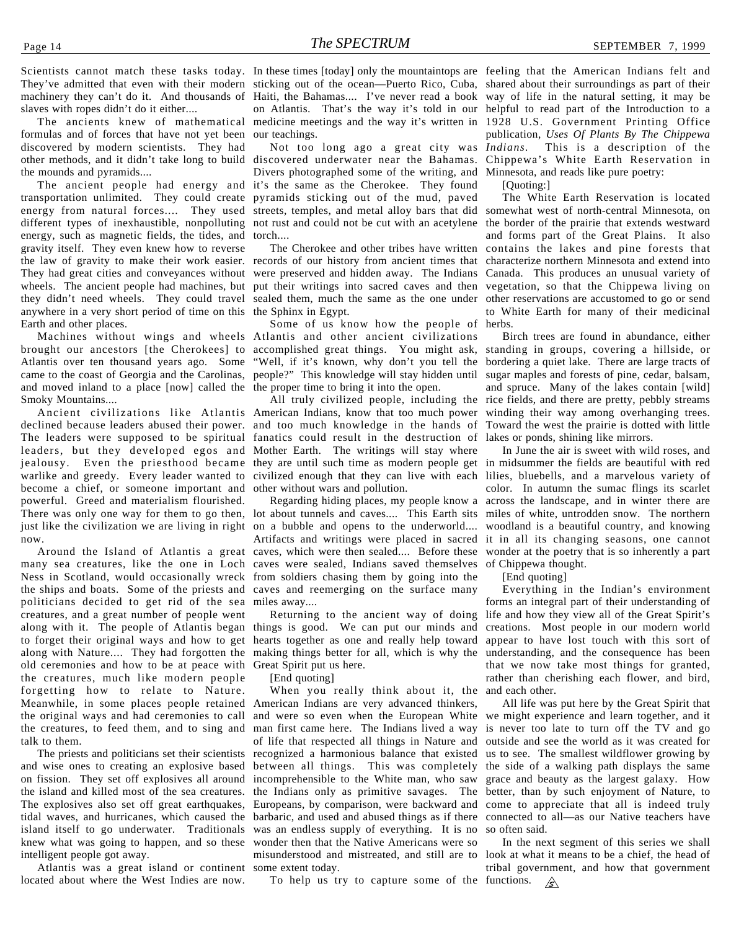They've admitted that even with their modern sticking out of the ocean—Puerto Rico, Cuba, shared about their surroundings as part of their machinery they can't do it. And thousands of Haiti, the Bahamas.... I've never read a book way of life in the natural setting, it may be slaves with ropes didn't do it either....

The ancients knew of mathematical formulas and of forces that have not yet been discovered by modern scientists. They had other methods, and it didn't take long to build the mounds and pyramids....

The ancient people had energy and transportation unlimited. They could create energy from natural forces.... They used different types of inexhaustible, nonpolluting not rust and could not be cut with an acetylene energy, such as magnetic fields, the tides, and torch.... gravity itself. They even knew how to reverse the law of gravity to make their work easier. records of our history from ancient times that They had great cities and conveyances without were preserved and hidden away. The Indians wheels. The ancient people had machines, but put their writings into sacred caves and then vegetation, so that the Chippewa living on they didn't need wheels. They could travel sealed them, much the same as the one under anywhere in a very short period of time on this the Sphinx in Egypt. Earth and other places.

brought our ancestors [the Cherokees] to accomplished great things. You might ask, standing in groups, covering a hillside, or Atlantis over ten thousand years ago. Some "Well, if it's known, why don't you tell the came to the coast of Georgia and the Carolinas, people?" This knowledge will stay hidden until and moved inland to a place [now] called the the proper time to bring it into the open. Smoky Mountains....

declined because leaders abused their power. and too much knowledge in the hands of The leaders were supposed to be spiritual fanatics could result in the destruction of leaders, but they developed egos and Mother Earth. The writings will stay where jealousy. Even the priesthood became they are until such time as modern people get in midsummer the fields are beautiful with red warlike and greedy. Every leader wanted to civilized enough that they can live with each lilies, bluebells, and a marvelous variety of become a chief, or someone important and powerful. Greed and materialism flourished. There was only one way for them to go then, lot about tunnels and caves.... This Earth sits miles of white, untrodden snow. The northern just like the civilization we are living in right on a bubble and opens to the underworld.... now.

many sea creatures, like the one in Loch Ness in Scotland, would occasionally wreck the ships and boats. Some of the priests and politicians decided to get rid of the sea creatures, and a great number of people went along with it. The people of Atlantis began things is good. We can put our minds and to forget their original ways and how to get along with Nature.... They had forgotten the making things better for all, which is why the understanding, and the consequence has been old ceremonies and how to be at peace with Great Spirit put us here. the creatures, much like modern people forgetting how to relate to Nature. Meanwhile, in some places people retained the original ways and had ceremonies to call the creatures, to feed them, and to sing and talk to them.

The priests and politicians set their scientists and wise ones to creating an explosive based on fission. They set off explosives all around the island and killed most of the sea creatures. The explosives also set off great earthquakes, tidal waves, and hurricanes, which caused the island itself to go underwater. Traditionals knew what was going to happen, and so these intelligent people got away.

Atlantis was a great island or continent located about where the West Indies are now.

our teachings.

Divers photographed some of the writing, and Minnesota, and reads like pure poetry: it's the same as the Cherokee. They found pyramids sticking out of the mud, paved streets, temples, and metal alloy bars that did

The Cherokee and other tribes have written

Machines without wings and wheels Atlantis and other ancient civilizations Some of us know how the people of herbs.

Ancient civilizations like Atlantis American Indians, know that too much power All truly civilized people, including the other without wars and pollution.

Around the Island of Atlantis a great caves, which were then sealed.... Before these wonder at the poetry that is so inherently a part Artifacts and writings were placed in sacred it in all its changing seasons, one cannot caves were sealed, Indians saved themselves of Chippewa thought. from soldiers chasing them by going into the caves and reemerging on the surface many miles away....

hearts together as one and really help toward appear to have lost touch with this sort of

[End quoting]

When you really think about it, the American Indians are very advanced thinkers, and were so even when the European White man first came here. The Indians lived a way of life that respected all things in Nature and recognized a harmonious balance that existed us to see. The smallest wildflower growing by between all things. This was completely the side of a walking path displays the same incomprehensible to the White man, who saw grace and beauty as the largest galaxy. How the Indians only as primitive savages. The better, than by such enjoyment of Nature, to Europeans, by comparison, were backward and come to appreciate that all is indeed truly barbaric, and used and abused things as if there connected to all—as our Native teachers have was an endless supply of everything. It is no wonder then that the Native Americans were so misunderstood and mistreated, and still are to look at what it means to be a chief, the head of some extent today.

To help us try to capture some of the functions.

Scientists cannot match these tasks today. In these times [today] only the mountaintops are feeling that the American Indians felt and on Atlantis. That's the way it's told in our helpful to read part of the Introduction to a medicine meetings and the way it's written in 1928 U.S. Government Printing Office Not too long ago a great city was *Indians.* This is a description of the discovered underwater near the Bahamas. Chippewa's White Earth Reservation in publication, *Uses Of Plants By The Chippewa*

[Quoting:]

The White Earth Reservation is located somewhat west of north-central Minnesota, on the border of the prairie that extends westward and forms part of the Great Plains. It also contains the lakes and pine forests that characterize northern Minnesota and extend into Canada. This produces an unusual variety of other reservations are accustomed to go or send to White Earth for many of their medicinal

Birch trees are found in abundance, either bordering a quiet lake. There are large tracts of sugar maples and forests of pine, cedar, balsam, and spruce. Many of the lakes contain [wild] rice fields, and there are pretty, pebbly streams winding their way among overhanging trees. Toward the west the prairie is dotted with little lakes or ponds, shining like mirrors.

Regarding hiding places, my people know a across the landscape, and in winter there are In June the air is sweet with wild roses, and color. In autumn the sumac flings its scarlet woodland is a beautiful country, and knowing

[End quoting]

Returning to the ancient way of doing life and how they view all of the Great Spirit's Everything in the Indian's environment forms an integral part of their understanding of creations. Most people in our modern world that we now take most things for granted, rather than cherishing each flower, and bird, and each other.

> All life was put here by the Great Spirit that we might experience and learn together, and it is never too late to turn off the TV and go outside and see the world as it was created for so often said.

> In the next segment of this series we shall tribal government, and how that government  $\mathcal{A}$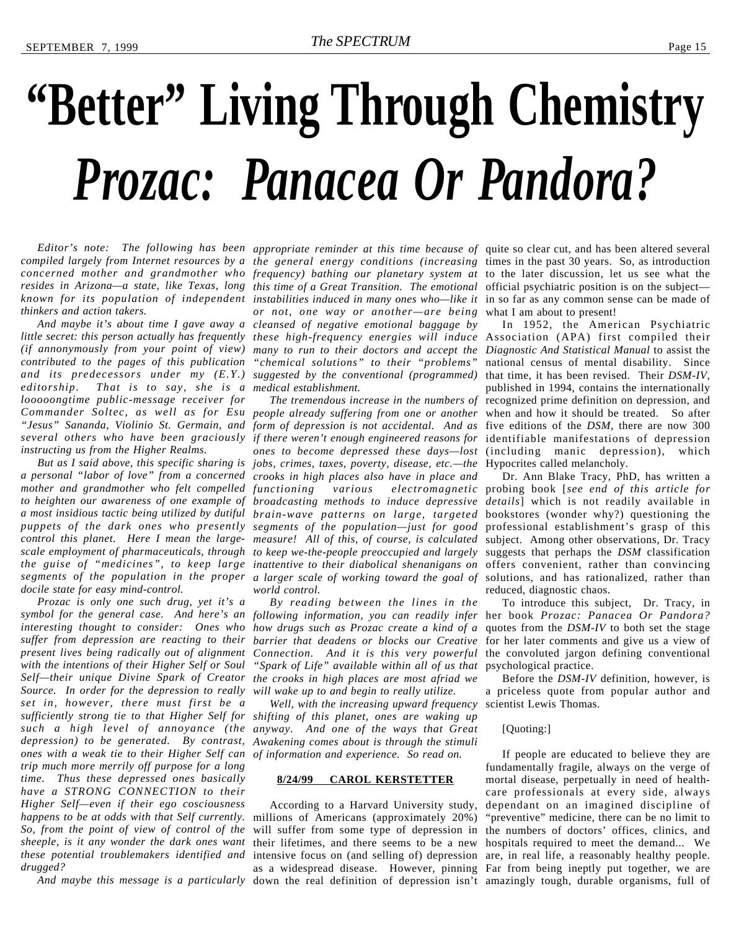## <span id="page-14-0"></span>**"Better" Living Through Chemistry** *Prozac: Panacea Or Pandora?*

*compiled largely from Internet resources by a the general energy conditions (increasing* times in the past 30 years. So, as introduction *concerned mother and grandmother who frequency) bathing our planetary system at* to the later discussion, let us see what the resides in Arizona—a state, like Texas, long this time of a Great Transition. The emotional official psychiatric position is on the subject known for its population of independent instabilities induced in many ones who—like it in so far as any common sense can be made of *thinkers and action takers.*

little secret: this person actually has frequently these high-frequency energies will induce Association (APA) first compiled their *(if annonymously from your point of view) many to run to their doctors and accept the Diagnostic And Statistical Manual* to assist the *contributed to the pages of this publication and its predecessors under my (E.Y.) suggested by the conventional (programmed)* that time, it has been revised. Their *DSM-IV*, *editorship. That is to say, she is a medical establishment. looooongtime public-message receiver for Commander Soltec, as well as for Esu people already suffering from one or another* when and how it should be treated. So after *"Jesus" Sananda, Violinio St. Germain, and form of depression is not accidental. And as* five editions of the *DSM*, there are now 300 *several others who have been graciously if there weren't enough engineered reasons for* identifiable manifestations of depression *instructing us from the Higher Realms.*

*a personal "labor of love" from a concerned crooks in high places also have in place and mother and grandmother who felt compelled to heighten our awareness of one example of broadcasting methods to induce depressive details*] which is not readily available in *a most insidious tactic being utilized by dutiful brain-wave patterns on large, targeted* bookstores (wonder why?) questioning the *puppets of the dark ones who presently segments of the population—just for good control this planet. Here I mean the large-measure! All of this, of course, is calculated* subject. Among other observations, Dr. Tracy *scale employment of pharmaceuticals, through to keep we-the-people preoccupied and largely* suggests that perhaps the *DSM* classification the guise of "medicines", to keep large inattentive to their diabolical shenanigans on offers convenient, rather than convincing *segments of the population in the proper a larger scale of working toward the goal of* solutions, and has rationalized, rather than *docile state for easy mind-control.*

*Prozac is only one such drug, yet it's a symbol for the general case. And here's an following information, you can readily infer* her book *Prozac: Panacea Or Pandora? interesting thought to consider: Ones who how drugs such as Prozac create a kind of a suffer from depression are reacting to their barrier that deadens or blocks our Creative present lives being radically out of alignment with the intentions of their Higher Self or Soul Self—their unique Divine Spark of Creator the crooks in high places are most afriad we Source. In order for the depression to really set in, however, there must first be a sufficiently strong tie to that Higher Self for shifting of this planet, ones are waking up such a high level of annoyance (the anyway. And one of the ways that Great depression) to be generated. By contrast, Awakening comes about is through the stimuli ones with a weak tie to their Higher Self can of information and experience. So read on. trip much more merrily off purpose for a long time. Thus these depressed ones basically have a STRONG CONNECTION to their Higher Self—even if their ego cosciousness happens to be at odds with that Self currently. So, from the point of view of control of the sheeple, is it any wonder the dark ones want these potential troublemakers identified and drugged?*

*And maybe it's about time I gave away a cleansed of negative emotional baggage by or not, one way or another—are being* what I am about to present! *"chemical solutions" to their "problems"*

*But as I said above, this specific sharing is jobs, crimes, taxes, poverty, disease, etc.—the* Hypocrites called melancholy. *ones to become depressed these days—lost* (including manic depression), which *functioning various electromagnetic* probing book [*see end of this article for world control.*

> *By reading between the lines in the Connection. And it is this very powerful "Spark of Life" available within all of us that will wake up to and begin to really utilize.*

> *Well, with the increasing upward frequency*

#### **8/24/99 CAROL KERSTETTER**

*And maybe this message is a particularly* down the real definition of depression isn't amazingly tough, durable organisms, full ofAccording to a Harvard University study, millions of Americans (approximately 20%)

Editor's note: The following has been appropriate reminder at this time because of quite so clear cut, and has been altered several

The tremendous increase in the numbers of recognized prime definition on depression, and In 1952, the American Psychiatric national census of mental disability. Since published in 1994, contains the internationally

Dr. Ann Blake Tracy, PhD, has written a professional establishment's grasp of this reduced, diagnostic chaos.

To introduce this subject, Dr. Tracy, in quotes from the *DSM-IV* to both set the stage for her later comments and give us a view of the convoluted jargon defining conventional psychological practice.

Before the *DSM-IV* definition, however, is a priceless quote from popular author and scientist Lewis Thomas.

#### [Quoting:]

will suffer from some type of depression in the numbers of doctors' offices, clinics, and their lifetimes, and there seems to be a new hospitals required to meet the demand... We intensive focus on (and selling of) depression are, in real life, a reasonably healthy people. as a widespread disease. However, pinning Far from being ineptly put together, we are If people are educated to believe they are fundamentally fragile, always on the verge of mortal disease, perpetually in need of healthcare professionals at every side, always dependant on an imagined discipline of "preventive" medicine, there can be no limit to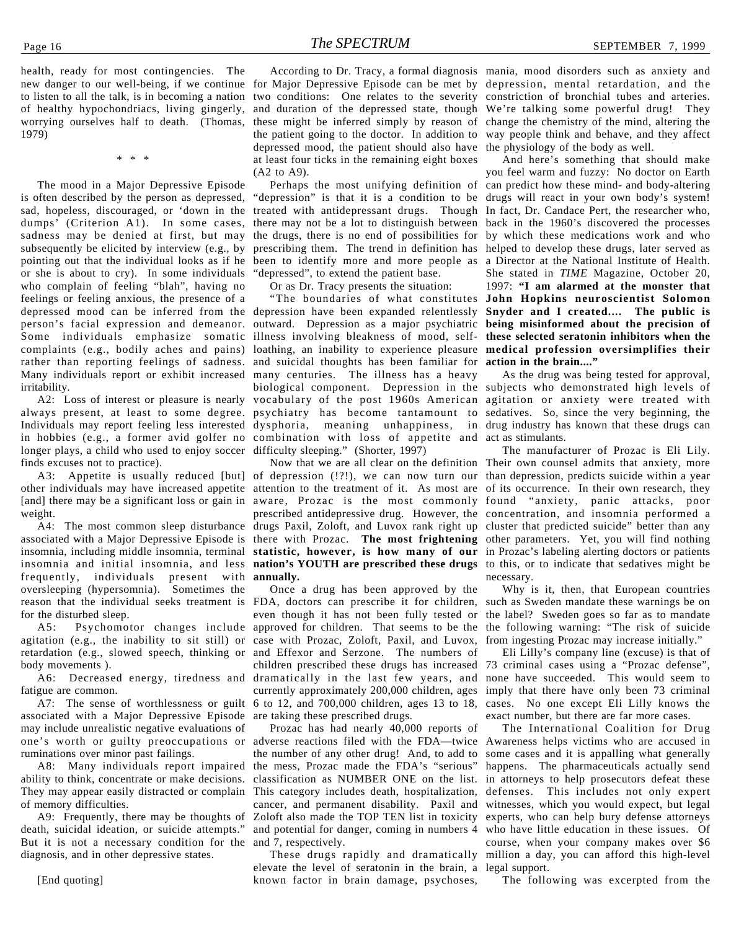health, ready for most contingencies. The of healthy hypochondriacs, living gingerly, worrying ourselves half to death. (Thomas, 1979)

\* \* \*

The mood in a Major Depressive Episode is often described by the person as depressed, sad, hopeless, discouraged, or 'down in the dumps' (Criterion A1). In some cases, sadness may be denied at first, but may subsequently be elicited by interview (e.g., by pointing out that the individual looks as if he or she is about to cry). In some individuals who complain of feeling "blah", having no feelings or feeling anxious, the presence of a depressed mood can be inferred from the depression have been expanded relentlessly **Snyder and I created.... The public is** person's facial expression and demeanor. outward. Depression as a major psychiatric **being misinformed about the precision of** Some individuals emphasize somatic illness involving bleakness of mood, self-**these selected seratonin inhibitors when the** complaints (e.g., bodily aches and pains) loathing, an inability to experience pleasure **medical profession oversimplifies their** rather than reporting feelings of sadness. and suicidal thoughts has been familiar for **action in the brain...."** Many individuals report or exhibit increased many centuries. The illness has a heavy irritability.

always present, at least to some degree. psychiatry has become tantamount to sedatives. So, since the very beginning, the Individuals may report feeling less interested dysphoria, meaning unhappiness, in drug industry has known that these drugs can in hobbies (e.g., a former avid golfer no combination with loss of appetite and act as stimulants. longer plays, a child who used to enjoy soccer difficulty sleeping." (Shorter, 1997) finds excuses not to practice).

weight.

A4: The most common sleep disturbance associated with a Major Depressive Episode is insomnia, including middle insomnia, terminal insomnia and initial insomnia, and less frequently, individuals present with oversleeping (hypersomnia). Sometimes the reason that the individual seeks treatment is FDA, doctors can prescribe it for children, for the disturbed sleep.

agitation (e.g., the inability to sit still) or case with Prozac, Zoloft, Paxil, and Luvox, retardation (e.g., slowed speech, thinking or and Effexor and Serzone. The numbers of body movements ).

fatigue are common.

A7: The sense of worthlessness or guilt associated with a Major Depressive Episode may include unrealistic negative evaluations of one's worth or guilty preoccupations or ruminations over minor past failings.

A8: Many individuals report impaired ability to think, concentrate or make decisions. They may appear easily distracted or complain of memory difficulties.

A9: Frequently, there may be thoughts of death, suicidal ideation, or suicide attempts." But it is not a necessary condition for the and 7, respectively. diagnosis, and in other depressive states.

new danger to our well-being, if we continue for Major Depressive Episode can be met by depression, mental retardation, and the to listen to all the talk, is in becoming a nation two conditions: One relates to the severity constriction of bronchial tubes and arteries. and duration of the depressed state, though We're talking some powerful drug! They these might be inferred simply by reason of change the chemistry of the mind, altering the the patient going to the doctor. In addition to way people think and behave, and they affect depressed mood, the patient should also have the physiology of the body as well. at least four ticks in the remaining eight boxes (A2 to A9).

> "depression" is that it is a condition to be drugs will react in your own body's system! treated with antidepressant drugs. Though In fact, Dr. Candace Pert, the researcher who, there may not be a lot to distinguish between back in the 1960's discovered the processes the drugs, there is no end of possibilities for by which these medications work and who prescribing them. The trend in definition has helped to develop these drugs, later served as been to identify more and more people as a Director at the National Institute of Health. "depressed", to extend the patient base.

Or as Dr. Tracy presents the situation:

A2: Loss of interest or pleasure is nearly vocabulary of the post 1960s American agitation or anxiety were treated with biological component. Depression in the subjects who demonstrated high levels of

A3: Appetite is usually reduced [but] of depression (!?!), we can now turn our than depression, predicts suicide within a year other individuals may have increased appetite attention to the treatment of it. As most are of its occurrence. In their own research, they [and] there may be a significant loss or gain in aware, Prozac is the most commonly found "anxiety, panic attacks, poor prescribed antidepressive drug. However, the concentration, and insomnia performed a drugs Paxil, Zoloft, and Luvox rank right up cluster that predicted suicide" better than any there with Prozac. **The most frightening** other parameters. Yet, you will find nothing **statistic, however, is how many of our** in Prozac's labeling alerting doctors or patients **nation's YOUTH are prescribed these drugs** to this, or to indicate that sedatives might be **annually.**

A5: Psychomotor changes include approved for children. That seems to be the the following warning: "The risk of suicide A6: Decreased energy, tiredness and dramatically in the last few years, and Once a drug has been approved by the even though it has not been fully tested or the label? Sweden goes so far as to mandate children prescribed these drugs has increased 73 criminal cases using a "Prozac defense", currently approximately 200,000 children, ages imply that there have only been 73 criminal 6 to 12, and 700,000 children, ages 13 to 18, cases. No one except Eli Lilly knows the are taking these prescribed drugs.

> Prozac has had nearly 40,000 reports of adverse reactions filed with the FDA—twice Awareness helps victims who are accused in the number of any other drug! And, to add to the mess, Prozac made the FDA's "serious" classification as NUMBER ONE on the list. in attorneys to help prosecutors defeat these This category includes death, hospitalization, defenses. This includes not only expert cancer, and permanent disability. Paxil and witnesses, which you would expect, but legal Zoloft also made the TOP TEN list in toxicity experts, who can help bury defense attorneys and potential for danger, coming in numbers 4 who have little education in these issues. Of

elevate the level of seratonin in the brain, a known factor in brain damage, psychoses,

According to Dr. Tracy, a formal diagnosis mania, mood disorders such as anxiety and

Perhaps the most unifying definition of can predict how these mind- and body-altering "The boundaries of what constitutes **John Hopkins neuroscientist Solomon** And here's something that should make you feel warm and fuzzy: No doctor on Earth She stated in *TIME* Magazine, October 20, 1997: **"I am alarmed at the monster that**

As the drug was being tested for approval,

Now that we are all clear on the definition Their own counsel admits that anxiety, more The manufacturer of Prozac is Eli Lily. necessary.

> Why is it, then, that European countries such as Sweden mandate these warnings be on from ingesting Prozac may increase initially."

> Eli Lilly's company line (excuse) is that of none have succeeded. This would seem to exact number, but there are far more cases.

These drugs rapidly and dramatically million a day, you can afford this high-level The International Coalition for Drug some cases and it is appalling what generally happens. The pharmaceuticals actually send course, when your company makes over \$6 legal support.

The following was excerpted from the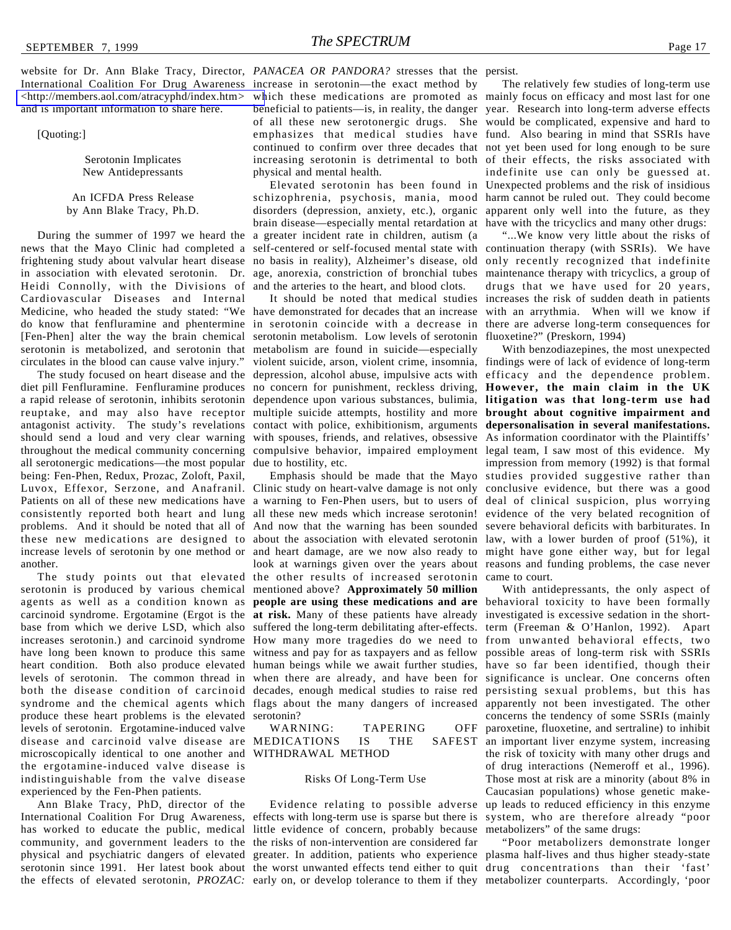SEPTEMBER 7, 1999 *The SPECTRUM* Page 17

website for Dr. Ann Blake Tracy, Director, PANACEA OR PANDORA? stresses that the persist. International Coalition For Drug Awareness increase in serotonin—the exact method by [<http://members.aol.com/atracyphd/index.htm](http://www.members.aol.com/atracyphd/index.htm)*>* and is important information to share here.

[Quoting:]

Serotonin Implicates New Antidepressants

An ICFDA Press Release by Ann Blake Tracy, Ph.D.

During the summer of 1997 we heard the news that the Mayo Clinic had completed a Heidi Connolly, with the Divisions of Cardiovascular Diseases and Internal Medicine, who headed the study stated: "We have demonstrated for decades that an increase with an arrythmia. When will we know if do know that fenfluramine and phentermine in serotonin coincide with a decrease in there are adverse long-term consequences for [Fen-Phen] alter the way the brain chemical serotonin is metabolized, and serotonin that metabolism are found in suicide—especially circulates in the blood can cause valve injury."

diet pill Fenfluramine. Fenfluramine produces no concern for punishment, reckless driving, **However, the main claim in the UK** a rapid release of serotonin, inhibits serotonin dependence upon various substances, bulimia, reuptake, and may also have receptor multiple-suicide-attempts, hostility and more **brought about cognitive impairment and** antagonist activity. The study's revelations contact with police, exhibitionism, arguments should send a loud and very clear warning with spouses, friends, and relatives, obsessive As information coordinator with the Plaintiffs' throughout the medical community concerning compulsive behavior, impaired employment legal team, I saw most of this evidence. My all serotonergic medications—the most popular due to hostility, etc. being: Fen-Phen, Redux, Prozac, Zoloft, Paxil, another.

serotonin is produced by various chemical agents as well as a condition known as base from which we derive LSD, which also have long been known to produce this same heart condition. Both also produce elevated levels of serotonin. The common thread in produce these heart problems is the elevated levels of serotonin. Ergotamine-induced valve disease and carcinoid valve disease are MEDICATIONS IS THE SAFEST microscopically identical to one another and WITHDRAWAL METHOD the ergotamine-induced valve disease is indistinguishable from the valve disease experienced by the Fen-Phen patients.

Ann Blake Tracy, PhD, director of the International Coalition For Drug Awareness, effects with long-term use is sparse but there is has worked to educate the public, medical little evidence of concern, probably because community, and government leaders to the the risks of non-intervention are considered far physical and psychiatric dangers of elevated greater. In addition, patients who experience plasma half-lives and thus higher steady-state serotonin since 1991. Her latest book about the worst unwanted effects tend either to quit drug concentrations than their 'fast' the effects of elevated serotonin, *PROZAC:* early on, or develop tolerance to them if they metabolizer counterparts. Accordingly, 'poor

which these medications are promoted as mainly focus on efficacy and most last for one beneficial to patients—is, in reality, the danger year. Research into long-term adverse effects of all these new serotonergic drugs. She would be complicated, expensive and hard to emphasizes that medical studies have fund. Also bearing in mind that SSRIs have continued to confirm over three decades that not yet been used for long enough to be sure increasing serotonin is detrimental to both of their effects, the risks associated with physical and mental health.

frightening study about valvular heart disease no basis in reality), Alzheimer's disease, old only recently recognized that indefinite in association with elevated serotonin. Dr. age, anorexia, constriction of bronchial tubes maintenance therapy with tricyclics, a group of schizophrenia, psychosis, mania, mood harm cannot be ruled out. They could become disorders (depression, anxiety, etc.), organic apparent only well into the future, as they brain disease—especially mental retardation at have with the tricyclics and many other drugs: a greater incident rate in children, autism (a self-centered or self-focused mental state with continuation therapy (with SSRIs). We have and the arteries to the heart, and blood clots.

The study focused on heart disease and the depression, alcohol abuse, impulsive acts with efficacy and the dependence problem. serotonin metabolism. Low levels of serotonin fluoxetine?" (Preskorn, 1994) violent suicide, arson, violent crime, insomnia, findings were of lack of evidence of long-term

Luvox, Effexor, Serzone, and Anafranil. Clinic study on heart-valve damage is not only conclusive evidence, but there was a good Patients on all of these new medications have a warning to Fen-Phen users, but to users of deal of clinical suspicion, plus worrying consistently reported both heart and lung all these new meds which increase serotonin! evidence of the very belated recognition of problems. And it should be noted that all of And now that the warning has been sounded severe behavioral deficits with barbiturates. In these new medications are designed to about the association with elevated serotonin law, with a lower burden of proof (51%), it increase levels of serotonin by one method or and heart damage, are we now also ready to might have gone either way, but for legal The study points out that elevated the other results of increased serotonin carcinoid syndrome. Ergotamine (Ergot is the **at risk.** Many of these patients have already investigated is excessive sedation in the shortincreases serotonin.) and carcinoid syndrome How many more tragedies do we need to from unwanted behavioral effects, two both the disease condition of carcinoid decades, enough medical studies to raise red persisting sexual problems, but this has syndrome and the chemical agents which flags about the many dangers of increased apparently not been investigated. The other look at warnings given over the years about reasons and funding problems, the case never mentioned above? **Approximately 50 million people are using these medications and are** behavioral toxicity to have been formally suffered the long-term debilitating after-effects. term (Freeman & O'Hanlon, 1992). Apart witness and pay for as taxpayers and as fellow possible areas of long-term risk with SSRIs human beings while we await further studies, have so far been identified, though their when there are already, and have been for significance is unclear. One concerns often serotonin?

## WARNING: TAPERING OFF

#### Risks Of Long-Term Use

Evidence relating to possible adverse

Elevated serotonin has been found in Unexpected problems and the risk of insidious The relatively few studies of long-term use indefinite use can only be guessed at.

It should be noted that medical studies increases the risk of sudden death in patients "...We know very little about the risks of drugs that we have used for 20 years,

Emphasis should be made that the Mayo studies provided suggestive rather than With benzodiazepines, the most unexpected **litigation was that long-term use had depersonalisation in several manifestations.** impression from memory (1992) is that formal came to court.

> With antidepressants, the only aspect of concerns the tendency of some SSRIs (mainly paroxetine, fluoxetine, and sertraline) to inhibit SAFEST an important liver enzyme system, increasing the risk of toxicity with many other drugs and of drug interactions (Nemeroff et al., 1996). Those most at risk are a minority (about 8% in Caucasian populations) whose genetic makeup leads to reduced efficiency in this enzyme system, who are therefore already "poor metabolizers" of the same drugs:

> > "Poor metabolizers demonstrate longer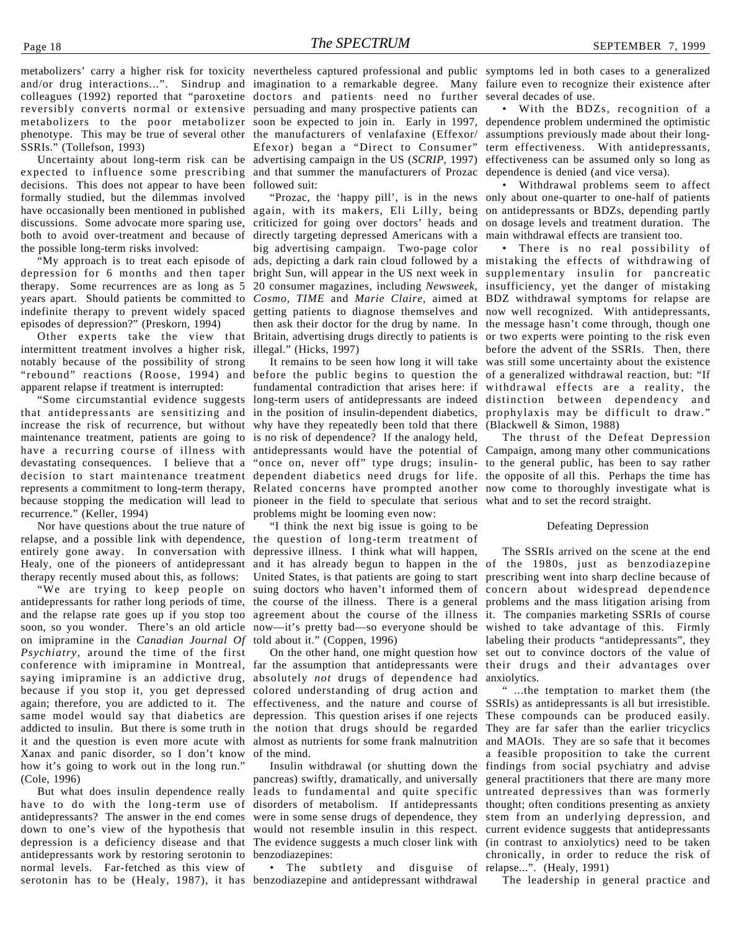metabolizers' carry a higher risk for toxicity nevertheless captured professional and public symptoms led in both cases to a generalized and/or drug interactions...". Sindrup and imagination to a remarkable degree. Many failure even to recognize their existence after colleagues (1992) reported that "paroxetine doctors and patients need no further several decades of use. reversibly converts normal or extensive persuading and many prospective patients can metabolizers to the poor metabolizer soon be expected to join in. Early in 1997, dependence problem undermined the optimistic phenotype. This may be true of several other the manufacturers of venlafaxine (Effexor/ assumptions previously made about their long-SSRIs." (Tollefson, 1993)

expected to influence some prescribing and that summer the manufacturers of Prozac dependence is denied (and vice versa). decisions. This does not appear to have been followed suit: formally studied, but the dilemmas involved both to avoid over-treatment and because of the possible long-term risks involved:

'My approach is to treat each episode of depression for 6 months and then taper therapy. Some recurrences are as long as 5 episodes of depression?" (Preskorn, 1994)

intermittent treatment involves a higher risk, notably because of the possibility of strong apparent relapse if treatment is interrupted:

"Some circumstantial evidence suggests that antidepressants are sensitizing and increase the risk of recurrence, but without why have they repeatedly been told that there (Blackwell & Simon, 1988) maintenance treatment, patients are going to is no risk of dependence? If the analogy held, have a recurring course of illness with antidepressants would have the potential of Campaign, among many other communications devastating consequences. I believe that a "once on, never off" type drugs; insulin-to the general public, has been to say rather decision to start maintenance treatment dependent diabetics need drugs for life. the opposite of all this. Perhaps the time has represents a commitment to long-term therapy, Related concerns have prompted another now come to thoroughly investigate what is because stopping the medication will lead to pioneer in the field to speculate that serious what and to set the record straight. recurrence." (Keller, 1994)

Nor have questions about the true nature of relapse, and a possible link with dependence, the question of long-term treatment of entirely gone away. In conversation with Healy, one of the pioneers of antidepressant therapy recently mused about this, as follows:

"We are trying to keep people on antidepressants for rather long periods of time, and the relapse rate goes up if you stop too soon, so you wonder. There's an old article now—it's pretty bad—so everyone should be wished to take advantage of this. Firmly on imipramine in the *Canadian Journal Of* told about it." (Coppen, 1996) *Psychiatry*, around the time of the first conference with imipramine in Montreal, far the assumption that antidepressants were saying imipramine is an addictive drug, because if you stop it, you get depressed again; therefore, you are addicted to it. The effectiveness, and the nature and course of SSRIs) as antidepressants is all but irresistible. same model would say that diabetics are depression. This question arises if one rejects addicted to insulin. But there is some truth in the notion that drugs should be regarded They are far safer than the earlier tricyclics it and the question is even more acute with almost as nutrients for some frank malnutrition and MAOIs. They are so safe that it becomes Xanax and panic disorder, so I don't know how it's going to work out in the long run." (Cole, 1996)

have to do with the long-term use of disorders of metabolism. If antidepressants thought; often conditions presenting as anxiety antidepressants? The answer in the end comes were in some sense drugs of dependence, they stem from an underlying depression, and down to one's view of the hypothesis that would not resemble insulin in this respect. current evidence suggests that antidepressants depression is a deficiency disease and that The evidence suggests a much closer link with (in contrast to anxiolytics) need to be taken antidepressants work by restoring serotonin to benzodiazepines: normal levels. Far-fetched as this view of serotonin has to be (Healy, 1987), it has benzodiazepine and antidepressant withdrawal

Uncertainty about long-term risk can be advertising campaign in the US (*SCRIP*, 1997) effectiveness can be assumed only so long as Efexor) began a "Direct to Consumer" term effectiveness. With antidepressants,

have occasionally been mentioned in published again, with its makers, Eli Lilly, being on antidepressants or BDZs, depending partly discussions. Some advocate more sparing use, criticized for going over doctors' heads and on dosage levels and treatment duration. The years apart. Should patients be committed to *Cosmo*, *TIME* and *Marie Claire*, aimed at BDZ withdrawal symptoms for relapse are indefinite therapy to prevent widely spaced getting patients to diagnose themselves and now well recognized. With antidepressants, Other experts take the view that Britain, advertising drugs directly to patients is or two experts were pointing to the risk even directly targeting depressed Americans with a main withdrawal effects are transient too. big advertising campaign. Two-page color ads, depicting a dark rain cloud followed by a mistaking the effects of withdrawing of bright Sun, will appear in the US next week in supplementary insulin for pancreatic 20 consumer magazines, including *Newsweek*, insufficiency, yet the danger of mistaking then ask their doctor for the drug by name. In the message hasn't come through, though one illegal." (Hicks, 1997)

"rebound" reactions (Roose, 1994) and before the public begins to question the of a generalized withdrawal reaction, but: "If fundamental contradiction that arises here: if withdrawal effects are a reality, the long-term users of antidepressants are indeed distinction between dependency and in the position of insulin-dependent diabetics, prophylaxis may be difficult to draw." problems might be looming even now:

> "I think the next big issue is going to be depressive illness. I think what will happen, and it has already begun to happen in the of the 1980s, just as benzodiazepine United States, is that patients are going to start suing doctors who haven't informed them of the course of the illness. There is a general agreement about the course of the illness it. The companies marketing SSRIs of course

On the other hand, one might question how absolutely *not* drugs of dependence had colored understanding of drug action and of the mind.

But what does insulin dependence really leads to fundamental and quite specific untreated depressives than was formerly pancreas) swiftly, dramatically, and universally general practitioners that there are many more

• The subtlety and disguise of

• With the BDZs, recognition of a

"Prozac, the 'happy pill', is in the news only about one-quarter to one-half of patients • Withdrawal problems seem to affect

It remains to be seen how long it will take was still some uncertainty about the existence • There is no real possibility of before the advent of the SSRIs. Then, there

The thrust of the Defeat Depression

#### Defeating Depression

The SSRIs arrived on the scene at the end prescribing went into sharp decline because of concern about widespread dependence problems and the mass litigation arising from labeling their products "antidepressants", they set out to convince doctors of the value of their drugs and their advantages over anxiolytics.

Insulin withdrawal (or shutting down the findings from social psychiatry and advise " ...the temptation to market them (the These compounds can be produced easily. a feasible proposition to take the current chronically, in order to reduce the risk of relapse...". (Healy, 1991)

The leadership in general practice and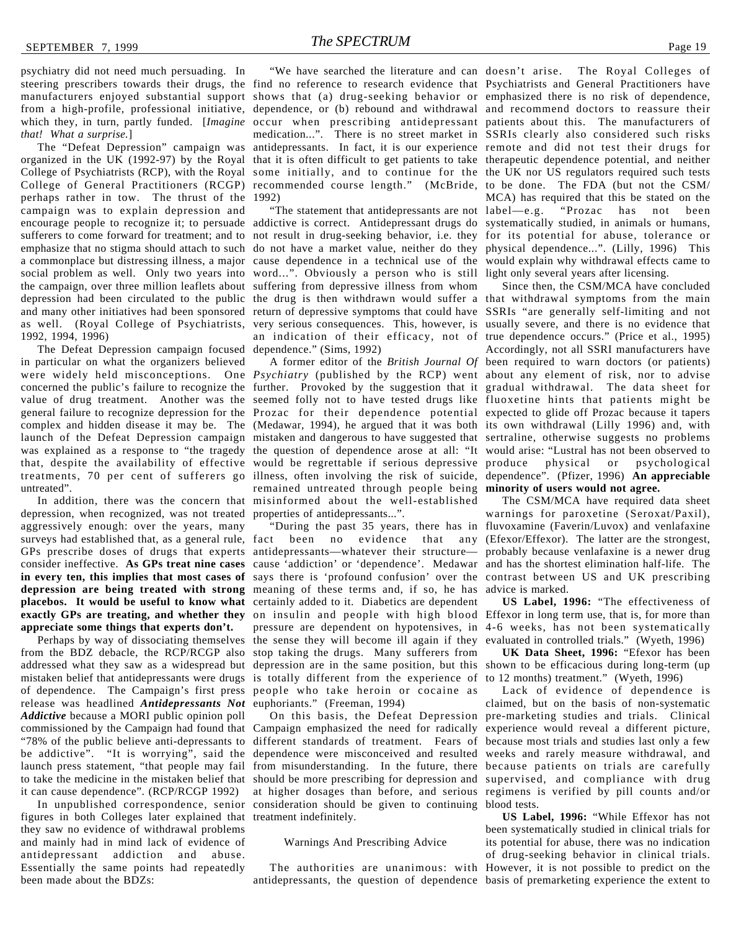psychiatry did not need much persuading. In steering prescribers towards their drugs, the find no reference to research evidence that Psychiatrists and General Practitioners have manufacturers enjoyed substantial support shows that (a) drug-seeking behavior or emphasized there is no risk of dependence, from a high-profile, professional initiative, dependence, or (b) rebound and withdrawal and recommend doctors to reassure their which they, in turn, partly funded. [*Imagine* occur when prescribing antidepressant patients about this. The manufacturers of *that! What a surprise.*]

organized in the UK (1992-97) by the Royal that it is often difficult to get patients to take therapeutic dependence potential, and neither College of Psychiatrists (RCP), with the Royal some initially, and to continue for the the UK nor US regulators required such tests College of General Practitioners (RCGP) recommended course length." (McBride, to be done. The FDA (but not the CSM/ perhaps rather in tow. The thrust of the 1992) campaign was to explain depression and encourage people to recognize it; to persuade addictive is correct. Antidepressant drugs do systematically studied, in animals or humans, sufferers to come forward for treatment; and to not result in drug-seeking behavior, i.e. they for its potential for abuse, tolerance or emphasize that no stigma should attach to such do not have a market value, neither do they physical dependence...". (Lilly, 1996) This a commonplace but distressing illness, a major cause dependence in a technical use of the would explain why withdrawal effects came to social problem as well. Only two years into word...". Obviously a person who is still light only several years after licensing. the campaign, over three million leaflets about suffering from depressive illness from whom depression had been circulated to the public the drug is then withdrawn would suffer a that withdrawal symptoms from the main and many other initiatives had been sponsored return of depressive symptoms that could have SSRIs "are generally self-limiting and not as well. (Royal College of Psychiatrists, very serious consequences. This, however, is usually severe, and there is no evidence that 1992, 1994, 1996)

The Defeat Depression campaign focused dependence." (Sims, 1992) in particular on what the organizers believed were widely held misconceptions. One *Psychiatry* (published by the RCP) went about any element of risk, nor to advise concerned the public's failure to recognize the further. Provoked by the suggestion that it gradual withdrawal. The data sheet for value of drug treatment. Another was the seemed folly not to have tested drugs like fluoxetine hints that patients might be general failure to recognize depression for the Prozac for their dependence potential expected to glide off Prozac because it tapers complex and hidden disease it may be. The (Medawar, 1994), he argued that it was both its own withdrawal (Lilly 1996) and, with launch of the Defeat Depression campaign mistaken and dangerous to have suggested that sertraline, otherwise suggests no problems was explained as a response to "the tragedy the question of dependence arose at all: "It would arise: "Lustral has not been observed to that, despite the availability of effective would be regrettable if serious depressive produce physical or psychological treatments, 70 per cent of sufferers go illness, often involving the risk of suicide, dependence". (Pfizer, 1996) **An appreciable** untreated".

depression, when recognized, was not treated aggressively enough: over the years, many GPs prescribe doses of drugs that experts antidepressants—whatever their structure **placebos. It would be useful to know what** certainly added to it. Diabetics are dependent **appreciate some things that experts don't.**

from the BDZ debacle, the RCP/RCGP also stop taking the drugs. Many sufferers from of dependence. The Campaign's first press people who take heroin or cocaine as release was headlined *Antidepressants Not Addictive* because a MORI public opinion poll "78% of the public believe anti-depressants to launch press statement, "that people may fail it can cause dependence". (RCP/RCGP 1992)

figures in both Colleges later explained that treatment indefinitely. they saw no evidence of withdrawal problems and mainly had in mind lack of evidence of antidepressant addiction and abuse. Essentially the same points had repeatedly been made about the BDZs:

The "Defeat Depression" campaign was antidepressants. In fact, it is our experience remote and did not test their drugs for medication...". There is no street market in SSRIs clearly also considered such risks

an indication of their efficacy, not of true dependence occurs." (Price et al., 1995)

In addition, there was the concern that misinformed about the well-established remained untreated through people being **minority of users would not agree.** properties of antidepressants...".

surveys had established that, as a general rule, fact been no evidence that any (Efexor/Effexor). The latter are the strongest, consider ineffective. **As GPs treat nine cases** cause 'addiction' or 'dependence'. Medawar and has the shortest elimination half-life. The **in every ten, this implies that most cases of** says there is 'profound confusion' over the contrast between US and UK prescribing **depression are being treated with strong** meaning of these terms and, if so, he has advice is marked. **exactly GPs are treating, and whether they** on insulin and people with high blood Effexor in long term use, that is, for more than Perhaps by way of dissociating themselves the sense they will become ill again if they evaluated in controlled trials." (Wyeth, 1996) addressed what they saw as a widespread but depression are in the same position, but this shown to be efficacious during long-term (up mistaken belief that antidepressants were drugs is totally different from the experience of to 12 months) treatment." (Wyeth, 1996) pressure are dependent on hypotensives, in 4-6 weeks, has not been systematically euphoriants." (Freeman, 1994)

commissioned by the Campaign had found that Campaign emphasized the need for radically experience would reveal a different picture, be addictive". "It is worrying", said the dependence were misconceived and resulted weeks and rarely measure withdrawal, and to take the medicine in the mistaken belief that should be more prescribing for depression and supervised, and compliance with drug In unpublished correspondence, senior consideration should be given to continuing blood tests. different standards of treatment. Fears of because most trials and studies last only a few from misunderstanding. In the future, there because patients on trials are carefully at higher dosages than before, and serious regimens is verified by pill counts and/or

#### Warnings And Prescribing Advice

antidepressants, the question of dependence basis of premarketing experience the extent to

"We have searched the literature and can doesn't arise. The Royal Colleges of "The statement that antidepressants are not label—e.g. "Prozac has not been MCA) has required that this be stated on the

A former editor of the *British Journal Of* been required to warn doctors (or patients) Since then, the CSM/MCA have concluded Accordingly, not all SSRI manufacturers have

"During the past 35 years, there has in fluvoxamine (Faverin/Luvox) and venlafaxine The CSM/MCA have required data sheet warnings for paroxetine (Seroxat/Paxil), probably because venlafaxine is a newer drug

**US Label, 1996:** "The effectiveness of

**UK Data Sheet, 1996:** "Efexor has been

On this basis, the Defeat Depression pre-marketing studies and trials. Clinical Lack of evidence of dependence is claimed, but on the basis of non-systematic

The authorities are unanimous: with However, it is not possible to predict on the **US Label, 1996:** "While Effexor has not been systematically studied in clinical trials for its potential for abuse, there was no indication of drug-seeking behavior in clinical trials.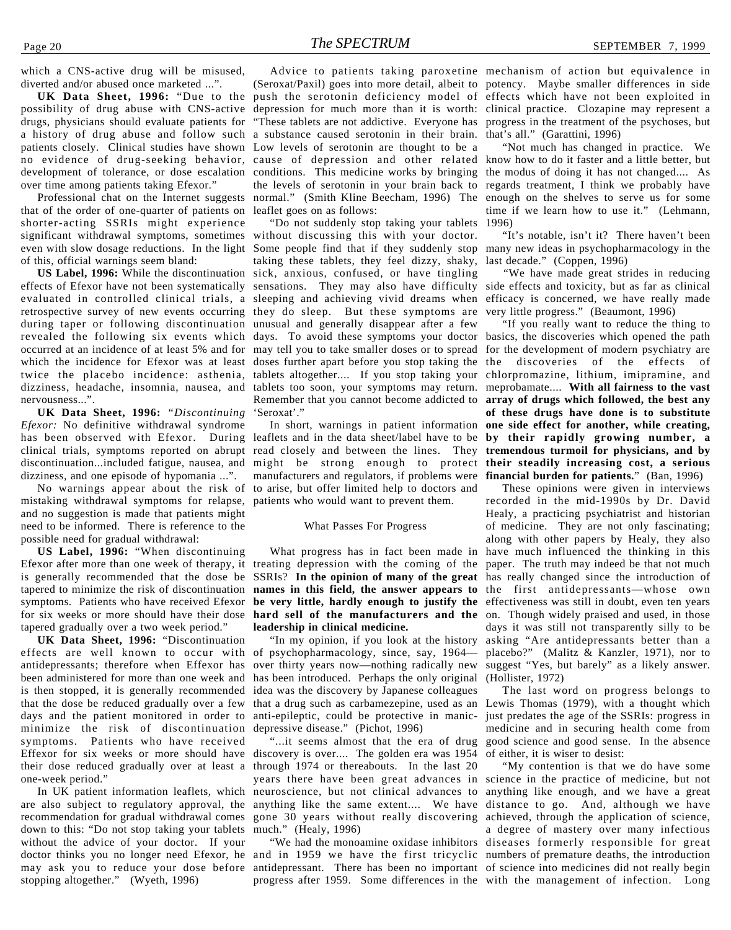which a CNS-active drug will be misused, diverted and/or abused once marketed ...".

possibility of drug abuse with CNS-active drugs, physicians should evaluate patients for patients closely. Clinical studies have shown Low levels of serotonin are thought to be a over time among patients taking Efexor."

Professional chat on the Internet suggests that of the order of one-quarter of patients on shorter-acting SSRIs might experience significant withdrawal symptoms, sometimes without discussing this with your doctor. even with slow dosage reductions. In the light of this, official warnings seem bland:

effects of Efexor have not been systematically sensations. They may also have difficulty side effects and toxicity, but as far as clinical evaluated in controlled clinical trials, a sleeping and achieving vivid dreams when efficacy is concerned, we have really made retrospective survey of new events occurring they do sleep. But these symptoms are very little progress." (Beaumont, 1996) during taper or following discontinuation unusual and generally disappear after a few revealed the following six events which days. To avoid these symptoms your doctor basics, the discoveries which opened the path occurred at an incidence of at least 5% and for may tell you to take smaller doses or to spread for the development of modern psychiatry are which the incidence for Efexor was at least doses further apart before you stop taking the the discoveries of the effects of twice the placebo incidence: asthenia, tablets altogether.... If you stop taking your chlorpromazine, lithium, imipramine, and dizziness, headache, insomnia, nausea, and tablets too soon, your symptoms may return. meprobamate.... **With all fairness to the vast** nervousness...".

**UK Data Sheet, 1996:** *"Discontinuing Efexor:* No definitive withdrawal syndrome has been observed with Efexor. During leaflets and in the data sheet/label have to be **by their rapidly growing number, a** clinical trials, symptoms reported on abrupt read closely and between the lines. They tremendous turmoil for physicians, and by discontinuation...included fatigue, nausea, and might be strong enough to protect **their steadily increasing cost, a serious** dizziness, and one episode of hypomania ...".

mistaking withdrawal symptoms for relapse, patients who would want to prevent them. and no suggestion is made that patients might need to be informed. There is reference to the possible need for gradual withdrawal:

**US Label, 1996:** "When discontinuing Efexor after more than one week of therapy, it treating depression with the coming of the is generally recommended that the dose be tapered to minimize the risk of discontinuation symptoms. Patients who have received Efexor tapered gradually over a two week period."

**UK Data Sheet, 1996:** "Discontinuation effects are well known to occur with antidepressants; therefore when Effexor has been administered for more than one week and is then stopped, it is generally recommended that the dose be reduced gradually over a few days and the patient monitored in order to minimize the risk of discontinuation symptoms. Patients who have received Effexor for six weeks or more should have discovery is over.... The golden era was 1954 their dose reduced gradually over at least a through 1974 or thereabouts. In the last 20 one-week period."

are also subject to regulatory approval, the anything like the same extent.... We have distance to go. And, although we have recommendation for gradual withdrawal comes down to this: "Do not stop taking your tablets without the advice of your doctor. If your doctor thinks you no longer need Efexor, he and in 1959 we have the first tricyclic numbers of premature deaths, the introduction may ask you to reduce your dose before stopping altogether." (Wyeth, 1996)

UK Data Sheet, 1996: "Due to the push the serotonin deficiency model of effects which have not been exploited in a history of drug abuse and follow such a substance caused serotonin in their brain. that's all." (Garattini, 1996) no evidence of drug-seeking behavior, cause of depression and other related know how to do it faster and a little better, but development of tolerance, or dose escalation conditions. This medicine works by bringing the modus of doing it has not changed.... As (Seroxat/Paxil) goes into more detail, albeit to potency. Maybe smaller differences in side depression for much more than it is worth: clinical practice. Clozapine may represent a "These tablets are not addictive. Everyone has progress in the treatment of the psychoses, but the levels of serotonin in your brain back to regards treatment, I think we probably have normal." (Smith Kline Beecham, 1996) The enough on the shelves to serve us for some leaflet goes on as follows:

**US Label, 1996:** While the discontinuation sick, anxious, confused, or have tingling "Do not suddenly stop taking your tablets Some people find that if they suddenly stop many new ideas in psychopharmacology in the taking these tablets, they feel dizzy, shaky, Remember that you cannot become addicted to **array of drugs which followed, the best any** 'Seroxat'."

No warnings appear about the risk of to arise, but offer limited help to doctors and manufacturers and regulators, if problems were **financial burden for patients.**" (Ban, 1996)

#### What Passes For Progress

for six weeks or more should have their dose **hard sell of the manufacturers and the** on. Though widely praised and used, in those What progress has in fact been made in SSRIs? **In the opinion of many of the great names in this field, the answer appears to** the first antidepressants—whose own **be very little, hardly enough to justify the** effectiveness was still in doubt, even ten years **leadership in clinical medicine.**

of psychopharmacology, since, say, 1964 over thirty years now—nothing radically new has been introduced. Perhaps the only original idea was the discovery by Japanese colleagues that a drug such as carbamezepine, used as an Lewis Thomas (1979), with a thought which anti-epileptic, could be protective in manicdepressive disease." (Pichot, 1996)

In UK patient information leaflets, which neuroscience, but not clinical advances to anything like enough, and we have a great "...it seems almost that the era of drug years there have been great advances in science in the practice of medicine, but not gone 30 years without really discovering achieved, through the application of science, much." (Healy, 1996)

Advice to patients taking paroxetine mechanism of action but equivalence in

"Not much has changed in practice. We time if we learn how to use it." (Lehmann, 1996)

"It's notable, isn't it? There haven't been last decade." (Coppen, 1996)

*"*We have made great strides in reducing

In short, warnings in patient information **one side effect for another, while creating,** "If you really want to reduce the thing to **of these drugs have done is to substitute**

"In my opinion, if you look at the history asking "Are antidepressants better than a These opinions were given in interviews recorded in the mid-1990s by Dr. David Healy, a practicing psychiatrist and historian of medicine. They are not only fascinating; along with other papers by Healy, they also have much influenced the thinking in this paper. The truth may indeed be that not much has really changed since the introduction of days it was still not transparently silly to be placebo?" (Malitz & Kanzler, 1971), nor to suggest "Yes, but barely" as a likely answer. (Hollister, 1972)

The last word on progress belongs to just predates the age of the SSRIs: progress in medicine and in securing health come from good science and good sense. In the absence of either, it is wiser to desist:

"We had the monoamine oxidase inhibitors diseases formerly responsible for great antidepressant. There has been no important of science into medicines did not really begin progress after 1959. Some differences in the with the management of infection. Long"My contention is that we do have some a degree of mastery over many infectious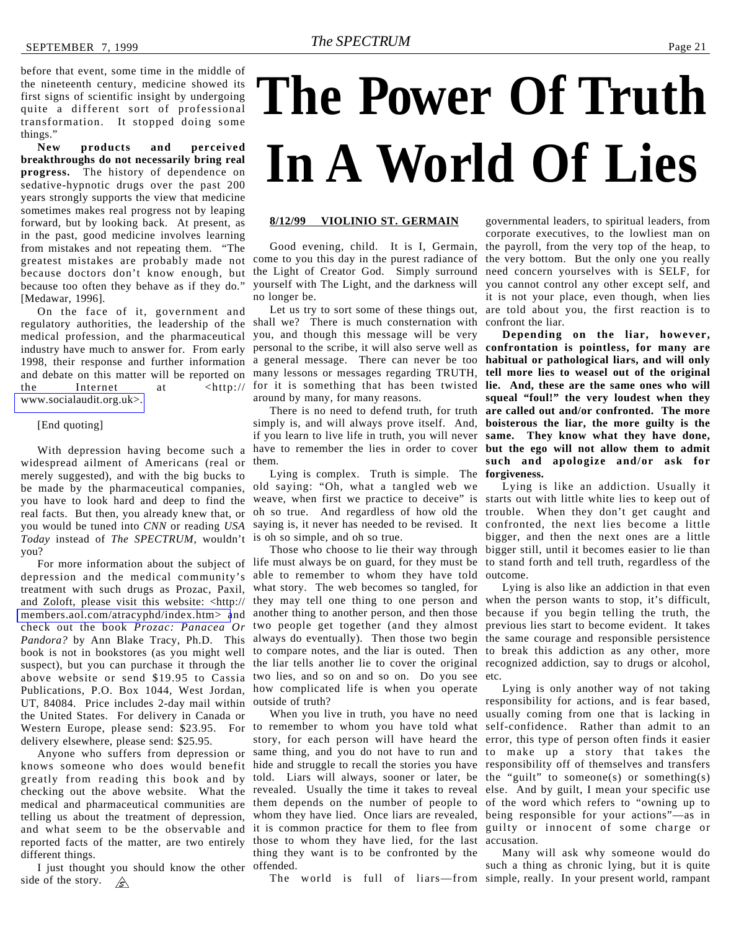<span id="page-20-0"></span>before that event, some time in the middle of the nineteenth century, medicine showed its first signs of scientific insight by undergoing quite a different sort of professional

things." **New products and perceived breakthroughs do not necessarily bring real progress.** The history of dependence on sedative-hypnotic drugs over the past 200 years strongly supports the view that medicine sometimes makes real progress not by leaping forward, but by looking back. At present, as in the past, good medicine involves learning from mistakes and not repeating them. "The greatest mistakes are probably made not because doctors don't know enough, but the Light of Creator God. Simply surround because too often they behave as if they do." [Medawar, 1996].

transformation. It stopped doing some

On the face of it, government and regulatory authorities, the leadership of the medical profession, and the pharmaceutical you, and though this message will be very industry have much to answer for. From early personal to the scribe, it will also serve well as **confrontation is pointless, for many are** 1998, their response and further information a general message. There can never be too **habitual or pathological liars, and will only** and debate on this matter will be reported on many lessons or messages regarding TRUTH, **tell more lies to weasel out of the original** the Internet at <http:// [www.socialaudit.org.uk>.](http://www.socialaudit.org.uk)

#### [End quoting]

With depression having become such a widespread ailment of Americans (real or merely suggested), and with the big bucks to be made by the pharmaceutical companies, you have to look hard and deep to find the real facts. But then, you already knew that, or you would be tuned into *CNN* or reading *USA Today* instead of *The SPECTRUM*, wouldn't you?

depression and the medical community's treatment with such drugs as Prozac, Paxil, and Zoloft, please visit this website: <http:// [members.aol.com/atracyphd/index.htm> a](http://www.members.aol.com/atracyphd/index.htm)nd check out the book *Prozac: Panacea Or Pandora?* by Ann Blake Tracy, Ph.D. This book is not in bookstores (as you might well suspect), but you can purchase it through the above website or send \$19.95 to Cassia Publications, P.O. Box 1044, West Jordan, UT, 84084. Price includes 2-day mail within the United States. For delivery in Canada or Western Europe, please send: \$23.95. For to remember to whom you have told what self-confidence. Rather than admit to an delivery elsewhere, please send: \$25.95.

Anyone who suffers from depression or knows someone who does would benefit hide and struggle to recall the stories you have responsibility off of themselves and transfers greatly from reading this book and by checking out the above website. What the revealed. Usually the time it takes to reveal else. And by guilt, I mean your specific use medical and pharmaceutical communities are telling us about the treatment of depression, and what seem to be the observable and it is common practice for them to flee from guilty or innocent of some charge or reported facts of the matter, are two entirely different things.

I just thought you should know the other side of the story.  $\mathscr{B}$ 

## **The Power Of Truth In A World Of Lies**

#### **8/12/99 VIOLINIO ST. GERMAIN**

Good evening, child. It is I, Germain, come to you this day in the purest radiance of yourself with The Light, and the darkness will no longer be.

Let us try to sort some of these things out, shall we? There is much consternation with for it is something that has been twisted **lie. And, these are the same ones who will** around by many, for many reasons.

simply is, and will always prove itself. And, **boisterous the liar, the more guilty is the** if you learn to live life in truth, you will never **same. They know what they have done,** have to remember the lies in order to cover **but the ego will not allow them to admit** them.

Lying is complex. Truth is simple. The **forgiveness.** old saying: "Oh, what a tangled web we weave, when first we practice to deceive" is starts out with little white lies to keep out of oh so true. And regardless of how old the trouble. When they don't get caught and saying is, it never has needed to be revised. It confronted, the next lies become a little is oh so simple, and oh so true.

For more information about the subject of life must always be on guard, for they must be to stand forth and tell truth, regardless of the able to remember to whom they have told what story. The web becomes so tangled, for they may tell one thing to one person and another thing to another person, and then those two people get together (and they almost always do eventually). Then those two begin the same courage and responsible persistence to compare notes, and the liar is outed. Then to break this addiction as any other, more the liar tells another lie to cover the original recognized addiction, say to drugs or alcohol, two lies, and so on and so on. Do you see etc. how complicated life is when you operate outside of truth?

> story, for each person will have heard the error, this type of person often finds it easier same thing, and you do not have to run and to make up a story that takes the told. Liars will always, sooner or later, be the "guilt" to someone(s) or something(s) them depends on the number of people to of the word which refers to "owning up to whom they have lied. Once liars are revealed, being responsible for your actions"—as in those to whom they have lied, for the last accusation. thing they want is to be confronted by the offended.

governmental leaders, to spiritual leaders, from corporate executives, to the lowliest man on the payroll, from the very top of the heap, to the very bottom. But the only one you really need concern yourselves with is SELF, for you cannot control any other except self, and it is not your place, even though, when lies are told about you, the first reaction is to confront the liar.

There is no need to defend truth, for truth **are called out and/or confronted. The more Depending on the liar, however, squeal "foul!" the very loudest when they such and apologize and/or ask for**

Those who choose to lie their way through bigger still, until it becomes easier to lie than Lying is like an addiction. Usually it bigger, and then the next ones are a little outcome.

> Lying is also like an addiction in that even when the person wants to stop, it's difficult, because if you begin telling the truth, the previous lies start to become evident. It takes

When you live in truth, you have no need usually coming from one that is lacking in Lying is only another way of not taking responsibility for actions, and is fear based,

The world is full of liars—from simple, really. In your present world, rampantMany will ask why someone would do such a thing as chronic lying, but it is quite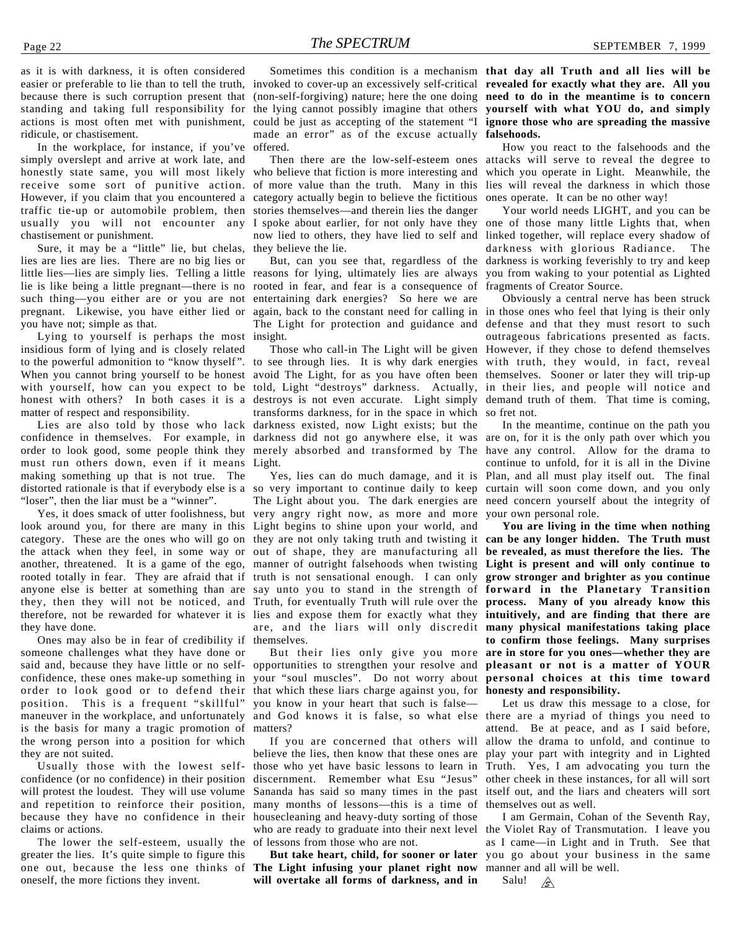as it is with darkness, it is often considered easier or preferable to lie than to tell the truth, invoked to cover-up an excessively self-critical **revealed for exactly what they are. All you** because there is such corruption present that (non-self-forgiving) nature; here the one doing **need to do in the meantime is to concern** standing and taking full responsibility for actions is most often met with punishment, ridicule, or chastisement.

In the workplace, for instance, if you've simply overslept and arrive at work late, and honestly state same, you will most likely who believe that fiction is more interesting and which you operate in Light. Meanwhile, the receive some sort of punitive action. of more value than the truth. Many in this lies will reveal the darkness in which those However, if you claim that you encountered a traffic tie-up or automobile problem, then stories themselves—and therein lies the danger usually you will not encounter any chastisement or punishment.

Sure, it may be a "little" lie, but chelas, lies are lies are lies. There are no big lies or little lies—lies are simply lies. Telling a little reasons for lying, ultimately lies are always such thing—you either are or you are not entertaining dark energies? So here we are you have not; simple as that.

Lying to yourself is perhaps the most insidious form of lying and is closely related to the powerful admonition to "know thyself". to see through lies. It is why dark energies with truth, they would, in fact, reveal When you cannot bring yourself to be honest avoid The Light, for as you have often been themselves. Sooner or later they will trip-up with yourself, how can you expect to be told, Light "destroys" darkness. Actually, in their lies, and people will notice and honest with others? In both cases it is a destroys is not even accurate. Light simply demand truth of them. That time is coming, matter of respect and responsibility.

confidence in themselves. For example, in darkness did not go anywhere else, it was are on, for it is the only path over which you order to look good, some people think they merely absorbed and transformed by The have any control. Allow for the drama to must run others down, even if it means Light. making something up that is not true. The "loser", then the liar must be a "winner".

look around you, for there are many in this Light begins to shine upon your world, and category. These are the ones who will go on they are not only taking truth and twisting it can be any longer hidden. The Truth must the attack when they feel, in some way or out of shape, they are manufacturing all **be revealed, as must therefore the lies. The** another, threatened. It is a game of the ego, manner of outright falsehoods when twisting **Light is present and will only continue to** rooted totally in fear. They are afraid that if anyone else is better at something than are they, then they will not be noticed, and Truth, for eventually Truth will rule over the **process. Many of you already know this** therefore, not be rewarded for whatever it is lies and expose them for exactly what they **intuitively, and are finding that there are** they have done.

Ones may also be in fear of credibility if themselves. someone challenges what they have done or said and, because they have little or no selfconfidence, these ones make-up something in your "soul muscles". Do not worry about **personal choices at this time toward** order to look good or to defend their that which these liars charge against you, for **honesty and responsibility.** position. This is a frequent "skillful" maneuver in the workplace, and unfortunately and God knows it is false, so what else there are a myriad of things you need to is the basis for many a tragic promotion of the wrong person into a position for which they are not suited.

Usually those with the lowest selfconfidence (or no confidence) in their position discernment. Remember what Esu "Jesus" will protest the loudest. They will use volume Sananda has said so many times in the past and repetition to reinforce their position, many months of lessons—this is a time of because they have no confidence in their claims or actions.

The lower the self-esteem, usually the greater the lies. It's quite simple to figure this one out, because the less one thinks of **The Light infusing your planet right now** oneself, the more fictions they invent.

the lying cannot possibly imagine that others **yourself with what YOU do, and simply** could be just as accepting of the statement "I **ignore those who are spreading the massive** made an error" as of the excuse actually **falsehoods.** offered.

category actually begin to believe the fictitious I spoke about earlier, for not only have they now lied to others, they have lied to self and they believe the lie.

lie is like being a little pregnant—there is no rooted in fear, and fear is a consequence of fragments of Creator Source. pregnant. Likewise, you have either lied or again, back to the constant need for calling in in those ones who feel that lying is their only The Light for protection and guidance and defense and that they must resort to such insight.

Lies are also told by those who lack darkness existed, now Light exists; but the transforms darkness, for in the space in which so fret not.

distorted rationale is that if everybody else is a so very important to continue daily to keep curtain will soon come down, and you only Yes, it does smack of utter foolishness, but very angry right now, as more and more your own personal role. The Light about you. The dark energies are need concern yourself about the integrity of truth is not sensational enough. I can only say unto you to stand in the strength of **forward in the Planetary Transition** are, and the liars will only discredit **many physical manifestations taking place**

> opportunities to strengthen your resolve and **pleasant or not is a matter of YOUR** you know in your heart that such is false matters?

If you are concerned that others will believe the lies, then know that these ones are those who yet have basic lessons to learn in housecleaning and heavy-duty sorting of those who are ready to graduate into their next level of lessons from those who are not.

**But take heart, child, for sooner or later will overtake all forms of darkness, and in**

Sometimes this condition is a mechanism **that day all Truth and all lies will be**

Then there are the low-self-esteem ones attacks will serve to reveal the degree to How you react to the falsehoods and the ones operate. It can be no other way!

But, can you see that, regardless of the darkness is working feverishly to try and keep Your world needs LIGHT, and you can be one of those many little Lights that, when linked together, will replace every shadow of darkness with glorious Radiance. The you from waking to your potential as Lighted

Those who call-in The Light will be given However, if they chose to defend themselves Obviously a central nerve has been struck outrageous fabrications presented as facts.

Yes, lies can do much damage, and it is Plan, and all must play itself out. The final In the meantime, continue on the path you continue to unfold, for it is all in the Divine

But their lies only give you more **are in store for you ones—whether they are You are living in the time when nothing grow stronger and brighter as you continue to confirm those feelings. Many surprises**

> Let us draw this message to a close, for attend. Be at peace, and as I said before, allow the drama to unfold, and continue to play your part with integrity and in Lighted Truth. Yes, I am advocating you turn the other cheek in these instances, for all will sort itself out, and the liars and cheaters will sort themselves out as well.

> I am Germain, Cohan of the Seventh Ray, the Violet Ray of Transmutation. I leave you as I came—in Light and in Truth. See that you go about your business in the same manner and all will be well.

Salu!  $\mathscr{L}$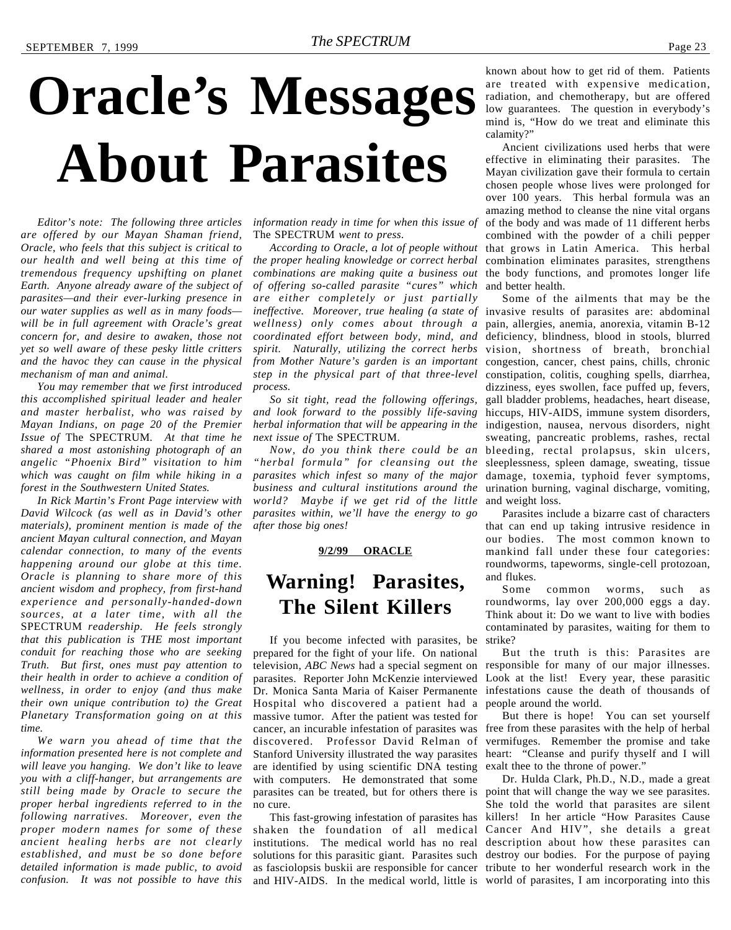## <span id="page-22-0"></span>**Oracle's Messages About Parasites**

*Editor's note: The following three articles are offered by our Mayan Shaman friend, Oracle, who feels that this subject is critical to our health and well being at this time of tremendous frequency upshifting on planet Earth. Anyone already aware of the subject of parasites—and their ever-lurking presence in our water supplies as well as in many foods will be in full agreement with Oracle's great concern for, and desire to awaken, those not yet so well aware of these pesky little critters and the havoc they can cause in the physical mechanism of man and animal.*

*You may remember that we first introduced this accomplished spiritual leader and healer and master herbalist, who was raised by Mayan Indians, on page 20 of the Premier Issue of* The SPECTRUM*. At that time he shared a most astonishing photograph of an angelic "Phoenix Bird" visitation to him which was caught on film while hiking in a forest in the Southwestern United States.*

*In Rick Martin's Front Page interview with David Wilcock (as well as in David's other materials), prominent mention is made of the ancient Mayan cultural connection, and Mayan calendar connection, to many of the events happening around our globe at this time. Oracle is planning to share more of this ancient wisdom and prophecy, from first-hand experience and personally-handed-down sources, at a later time, with all the* SPECTRUM *readership. He feels strongly that this publication is THE most important conduit for reaching those who are seeking Truth. But first, ones must pay attention to their health in order to achieve a condition of wellness, in order to enjoy (and thus make their own unique contribution to) the Great Planetary Transformation going on at this time.*

*We warn you ahead of time that the information presented here is not complete and will leave you hanging. We don't like to leave you with a cliff-hanger, but arrangements are still being made by Oracle to secure the proper herbal ingredients referred to in the following narratives. Moreover, even the proper modern names for some of these ancient healing herbs are not clearly established, and must be so done before detailed information is made public, to avoid confusion. It was not possible to have this*

*information ready in time for when this issue of* The SPECTRUM *went to press.*

*According to Oracle, a lot of people without the proper healing knowledge or correct herbal combinations are making quite a business out of offering so-called parasite "cures" which are either completely or just partially* ineffective. Moreover, true healing (a state of invasive results of parasites are: abdominal *wellness) only comes about through a coordinated effort between body, mind, and spirit. Naturally, utilizing the correct herbs from Mother Nature's garden is an important* congestion, cancer, chest pains, chills, chronic *step in the physical part of that three-level process.*

*So sit tight, read the following offerings, and look forward to the possibly life-saving next issue of* The SPECTRUM.

*"herbal formula" for cleansing out the* sleeplessness, spleen damage, sweating, tissue *parasites which infest so many of the major* business and cultural institutions around the urination burning, vaginal discharge, vomiting, *world? Maybe if we get rid of the little parasites within, we'll have the energy to go after those big ones!*

#### **9/2/99 ORACLE**

### **Warning! Parasites, The Silent Killers**

If you become infected with parasites, be prepared for the fight of your life. On national television, *ABC News* had a special segment on parasites. Reporter John McKenzie interviewed Dr. Monica Santa Maria of Kaiser Permanente Hospital who discovered a patient had a massive tumor. After the patient was tested for discovered. Professor David Relman of are identified by using scientific DNA testing with computers. He demonstrated that some parasites can be treated, but for others there is no cure.

shaken the foundation of all medical Cancer And HIV", she details a great institutions. The medical world has no real description about how these parasites can solutions for this parasitic giant. Parasites such destroy our bodies. For the purpose of paying as fasciolopsis buskii are responsible for cancer tribute to her wonderful research work in the and HIV-AIDS. In the medical world, little is world of parasites, I am incorporating into this

known about how to get rid of them. Patients are treated with expensive medication, radiation, and chemotherapy, but are offered low guarantees. The question in everybody's mind is, "How do we treat and eliminate this calamity?"

Ancient civilizations used herbs that were effective in eliminating their parasites. The Mayan civilization gave their formula to certain chosen people whose lives were prolonged for over 100 years. This herbal formula was an amazing method to cleanse the nine vital organs of the body and was made of 11 different herbs combined with the powder of a chili pepper that grows in Latin America. This herbal combination eliminates parasites, strengthens the body functions, and promotes longer life and better health.

*herbal information that will be appearing in the* indigestion, nausea, nervous disorders, night *Now, do you think there could be an* bleeding, rectal prolapsus, skin ulcers, Some of the ailments that may be the pain, allergies, anemia, anorexia, vitamin B-12 deficiency, blindness, blood in stools, blurred vision, shortness of breath, bronchial constipation, colitis, coughing spells, diarrhea, dizziness, eyes swollen, face puffed up, fevers, gall bladder problems, headaches, heart disease, hiccups, HIV-AIDS, immune system disorders, sweating, pancreatic problems, rashes, rectal damage, toxemia, typhoid fever symptoms, and weight loss.

> Parasites include a bizarre cast of characters that can end up taking intrusive residence in our bodies. The most common known to mankind fall under these four categories: roundworms, tapeworms, single-cell protozoan, and flukes.

> Some common worms, such as roundworms, lay over 200,000 eggs a day. Think about it: Do we want to live with bodies contaminated by parasites, waiting for them to strike?

> But the truth is this: Parasites are responsible for many of our major illnesses. Look at the list! Every year, these parasitic infestations cause the death of thousands of people around the world.

cancer, an incurable infestation of parasites was free from these parasites with the help of herbal Stanford University illustrated the way parasites heart: "Cleanse and purify thyself and I will But there is hope! You can set yourself vermifuges. Remember the promise and take exalt thee to the throne of power."

This fast-growing infestation of parasites has killers! In her article "How Parasites Cause Dr. Hulda Clark, Ph.D., N.D., made a great point that will change the way we see parasites. She told the world that parasites are silent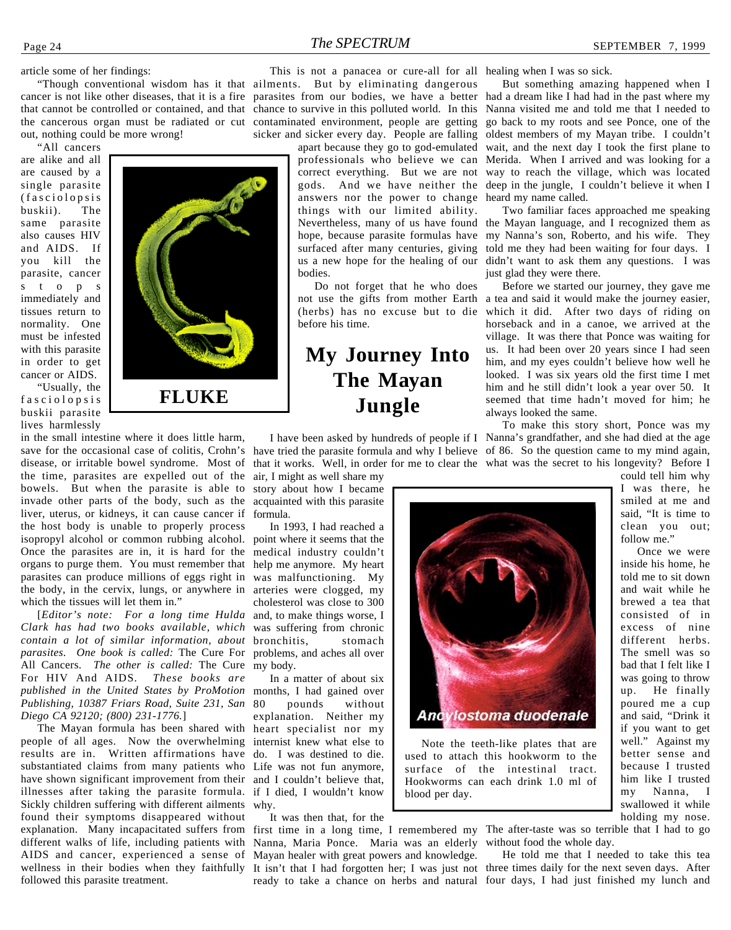Page 24 **The SPECTRUM** SEPTEMBER 7, 1999

article some of her findings:

cancer is not like other diseases, that it is a fire parasites from our bodies, we have a better that cannot be controlled or contained, and that chance to survive in this polluted world. In this the cancerous organ must be radiated or cut contaminated environment, people are getting out, nothing could be more wrong!

"All cancers are alike and all are caused by a single parasite (fasciolopsis buskii). The same parasite also causes HIV and AIDS. If you kill the parasite, cancer s t o p s immediately and tissues return to normality. One must be infested with this parasite in order to get cancer or AIDS.

"Usually, the fasciolopsis buskii parasite lives harmlessly

**FLUKE**

in the small intestine where it does little harm, disease, or irritable bowel syndrome. Most of the time, parasites are expelled out of the bowels. But when the parasite is able to invade other parts of the body, such as the acquainted with this parasite liver, uterus, or kidneys, it can cause cancer if the host body is unable to properly process isopropyl alcohol or common rubbing alcohol. Once the parasites are in, it is hard for the organs to purge them. You must remember that parasites can produce millions of eggs right in the body, in the cervix, lungs, or anywhere in which the tissues will let them in.'

[*Editor's note: For a long time Hulda Clark has had two books available, which contain a lot of similar information, about parasites. One book is called:* The Cure For All Cancers*. The other is called:* The Cure For HIV And AIDS*. These books are published in the United States by ProMotion Publishing, 10387 Friars Road, Suite 231, San Diego CA 92120; (800) 231-1776.*]

The Mayan formula has been shared with heart specialist nor my people of all ages. Now the overwhelming internist knew what else to results are in. Written affirmations have do. I was destined to die. substantiated claims from many patients who Life was not fun anymore, have shown significant improvement from their and I couldn't believe that, illnesses after taking the parasite formula. if I died, I wouldn't know Sickly children suffering with different ailments why. found their symptoms disappeared without different walks of life, including patients with Nanna, Maria Ponce. Maria was an elderly without food the whole day. AIDS and cancer, experienced a sense of Mayan healer with great powers and knowledge. wellness in their bodies when they faithfully followed this parasite treatment.

"Though conventional wisdom has it that ailments. But by eliminating dangerous This is not a panacea or cure-all for all healing when I was so sick. sicker and sicker every day. People are falling

> apart because they go to god-emulated professionals who believe we can correct everything. But we are not gods. And we have neither the answers nor the power to change things with our limited ability. Nevertheless, many of us have found hope, because parasite formulas have surfaced after many centuries, giving us a new hope for the healing of our bodies.

Do not forget that he who does before his time.

### **My Journey Into The Mayan Jungle**

air, I might as well share my story about how I became formula.

In 1993, I had reached a point where it seems that the medical industry couldn't help me anymore. My heart was malfunctioning. My arteries were clogged, my cholesterol was close to 300 and, to make things worse, I was suffering from chronic bronchitis, stomach problems, and aches all over my body.

In a matter of about six months, I had gained over pounds without explanation. Neither my

It was then that, for the

But something amazing happened when I had a dream like I had had in the past where my Nanna visited me and told me that I needed to go back to my roots and see Ponce, one of the oldest members of my Mayan tribe. I couldn't wait, and the next day I took the first plane to Merida. When I arrived and was looking for a way to reach the village, which was located deep in the jungle, I couldn't believe it when I heard my name called.

Two familiar faces approached me speaking the Mayan language, and I recognized them as my Nanna's son, Roberto, and his wife. They told me they had been waiting for four days. I didn't want to ask them any questions. I was just glad they were there.

not use the gifts from mother Earth a tea and said it would make the journey easier, (herbs) has no excuse but to die which it did. After two days of riding on Before we started our journey, they gave me horseback and in a canoe, we arrived at the village. It was there that Ponce was waiting for us. It had been over 20 years since I had seen him, and my eyes couldn't believe how well he looked. I was six years old the first time I met him and he still didn't look a year over 50. It seemed that time hadn't moved for him; he always looked the same.

save for the occasional case of colitis, Crohn's have tried the parasite formula and why I believe of 86. So the question came to my mind again, I have been asked by hundreds of people if I Nanna's grandfather, and she had died at the age that it works. Well, in order for me to clear the what was the secret to his longevity? Before I To make this story short, Ponce was my

> could tell him why I was there, he smiled at me and said, "It is time to clean you out; follow me."

Once we were inside his home, he told me to sit down and wait while he brewed a tea that consisted of in excess of nine different herbs. The smell was so bad that I felt like I was going to throw up. He finally poured me a cup and said, "Drink it if you want to get well." Against my better sense and because I trusted him like I trusted my Nanna, I swallowed it while holding my nose.

explanation. Many incapacitated suffers from first time in a long time, I remembered my The after-taste was so terrible that I had to go

It isn't that I had forgotten her; I was just not three times daily for the next seven days. After ready to take a chance on herbs and natural four days, I had just finished my lunch and He told me that I needed to take this tea



Note the teeth-like plates that are used to attach this hookworm to the surface of the intestinal tract. Hookworms can each drink 1.0 ml of blood per day.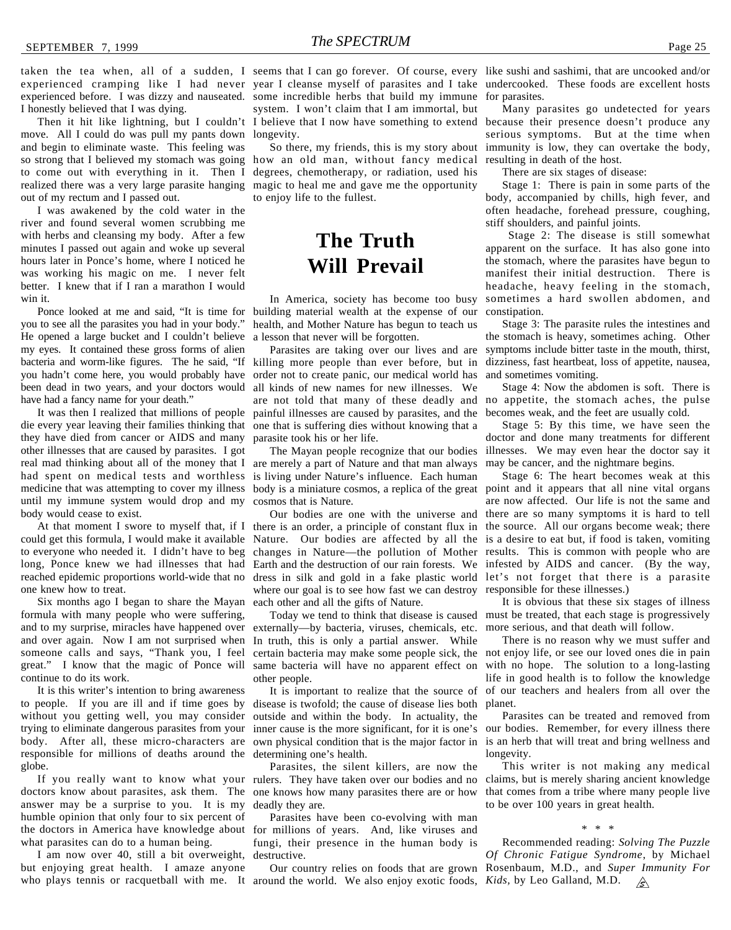experienced before. I was dizzy and nauseated. some incredible herbs that build my immune for parasites. I honestly believed that I was dying.

move. All I could do was pull my pants down longevity. and begin to eliminate waste. This feeling was so strong that I believed my stomach was going how an old man, without fancy medical to come out with everything in it. Then I degrees, chemotherapy, or radiation, used his realized there was a very large parasite hanging magic to heal me and gave me the opportunity out of my rectum and I passed out.

I was awakened by the cold water in the river and found several women scrubbing me with herbs and cleansing my body. After a few minutes I passed out again and woke up several hours later in Ponce's home, where I noticed he was working his magic on me. I never felt better. I knew that if I ran a marathon I would win it.

you to see all the parasites you had in your body." He opened a large bucket and I couldn't believe my eyes. It contained these gross forms of alien bacteria and worm-like figures. The he said, "If killing more people than ever before, but in you hadn't come here, you would probably have been dead in two years, and your doctors would have had a fancy name for your death."

It was then I realized that millions of people die every year leaving their families thinking that they have died from cancer or AIDS and many other illnesses that are caused by parasites. I got real mad thinking about all of the money that I had spent on medical tests and worthless medicine that was attempting to cover my illness until my immune system would drop and my body would cease to exist.

At that moment I swore to myself that, if I could get this formula, I would make it available to everyone who needed it. I didn't have to beg long, Ponce knew we had illnesses that had reached epidemic proportions world-wide that no one knew how to treat.

Six months ago I began to share the Mayan formula with many people who were suffering, and to my surprise, miracles have happened over and over again. Now I am not surprised when someone calls and says, "Thank you, I feel great." I know that the magic of Ponce will continue to do its work.

It is this writer's intention to bring awareness to people. If you are ill and if time goes by without you getting well, you may consider trying to eliminate dangerous parasites from your body. After all, these micro-characters are responsible for millions of deaths around the globe.

doctors know about parasites, ask them. The answer may be a surprise to you. It is my humble opinion that only four to six percent of the doctors in America have knowledge about for millions of years. And, like viruses and what parasites can do to a human being.

I am now over 40, still a bit overweight, but enjoying great health. I amaze anyone

taken the tea when, all of a sudden, I seems that I can go forever. Of course, every like sushi and sashimi, that are uncooked and/or Then it hit like lightning, but I couldn't I believe that I now have something to extend system. I won't claim that I am immortal, but

> So there, my friends, this is my story about to enjoy life to the fullest.

### **The Truth Will Prevail**

Ponce looked at me and said, "It is time for building material wealth at the expense of our In America, society has become too busy health, and Mother Nature has begun to teach us a lesson that never will be forgotten.

> Parasites are taking over our lives and are order not to create panic, our medical world has all kinds of new names for new illnesses. We painful illnesses are caused by parasites, and the one that is suffering dies without knowing that a parasite took his or her life.

The Mayan people recognize that our bodies are merely a part of Nature and that man always is living under Nature's influence. Each human body is a miniature cosmos, a replica of the great point and it appears that all nine vital organs cosmos that is Nature.

Our bodies are one with the universe and there is an order, a principle of constant flux in Nature. Our bodies are affected by all the is a desire to eat but, if food is taken, vomiting changes in Nature—the pollution of Mother results. This is common with people who are Earth and the destruction of our rain forests. We infested by AIDS and cancer. (By the way, dress in silk and gold in a fake plastic world let's not forget that there is a parasite where our goal is to see how fast we can destroy responsible for these illnesses.) each other and all the gifts of Nature.

externally—by bacteria, viruses, chemicals, etc. more serious, and that death will follow. In truth, this is only a partial answer. While other people.

It is important to realize that the source of disease is twofold; the cause of disease lies both outside and within the body. In actuality, the inner cause is the more significant, for it is one's own physical condition that is the major factor in determining one's health.

If you really want to know what your rulers. They have taken over our bodies and no Parasites, the silent killers, are now the one knows how many parasites there are or how deadly they are.

> Parasites have been co-evolving with man fungi, their presence in the human body is destructive.

who plays tennis or racquetball with me. It around the world. We also enjoy exotic foods, *Kids,* by Leo Galland, M.D.

experienced cramping like I had never year I cleanse myself of parasites and I take undercooked. These foods are excellent hosts

Many parasites go undetected for years because their presence doesn't produce any serious symptoms. But at the time when immunity is low, they can overtake the body, resulting in death of the host.

There are six stages of disease:

Stage 1: There is pain in some parts of the body, accompanied by chills, high fever, and often headache, forehead pressure, coughing, stiff shoulders, and painful joints.

 Stage 2: The disease is still somewhat apparent on the surface. It has also gone into the stomach, where the parasites have begun to manifest their initial destruction. There is headache, heavy feeling in the stomach, sometimes a hard swollen abdomen, and constipation.

Stage 3: The parasite rules the intestines and the stomach is heavy, sometimes aching. Other symptoms include bitter taste in the mouth, thirst, dizziness, fast heartbeat, loss of appetite, nausea, and sometimes vomiting.

are not told that many of these deadly and no appetite, the stomach aches, the pulse Stage 4: Now the abdomen is soft. There is becomes weak, and the feet are usually cold.

> Stage 5: By this time, we have seen the doctor and done many treatments for different illnesses. We may even hear the doctor say it may be cancer, and the nightmare begins.

> Stage 6: The heart becomes weak at this are now affected. Our life is not the same and there are so many symptoms it is hard to tell the source. All our organs become weak; there

Today we tend to think that disease is caused must be treated, that each stage is progressively It is obvious that these six stages of illness

certain bacteria may make some people sick, the not enjoy life, or see our loved ones die in pain same bacteria will have no apparent effect on with no hope. The solution to a long-lasting There is no reason why we must suffer and life in good health is to follow the knowledge of our teachers and healers from all over the planet.

> Parasites can be treated and removed from our bodies. Remember, for every illness there is an herb that will treat and bring wellness and longevity.

> This writer is not making any medical claims, but is merely sharing ancient knowledge that comes from a tribe where many people live to be over 100 years in great health.

#### \* \* \*

Recommended reading: *Solving The Puzzle Of Chronic Fatigue Syndrome*, by Michael Our country relies on foods that are grown Rosenbaum, M.D., and *Super Immunity For*  $\mathscr{B}$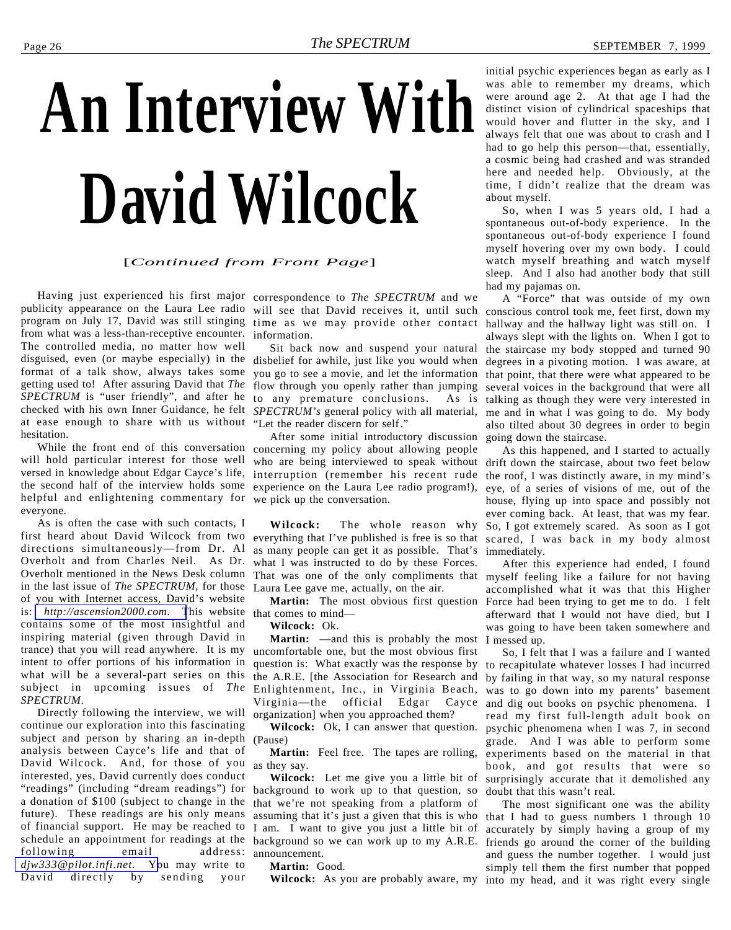# <span id="page-25-0"></span>**An Interview With David Wilcock**

[*Continued from Front Page*]

Having just experienced his first major correspondence to *The SPECTRUM* and we publicity appearance on the Laura Lee radio will see that David receives it, until such program on July 17, David was still stinging from what was a less-than-receptive encounter. The controlled media, no matter how well disguised, even (or maybe especially) in the format of a talk show, always takes some getting used to! After assuring David that *The SPECTRUM* is "user friendly", and after he checked with his own Inner Guidance, he felt at ease enough to share with us without hesitation.

will hold particular interest for those well versed in knowledge about Edgar Cayce's life, interruption (remember his recent rude the second half of the interview holds some experience on the Laura Lee radio program!), eye, of a series of visions of me, out of the helpful and enlightening commentary for everyone.

As is often the case with such contacts, I first heard about David Wilcock from two everything that I've published is free is so that directions simultaneously—from Dr. Al Overholt and from Charles Neil. As Dr. Overholt mentioned in the News Desk column in the last issue of *The SPECTRUM*, for those of you with Internet access, David's website is: *[http://ascension2000.com](http://www.ascension2000.com)*. This website contains some of the most insightful and inspiring material (given through David in trance) that you will read anywhere. It is my intent to offer portions of his information in what will be a several-part series on this subject in upcoming issues of *The SPECTRUM*.

Directly following the interview, we will continue our exploration into this fascinating subject and person by sharing an in-depth analysis between Cayce's life and that of David Wilcock. And, for those of you interested, yes, David currently does conduct "readings" (including "dream readings") for a donation of \$100 (subject to change in the future). These readings are his only means of financial support. He may be reached to schedule an appointment for readings at the following email address: *[djw333@pilot.infi.net.](mailto:djw333@pilot.infi.net)* You may write to David directly by sending your

time as we may provide other contact information.

Sit back now and suspend your natural disbelief for awhile, just like you would when you go to see a movie, and let the information flow through you openly rather than jumping to any premature conclusions. As is *SPECTRUM's* general policy with all material, "Let the reader discern for self."

While the front end of this conversation concerning my policy about allowing people After some initial introductory discussion who are being interviewed to speak without drift down the staircase, about two feet below we pick up the conversation.

> **Wilcock:** The whole reason why as many people can get it as possible. That's what I was instructed to do by these Forces. That was one of the only compliments that Laura Lee gave me, actually, on the air.

> **Martin:** The most obvious first question that comes to mind—

**Wilcock:** Ok.

**Martin:** —and this is probably the most uncomfortable one, but the most obvious first question is: What exactly was the response by the A.R.E. [the Association for Research and Enlightenment, Inc., in Virginia Beach, Virginia—the official Edgar Cayce organization] when you approached them?

**Wilcock:** Ok, I can answer that question. (Pause)

**Martin:** Feel free. The tapes are rolling, as they say.

**Wilcock:** Let me give you a little bit of background to work up to that question, so that we're not speaking from a platform of assuming that it's just a given that this is who I am. I want to give you just a little bit of background so we can work up to my A.R.E. announcement.

**Martin:** Good.

initial psychic experiences began as early as I was able to remember my dreams, which were around age 2. At that age I had the distinct vision of cylindrical spaceships that would hover and flutter in the sky, and I always felt that one was about to crash and I had to go help this person—that, essentially, a cosmic being had crashed and was stranded here and needed help. Obviously, at the time, I didn't realize that the dream was about myself.

So, when I was 5 years old, I had a spontaneous out-of-body experience. In the spontaneous out-of-body experience I found myself hovering over my own body. I could watch myself breathing and watch myself sleep. And I also had another body that still had my pajamas on.

A "Force" that was outside of my own conscious control took me, feet first, down my hallway and the hallway light was still on. I always slept with the lights on. When I got to the staircase my body stopped and turned 90 degrees in a pivoting motion. I was aware, at that point, that there were what appeared to be several voices in the background that were all talking as though they were very interested in me and in what I was going to do. My body also tilted about 30 degrees in order to begin going down the staircase.

As this happened, and I started to actually the roof, I was distinctly aware, in my mind's house, flying up into space and possibly not ever coming back. At least, that was my fear. So, I got extremely scared. As soon as I got scared, I was back in my body almost immediately.

After this experience had ended, I found myself feeling like a failure for not having accomplished what it was that this Higher Force had been trying to get me to do. I felt afterward that I would not have died, but I was going to have been taken somewhere and I messed up.

So, I felt that I was a failure and I wanted to recapitulate whatever losses I had incurred by failing in that way, so my natural response was to go down into my parents' basement and dig out books on psychic phenomena. I read my first full-length adult book on psychic phenomena when I was 7, in second grade. And I was able to perform some experiments based on the material in that book, and got results that were so surprisingly accurate that it demolished any doubt that this wasn't real.

**Wilcock:** As you are probably aware, my into my head, and it was right every single The most significant one was the ability that I had to guess numbers 1 through 10 accurately by simply having a group of my friends go around the corner of the building and guess the number together. I would just simply tell them the first number that popped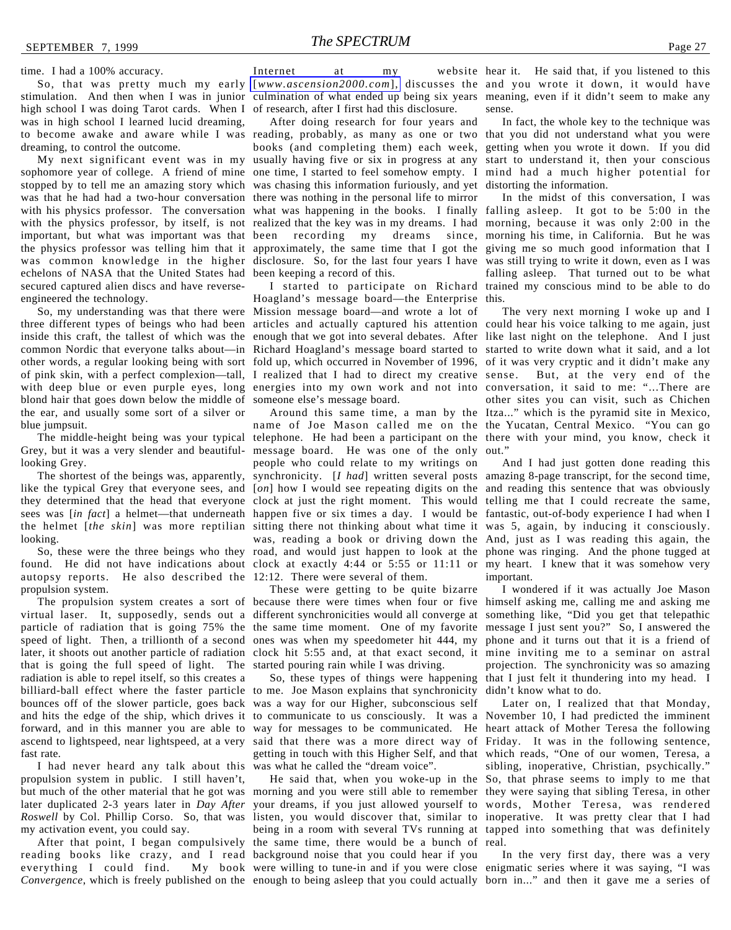time. I had a 100% accuracy.

stimulation. And then when I was in junior culmination of what ended up being six years meaning, even if it didn't seem to make any high school I was doing Tarot cards. When I of research, after I first had this disclosure. was in high school I learned lucid dreaming, to become awake and aware while I was reading, probably, as many as one or two that you did not understand what you were dreaming, to control the outcome.

sophomore year of college. A friend of mine one time, I started to feel somehow empty. I mind had a much higher potential for stopped by to tell me an amazing story which was chasing this information furiously, and yet distorting the information. was that he had had a two-hour conversation there was nothing in the personal life to mirror with his physics professor. The conversation what was happening in the books. I finally falling asleep. It got to be 5:00 in the with the physics professor, by itself, is not realized that the key was in my dreams. I had morning, because it was only 2:00 in the important, but what was important was that been recording my dreams since, morning his time, in California. But he was the physics professor was telling him that it approximately, the same time that I got the giving me so much good information that I was common knowledge in the higher disclosure. So, for the last four years I have was still trying to write it down, even as I was echelons of NASA that the United States had been keeping a record of this. secured captured alien discs and have reverseengineered the technology.

three different types of beings who had been articles and actually captured his attention could hear his voice talking to me again, just inside this craft, the tallest of which was the enough that we got into several debates. After like last night on the telephone. And I just common Nordic that everyone talks about—in Richard Hoagland's message board started to started to write down what it said, and a lot other words, a regular looking being with sort fold up, which occurred in November of 1996, of it was very cryptic and it didn't make any of pink skin, with a perfect complexion—tall, I realized that I had to direct my creative sense. But, at the very end of the with deep blue or even purple eyes, long energies into my own work and not into conversation, it said to me: "...There are blond hair that goes down below the middle of someone else's message board. the ear, and usually some sort of a silver or blue jumpsuit.

looking Grey.

like the typical Grey that everyone sees, and looking.

autopsy reports. He also described the 12:12. There were several of them. propulsion system.

virtual laser. It, supposedly, sends out a different synchronicities would all converge at something like, "Did you get that telepathic particle of radiation that is going 75% the the same time moment. One of my favorite message I just sent you?" So, I answered the speed of light. Then, a trillionth of a second later, it shoots out another particle of radiation clock hit 5:55 and, at that exact second, it mine inviting me to a seminar on astral that is going the full speed of light. The started pouring rain while I was driving. radiation is able to repel itself, so this creates a billiard-ball effect where the faster particle to me. Joe Mason explains that synchronicity bounces off of the slower particle, goes back was a way for our Higher, subconscious self and hits the edge of the ship, which drives it to communicate to us consciously. It was a November 10, I had predicted the imminent forward, and in this manner you are able to way for messages to be communicated. He heart attack of Mother Teresa the following ascend to lightspeed, near lightspeed, at a very fast rate.

I had never heard any talk about this propulsion system in public. I still haven't, but much of the other material that he got was morning and you were still able to remember they were saying that sibling Teresa, in other later duplicated 2-3 years later in *Day After* Roswell by Col. Phillip Corso. So, that was listen, you would discover that, similar to inoperative. It was pretty clear that I had my activation event, you could say.

reading books like crazy, and I read background noise that you could hear if you

So, that was pretty much my early [*[www.ascension2000.com](http://www.ascension2000.com)*], discusses the and you wrote it down, it would have Internet at my

My next significant event was in my usually having five or six in progress at any start to understand it, then your conscious After doing research for four years and books (and completing them) each week, getting when you wrote it down. If you did

So, my understanding was that there were Mission message board—and wrote a lot of Hoagland's message board—the Enterprise this.

The middle-height being was your typical telephone. He had been a participant on the there with your mind, you know, check it Grey, but it was a very slender and beautiful- message board. He was one of the only out." The shortest of the beings was, apparently, synchronicity. [*I had*] written several posts amazing 8-page transcript, for the second time, they determined that the head that everyone clock at just the right moment. This would telling me that I could recreate the same, sees was [*in fact*] a helmet—that underneath happen five or six times a day. I would be fantastic, out-of-body experience I had when I the helmet [the skin] was more reptilian sitting there not thinking about what time it was 5, again, by inducing it consciously. So, these were the three beings who they road, and would just happen to look at the phone was ringing. And the phone tugged at found. He did not have indications about clock at exactly 4:44 or 5:55 or 11:11 or my heart. I knew that it was somehow very name of Joe Mason called me on the the Yucatan, Central Mexico. "You can go people who could relate to my writings on [on] how I would see repeating digits on the and reading this sentence that was obviously was, reading a book or driving down the And, just as I was reading this again, the

The propulsion system creates a sort of because there were times when four or five himself asking me, calling me and asking me These were getting to be quite bizarre ones was when my speedometer hit 444, my

> So, these types of things were happening said that there was a more direct way of Friday. It was in the following sentence, getting in touch with this Higher Self, and that which reads, "One of our women, Teresa, a was what he called the "dream voice".

After that point, I began compulsively the same time, there would be a bunch of real. everything I could find. My book were willing to tune-in and if you were close enigmatic series where it was saying, "I was Convergence, which is freely published on the enough to being asleep that you could actually born in..." and then it gave me a series of your dreams, if you just allowed yourself to words, Mother Teresa, was rendered being in a room with several TVs running at tapped into something that was definitely

website hear it. He said that, if you listened to this sense.

In fact, the whole key to the technique was

I started to participate on Richard trained my conscious mind to be able to do In the midst of this conversation, I was falling asleep. That turned out to be what

Around this same time, a man by the Itza..." which is the pyramid site in Mexico, The very next morning I woke up and I other sites you can visit, such as Chichen

> And I had just gotten done reading this important.

> I wondered if it was actually Joe Mason phone and it turns out that it is a friend of projection. The synchronicity was so amazing that I just felt it thundering into my head. I didn't know what to do.

He said that, when you woke-up in the So, that phrase seems to imply to me that Later on, I realized that that Monday, sibling, inoperative, Christian, psychically."

In the very first day, there was a very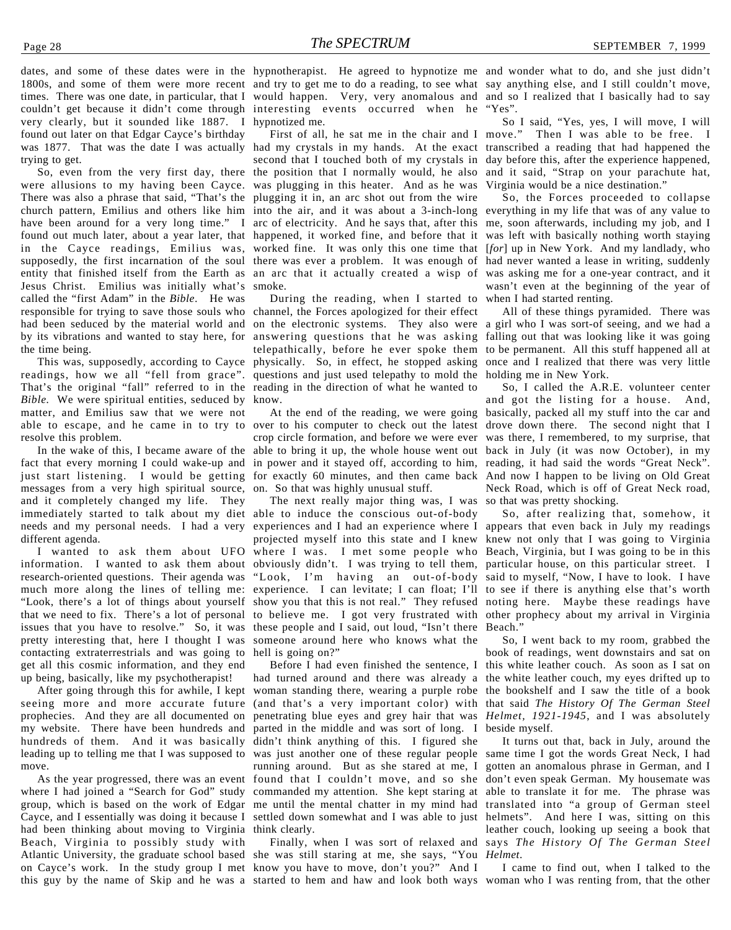1800s, and some of them were more recent and try to get me to do a reading, to see what say anything else, and I still couldn't move, times. There was one date, in particular, that I would happen. Very, very anomalous and and so I realized that I basically had to say couldn't get because it didn't come through interesting events occurred when he very clearly, but it sounded like 1887. I hypnotized me. found out later on that Edgar Cayce's birthday was 1877. That was the date I was actually had my crystals in my hands. At the exact transcribed a reading that had happened the trying to get.

were allusions to my having been Cayce. was plugging in this heater. And as he was There was also a phrase that said, "That's the plugging it in, an arc shot out from the wire church pattern, Emilius and others like him into the air, and it was about a 3-inch-long everything in my life that was of any value to have been around for a very long time." I arc of electricity. And he says that, after this me, soon afterwards, including my job, and I found out much later, about a year later, that happened, it worked fine, and before that it was left with basically nothing worth staying in the Cayce readings, Emilius was, worked fine. It was only this one time that [*for*] up in New York. And my landlady, who supposedly, the first incarnation of the soul there was ever a problem. It was enough of had never wanted a lease in writing, suddenly entity that finished itself from the Earth as an arc that it actually created a wisp of was asking me for a one-year contract, and it Jesus Christ. Emilius was initially what's smoke. called the "first Adam" in the *Bible*. He was responsible for trying to save those souls who channel, the Forces apologized for their effect had been seduced by the material world and on the electronic systems. They also were a girl who I was sort-of seeing, and we had a by its vibrations and wanted to stay here, for the time being.

That's the original "fall" referred to in the reading in the direction of what he wanted to *Bible.* We were spiritual entities, seduced by know. matter, and Emilius saw that we were not able to escape, and he came in to try to over to his computer to check out the latest drove down there. The second night that I resolve this problem.

fact that every morning I could wake-up and in power and it stayed off, according to him, reading, it had said the words "Great Neck". just start listening. I would be getting for exactly 60 minutes, and then came back And now I happen to be living on Old Great messages from a very high spiritual source, on. So that was highly unusual stuff. and it completely changed my life. They immediately started to talk about my diet able to induce the conscious out-of-body needs and my personal needs. I had a very experiences and I had an experience where I appears that even back in July my readings different agenda.

I wanted to ask them about UFO information. I wanted to ask them about research-oriented questions. Their agenda was much more along the lines of telling me: "Look, there's a lot of things about yourself that we need to fix. There's a lot of personal issues that you have to resolve." So, it was pretty interesting that, here I thought I was contacting extraterrestrials and was going to get all this cosmic information, and they end up being, basically, like my psychotherapist!

After going through this for awhile, I kept seeing more and more accurate future prophecies. And they are all documented on my website. There have been hundreds and hundreds of them. And it was basically didn't think anything of this. I figured she leading up to telling me that I was supposed to was just another one of these regular people same time I got the words Great Neck, I had move.

where I had joined a "Search for God" study commanded my attention. She kept staring at able to translate it for me. The phrase was group, which is based on the work of Edgar me until the mental chatter in my mind had translated into "a group of German steel Cayce, and I essentially was doing it because I settled down somewhat and I was able to just helmets". And here I was, sitting on this had been thinking about moving to Virginia think clearly. Beach, Virginia to possibly study with Atlantic University, the graduate school based she was still staring at me, she says, "You *Helmet*. on Cayce's work. In the study group I met know you have to move, don't you?" And I this guy by the name of Skip and he was a started to hem and haw and look both ways woman who I was renting from, that the other

dates, and some of these dates were in the hypnotherapist. He agreed to hypnotize me and wonder what to do, and she just didn't

So, even from the very first day, there the position that I normally would, he also and it said, "Strap on your parachute hat, second that I touched both of my crystals in day before this, after the experience happened,

This was, supposedly, according to Cayce physically. So, in effect, he stopped asking once and I realized that there was very little readings, how we all "fell from grace". questions and just used telepathy to mold the holding me in New York. During the reading, when I started to answering questions that he was asking falling out that was looking like it was going telepathically, before he ever spoke them to be permanent. All this stuff happened all at

In the wake of this, I became aware of the able to bring it up, the whole house went out back in July (it was now October), in my crop circle formation, and before we were ever was there, I remembered, to my surprise, that

> The next really major thing was, I was so that was pretty shocking. projected myself into this state and I knew knew not only that I was going to Virginia where I was. I met some people who Beach, Virginia, but I was going to be in this obviously didn't. I was trying to tell them, particular house, on this particular street. I "Look, I'm having an out-of-body said to myself, "Now, I have to look. I have experience. I can levitate; I can float; I'll to see if there is anything else that's worth show you that this is not real." They refused noting here. Maybe these readings have to believe me. I got very frustrated with other prophecy about my arrival in Virginia these people and I said, out loud, "Isn't there Beach." someone around here who knows what the hell is going on?"

As the year progressed, there was an event found that I couldn't move, and so she don't even speak German. My housemate was had turned around and there was already a the white leather couch, my eyes drifted up to woman standing there, wearing a purple robe the bookshelf and I saw the title of a book (and that's a very important color) with that said *The History Of The German Steel* penetrating blue eyes and grey hair that was *Helmet, 1921-1945*, and I was absolutely parted in the middle and was sort of long. I running around. But as she stared at me, I gotten an anomalous phrase in German, and I

"Yes".

First of all, he sat me in the chair and I move." Then I was able to be free. I So I said, "Yes, yes, I will move, I will Virginia would be a nice destination."

> So, the Forces proceeded to collapse wasn't even at the beginning of the year of when I had started renting.

> All of these things pyramided. There was

At the end of the reading, we were going basically, packed all my stuff into the car and So, I called the A.R.E. volunteer center and got the listing for a house. And, Neck Road, which is off of Great Neck road,

So, after realizing that, somehow, it

Before I had even finished the sentence, I this white leather couch. As soon as I sat on So, I went back to my room, grabbed the book of readings, went downstairs and sat on beside myself.

Finally, when I was sort of relaxed and says *The History Of The German Steel* It turns out that, back in July, around the leather couch, looking up seeing a book that

I came to find out, when I talked to the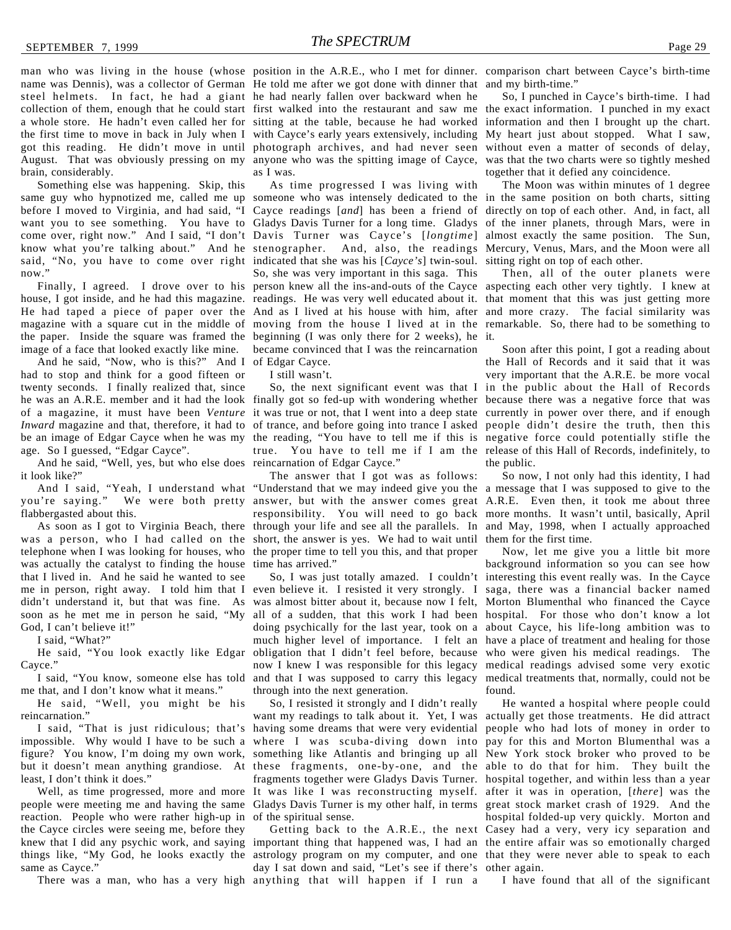name was Dennis), was a collector of German He told me after we got done with dinner that and my birth-time." steel helmets. In fact, he had a giant he had nearly fallen over backward when he collection of them, enough that he could start first walked into the restaurant and saw me the exact information. I punched in my exact a whole store. He hadn't even called her for sitting at the table, because he had worked information and then I brought up the chart. the first time to move in back in July when I with Cayce's early years extensively, including My heart just about stopped. What I saw, got this reading. He didn't move in until photograph archives, and had never seen without even a matter of seconds of delay, August. That was obviously pressing on my anyone who was the spitting image of Cayce, was that the two charts were so tightly meshed brain, considerably.

Something else was happening. Skip, this same guy who hypnotized me, called me up someone who was intensely dedicated to the in the same position on both charts, sitting before I moved to Virginia, and had said, "I Cayce readings [*and*] has been a friend of directly on top of each other. And, in fact, all want you to see something. You have to Gladys Davis Turner for a long time. Gladys of the inner planets, through Mars, were in come over, right now." And I said, "I don't Davis Turner was Cayce's [*longtime*] almost exactly the same position. The Sun, know what you're talking about." And he stenographer. And, also, the readings Mercury, Venus, Mars, and the Moon were all said, "No, you have to come over right indicated that she was his [*Cayce's*] twin-soul. sitting right on top of each other. now.'

image of a face that looked exactly like mine.

And he said, "Now, who is this?" And I had to stop and think for a good fifteen or twenty seconds. I finally realized that, since he was an A.R.E. member and it had the look finally got so fed-up with wondering whether because there was a negative force that was of a magazine, it must have been *Venture* it was true or not, that I went into a deep state currently in power over there, and if enough Inward magazine and that, therefore, it had to of trance, and before going into trance I asked people didn't desire the truth, then this be an image of Edgar Cayce when he was my the reading, "You have to tell me if this is negative force could potentially stifle the age. So I guessed, "Edgar Cayce".

And he said, "Well, yes, but who else does reincarnation of Edgar Cayce." it look like?"

flabbergasted about this.

As soon as I got to Virginia Beach, there was a person, who I had called on the telephone when I was looking for houses, who was actually the catalyst to finding the house time has arrived." that I lived in. And he said he wanted to see me in person, right away. I told him that I didn't understand it, but that was fine. As God, I can't believe it!'

I said, "What?"

Cayce."

I said, "You know, someone else has told me that, and I don't know what it means."

He said, "Well, you might be his reincarnation."

I said, "That is just ridiculous; that's impossible. Why would I have to be such a where I was scuba-diving down into pay for this and Morton Blumenthal was a figure? You know, I'm doing my own work, something like Atlantis and bringing up all New York stock broker who proved to be but it doesn't mean anything grandiose. At these fragments, one-by-one, and the able to do that for him. They built the least, I don't think it does."

people were meeting me and having the same Gladys Davis Turner is my other half, in terms great stock market crash of 1929. And the reaction. People who were rather high-up in the Cayce circles were seeing me, before they knew that I did any psychic work, and saying important thing that happened was, I had an the entire affair was so emotionally charged things like, "My God, he looks exactly the astrology program on my computer, and one that they were never able to speak to each same as Cayce."

as I was.

Finally, I agreed. I drove over to his person knew all the ins-and-outs of the Cayce aspecting each other very tightly. I knew at house, I got inside, and he had this magazine. readings. He was very well educated about it. that moment that this was just getting more He had taped a piece of paper over the And as I lived at his house with him, after and more crazy. The facial similarity was magazine with a square cut in the middle of moving from the house I lived at in the remarkable. So, there had to be something to the paper. Inside the square was framed the beginning (I was only there for 2 weeks), he it. As time progressed I was living with So, she was very important in this saga. This became convinced that I was the reincarnation of Edgar Cayce.

I still wasn't.

true. You have to tell me if I am the release of this Hall of Records, indefinitely, to

And I said, "Yeah, I understand what "Understand that we may indeed give you the a message that I was supposed to give to the you're saying." We were both pretty answer, but with the answer comes great A.R.E. Even then, it took me about three The answer that I got was as follows: responsibility. You will need to go back more months. It wasn't until, basically, April through your life and see all the parallels. In and May, 1998, when I actually approached short, the answer is yes. We had to wait until them for the first time. the proper time to tell you this, and that proper

soon as he met me in person he said, "My all of a sudden, that this work I had been hospital. For those who don't know a lot He said, "You look exactly like Edgar obligation that I didn't feel before, because who were given his medical readings. The even believe it. I resisted it very strongly. I saga, there was a financial backer named was almost bitter about it, because now I felt, Morton Blumenthal who financed the Cayce doing psychically for the last year, took on a about Cayce, his life-long ambition was to much higher level of importance. I felt an have a place of treatment and healing for those now I knew I was responsible for this legacy medical readings advised some very exotic and that I was supposed to carry this legacy medical treatments that, normally, could not be through into the next generation.

Well, as time progressed, more and more It was like I was reconstructing myself. after it was in operation, [there] was the So, I resisted it strongly and I didn't really want my readings to talk about it. Yet, I was actually get those treatments. He did attract having some dreams that were very evidential people who had lots of money in order to fragments together were Gladys Davis Turner. hospital together, and within less than a year of the spiritual sense.

There was a man, who has a very high anything that will happen if I run a day I sat down and said, "Let's see if there's other again.

man who was living in the house (whose position in the A.R.E., who I met for dinner. comparison chart between Cayce's birth-time

So, I punched in Cayce's birth-time. I had together that it defied any coincidence.

The Moon was within minutes of 1 degree

Then, all of the outer planets were

So, the next significant event was that I in the public about the Hall of Records Soon after this point, I got a reading about the Hall of Records and it said that it was very important that the A.R.E. be more vocal the public.

So now, I not only had this identity, I had

So, I was just totally amazed. I couldn't interesting this event really was. In the Cayce Now, let me give you a little bit more background information so you can see how found.

Getting back to the A.R.E., the next Casey had a very, very icy separation and He wanted a hospital where people could hospital folded-up very quickly. Morton and

I have found that all of the significant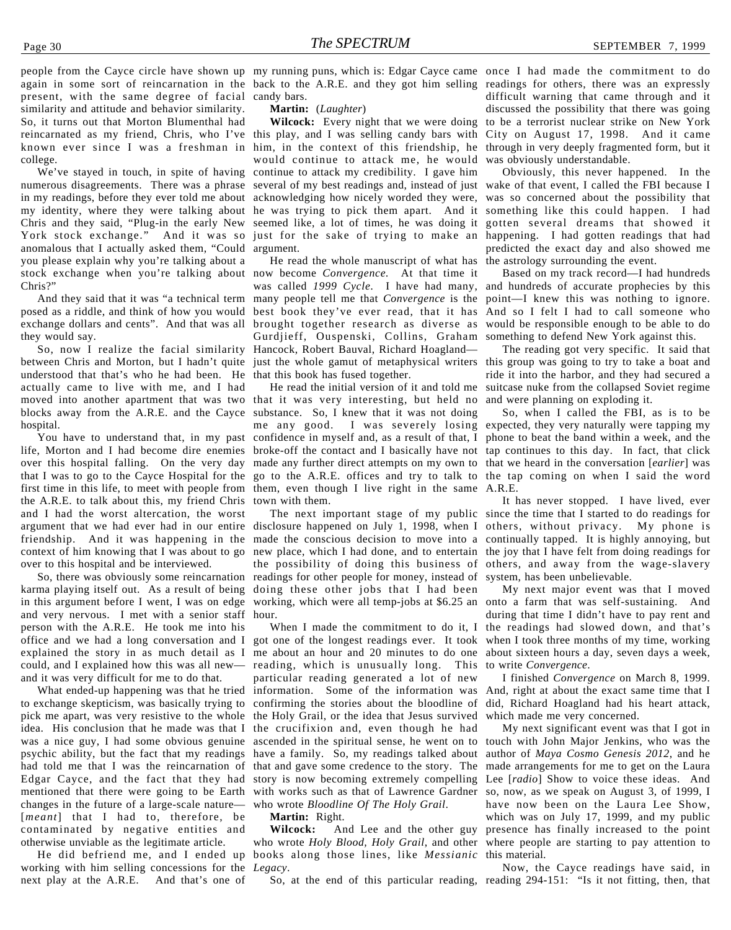again in some sort of reincarnation in the back to the A.R.E. and they got him selling readings for others, there was an expressly present, with the same degree of facial candy bars. similarity and attitude and behavior similarity. So, it turns out that Morton Blumenthal had reincarnated as my friend, Chris, who I've this play, and I was selling candy bars with City on August 17, 1998. And it came known ever since I was a freshman in college.

We've stayed in touch, in spite of having numerous disagreements. There was a phrase in my readings, before they ever told me about my identity, where they were talking about Chris and they said, "Plug-in the early New York stock exchange." And it was so anomalous that I actually asked them, "Could you please explain why you're talking about a stock exchange when you're talking about now become *Convergence.* At that time it Chris?"

they would say.

understood that that's who he had been. He that this book has fused together. actually came to live with me, and I had moved into another apartment that was two that it was very interesting, but held no blocks away from the A.R.E. and the Cayce substance. So, I knew that it was not doing hospital.

life, Morton and I had become dire enemies over this hospital falling. On the very day that I was to go to the Cayce Hospital for the go to the A.R.E. offices and try to talk to the tap coming on when I said the word first time in this life, to meet with people from them, even though I live right in the same A.R.E. the A.R.E. to talk about this, my friend Chris and I had the worst altercation, the worst argument that we had ever had in our entire friendship. And it was happening in the context of him knowing that I was about to go over to this hospital and be interviewed.

So, there was obviously some reincarnation karma playing itself out. As a result of being in this argument before I went, I was on edge and very nervous. I met with a senior staff person with the A.R.E. He took me into his office and we had a long conversation and I could, and I explained how this was all new and it was very difficult for me to do that.

What ended-up happening was that he tried to exchange skepticism, was basically trying to pick me apart, was very resistive to the whole idea. His conclusion that he made was that I was a nice guy, I had some obvious genuine psychic ability, but the fact that my readings had told me that I was the reincarnation of Edgar Cayce, and the fact that they had mentioned that there were going to be Earth with works such as that of Lawrence Gardner so, now, as we speak on August 3, of 1999, I changes in the future of a large-scale nature— [*meant*] that I had to, therefore, be contaminated by negative entities and otherwise unviable as the legitimate article.

He did befriend me, and I ended up working with him selling concessions for the *Legacy*. next play at the A.R.E. And that's one of

**Martin:** (*Laughter*)

him, in the context of this friendship, he through in very deeply fragmented form, but it would continue to attack me, he would continue to attack my credibility. I gave him several of my best readings and, instead of just wake of that event, I called the FBI because I acknowledging how nicely worded they were, was so concerned about the possibility that he was trying to pick them apart. And it something like this could happen. I had seemed like, a lot of times, he was doing it gotten several dreams that showed it just for the sake of trying to make an happening. I had gotten readings that had argument.

And they said that it was "a technical term many people tell me that *Convergence* is the point—I knew this was nothing to ignore. posed as a riddle, and think of how you would best book they've ever read, that it has And so I felt I had to call someone who exchange dollars and cents". And that was all brought together research as diverse as would be responsible enough to be able to do So, now I realize the facial similarity Hancock, Robert Bauval, Richard Hoagland between Chris and Morton, but I hadn't quite just the whole gamut of metaphysical writers this group was going to try to take a boat and He read the whole manuscript of what has was called 1999 Cycle. I have had many, and hundreds of accurate prophecies by this Gurdjieff, Ouspenski, Collins, Graham something to defend New York against this.

You have to understand that, in my past confidence in myself and, as a result of that, I He read the initial version of it and told me me any good. I was severely losing expected, they very naturally were tapping my broke-off the contact and I basically have not tap continues to this day. In fact, that click made any further direct attempts on my own to that we heard in the conversation [*earlier*] was town with them.

> disclosure happened on July 1, 1998, when I others, without privacy. My phone is made the conscious decision to move into a continually tapped. It is highly annoying, but new place, which I had done, and to entertain the joy that I have felt from doing readings for the possibility of doing this business of others, and away from the wage-slavery readings for other people for money, instead of doing these other jobs that I had been working, which were all temp-jobs at \$6.25 an onto a farm that was self-sustaining. And hour.

explained the story in as much detail as I me about an hour and 20 minutes to do one about sixteen hours a day, seven days a week, When I made the commitment to do it, I got one of the longest readings ever. It took reading, which is unusually long. This particular reading generated a lot of new information. Some of the information was And, right at about the exact same time that I confirming the stories about the bloodline of the Holy Grail, or the idea that Jesus survived the crucifixion and, even though he had ascended in the spiritual sense, he went on to have a family. So, my readings talked about that and gave some credence to the story. The story is now becoming extremely compelling who wrote *Bloodline Of The Holy Grail*.

#### **Martin:** Right.

**Wilcock:** And Lee and the other guy books along those lines, like *Messianic* this material.

people from the Cayce circle have shown up my running puns, which is: Edgar Cayce came once I had made the commitment to do Wilcock: Every night that we were doing to be a terrorist nuclear strike on New York difficult warning that came through and it discussed the possibility that there was going was obviously understandable.

> Obviously, this never happened. In the predicted the exact day and also showed me the astrology surrounding the event.

> Based on my track record—I had hundreds

The reading got very specific. It said that ride it into the harbor, and they had secured a suitcase nuke from the collapsed Soviet regime and were planning on exploding it.

So, when I called the FBI, as is to be phone to beat the band within a week, and the

The next important stage of my public since the time that I started to do readings for It has never stopped. I have lived, ever system, has been unbelievable.

> My next major event was that I moved during that time I didn't have to pay rent and the readings had slowed down, and that's when I took three months of my time, working to write *Convergence*.

> I finished *Convergence* on March 8, 1999. did, Richard Hoagland had his heart attack, which made me very concerned.

who wrote *Holy Blood, Holy Grail*, and other where people are starting to pay attention to My next significant event was that I got in touch with John Major Jenkins, who was the author of *Maya Cosmo Genesis 2012*, and he made arrangements for me to get on the Laura Lee [*radio*] Show to voice these ideas. And have now been on the Laura Lee Show, which was on July 17, 1999, and my public presence has finally increased to the point

So, at the end of this particular reading, reading 294-151: "Is it not fitting, then, that Now, the Cayce readings have said, in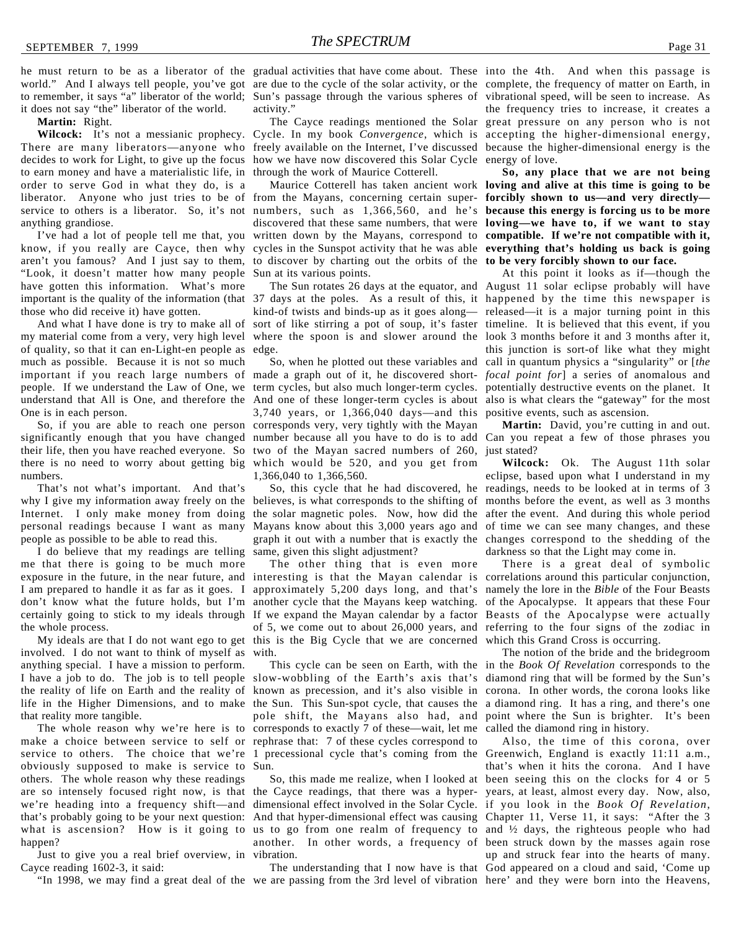world." And I always tell people, you've got are due to the cycle of the solar activity, or the complete, the frequency of matter on Earth, in to remember, it says "a" liberator of the world; Sun's passage through the various spheres of vibrational speed, will be seen to increase. As it does not say "the" liberator of the world.

**Martin:** Right.

There are many liberators—anyone who freely available on the Internet, I've discussed because the higher-dimensional energy is the decides to work for Light, to give up the focus how we have now discovered this Solar Cycle energy of love. to earn money and have a materialistic life, in through the work of Maurice Cotterell. order to serve God in what they do, is a liberator. Anyone who just tries to be of from the Mayans, concerning certain super- **forcibly shown to us—and very directly** service to others is a liberator. So, it's not numbers, such as 1,366,560, and he's **because this energy is forcing us to be more** anything grandiose.

know, if you really are Cayce, then why cycles in the Sunspot activity that he was able **everything that's holding us back is going** aren't you famous? And I just say to them, to discover by charting out the orbits of the **to be very forcibly shown to our face.** "Look, it doesn't matter how many people have gotten this information. What's more important is the quality of the information (that 37 days at the poles. As a result of this, it happened by the time this newspaper is those who did receive it) have gotten.

my material come from a very, very high level where the spoon is and slower around the look 3 months before it and 3 months after it, of quality, so that it can en-Light-en people as edge. much as possible. Because it is not so much important if you reach large numbers of made a graph out of it, he discovered short-*focal point for*] a series of anomalous and people. If we understand the Law of One, we term cycles, but also much longer-term cycles. potentially destructive events on the planet. It understand that All is One, and therefore the And one of these longer-term cycles is about also is what clears the "gateway" for the most One is in each person.

there is no need to worry about getting big which would be 520, and you get from numbers.

That's not what's important. And that's Internet. I only make money from doing personal readings because I want as many people as possible to be able to read this.

I do believe that my readings are telling me that there is going to be much more exposure in the future, in the near future, and I am prepared to handle it as far as it goes. I don't know what the future holds, but I'm the whole process.

involved. I do not want to think of myself as anything special. I have a mission to perform. I have a job to do. The job is to tell people the reality of life on Earth and the reality of known as precession, and it's also visible in corona. In other words, the corona looks like life in the Higher Dimensions, and to make the Sun. This Sun-spot cycle, that causes the a diamond ring. It has a ring, and there's one that reality more tangible.

make a choice between service to self or rephrase that: 7 of these cycles correspond to service to others. The choice that we're 1 precessional cycle that's coming from the Greenwich, England is exactly 11:11 a.m., obviously supposed to make is service to Sun. others. The whole reason why these readings are so intensely focused right now, is that the Cayce readings, that there was a hyper- years, at least, almost every day. Now, also, we're heading into a frequency shift—and dimensional effect involved in the Solar Cycle. if you look in the *Book Of Revelation*, that's probably going to be your next question: And that hyper-dimensional effect was causing Chapter 11, Verse 11, it says: "After the 3 what is ascension? How is it going to us to go from one realm of frequency to and ½ days, the righteous people who had happen?

Just to give you a real brief overview, in vibration. Cayce reading 1602-3, it said:

he must return to be as a liberator of the gradual activities that have come about. These into the 4th. And when this passage is activity."

**Wilcock:** It's not a messianic prophecy. Cycle. In my book *Convergence*, which is accepting the higher-dimensional energy,

I've had a lot of people tell me that, you written down by the Mayans, correspond to **compatible. If we're not compatible with it,** discovered that these same numbers, that were **loving—we have to, if we want to stay** Sun at its various points.

And what I have done is try to make all of sort of like stirring a pot of soup, it's faster timeline. It is believed that this event, if you kind-of twists and binds-up as it goes along— released—it is a major turning point in this

So, if you are able to reach one person corresponds very, very tightly with the Mayan their life, then you have reached everyone. So two of the Mayan sacred numbers of 260, just stated? 3,740 years, or 1,366,040 days—and this positive events, such as ascension. 1,366,040 to 1,366,560.

why I give my information away freely on the believes, is what corresponds to the shifting of months before the event, as well as 3 months the solar magnetic poles. Now, how did the after the event. And during this whole period Mayans know about this 3,000 years ago and of time we can see many changes, and these graph it out with a number that is exactly the changes correspond to the shedding of the same, given this slight adjustment?

certainly going to stick to my ideals through If we expand the Mayan calendar by a factor Beasts of the Apocalypse were actually My ideals are that I do not want ego to get this is the Big Cycle that we are concerned The other thing that is even more interesting is that the Mayan calendar is correlations around this particular conjunction, approximately 5,200 days long, and that's namely the lore in the *Bible* of the Four Beasts another cycle that the Mayans keep watching. of the Apocalypse. It appears that these Four of 5, we come out to about 26,000 years, and with.

The whole reason why we're here is to corresponds to exactly 7 of these—wait, let me called the diamond ring in history. slow-wobbling of the Earth's axis that's diamond ring that will be formed by the Sun's pole shift, the Mayans also had, and point where the Sun is brighter. It's been

another. In other words, a frequency of been struck down by the masses again rose

"In 1998, we may find a great deal of the we are passing from the 3rd level of vibration here' and they were born into the Heavens,

The Cayce readings mentioned the Solar great pressure on any person who is not the frequency tries to increase, it creates a

Maurice Cotterell has taken ancient work **loving and alive at this time is going to be So, any place that we are not being**

The Sun rotates 26 days at the equator, and August 11 solar eclipse probably will have So, when he plotted out these variables and call in quantum physics a "singularity" or [*the* At this point it looks as if—though the this junction is sort-of like what they might

significantly enough that you have changed number because all you have to do is to add Can you repeat a few of those phrases you **Martin:** David, you're cutting in and out.

> So, this cycle that he had discovered, he readings, needs to be looked at in terms of 3 **Wilcock:** Ok. The August 11th solar eclipse, based upon what I understand in my darkness so that the Light may come in.

> > There is a great deal of symbolic referring to the four signs of the zodiac in which this Grand Cross is occurring.

This cycle can be seen on Earth, with the in the *Book Of Revelation* corresponds to the The notion of the bride and the bridegroom

So, this made me realize, when I looked at been seeing this on the clocks for 4 or 5 The understanding that I now have is that God appeared on a cloud and said, 'Come up Also, the time of this corona, over that's when it hits the corona. And I have up and struck fear into the hearts of many.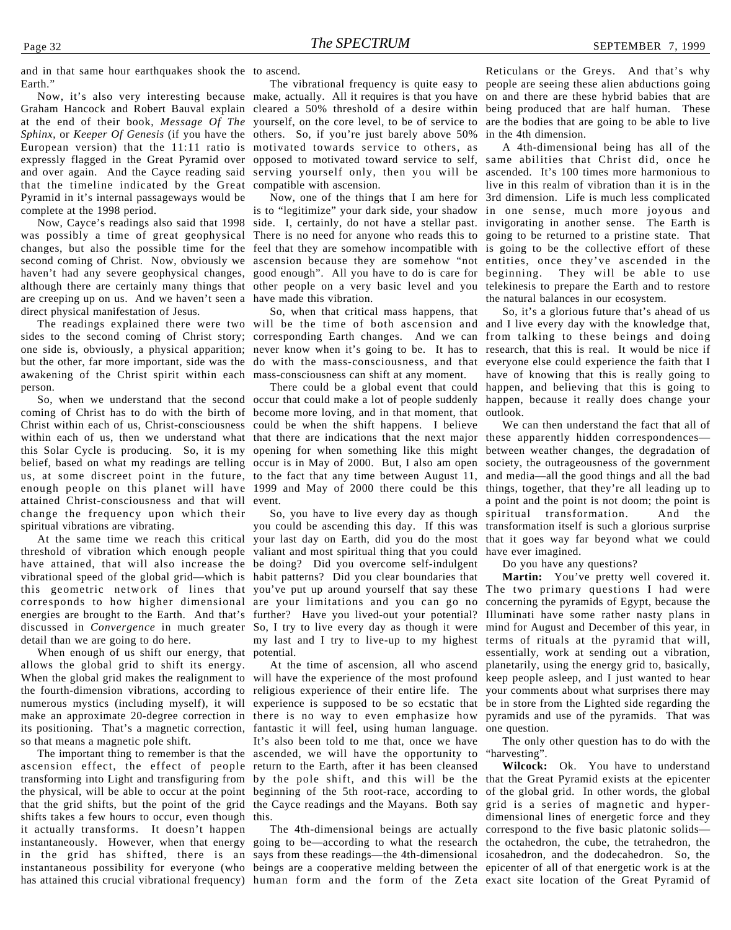and in that same hour earthquakes shook the to ascend. Earth."

Graham Hancock and Robert Bauval explain cleared a 50% threshold of a desire within at the end of their book, *Message Of The* yourself, on the core level, to be of service to *Sphinx*, or *Keeper Of Genesis* (if you have the others. So, if you're just barely above 50% European version) that the 11:11 ratio is motivated towards service to others, as expressly flagged in the Great Pyramid over opposed to motivated toward service to self, same abilities that Christ did, once he and over again. And the Cayce reading said serving yourself only, then you will be ascended. It's 100 times more harmonious to that the timeline indicated by the Great compatible with ascension. Pyramid in it's internal passageways would be complete at the 1998 period.

Now, Cayce's readings also said that 1998 was possibly a time of great geophysical There is no need for anyone who reads this to going to be returned to a pristine state. That changes, but also the possible time for the feel that they are somehow incompatible with is going to be the collective effort of these second coming of Christ. Now, obviously we ascension because they are somehow "not entities, once they've ascended in the haven't had any severe geophysical changes, good enough". All you have to do is care for although there are certainly many things that other people on a very basic level and you telekinesis to prepare the Earth and to restore are creeping up on us. And we haven't seen a have made this vibration. direct physical manifestation of Jesus.

sides to the second coming of Christ story; corresponding Earth changes. And we can from talking to these beings and doing one side is, obviously, a physical apparition; never know when it's going to be. It has to research, that this is real. It would be nice if but the other, far more important, side was the do with the mass-consciousness, and that everyone else could experience the faith that I awakening of the Christ spirit within each mass-consciousness can shift at any moment. person.

coming of Christ has to do with the birth of become more loving, and in that moment, that outlook. Christ within each of us, Christ-consciousness could be when the shift happens. I believe within each of us, then we understand what that there are indications that the next major these apparently hidden correspondences this Solar Cycle is producing. So, it is my opening for when something like this might between weather changes, the degradation of belief, based on what my readings are telling occur is in May of 2000. But, I also am open society, the outrageousness of the government us, at some discreet point in the future, to the fact that any time between August 11, and media—all the good things and all the bad enough people on this planet will have 1999 and May of 2000 there could be this things, together, that they're all leading up to attained Christ-consciousness and that will event. change the frequency upon which their spiritual vibrations are vibrating.

At the same time we reach this critical threshold of vibration which enough people have attained, that will also increase the vibrational speed of the global grid—which is this geometric network of lines that corresponds to how higher dimensional energies are brought to the Earth. And that's further? Have you lived-out your potential? discussed in *Convergence* in much greater So, I try to live every day as though it were detail than we are going to do here.

When enough of us shift our energy, that potential. allows the global grid to shift its energy. When the global grid makes the realignment to the fourth-dimension vibrations, according to religious experience of their entire life. The numerous mystics (including myself), it will make an approximate 20-degree correction in there is no way to even emphasize how its positioning. That's a magnetic correction, fantastic it will feel, using human language. so that means a magnetic pole shift.

ascension effect, the effect of people return to the Earth, after it has been cleansed transforming into Light and transfiguring from by the pole shift, and this will be the that the Great Pyramid exists at the epicenter the physical, will be able to occur at the point beginning of the 5th root-race, according to of the global grid. In other words, the global that the grid shifts, but the point of the grid the Cayce readings and the Mayans. Both say shifts takes a few hours to occur, even though this. it actually transforms. It doesn't happen instantaneously. However, when that energy going to be—according to what the research the octahedron, the cube, the tetrahedron, the in the grid has shifted, there is an says from these readings—the 4th-dimensional icosahedron, and the dodecahedron. So, the instantaneous possibility for everyone (who beings are a cooperative melding between the epicenter of all of that energetic work is at the

Now, one of the things that I am here for is to "legitimize" your dark side, your shadow side. I, certainly, do not have a stellar past.

The readings explained there were two will be the time of both ascension and and I live every day with the knowledge that, So, when that critical mass happens, that

So, when we understand that the second occur that could make a lot of people suddenly happen, because it really does change your

you could be ascending this day. If this was transformation itself is such a glorious surprise your last day on Earth, did you do the most that it goes way far beyond what we could valiant and most spiritual thing that you could be doing? Did you overcome self-indulgent habit patterns? Did you clear boundaries that you've put up around yourself that say these The two primary questions I had were are your limitations and you can go no my last and I try to live-up to my highest terms of rituals at the pyramid that will,

The important thing to remember is that the ascended, we will have the opportunity to At the time of ascension, all who ascend will have the experience of the most profound experience is supposed to be so ecstatic that be in store from the Lighted side regarding the It's also been told to me that, once we have

has attained this crucial vibrational frequency) human form and the form of the Zeta exact site location of the Great Pyramid of

Now, it's also very interesting because make, actually. All it requires is that you have on and there are these hybrid babies that are The vibrational frequency is quite easy to people are seeing these alien abductions going Reticulans or the Greys. And that's why being produced that are half human. These are the bodies that are going to be able to live in the 4th dimension.

> A 4th-dimensional being has all of the live in this realm of vibration than it is in the 3rd dimension. Life is much less complicated in one sense, much more joyous and invigorating in another sense. The Earth is They will be able to use the natural balances in our ecosystem.

There could be a global event that could happen, and believing that this is going to So, it's a glorious future that's ahead of us have of knowing that this is really going to

So, you have to live every day as though spiritual transformation. And the We can then understand the fact that all of a point and the point is not doom; the point is have ever imagined.

Do you have any questions?

**Martin:** You've pretty well covered it. concerning the pyramids of Egypt, because the Illuminati have some rather nasty plans in mind for August and December of this year, in essentially, work at sending out a vibration, planetarily, using the energy grid to, basically, keep people asleep, and I just wanted to hear your comments about what surprises there may pyramids and use of the pyramids. That was one question.

The only other question has to do with the "harvesting".

The 4th-dimensional beings are actually correspond to the five basic platonic solids— **Wilcock:** Ok. You have to understand grid is a series of magnetic and hyperdimensional lines of energetic force and they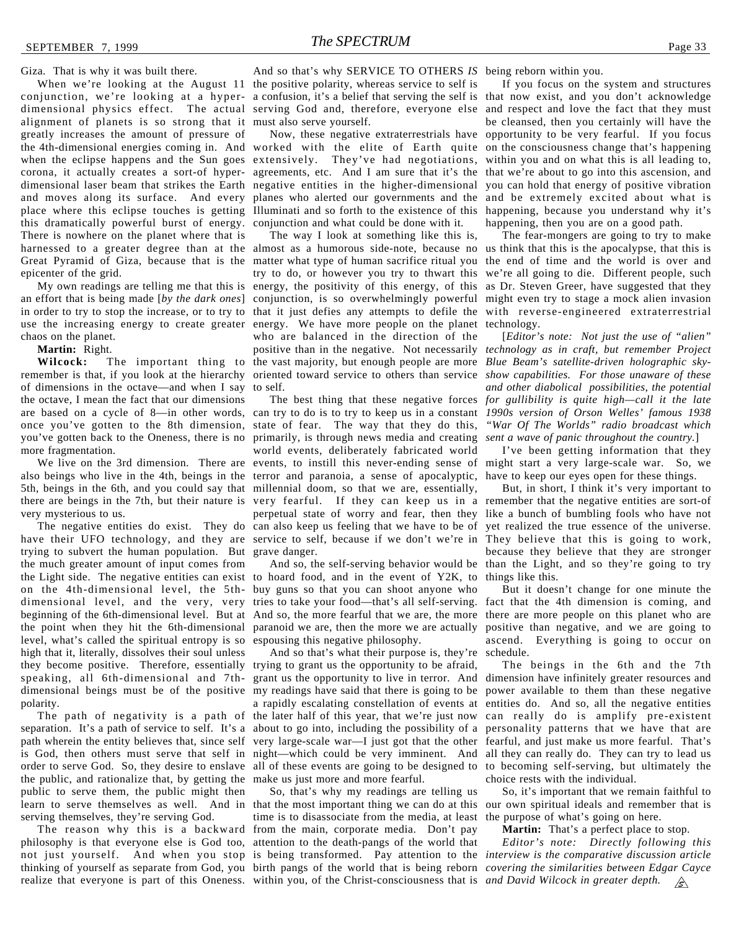Giza. That is why it was built there.

alignment of planets is so strong that it must also serve yourself. greatly increases the amount of pressure of the 4th-dimensional energies coming in. And worked with the elite of Earth quite on the consciousness change that's happening when the eclipse happens and the Sun goes extensively. They've had negotiations, within you and on what this is all leading to, corona, it actually creates a sort-of hyper-agreements, etc. And I am sure that it's the that we're about to go into this ascension, and dimensional laser beam that strikes the Earth negative entities in the higher-dimensional you can hold that energy of positive vibration and moves along its surface. And every place where this eclipse touches is getting Illuminati and so forth to the existence of this happening, because you understand why it's this dramatically powerful burst of energy. There is nowhere on the planet where that is harnessed to a greater degree than at the almost as a humorous side-note, because no us think that this is the apocalypse, that this is Great Pyramid of Giza, because that is the epicenter of the grid.

chaos on the planet.

#### **Martin:** Right.

remember is that, if you look at the hierarchy oriented toward service to others than service show capabilities. For those unaware of these of dimensions in the octave—and when I say to self. the octave, I mean the fact that our dimensions once you've gotten to the 8th dimension, state of fear. The way that they do this, more fragmentation.

5th, beings in the 6th, and you could say that millennial doom, so that we are, essentially, very mysterious to us.

trying to subvert the human population. But the much greater amount of input comes from the Light side. The negative entities can exist on the 4th-dimensional level, the 5thdimensional level, and the very, very beginning of the 6th-dimensional level. But at the point when they hit the 6th-dimensional level, what's called the spiritual entropy is so espousing this negative philosophy. high that it, literally, dissolves their soul unless they become positive. Therefore, essentially trying to grant us the opportunity to be afraid, speaking, all 6th-dimensional and 7thdimensional beings must be of the positive my readings have said that there is going to be polarity.

separation. It's a path of service to self. It's a about to go into, including the possibility of a personality patterns that we have that are path wherein the entity believes that, since self very large-scale war—I just got that the other fearful, and just make us more fearful. That's is God, then others must serve that self in night—which could be very imminent. And all they can really do. They can try to lead us order to serve God. So, they desire to enslave all of these events are going to be designed to to becoming self-serving, but ultimately the the public, and rationalize that, by getting the make us just more and more fearful. public to serve them, the public might then learn to serve themselves as well. And in that the most important thing we can do at this serving themselves, they're serving God.

philosophy is that everyone else is God too, attention to the death-pangs of the world that not just yourself. And when you stop is being transformed. Pay attention to the *interview is the comparative discussion article* thinking of yourself as separate from God, you birth pangs of the world that is being reborn *covering the similarities between Edgar Cayce*

When we're looking at the August 11 the positive polarity, whereas service to self is conjunction, we're looking at a hyper-a confusion, it's a belief that serving the self is that now exist, and you don't acknowledge dimensional physics effect. The actual serving God and, therefore, everyone else and respect and love the fact that they must And so that's why SERVICE TO OTHERS *IS* being reborn within you.

> planes who alerted our governments and the and be extremely excited about what is conjunction and what could be done with it.

My own readings are telling me that this is energy, the positivity of this energy, of this as Dr. Steven Greer, have suggested that they an effort that is being made [*by the dark ones*] conjunction, is so overwhelmingly powerful might even try to stage a mock alien invasion in order to try to stop the increase, or to try to that it just defies any attempts to defile the with reverse-engineered extraterrestrial use the increasing energy to create greater energy. We have more people on the planet technology. Wilcock: The important thing to the vast majority, but enough people are more *Blue Beam's satellite-driven holographic sky*-The way I look at something like this is, matter what type of human sacrifice ritual you the end of time and the world is over and try to do, or however you try to thwart this we're all going to die. Different people, such who are balanced in the direction of the positive than in the negative. Not necessarily *technology as in craft, but remember Project*

are based on a cycle of 8—in other words, can try to do is to try to keep us in a constant *1990s version of Orson Welles' famous 1938* you've gotten back to the Oneness, there is no primarily, is through news media and creating sent a wave of panic throughout the country.] We live on the 3rd dimension. There are events, to instill this never-ending sense of might start a very large-scale war. So, we also beings who live in the 4th, beings in the terror and paranoia, a sense of apocalyptic, have to keep our eyes open for these things. there are beings in the 7th, but their nature is very fearful. If they can keep us in a remember that the negative entities are sort-of The negative entities do exist. They do can also keep us feeling that we have to be of have their UFO technology, and they are service to self, because if we don't we're in They believe that this is going to work, world events, deliberately fabricated world perpetual state of worry and fear, then they like a bunch of bumbling fools who have not grave danger.

> to hoard food, and in the event of Y2K, to buy guns so that you can shoot anyone who tries to take your food—that's all self-serving. And so, the more fearful that we are, the more there are more people on this planet who are paranoid we are, then the more we are actually

The path of negativity is a path of the later half of this year, that we're just now And so that's what their purpose is, they're grant us the opportunity to live in terror. And

The reason why this is a backward from the main, corporate media. Don't pay realize that everyone is part of this Oneness. within you, of the Christ-consciousness that is *and David Wilcock in greater depth.* So, that's why my readings are telling us time is to disassociate from the media, at least

Now, these negative extraterrestrials have opportunity to be very fearful. If you focus If you focus on the system and structures be cleansed, then you certainly will have the happening, then you are on a good path.

The fear-mongers are going to try to make

The best thing that these negative forces *for gullibility is quite high—call it the late* [*Editor's note: Not just the use of "alien" and other diabolical possibilities, the potential "War Of The Worlds" radio broadcast which*

I've been getting information that they

And so, the self-serving behavior would be than the Light, and so they're going to try But, in short, I think it's very important to yet realized the true essence of the universe. because they believe that they are stronger things like this.

> But it doesn't change for one minute the fact that the 4th dimension is coming, and positive than negative, and we are going to ascend. Everything is going to occur on schedule.

a rapidly escalating constellation of events at entities do. And so, all the negative entities The beings in the 6th and the 7th dimension have infinitely greater resources and power available to them than these negative can really do is amplify pre-existent choice rests with the individual.

> So, it's important that we remain faithful to our own spiritual ideals and remember that is the purpose of what's going on here.

**Martin:** That's a perfect place to stop. *Editor's note: Directly following this*  $\mathscr{L}$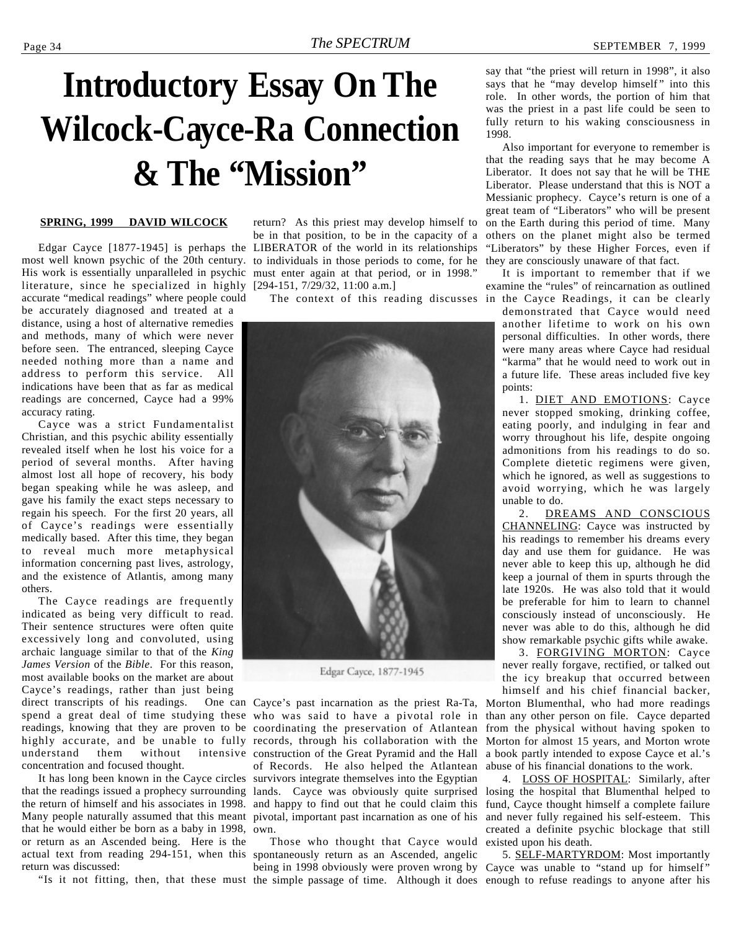## <span id="page-33-0"></span>**Introductory Essay On The Wilcock-Cayce-Ra Connection & The "Mission"**

#### **SPRING, 1999 DAVID WILCOCK**

Edgar Cayce [1877-1945] is perhaps the most well known psychic of the 20th century. His work is essentially unparalleled in psychic must enter again at that period, or in 1998." literature, since he specialized in highly accurate "medical readings" where people could

be accurately diagnosed and treated at a distance, using a host of alternative remedies and methods, many of which were never before seen. The entranced, sleeping Cayce needed nothing more than a name and address to perform this service. All indications have been that as far as medical readings are concerned, Cayce had a 99% accuracy rating.

Cayce was a strict Fundamentalist Christian, and this psychic ability essentially revealed itself when he lost his voice for a period of several months. After having almost lost all hope of recovery, his body began speaking while he was asleep, and gave his family the exact steps necessary to regain his speech. For the first 20 years, all of Cayce's readings were essentially medically based. After this time, they began to reveal much more metaphysical information concerning past lives, astrology, and the existence of Atlantis, among many others.

The Cayce readings are frequently indicated as being very difficult to read. Their sentence structures were often quite excessively long and convoluted, using archaic language similar to that of the *King James Version* of the *Bible*. For this reason, most available books on the market are about Cayce's readings, rather than just being

direct transcripts of his readings. readings, knowing that they are proven to be coordinating the preservation of Atlantean highly accurate, and be unable to fully records, through his collaboration with the understand them without concentration and focused thought.

that the readings issued a prophecy surrounding lands. Cayce was obviously quite surprised the return of himself and his associates in 1998. and happy to find out that he could claim this Many people naturally assumed that this meant pivotal, important past incarnation as one of his that he would either be born as a baby in 1998, own. or return as an Ascended being. Here is the actual text from reading 294-151, when this spontaneously return as an Ascended, angelic return was discussed:

return? As this priest may develop himself to be in that position, to be in the capacity of a LIBERATOR of the world in its relationships to individuals in those periods to come, for he [294-151, 7/29/32, 11:00 a.m.]

The context of this reading discusses in the Cayce Readings, it can be clearly



Edgar Cayce, 1877-1945

spend a great deal of time studying these who was said to have a pivotal role in than any other person on file. Cayce departed It has long been known in the Cayce circles survivors integrate themselves into the Egyptian Cayce's past incarnation as the priest Ra-Ta, Morton Blumenthal, who had more readings intensive construction of the Great Pyramid and the Hall of Records. He also helped the Atlantean

Those who thought that Cayce would

say that "the priest will return in 1998", it also says that he "may develop himself" into this role. In other words, the portion of him that was the priest in a past life could be seen to fully return to his waking consciousness in 1998.

Also important for everyone to remember is that the reading says that he may become A Liberator. It does not say that he will be THE Liberator. Please understand that this is NOT a Messianic prophecy. Cayce's return is one of a great team of "Liberators" who will be present on the Earth during this period of time. Many others on the planet might also be termed "Liberators" by these Higher Forces, even if they are consciously unaware of that fact.

It is important to remember that if we examine the "rules" of reincarnation as outlined

demonstrated that Cayce would need another lifetime to work on his own personal difficulties. In other words, there were many areas where Cayce had residual "karma" that he would need to work out in a future life. These areas included five key points:

1. DIET AND EMOTIONS: Cayce never stopped smoking, drinking coffee, eating poorly, and indulging in fear and worry throughout his life, despite ongoing admonitions from his readings to do so. Complete dietetic regimens were given, which he ignored, as well as suggestions to avoid worrying, which he was largely unable to do.

2. DREAMS AND CONSCIOUS CHANNELING: Cayce was instructed by his readings to remember his dreams every day and use them for guidance. He was never able to keep this up, although he did keep a journal of them in spurts through the late 1920s. He was also told that it would be preferable for him to learn to channel consciously instead of unconsciously. He never was able to do this, although he did show remarkable psychic gifts while awake.

3. FORGIVING MORTON: Cayce never really forgave, rectified, or talked out the icy breakup that occurred between himself and his chief financial backer,

from the physical without having spoken to Morton for almost 15 years, and Morton wrote a book partly intended to expose Cayce et al.'s abuse of his financial donations to the work.

4. LOSS OF HOSPITAL: Similarly, after losing the hospital that Blumenthal helped to fund, Cayce thought himself a complete failure and never fully regained his self-esteem. This created a definite psychic blockage that still existed upon his death.

"Is it not fitting, then, that these must the simple passage of time. Although it does enough to refuse readings to anyone after hisbeing in 1998 obviously were proven wrong by Cayce was unable to "stand up for himself" 5. SELF-MARTYRDOM: Most importantly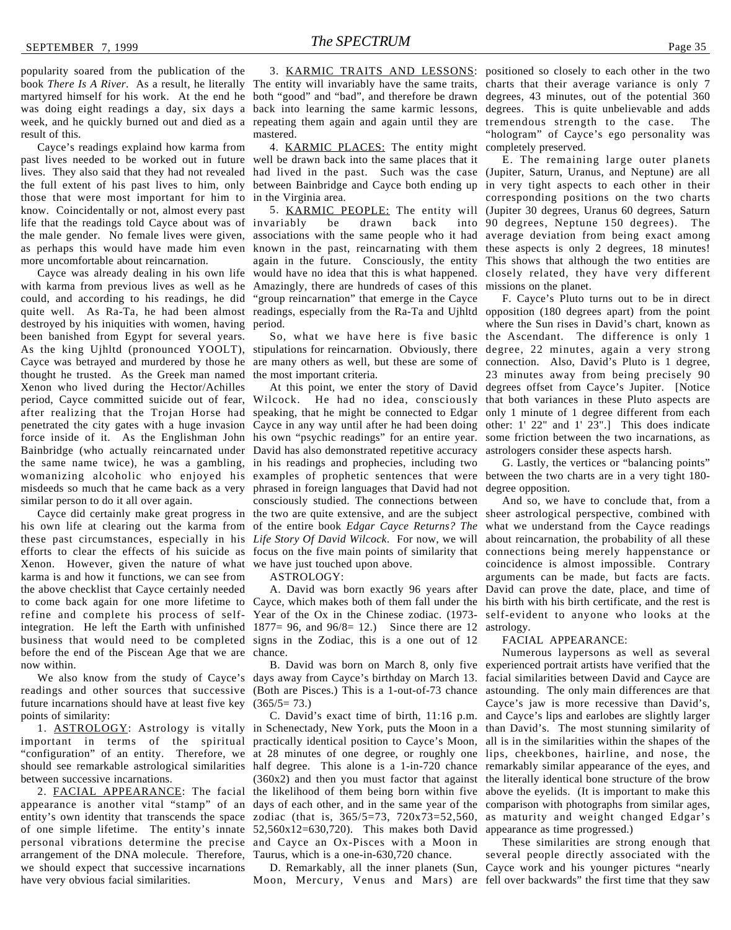popularity soared from the publication of the book *There Is A River*. As a result, he literally The entity will invariably have the same traits, charts that their average variance is only 7 martyred himself for his work. At the end he both "good" and "bad", and therefore be drawn degrees, 43 minutes, out of the potential 360 was doing eight readings a day, six days a back into learning the same karmic lessons, degrees. This is quite unbelievable and adds week, and he quickly burned out and died as a repeating them again and again until they are tremendous strength to the case. The result of this.

Cayce's readings explaind how karma from past lives needed to be worked out in future well be drawn back into the same places that it lives. They also said that they had not revealed had lived in the past. Such was the case (Jupiter, Saturn, Uranus, and Neptune) are all the full extent of his past lives to him, only those that were most important for him to know. Coincidentally or not, almost every past life that the readings told Cayce about was of invariably be drawn back into the male gender. No female lives were given, as perhaps this would have made him even more uncomfortable about reincarnation.

Cayce was already dealing in his own life with karma from previous lives as well as he could, and according to his readings, he did quite well. As Ra-Ta, he had been almost readings, especially from the Ra-Ta and Ujhltd opposition (180 degrees apart) from the point destroyed by his iniquities with women, having period. been banished from Egypt for several years. thought he trusted. As the Greek man named Xenon who lived during the Hector/Achilles period, Cayce committed suicide out of fear, Wilcock. He had no idea, consciously after realizing that the Trojan Horse had speaking, that he might be connected to Edgar only 1 minute of 1 degree different from each penetrated the city gates with a huge invasion Cayce in any way until after he had been doing other: 1' 22" and 1' 23".] This does indicate force inside of it. As the Englishman John his own "psychic readings" for an entire year. some friction between the two incarnations, as Bainbridge (who actually reincarnated under David has also demonstrated repetitive accuracy the same name twice), he was a gambling, in his readings and prophecies, including two womanizing alcoholic who enjoyed his examples of prophetic sentences that were between the two charts are in a very tight 180 misdeeds so much that he came back as a very phrased in foreign languages that David had not similar person to do it all over again.

his own life at clearing out the karma from of the entire book *Edgar Cayce Returns? The* these past circumstances, especially in his *Life Story Of David Wilcock*. For now, we will efforts to clear the effects of his suicide as focus on the five main points of similarity that connections being merely happenstance or Xenon. However, given the nature of what we have just touched upon above. karma is and how it functions, we can see from the above checklist that Cayce certainly needed to come back again for one more lifetime to Cayce, which makes both of them fall under the his birth with his birth certificate, and the rest is refine and complete his process of self-Year of the Ox in the Chinese zodiac. (1973- self-evident to anyone who looks at the integration. He left the Earth with unfinished 1877= 96, and 96/8= 12.) Since there are 12 business that would need to be completed signs in the Zodiac, this is a one out of 12 before the end of the Piscean Age that we are chance. now within.

readings and other sources that successive (Both are Pisces.) This is a 1-out-of-73 chance astounding. The only main differences are that future incarnations should have at least five key (365/5= 73.) points of similarity:

important in terms of the spiritual practically identical position to Cayce's Moon, "configuration" of an entity. Therefore, we at 28 minutes of one degree, or roughly one lips, cheekbones, hairline, and nose, the should see remarkable astrological similarities half degree. This alone is a 1-in-720 chance remarkably similar appearance of the eyes, and between successive incarnations.

appearance is another vital "stamp" of an days of each other, and in the same year of the comparison with photographs from similar ages, entity's own identity that transcends the space zodiac (that is, 365/5=73, 720x73=52,560, as maturity and weight changed Edgar's of one simple lifetime. The entity's innate 52,560x12=630,720). This makes both David appearance as time progressed.) personal vibrations determine the precise and Cayce an Ox-Pisces with a Moon in arrangement of the DNA molecule. Therefore, Taurus, which is a one-in-630,720 chance. we should expect that successive incarnations have very obvious facial similarities.

mastered.

4. KARMIC PLACES: The entity might in the Virginia area.

associations with the same people who it had average deviation from being exact among known in the past, reincarnating with them these aspects is only 2 degrees, 18 minutes! again in the future. Consciously, the entity This shows that although the two entities are would have no idea that this is what happened. closely related, they have very different Amazingly, there are hundreds of cases of this missions on the planet. "group reincarnation" that emerge in the Cayce

As the king Ujhltd (pronounced YOOLT), stipulations for reincarnation. Obviously, there degree, 22 minutes, again a very strong Cayce was betrayed and murdered by those he are many others as well, but these are some of connection. Also, David's Pluto is 1 degree, the most important criteria.

Cayce did certainly make great progress in the two are quite extensive, and are the subject consciously studied. The connections between

ASTROLOGY:

1. **ASTROLOGY**: Astrology is vitally in Schenectady, New York, puts the Moon in a 2. **FACIAL APPEARANCE**: The facial the likelihood of them being born within five above the eyelids. (It is important to make this C. David's exact time of birth, 11:16 p.m. (360x2) and then you must factor that against the literally identical bone structure of the brow

Moon, Mercury, Venus and Mars) are fell over backwards" the first time that they saw

3. **KARMIC TRAITS AND LESSONS**: positioned so closely to each other in the two "hologram" of Cayce's ego personality was completely preserved.

between Bainbridge and Cayce both ending up in very tight aspects to each other in their 5. **KARMIC PEOPLE:** The entity will (Jupiter 30 degrees, Uranus 60 degrees, Saturn E. The remaining large outer planets corresponding positions on the two charts 90 degrees, Neptune 150 degrees). The

So, what we have here is five basic the Ascendant. The difference is only 1 At this point, we enter the story of David degrees offset from Cayce's Jupiter. [Notice F. Cayce's Pluto turns out to be in direct where the Sun rises in David's chart, known as 23 minutes away from being precisely 90 that both variances in these Pluto aspects are astrologers consider these aspects harsh.

> G. Lastly, the vertices or "balancing points" degree opposition.

A. David was born exactly 96 years after David can prove the date, place, and time of And so, we have to conclude that, from a sheer astrological perspective, combined with what we understand from the Cayce readings about reincarnation, the probability of all these coincidence is almost impossible. Contrary arguments can be made, but facts are facts. astrology.

#### FACIAL APPEARANCE:

We also know from the study of Cayce's days away from Cayce's birthday on March 13. facial similarities between David and Cayce are B. David was born on March 8, only five experienced portrait artists have verified that the Numerous laypersons as well as several Cayce's jaw is more recessive than David's, and Cayce's lips and earlobes are slightly larger than David's. The most stunning similarity of all is in the similarities within the shapes of the

> D. Remarkably, all the inner planets (Sun, Cayce work and his younger pictures "nearly These similarities are strong enough that several people directly associated with the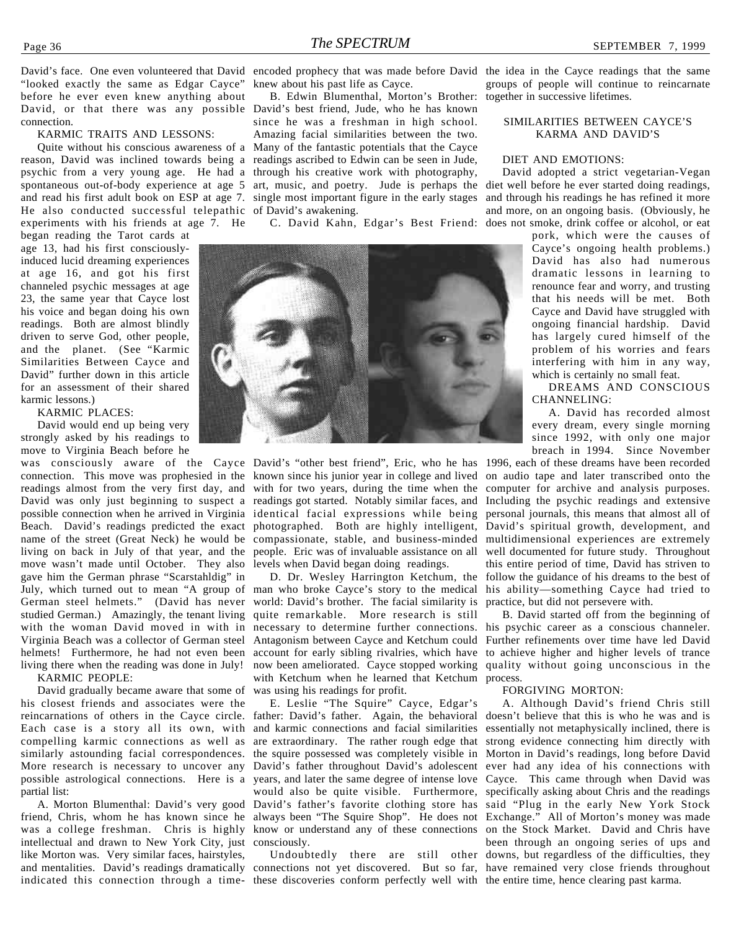"looked exactly the same as Edgar Cayce" before he ever even knew anything about David, or that there was any possible David's best friend, Jude, who he has known connection.

KARMIC TRAITS AND LESSONS:

reason, David was inclined towards being a readings ascribed to Edwin can be seen in Jude, psychic from a very young age. He had a through his creative work with photography, spontaneous out-of-body experience at age 5 art, music, and poetry. Jude is perhaps the and read his first adult book on ESP at age 7. single most important figure in the early stages He also conducted successful telepathic of David's awakening. experiments with his friends at age 7. He

began reading the Tarot cards at age 13, had his first consciouslyinduced lucid dreaming experiences at age 16, and got his first channeled psychic messages at age 23, the same year that Cayce lost his voice and began doing his own readings. Both are almost blindly driven to serve God, other people, and the planet. (See "Karmic Similarities Between Cayce and David" further down in this article for an assessment of their shared karmic lessons.)

#### KARMIC PLACES:

David would end up being very strongly asked by his readings to move to Virginia Beach before he

name of the street (Great Neck) he would be compassionate, stable, and business-minded living on back in July of that year, and the move wasn't made until October. They also levels when David began doing readings. gave him the German phrase "Scarstahldig" in July, which turned out to mean "A group of German steel helmets." (David has never studied German.) Amazingly, the tenant living with the woman David moved in with in Virginia Beach was a collector of German steel helmets! Furthermore, he had not even been living there when the reading was done in July! KARMIC PEOPLE:

David gradually became aware that some of his closest friends and associates were the reincarnations of others in the Cayce circle. Each case is a story all its own, with compelling karmic connections as well as similarly astounding facial correspondences. More research is necessary to uncover any David's father throughout David's adolescent ever had any idea of his connections with possible astrological connections. Here is a years, and later the same degree of intense love Cayce. This came through when David was partial list:

friend, Chris, whom he has known since he always been "The Squire Shop". He does not Exchange." All of Morton's money was made was a college freshman. Chris is highly know or understand any of these connections on the Stock Market. David and Chris have intellectual and drawn to New York City, just consciously. like Morton was. Very similar faces, hairstyles, and mentalities. David's readings dramatically connections not yet discovered. But so far, have remained very close friends throughout indicated this connection through a time- these discoveries conform perfectly well with the entire time, hence clearing past karma.

knew about his past life as Cayce.

Quite without his conscious awareness of a Many of the fantastic potentials that the Cayce B. Edwin Blumenthal, Morton's Brother: since he was a freshman in high school. Amazing facial similarities between the two.

C. David Kahn, Edgar's Best Friend: does not smoke, drink coffee or alcohol, or eat



was consciously aware of the Cayce David's "other best friend", Eric, who he has 1996, each of these dreams have been recorded connection. This move was prophesied in the known since his junior year in college and lived on audio tape and later transcribed onto the readings almost from the very first day, and with for two years, during the time when the computer for archive and analysis purposes. David was only just beginning to suspect a readings got started. Notably similar faces, and Including the psychic readings and extensive possible connection when he arrived in Virginia identical facial expressions while being personal journals, this means that almost all of Beach. David's readings predicted the exact photographed. Both are highly intelligent, David's spiritual growth, development, and people. Eric was of invaluable assistance on all

> D. Dr. Wesley Harrington Ketchum, the man who broke Cayce's story to the medical world: David's brother. The facial similarity is quite remarkable. More research is still necessary to determine further connections. his psychic career as a conscious channeler. Antagonism between Cayce and Ketchum could Further refinements over time have led David account for early sibling rivalries, which have to achieve higher and higher levels of trance now been ameliorated. Cayce stopped working quality without going unconscious in the with Ketchum when he learned that Ketchum process. was using his readings for profit.

A. Morton Blumenthal: David's very good David's father's favorite clothing store has said "Plug in the early New York Stock E. Leslie "The Squire" Cayce, Edgar's father: David's father. Again, the behavioral doesn't believe that this is who he was and is and karmic connections and facial similarities essentially not metaphysically inclined, there is are extraordinary. The rather rough edge that strong evidence connecting him directly with the squire possessed was completely visible in Morton in David's readings, long before David would also be quite visible. Furthermore, specifically asking about Chris and the readings

David's face. One even volunteered that David encoded prophecy that was made before David the idea in the Cayce readings that the same groups of people will continue to reincarnate together in successive lifetimes.

#### SIMILARITIES BETWEEN CAYCE'S KARMA AND DAVID'S

#### DIET AND EMOTIONS:

David adopted a strict vegetarian-Vegan diet well before he ever started doing readings, and through his readings he has refined it more and more, on an ongoing basis. (Obviously, he

> pork, which were the causes of Cayce's ongoing health problems.) David has also had numerous dramatic lessons in learning to renounce fear and worry, and trusting that his needs will be met. Both Cayce and David have struggled with ongoing financial hardship. David has largely cured himself of the problem of his worries and fears interfering with him in any way, which is certainly no small feat.

#### DREAMS AND CONSCIOUS CHANNELING:

A. David has recorded almost every dream, every single morning since 1992, with only one major breach in 1994. Since November

multidimensional experiences are extremely well documented for future study. Throughout this entire period of time, David has striven to follow the guidance of his dreams to the best of his ability—something Cayce had tried to practice, but did not persevere with.

B. David started off from the beginning of

#### FORGIVING MORTON:

Undoubtedly there are still other downs, but regardless of the difficulties, they A. Although David's friend Chris still been through an ongoing series of ups and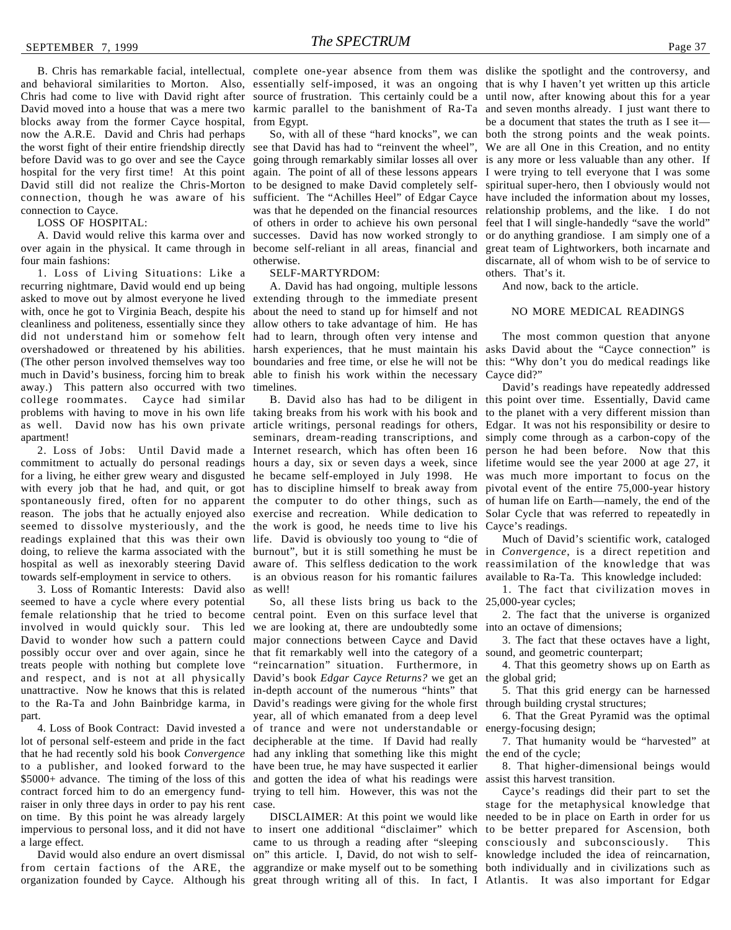and behavioral similarities to Morton. Also, essentially self-imposed, it was an ongoing that is why I haven't yet written up this article Chris had come to live with David right after source of frustration. This certainly could be a until now, after knowing about this for a year David moved into a house that was a mere two karmic parallel to the banishment of Ra-Ta and seven months already. I just want there to blocks away from the former Cayce hospital, from Egypt. now the A.R.E. David and Chris had perhaps the worst fight of their entire friendship directly see that David has had to "reinvent the wheel", before David was to go over and see the Cayce going through remarkably similar losses all over is any more or less valuable than any other. If hospital for the very first time! At this point again. The point of all of these lessons appears I were trying to tell everyone that I was some David still did not realize the Chris-Morton to be designed to make David completely self- spiritual super-hero, then I obviously would not connection, though he was aware of his sufficient. The "Achilles Heel" of Edgar Cayce have included the information about my losses, connection to Cayce.

LOSS OF HOSPITAL:

A. David would relive this karma over and over again in the physical. It came through in four main fashions:

1. Loss of Living Situations: Like a recurring nightmare, David would end up being asked to move out by almost everyone he lived extending through to the immediate present with, once he got to Virginia Beach, despite his about the need to stand up for himself and not cleanliness and politeness, essentially since they did not understand him or somehow felt had to learn, through often very intense and overshadowed or threatened by his abilities. harsh experiences, that he must maintain his asks David about the "Cayce connection" is (The other person involved themselves way too boundaries and free time, or else he will not be this: "Why don't you do medical readings like much in David's business, forcing him to break able to finish his work within the necessary Cayce did?" away.) This pattern also occurred with two timelines. college roommates. Cayce had similar problems with having to move in his own life taking breaks from his work with his book and to the planet with a very different mission than as well. David now has his own private article writings, personal readings for others, Edgar. It was not his responsibility or desire to apartment!

commitment to actually do personal readings hours a day, six or seven days a week, since lifetime would see the year 2000 at age 27, it for a living, he either grew weary and disgusted he became self-employed in July 1998. He was much more important to focus on the with every job that he had, and quit, or got has to discipline himself to break away from pivotal event of the entire 75,000-year history spontaneously fired, often for no apparent the computer to do other things, such as of human life on Earth—namely, the end of the reason. The jobs that he actually enjoyed also exercise and recreation. While dedication to Solar Cycle that was referred to repeatedly in seemed to dissolve mysteriously, and the the work is good, he needs time to live his Cayce's readings. readings explained that this was their own life. David is obviously too young to "die of doing, to relieve the karma associated with the burnout", but it is still something he must be in *Convergence*, is a direct repetition and hospital as well as inexorably steering David towards self-employment in service to others.

3. Loss of Romantic Interests: David also seemed to have a cycle where every potential female relationship that he tried to become central point. Even on this surface level that involved in would quickly sour. This led David to wonder how such a pattern could possibly occur over and over again, since he treats people with nothing but complete love and respect, and is not at all physically unattractive. Now he knows that this is related in-depth account of the numerous "hints" that to the Ra-Ta and John Bainbridge karma, in David's readings were giving for the whole first through building crystal structures; part.

4. Loss of Book Contract: David invested a lot of personal self-esteem and pride in the fact decipherable at the time. If David had really that he had recently sold his book *Convergence* to a publisher, and looked forward to the \$5000+ advance. The timing of the loss of this contract forced him to do an emergency fundraiser in only three days in order to pay his rent on time. By this point he was already largely impervious to personal loss, and it did not have to insert one additional "disclaimer" which to be better prepared for Ascension, both a large effect.

David would also endure an overt dismissal organization founded by Cayce. Although his great through writing all of this. In fact, I Atlantis. It was also important for Edgar

B. Chris has remarkable facial, intellectual, complete one-year absence from them was dislike the spotlight and the controversy, and

become self-reliant in all areas, financial and otherwise.

#### SELF-MARTYRDOM:

A. David has had ongoing, multiple lessons allow others to take advantage of him. He has

is an obvious reason for his romantic failures as well!

So, all these lists bring us back to the 25,000-year cycles; we are looking at, there are undoubtedly some into an octave of dimensions; major connections between Cayce and David that fit remarkably well into the category of a "reincarnation" situation. Furthermore, in David's book *Edgar Cayce Returns?* we get an year, all of which emanated from a deep level of trance and were not understandable or had any inkling that something like this might the end of the cycle; have been true, he may have suspected it earlier and gotten the idea of what his readings were trying to tell him. However, this was not the case.

from certain factions of the ARE, the aggrandize or make myself out to be something both individually and in civilizations such as came to us through a reading after "sleeping consciously and subconsciously. This on" this article. I, David, do not wish to self-knowledge included the idea of reincarnation,

So, with all of these "hard knocks", we can both the strong points and the weak points. was that he depended on the financial resources relationship problems, and the like. I do not of others in order to achieve his own personal feel that I will single-handedly "save the world" successes. David has now worked strongly to or do anything grandiose. I am simply one of a be a document that states the truth as I see it— We are all One in this Creation, and no entity great team of Lightworkers, both incarnate and discarnate, all of whom wish to be of service to others. That's it.

And now, back to the article.

#### NO MORE MEDICAL READINGS

The most common question that anyone

2. Loss of Jobs: Until David made a Internet research, which has often been 16 person he had been before. Now that this B. David also has had to be diligent in this point over time. Essentially, David came seminars, dream-reading transcriptions, and simply come through as a carbon-copy of the David's readings have repeatedly addressed

> aware of. This selfless dedication to the work reassimilation of the knowledge that was Much of David's scientific work, cataloged available to Ra-Ta. This knowledge included:

> > 1. The fact that civilization moves in

2. The fact that the universe is organized

3. The fact that these octaves have a light, sound, and geometric counterpart;

4. That this geometry shows up on Earth as the global grid;

5. That this grid energy can be harnessed

6. That the Great Pyramid was the optimal energy-focusing design;

7. That humanity would be "harvested" at

8. That higher-dimensional beings would assist this harvest transition.

DISCLAIMER: At this point we would like needed to be in place on Earth in order for us Cayce's readings did their part to set the stage for the metaphysical knowledge that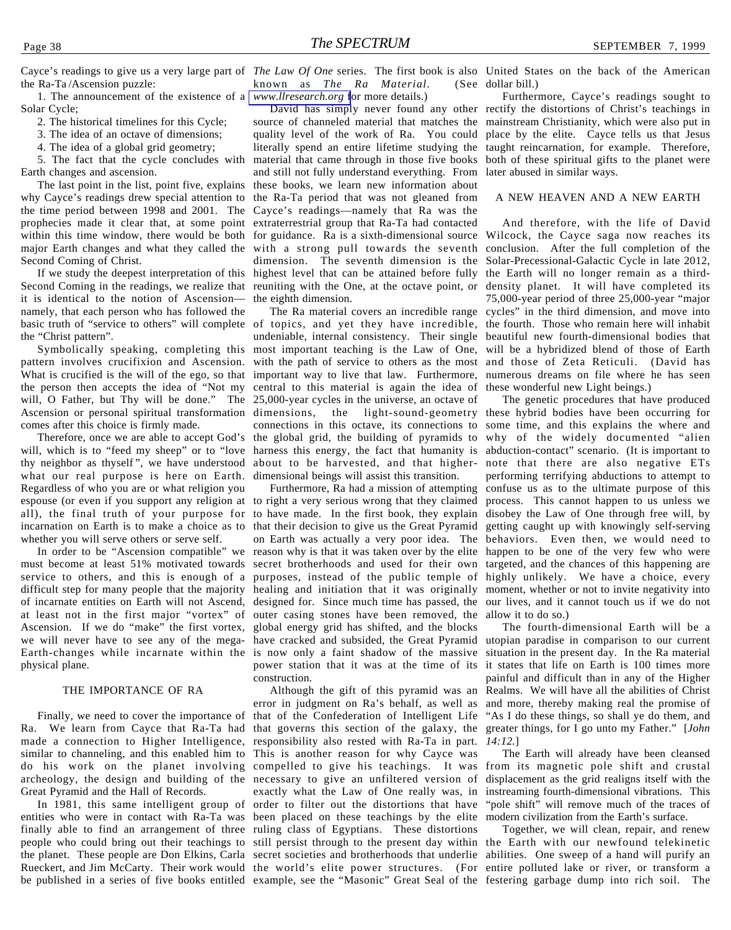the Ra-Ta /Ascension puzzle:

1. The announcement of the existence of a Solar Cycle;

2. The historical timelines for this Cycle;

3. The idea of an octave of dimensions;

4. The idea of a global grid geometry;

5. The fact that the cycle concludes with Earth changes and ascension.

The last point in the list, point five, explains why Cayce's readings drew special attention to the time period between 1998 and 2001. The prophecies made it clear that, at some point within this time window, there would be both for guidance. Ra is a sixth-dimensional source Wilcock, the Cayce saga now reaches its major Earth changes and what they called the Second Coming of Christ.

If we study the deepest interpretation of this Second Coming in the readings, we realize that reuniting with the One, at the octave point, or density planet. It will have completed its it is identical to the notion of Ascension namely, that each person who has followed the the "Christ pattern".

Symbolically speaking, completing this pattern involves crucifixion and Ascension. What is crucified is the will of the ego, so that the person then accepts the idea of "Not my will, O Father, but Thy will be done." The 25,000-year cycles in the universe, an octave of comes after this choice is firmly made.

will, which is to "feed my sheep" or to "love what our real purpose is here on Earth. Regardless of who you are or what religion you espouse (or even if you support any religion at to right a very serious wrong that they claimed all), the final truth of your purpose for to have made. In the first book, they explain incarnation on Earth is to make a choice as to whether you will serve others or serve self.

In order to be "Ascension compatible" we must become at least 51% motivated towards service to others, and this is enough of a difficult step for many people that the majority of incarnate entities on Earth will not Ascend, at least not in the first major "vortex" of Ascension. If we do "make" the first vortex, we will never have to see any of the mega-Earth-changes while incarnate within the is now only a faint shadow of the massive situation in the present day. In the Ra material physical plane.

#### THE IMPORTANCE OF RA

Finally, we need to cover the importance of Ra. We learn from Cayce that Ra-Ta had made a connection to Higher Intelligence, responsibility also rested with Ra-Ta in part. similar to channeling, and this enabled him to This is another reason for why Cayce was do his work on the planet involving compelled to give his teachings. It was archeology, the design and building of the necessary to give an unfiltered version of Great Pyramid and the Hall of Records.

entities who were in contact with Ra-Ta was been placed on these teachings by the elite finally able to find an arrangement of three ruling class of Egyptians. These distortions people who could bring out their teachings to still persist through to the present day within the Earth with our newfound telekinetic the planet. These people are Don Elkins, Carla secret societies and brotherhoods that underlie abilities. One sweep of a hand will purify an Rueckert, and Jim McCarty. Their work would the world's elite power structures. (For entire polluted lake or river, or transform a

known as *The Ra Material*. *[www.llresearch.org](http://www.llresearch.org)* for more details.)

source of channeled material that matches the mainstream Christianity, which were also put in quality level of the work of Ra. You could place by the elite. Cayce tells us that Jesus literally spend an entire lifetime studying the taught reincarnation, for example. Therefore, material that came through in those five books and still not fully understand everything. From these books, we learn new information about the Ra-Ta period that was not gleaned from Cayce's readings—namely that Ra was the extraterrestrial group that Ra-Ta had contacted with a strong pull towards the seventh dimension. The seventh dimension is the highest level that can be attained before fully the Earth will no longer remain as a thirdthe eighth dimension.

basic truth of "service to others" will complete of topics, and yet they have incredible, the fourth. Those who remain here will inhabit Ascension or personal spiritual transformation dimensions, the light-sound-geometry these hybrid bodies have been occurring for Therefore, once we are able to accept God's the global grid, the building of pyramids to why of the widely documented "alien thy neighbor as thyself ", we have understood about to be harvested, and that higher-note that there are also negative ETs undeniable, internal consistency. Their single beautiful new fourth-dimensional bodies that most important teaching is the Law of One, will be a hybridized blend of those of Earth with the path of service to others as the most and those of Zeta Reticuli. (David has important way to live that law. Furthermore, central to this material is again the idea of connections in this octave, its connections to some time, and this explains the where and harness this energy, the fact that humanity is abduction-contact" scenario. (It is important to dimensional beings will assist this transition.

> that their decision to give us the Great Pyramid on Earth was actually a very poor idea. The reason why is that it was taken over by the elite happen to be one of the very few who were secret brotherhoods and used for their own purposes, instead of the public temple of highly unlikely. We have a choice, every healing and initiation that it was originally moment, whether or not to invite negativity into designed for. Since much time has passed, the our lives, and it cannot touch us if we do not outer casing stones have been removed, the allow it to do so.) global energy grid has shifted, and the blocks have cracked and subsided, the Great Pyramid utopian paradise in comparison to our current power station that it was at the time of its it states that life on Earth is 100 times more construction.

In 1981, this same intelligent group of order to filter out the distortions that have be published in a series of five books entitled example, see the "Masonic" Great Seal of the festering garbage dump into rich soil. TheAlthough the gift of this pyramid was an error in judgment on Ra's behalf, as well as and more, thereby making real the promise of that of the Confederation of Intelligent Life that governs this section of the galaxy, the exactly what the Law of One really was, in instreaming fourth-dimensional vibrations. This

Cayce's readings to give us a very large part of *The Law Of One* series. The first book is also United States on the back of the American  $(See$  dollar bill.)

> David has simply never found any other rectify the distortions of Christ's teachings in Furthermore, Cayce's readings sought to both of these spiritual gifts to the planet were later abused in similar ways.

#### A NEW HEAVEN AND A NEW EARTH

The Ra material covers an incredible range cycles" in the third dimension, and move into And therefore, with the life of David conclusion. After the full completion of the Solar-Precessional-Galactic Cycle in late 2012, 75,000-year period of three 25,000-year "major numerous dreams on file where he has seen these wonderful new Light beings.)

Furthermore, Ra had a mission of attempting confuse us as to the ultimate purpose of this The genetic procedures that have produced performing terrifying abductions to attempt to process. This cannot happen to us unless we disobey the Law of One through free will, by getting caught up with knowingly self-serving behaviors. Even then, we would need to targeted, and the chances of this happening are

The fourth-dimensional Earth will be a painful and difficult than in any of the Higher Realms. We will have all the abilities of Christ "As I do these things, so shall ye do them, and greater things, for I go unto my Father." [*John 14:12.*]

The Earth will already have been cleansed from its magnetic pole shift and crustal displacement as the grid realigns itself with the "pole shift" will remove much of the traces of modern civilization from the Earth's surface.

Together, we will clean, repair, and renew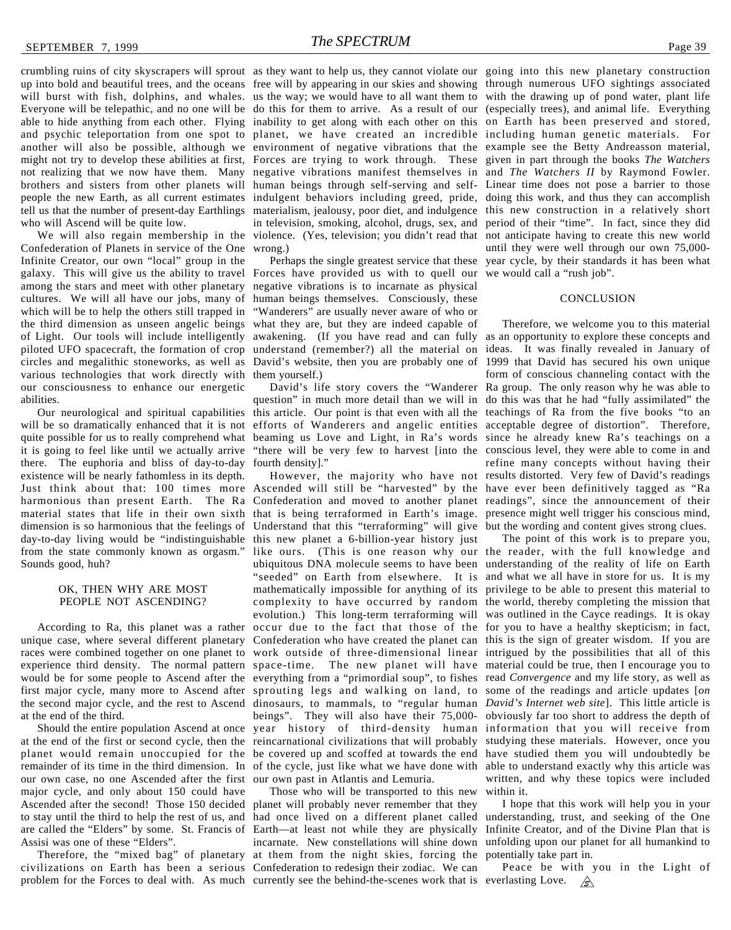up into bold and beautiful trees, and the oceans free will by appearing in our skies and showing through numerous UFO sightings associated will burst with fish, dolphins, and whales. us the way; we would have to all want them to with the drawing up of pond water, plant life Everyone will be telepathic, and no one will be do this for them to arrive. As a result of our (especially trees), and animal life. Everything able to hide anything from each other. Flying inability to get along with each other on this on Earth has been preserved and stored, and psychic teleportation from one spot to planet, we have created an incredible including human genetic materials. For another will also be possible, although we environment of negative vibrations that the example see the Betty Andreasson material, might not try to develop these abilities at first, Forces are trying to work through. These given in part through the books *The Watchers* not realizing that we now have them. Many negative vibrations manifest themselves in and *The Watchers II* by Raymond Fowler. brothers and sisters from other planets will human beings through self-serving and self-Linear time does not pose a barrier to those people the new Earth, as all current estimates indulgent behaviors including greed, pride, doing this work, and thus they can accomplish tell us that the number of present-day Earthlings materialism, jealousy, poor diet, and indulgence this new construction in a relatively short who will Ascend will be quite low.

We will also regain membership in the Confederation of Planets in service of the One Infinite Creator, our own "local" group in the galaxy. This will give us the ability to travel Forces have provided us with to quell our among the stars and meet with other planetary negative vibrations is to incarnate as physical cultures. We will all have our jobs, many of which will be to help the others still trapped in the third dimension as unseen angelic beings what they are, but they are indeed capable of of Light. Our tools will include intelligently awakening. (If you have read and can fully as an opportunity to explore these concepts and piloted UFO spacecraft, the formation of crop understand (remember?) all the material on ideas. It was finally revealed in January of circles and megalithic stoneworks, as well as David's website, then you are probably one of 1999 that David has secured his own unique various technologies that work directly with them yourself.) our consciousness to enhance our energetic abilities.

will be so dramatically enhanced that it is not efforts of Wanderers and angelic entities acceptable degree of distortion". Therefore, quite possible for us to really comprehend what beaming us Love and Light, in Ra's words since he already knew Ra's teachings on a it is going to feel like until we actually arrive there. The euphoria and bliss of day-to-day fourth density]." existence will be nearly fathomless in its depth. dimension is so harmonious that the feelings of day-to-day living would be "indistinguishable from the state commonly known as orgasm." Sounds good, huh?

#### OK, THEN WHY ARE MOST PEOPLE NOT ASCENDING?

According to Ra, this planet was a rather at the end of the third.

at the end of the first or second cycle, then the reincarnational civilizations that will probably our own case, no one Ascended after the first our own past in Atlantis and Lemuria. major cycle, and only about 150 could have Ascended after the second! Those 150 decided planet will probably never remember that they to stay until the third to help the rest of us, and had once lived on a different planet called understanding, trust, and seeking of the One are called the "Elders" by some. St. Francis of Earth—at least not while they are physically Infinite Creator, and of the Divine Plan that is Assisi was one of these "Elders".

civilizations on Earth has been a serious Confederation to redesign their zodiac. We can

wrong.)

Perhaps the single greatest service that these human beings themselves. Consciously, these "Wanderers" are usually never aware of who or

Our neurological and spiritual capabilities this article. Our point is that even with all the teachings of Ra from the five books "to an question" in much more detail than we will in do this was that he had "fully assimilated" the "there will be very few to harvest [into the conscious level, they were able to come in and

Just think about that: 100 times more Ascended will still be "harvested" by the have ever been definitively tagged as "Ra harmonious than present Earth. The Ra Confederation and moved to another planet readings", since the announcement of their material states that life in their own sixth that is being terraformed in Earth's image. presence might well trigger his conscious mind, unique case, where several different planetary Confederation who have created the planet can this is the sign of greater wisdom. If you are races were combined together on one planet to work outside of three-dimensional linear intrigued by the possibilities that all of this experience third density. The normal pattern space-time. The new planet will have material could be true, then I encourage you to would be for some people to Ascend after the everything from a "primordial soup", to fishes read *Convergence* and my life story, as well as first major cycle, many more to Ascend after sprouting legs and walking on land, to some of the readings and article updates [*on* the second major cycle, and the rest to Ascend dinosaurs, to mammals, to "regular human *David's Internet web site*]. This little article is Should the entire population Ascend at once year history of third-density human information that you will receive from planet would remain unoccupied for the be covered up and scoffed at towards the end have studied them you will undoubtedly be remainder of its time in the third dimension. In of the cycle, just like what we have done with able to understand exactly why this article was Understand that this "terraforming" will give this new planet a 6-billion-year history just like ours. (This is one reason why our the reader, with the full knowledge and ubiquitous DNA molecule seems to have been "seeded" on Earth from elsewhere. It is mathematically impossible for anything of its complexity to have occurred by random the world, thereby completing the mission that evolution.) This long-term terraforming will was outlined in the Cayce readings. It is okay occur due to the fact that those of the for you to have a healthy skepticism; in fact, beings". They will also have their 75,000- obviously far too short to address the depth of

Therefore, the "mixed bag" of planetary at them from the night skies, forcing the potentially take part in. problem for the Forces to deal with. As much currently see the behind-the-scenes work that is everlasting Love. Those who will be transported to this new incarnate. New constellations will shine down unfolding upon our planet for all humankind to

crumbling ruins of city skyscrapers will sprout as they want to help us, they cannot violate our going into this new planetary construction in television, smoking, alcohol, drugs, sex, and period of their "time". In fact, since they did violence. (Yes, television; you didn't read that not anticipate having to create this new world until they were well through our own 75,000 year cycle, by their standards it has been what we would call a "rush job".

#### **CONCLUSION**

David's life story covers the "Wanderer Ra group. The only reason why he was able to However, the majority who have not results distorted. Very few of David's readings Therefore, we welcome you to this material form of conscious channeling contact with the refine many concepts without having their but the wording and content gives strong clues.

> The point of this work is to prepare you, understanding of the reality of life on Earth and what we all have in store for us. It is my privilege to be able to present this material to studying these materials. However, once you written, and why these topics were included within it.

> I hope that this work will help you in your

Peace be with you in the Light of  $\mathcal{S}$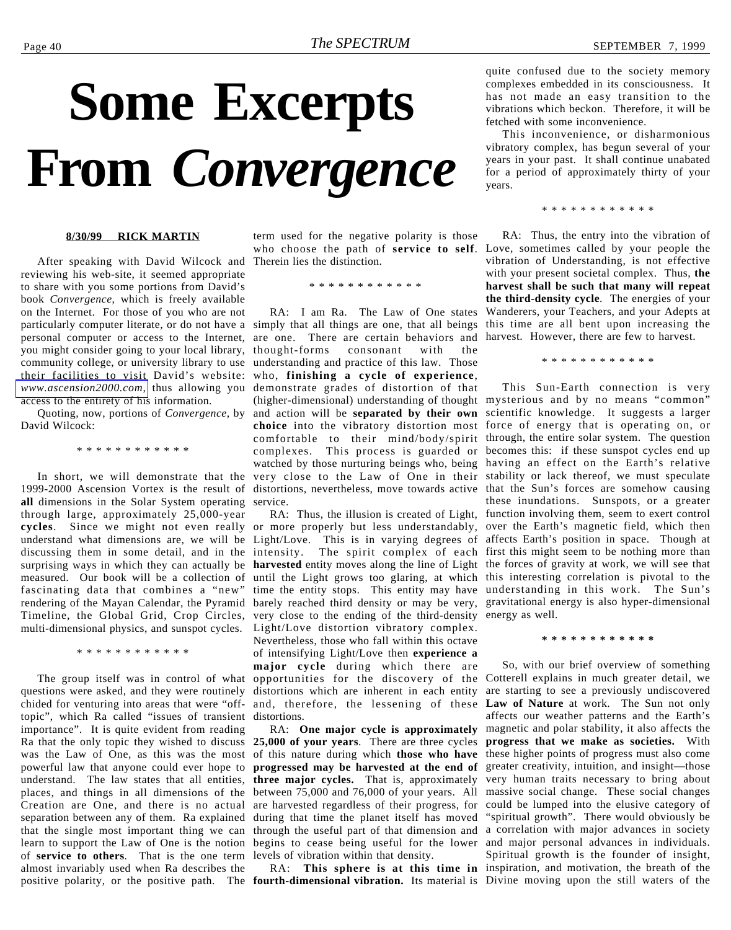## **Some Excerpts From** *Convergence*

#### **8/30/99 RICK MARTIN**

After speaking with David Wilcock and reviewing his web-site, it seemed appropriate to share with you some portions from David's book *Convergence*, which is freely available on the Internet. For those of you who are not you might consider going to your local library, community college, or university library to use their facilities to visit David's website: *[www.ascension2000.com](http://www.ascension2000.com)*, thus allowing you access to the entirety of his information.

Quoting, now, portions of *Convergence*, by David Wilcock:

\* \* \* \* \* \* \* \* \* \* \* \*

In short, we will demonstrate that the 1999-2000 Ascension Vortex is the result of **all** dimensions in the Solar System operating through large, approximately 25,000-year **cycles**. Since we might not even really discussing them in some detail, and in the surprising ways in which they can actually be measured. Our book will be a collection of fascinating data that combines a "new" rendering of the Mayan Calendar, the Pyramid Timeline, the Global Grid, Crop Circles, multi-dimensional physics, and sunspot cycles.

\* \* \* \* \* \* \* \* \* \* \* \*

questions were asked, and they were routinely chided for venturing into areas that were "offtopic", which Ra called "issues of transient importance". It is quite evident from reading Ra that the only topic they wished to discuss was the Law of One, as this was the most powerful law that anyone could ever hope to understand. The law states that all entities, places, and things in all dimensions of the Creation are One, and there is no actual separation between any of them. Ra explained that the single most important thing we can learn to support the Law of One is the notion of **service to others**. That is the one term almost invariably used when Ra describes the

term used for the negative polarity is those Therein lies the distinction.

\* \* \* \* \* \* \* \* \* \* \* \*

particularly computer literate, or do not have a simply that all things are one, that all beings this time are all bent upon increasing the personal computer or access to the Internet, are one. There are certain behaviors and harvest. However, there are few to harvest. RA: I am Ra. The Law of One states thought-forms consonant with the understanding and practice of this law. Those who, **finishing a cycle of experience**, demonstrate grades of distortion of that (higher-dimensional) understanding of thought mysterious and by no means "common" and action will be **separated by their own** scientific knowledge. It suggests a larger **choice** into the vibratory distortion most force of energy that is operating on, or comfortable to their mind/body/spirit through, the entire solar system. The question complexes. This process is guarded or becomes this: if these sunspot cycles end up watched by those nurturing beings who, being having an effect on the Earth's relative very close to the Law of One in their stability or lack thereof, we must speculate distortions, nevertheless, move towards active that the Sun's forces are somehow causing service.

understand what dimensions are, we will be Light/Love. This is in varying degrees of affects Earth's position in space. Though at The group itself was in control of what opportunities for the discovery of the Cotterell explains in much greater detail, we or more properly but less understandably, over the Earth's magnetic field, which then intensity. The spirit complex of each first this might seem to be nothing more than **harvested** entity moves along the line of Light the forces of gravity at work, we will see that until the Light grows too glaring, at which this interesting correlation is pivotal to the time the entity stops. This entity may have understanding in this work. The Sun's barely reached third density or may be very, gravitational energy is also hyper-dimensional very close to the ending of the third-density energy as well. Light/Love distortion vibratory complex. Nevertheless, those who fall within this octave of intensifying Light/Love then **experience a major cycle** during which there are distortions which are inherent in each entity are starting to see a previously undiscovered and, therefore, the lessening of these **Law of Nature** at work. The Sun not only distortions.

> RA: **One major cycle is approximately 25,000 of your years**. There are three cycles of this nature during which **those who have** these higher points of progress must also come **progressed may be harvested at the end of** greater creativity, intuition, and insight—those **three major cycles.** That is, approximately very human traits necessary to bring about between 75,000 and 76,000 of your years. All massive social change. These social changes are harvested regardless of their progress, for could be lumped into the elusive category of during that time the planet itself has moved "spiritual growth". There would obviously be through the useful part of that dimension and a correlation with major advances in society begins to cease being useful for the lower and major personal advances in individuals. levels of vibration within that density.

positive polarity, or the positive path. The **fourth-dimensional vibration.** Its material is Divine moving upon the still waters of the

quite confused due to the society memory complexes embedded in its consciousness. It has not made an easy transition to the vibrations which beckon. Therefore, it will be fetched with some inconvenience.

This inconvenience, or disharmonious vibratory complex, has begun several of your years in your past. It shall continue unabated for a period of approximately thirty of your years.

\* \* \* \* \* \* \* \* \* \* \* \*

who choose the path of **service to self**. Love, sometimes called by your people the RA: Thus, the entry into the vibration of vibration of Understanding, is not effective with your present societal complex. Thus, **the harvest shall be such that many will repeat the third-density cycle**. The energies of your Wanderers, your Teachers, and your Adepts at

\* \* \* \* \* \* \* \* \* \* \* \*

RA: Thus, the illusion is created of Light, function involving them, seem to exert control This Sun-Earth connection is very these inundations. Sunspots, or a greater

**\* \* \* \* \* \* \* \* \* \* \* \***

RA: **This sphere is at this time in** inspiration, and motivation, the breath of the So, with our brief overview of something affects our weather patterns and the Earth's magnetic and polar stability, it also affects the **progress that we make as societies.** With Spiritual growth is the founder of insight,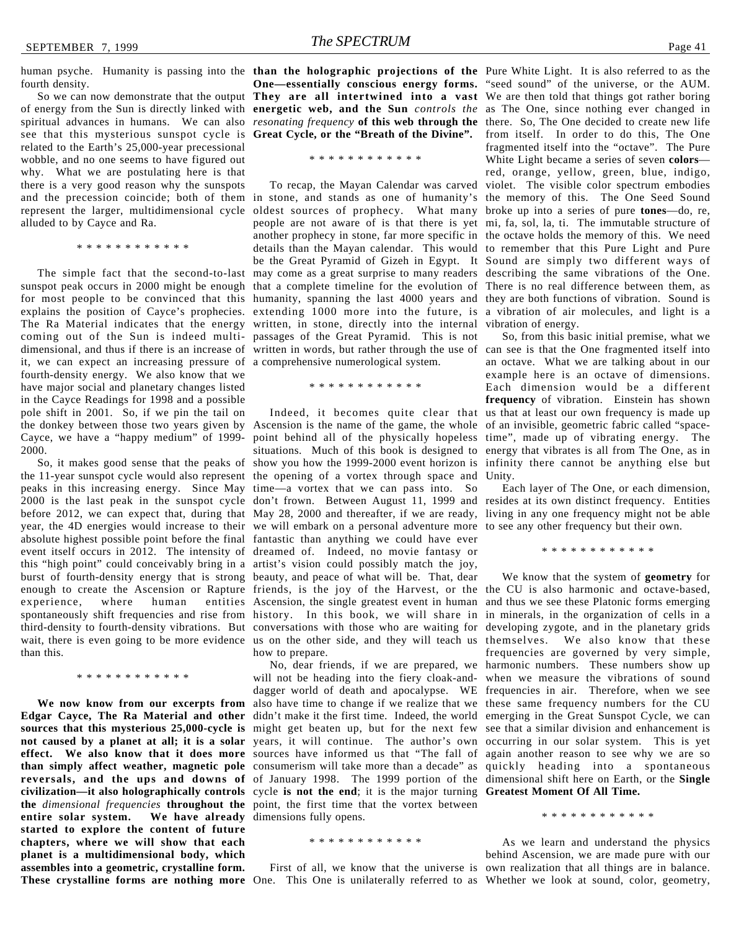fourth density.

of energy from the Sun is directly linked with **energetic web, and the Sun** *controls the* as The One, since nothing ever changed in spiritual advances in humans. We can also *resonating frequency* **of this web through the** there. So, The One decided to create new life see that this mysterious sunspot cycle is Great Cycle, or the "Breath of the Divine". from itself. In order to do this, The One related to the Earth's 25,000-year precessional wobble, and no one seems to have figured out why. What we are postulating here is that there is a very good reason why the sunspots and the precession coincide; both of them in stone, and stands as one of humanity's the memory of this. The One Seed Sound represent the larger, multidimensional cycle oldest sources of prophecy. What many broke up into a series of pure **tones**—do, re, alluded to by Cayce and Ra.

\* \* \* \* \* \* \* \* \* \* \*

sunspot peak occurs in 2000 might be enough that a complete timeline for the evolution of There is no real difference between them, as for most people to be convinced that this humanity, spanning the last 4000 years and they are both functions of vibration. Sound is explains the position of Cayce's prophecies. extending 1000 more into the future, is a vibration of air molecules, and light is a The Ra Material indicates that the energy written, in stone, directly into the internal vibration of energy. coming out of the Sun is indeed multi-passages of the Great Pyramid. This is not dimensional, and thus if there is an increase of written in words, but rather through the use of can see is that the One fragmented itself into it, we can expect an increasing pressure of a comprehensive numerological system. fourth-density energy. We also know that we have major social and planetary changes listed in the Cayce Readings for 1998 and a possible pole shift in 2001. So, if we pin the tail on the donkey between those two years given by Ascension is the name of the game, the whole of an invisible, geometric fabric called "space-Cayce, we have a "happy medium" of 1999- point behind all of the physically hopeless time", made up of vibrating energy. The 2000.

the 11-year sunspot cycle would also represent the opening of a vortex through space and Unity. peaks in this increasing energy. Since May time—a vortex that we can pass into. So 2000 is the last peak in the sunspot cycle don't frown. Between August 11, 1999 and resides at its own distinct frequency. Entities before 2012, we can expect that, during that May 28, 2000 and thereafter, if we are ready, living in any one frequency might not be able year, the 4D energies would increase to their we will embark on a personal adventure more to see any other frequency but their own. absolute highest possible point before the final fantastic than anything we could have ever event itself occurs in 2012. The intensity of dreamed of. Indeed, no movie fantasy or this "high point" could conceivably bring in a artist's vision could possibly match the joy, burst of fourth-density energy that is strong beauty, and peace of what will be. That, dear enough to create the Ascension or Rapture friends, is the joy of the Harvest, or the the CU is also harmonic and octave-based, experience, where human spontaneously shift frequencies and rise from history. In this book, we will share in in minerals, in the organization of cells in a third-density to fourth-density vibrations. But conversations with those who are waiting for developing zygote, and in the planetary grids wait, there is even going to be more evidence us on the other side, and they will teach us themselves. We also know that these than this.

\* \* \* \* \* \* \* \* \* \* \* \*

**Edgar Cayce, The Ra Material and other** didn't make it the first time. Indeed, the world emerging in the Great Sunspot Cycle, we can **sources that this mysterious 25,000-cycle is** might get beaten up, but for the next few see that a similar division and enhancement is **not caused by a planet at all; it is a solar** years, it will continue. The author's own occurring in our solar system. This is yet **effect. We also know that it does more** sources have informed us that "The fall of again another reason to see why we are so **than simply affect weather, magnetic pole** consumerism will take more than a decade" as quickly heading into a spontaneous **reversals, and the ups and downs of** of January 1998. The 1999 portion of the dimensional shift here on Earth, or the **Single** civilization—it also holographically controls cycle is not the end; it is the major turning Greatest Moment Of All Time. **the** *dimensional frequencies* **throughout the** point, the first time that the vortex between **entire solar system. We have already** dimensions fully opens. **started to explore the content of future chapters, where we will show that each planet is a multidimensional body, which assembles into a geometric, crystalline form. These crystalline forms are nothing more** One. This One is unilaterally referred to as Whether we look at sound, color, geometry,

human psyche. Humanity is passing into the **than the holographic projections of the** Pure White Light. It is also referred to as the

\* \* \* \* \* \* \* \* \* \* \* \*

The simple fact that the second-to-last may come as a great surprise to many readers describing the same vibrations of the One. people are not aware of is that there is yet mi, fa, sol, la, ti. The immutable structure of another prophecy in stone, far more specific in the octave holds the memory of this. We need details than the Mayan calendar. This would to remember that this Pure Light and Pure be the Great Pyramid of Gizeh in Egypt. It Sound are simply two different ways of

\* \* \* \* \* \* \* \* \* \* \* \*

entities Ascension, the single greatest event in human how to prepare.

**We now know from our excerpts from** also have time to change if we realize that we these same frequency numbers for the CU will not be heading into the fiery cloak-and-when we measure the vibrations of sound dagger world of death and apocalypse. WE frequencies in air. Therefore, when we see

\* \* \* \* \* \* \* \* \* \* \* \*

So we can now demonstrate that the output **They are all intertwined into a vast** We are then told that things got rather boring **One—essentially conscious energy forms.** "seed sound" of the universe, or the AUM. To recap, the Mayan Calendar was carved violet. The visible color spectrum embodies fragmented itself into the "octave". The Pure White Light became a series of seven **colors** red, orange, yellow, green, blue, indigo,

So, it makes good sense that the peaks of show you how the 1999-2000 event horizon is infinity there cannot be anything else but Indeed, it becomes quite clear that us that at least our own frequency is made up situations. Much of this book is designed to energy that vibrates is all from The One, as in So, from this basic initial premise, what we an octave. What we are talking about in our example here is an octave of dimensions. Each dimension would be a different **frequency** of vibration. Einstein has shown

Each layer of The One, or each dimension,

\* \* \* \* \* \* \* \* \* \* \* \*

No, dear friends, if we are prepared, we harmonic numbers. These numbers show up We know that the system of **geometry** for and thus we see these Platonic forms emerging frequencies are governed by very simple,

#### \* \* \* \* \* \* \* \* \* \* \* \*

First of all, we know that the universe is own realization that all things are in balance. As we learn and understand the physics behind Ascension, we are made pure with our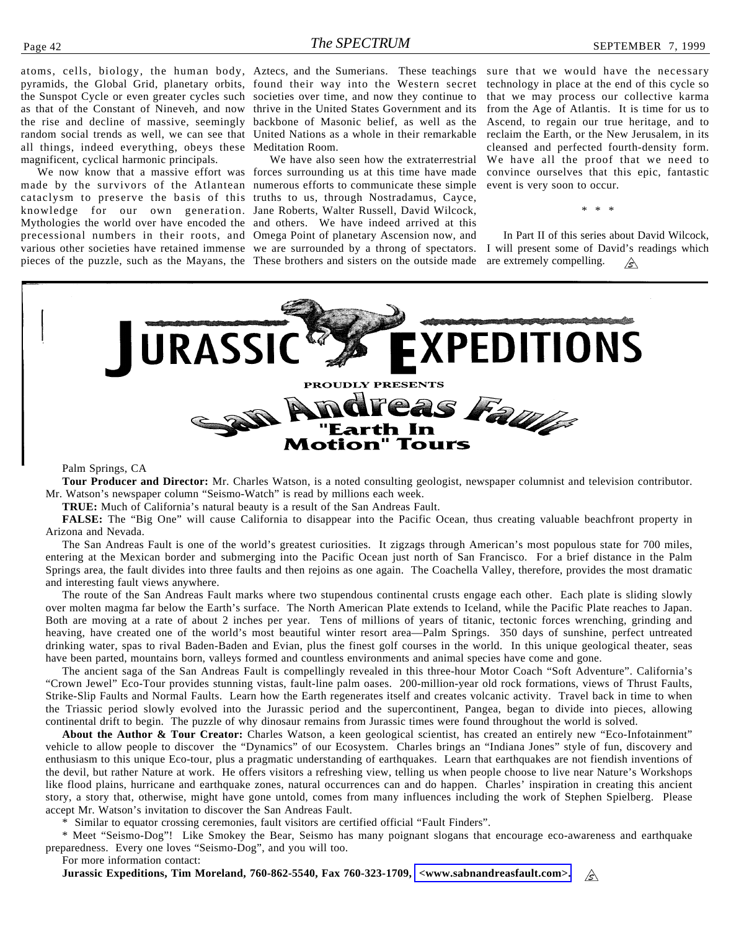pyramids, the Global Grid, planetary orbits, found their way into the Western secret the Sunspot Cycle or even greater cycles such societies over time, and now they continue to as that of the Constant of Nineveh, and now thrive in the United States Government and its the rise and decline of massive, seemingly backbone of Masonic belief, as well as the random social trends as well, we can see that United Nations as a whole in their remarkable all things, indeed everything, obeys these Meditation Room. magnificent, cyclical harmonic principals.

made by the survivors of the Atlantean numerous efforts to communicate these simple cataclysm to preserve the basis of this truths to us, through Nostradamus, Cayce, knowledge for our own generation. Jane Roberts, Walter Russell, David Wilcock, Mythologies the world over have encoded the and others. We have indeed arrived at this precessional numbers in their roots, and Omega Point of planetary Ascension now, and various other societies have retained immense we are surrounded by a throng of spectators. I will present some of David's readings which pieces of the puzzle, such as the Mayans, the These brothers and sisters on the outside made are extremely compelling.

We now know that a massive effort was forces surrounding us at this time have made We have also seen how the extraterrestrial

atoms, cells, biology, the human body, Aztecs, and the Sumerians. These teachings sure that we would have the necessary technology in place at the end of this cycle so that we may process our collective karma from the Age of Atlantis. It is time for us to Ascend, to regain our true heritage, and to reclaim the Earth, or the New Jerusalem, in its cleansed and perfected fourth-density form. We have all the proof that we need to convince ourselves that this epic, fantastic event is very soon to occur.

\* \* \*

In Part II of this series about David Wilcock,  $\mathcal{B}$ 



#### Palm Springs, CA

**Tour Producer and Director:** Mr. Charles Watson, is a noted consulting geologist, newspaper columnist and television contributor. Mr. Watson's newspaper column "Seismo-Watch" is read by millions each week.

**TRUE:** Much of California's natural beauty is a result of the San Andreas Fault.

**FALSE:** The "Big One" will cause California to disappear into the Pacific Ocean, thus creating valuable beachfront property in Arizona and Nevada.

The San Andreas Fault is one of the world's greatest curiosities. It zigzags through American's most populous state for 700 miles, entering at the Mexican border and submerging into the Pacific Ocean just north of San Francisco. For a brief distance in the Palm Springs area, the fault divides into three faults and then rejoins as one again. The Coachella Valley, therefore, provides the most dramatic and interesting fault views anywhere.

The route of the San Andreas Fault marks where two stupendous continental crusts engage each other. Each plate is sliding slowly over molten magma far below the Earth's surface. The North American Plate extends to Iceland, while the Pacific Plate reaches to Japan. Both are moving at a rate of about 2 inches per year. Tens of millions of years of titanic, tectonic forces wrenching, grinding and heaving, have created one of the world's most beautiful winter resort area—Palm Springs. 350 days of sunshine, perfect untreated drinking water, spas to rival Baden-Baden and Evian, plus the finest golf courses in the world. In this unique geological theater, seas have been parted, mountains born, valleys formed and countless environments and animal species have come and gone.

The ancient saga of the San Andreas Fault is compellingly revealed in this three-hour Motor Coach "Soft Adventure". California's "Crown Jewel" Eco-Tour provides stunning vistas, fault-line palm oases. 200-million-year old rock formations, views of Thrust Faults, Strike-Slip Faults and Normal Faults. Learn how the Earth regenerates itself and creates volcanic activity. Travel back in time to when the Triassic period slowly evolved into the Jurassic period and the supercontinent, Pangea, began to divide into pieces, allowing continental drift to begin. The puzzle of why dinosaur remains from Jurassic times were found throughout the world is solved.

**About the Author & Tour Creator:** Charles Watson, a keen geological scientist, has created an entirely new "Eco-Infotainment" vehicle to allow people to discover the "Dynamics" of our Ecosystem. Charles brings an "Indiana Jones" style of fun, discovery and enthusiasm to this unique Eco-tour, plus a pragmatic understanding of earthquakes. Learn that earthquakes are not fiendish inventions of the devil, but rather Nature at work. He offers visitors a refreshing view, telling us when people choose to live near Nature's Workshops like flood plains, hurricane and earthquake zones, natural occurrences can and do happen. Charles' inspiration in creating this ancient story, a story that, otherwise, might have gone untold, comes from many influences including the work of Stephen Spielberg. Please accept Mr. Watson's invitation to discover the San Andreas Fault.

\* Similar to equator crossing ceremonies, fault visitors are certified official "Fault Finders".

\* Meet "Seismo-Dog"! Like Smokey the Bear, Seismo has many poignant slogans that encourage eco-awareness and earthquake preparedness. Every one loves "Seismo-Dog", and you will too.

For more information contact:

**Jurassic Expeditions, Tim Moreland, 760-862-5540, Fax 760-323-1709, [<www.sabnandreasfault.com>.](http://www.sabnandreasfault.com)**  $\mathscr{L}$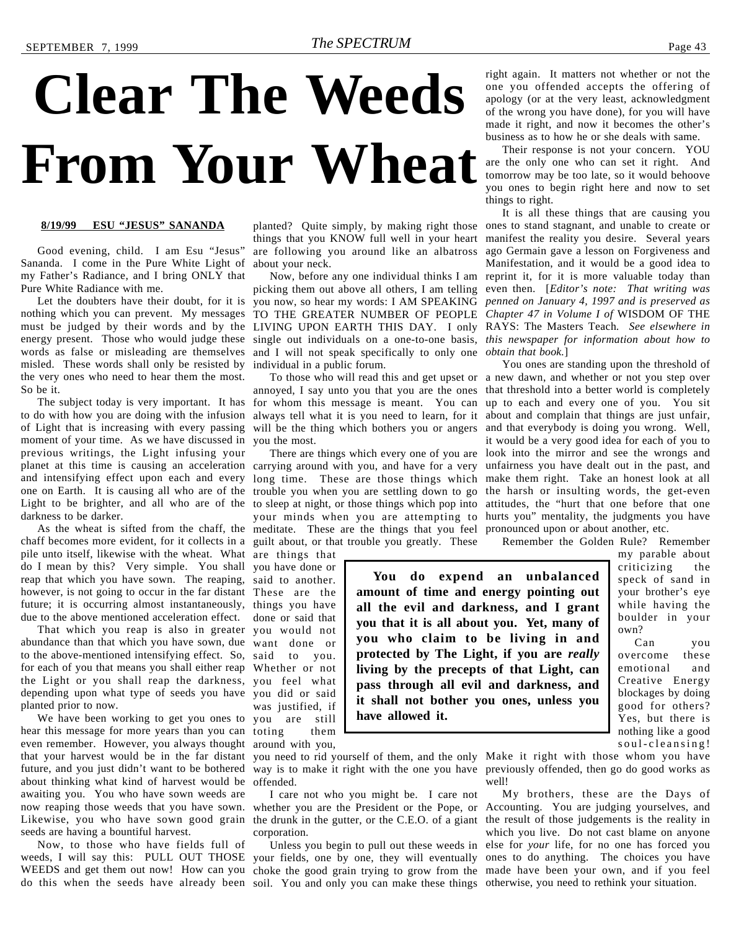# **Clear The Weeds From Your Wheat**

#### **8/19/99 ESU "JESUS" SANANDA**

Good evening, child. I am Esu "Jesus" Sananda. I come in the Pure White Light of my Father's Radiance, and I bring ONLY that Pure White Radiance with me.

Let the doubters have their doubt, for it is nothing which you can prevent. My messages must be judged by their words and by the LIVING UPON EARTH THIS DAY. I only RAYS: The Masters Teach*. See elsewhere in* energy present. Those who would judge these single out individuals on a one-to-one basis, this newspaper for information about how to words as false or misleading are themselves misled. These words shall only be resisted by individual in a public forum. the very ones who need to hear them the most. So be it.

The subject today is very important. It has to do with how you are doing with the infusion of Light that is increasing with every passing moment of your time. As we have discussed in previous writings, the Light infusing your planet at this time is causing an acceleration and intensifying effect upon each and every one on Earth. It is causing all who are of the Light to be brighter, and all who are of the to sleep at night, or those things which pop into attitudes, the "hurt that one before that one darkness to be darker.

chaff becomes more evident, for it collects in a guilt about, or that trouble you greatly. These pile unto itself, likewise with the wheat. What are things that do I mean by this? Very simple. You shall you have done or reap that which you have sown. The reaping, said to another. however, is not going to occur in the far distant These are the future; it is occurring almost instantaneously, things you have due to the above mentioned acceleration effect. done or said that

That which you reap is also in greater you would not abundance than that which you have sown, due want done or to the above-mentioned intensifying effect. So, said to you. for each of you that means you shall either reap Whether or not the Light or you shall reap the darkness, you feel what depending upon what type of seeds you have you did or said planted prior to now.

We have been working to get you ones to you are still hear this message for more years than you can toting them even remember. However, you always thought around with you, future, and you just didn't want to be bothered way is to make it right with the one you have about thinking what kind of harvest would be awaiting you. You who have sown weeds are now reaping those weeds that you have sown. whether you are the President or the Pope, or Accounting. You are judging yourselves, and Likewise, you who have sown good grain the drunk in the gutter, or the C.E.O. of a giant the result of those judgements is the reality in seeds are having a bountiful harvest.

Now, to those who have fields full of weeds, I will say this: PULL OUT THOSE your fields, one by one, they will eventually ones to do anything. The choices you have WEEDS and get them out now! How can you choke the good grain trying to grow from the made have been your own, and if you feel

things that you KNOW full well in your heart are following you around like an albatross about your neck.

and I will not speak specifically to only one *obtain that book.*]

annoyed, I say unto you that you are the ones for whom this message is meant. You can always tell what it is you need to learn, for it about and complain that things are just unfair, will be the thing which bothers you or angers you the most.

As the wheat is sifted from the chaff, the meditate. These are the things that you feel carrying around with you, and have for a very long time. These are those things which make them right. Take an honest look at all trouble you when you are settling down to go the harsh or insulting words, the get-even your minds when you are attempting to hurts you" mentality, the judgments you have

was justified, if

**You do expend an unbalanced amount of time and energy pointing out all the evil and darkness, and I grant you that it is all about you. Yet, many of you who claim to be living in and protected by The Light, if you are** *really* **living by the precepts of that Light, can pass through all evil and darkness, and it shall not bother you ones, unless you have allowed it.**

right again. It matters not whether or not the one you offended accepts the offering of apology (or at the very least, acknowledgment of the wrong you have done), for you will have made it right, and now it becomes the other's business as to how he or she deals with same.

Their response is not your concern. YOU are the only one who can set it right. And tomorrow may be too late, so it would behoove you ones to begin right here and now to set things to right.

planted? Quite simply, by making right those ones to stand stagnant, and unable to create or Now, before any one individual thinks I am reprint it, for it is more valuable today than picking them out above all others, I am telling even then. [*Editor's note: That writing was* you now, so hear my words: I AM SPEAKING *penned on January 4, 1997 and is preserved as* TO THE GREATER NUMBER OF PEOPLE *Chapter 47 in Volume I of* WISDOM OF THE It is all these things that are causing you manifest the reality you desire. Several years ago Germain gave a lesson on Forgiveness and Manifestation, and it would be a good idea to

To those who will read this and get upset or a new dawn, and whether or not you step over There are things which every one of you are look into the mirror and see the wrongs and You ones are standing upon the threshold of that threshold into a better world is completely up to each and every one of you. You sit and that everybody is doing you wrong. Well, it would be a very good idea for each of you to unfairness you have dealt out in the past, and pronounced upon or about another, etc.

Remember the Golden Rule? Remember

my parable about criticizing the speck of sand in your brother's eye while having the boulder in your own?

Can you overcome these emotional and Creative Energy blockages by doing good for others? Yes, but there is nothing like a good soul-cleansing!

offended.

I care not who you might be. I care not corporation.

do this when the seeds have already been soil. You and only you can make these things otherwise, you need to rethink your situation.

that your harvest would be in the far distant you need to rid yourself of them, and the only Make it right with those whom you have previously offended, then go do good works as well!

> Unless you begin to pull out these weeds in else for *your* life, for no one has forced you My brothers, these are the Days of which you live. Do not cast blame on anyone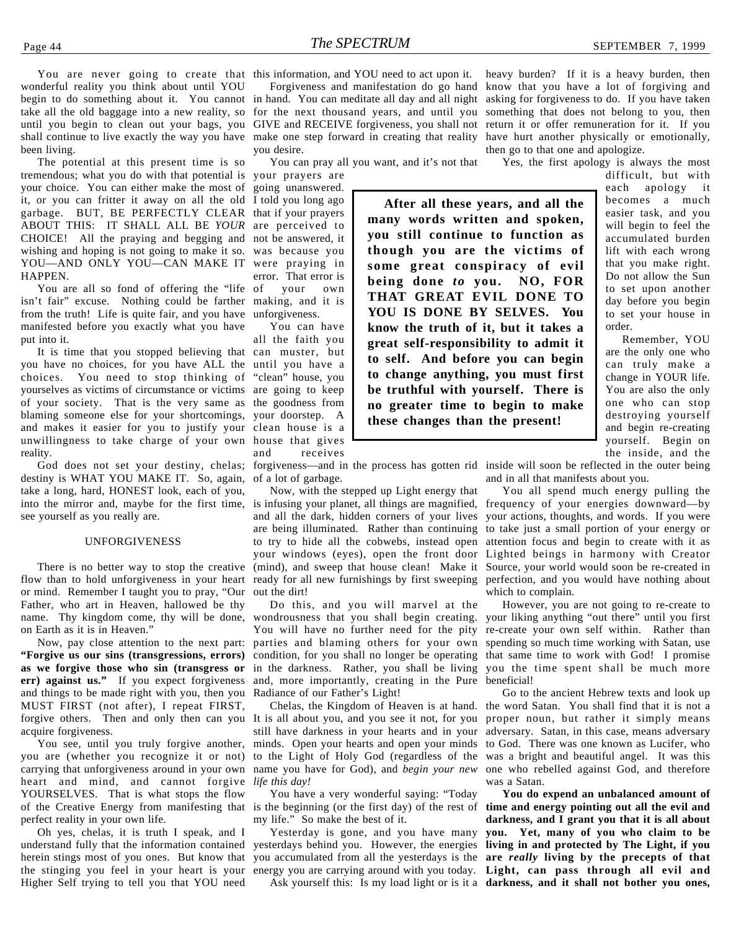wonderful reality you think about until YOU begin to do something about it. You cannot in hand. You can meditate all day and all night asking for forgiveness to do. If you have taken take all the old baggage into a new reality, so for the next thousand years, and until you something that does not belong to you, then until you begin to clean out your bags, you GIVE and RECEIVE forgiveness, you shall not return it or offer remuneration for it. If you shall continue to live exactly the way you have been living.

The potential at this present time is so tremendous; what you do with that potential is your prayers are your choice. You can either make the most of going unanswered. it, or you can fritter it away on all the old I told you long ago garbage. BUT, BE PERFECTLY CLEAR that if your prayers ABOUT THIS: IT SHALL ALL BE *YOUR* are perceived to CHOICE! All the praying and begging and not be answered, it wishing and hoping is not going to make it so. was because you YOU—AND ONLY YOU—CAN MAKE IT were praying in HAPPEN.

You are all so fond of offering the "life of isn't fair" excuse. Nothing could be farther making, and it is from the truth! Life is quite fair, and you have unforgiveness. manifested before you exactly what you have put into it.

It is time that you stopped believing that can muster, but you have no choices, for you have ALL the choices. You need to stop thinking of yourselves as victims of circumstance or victims are going to keep of your society. That is the very same as the goodness from blaming someone else for your shortcomings, and makes it easier for you to justify your unwillingness to take charge of your own house that gives reality.

destiny is WHAT YOU MAKE IT. So, again, take a long, hard, HONEST look, each of you, see yourself as you really are.

#### UNFORGIVENESS

There is no better way to stop the creative flow than to hold unforgiveness in your heart or mind. Remember I taught you to pray, "Our Father, who art in Heaven, hallowed be thy name. Thy kingdom come, thy will be done, on Earth as it is in Heaven."

Now, pay close attention to the next part: **"Forgive us our sins (transgressions, errors) as we forgive those who sin (transgress or err) against us."** If you expect forgiveness and things to be made right with you, then you MUST FIRST (not after), I repeat FIRST, forgive others. Then and only then can you It is all about you, and you see it not, for you acquire forgiveness.

You see, until you truly forgive another, you are (whether you recognize it or not) carrying that unforgiveness around in your own heart and mind, and cannot forgive YOURSELVES. That is what stops the flow of the Creative Energy from manifesting that is the beginning (or the first day) of the rest of **time and energy pointing out all the evil and** perfect reality in your own life.

Oh yes, chelas, it is truth I speak, and I understand fully that the information contained yesterdays behind you. However, the energies living in and protected by The Light, if you herein stings most of you ones. But know that you accumulated from all the yesterdays is the **are** *really* **living by the precepts of that** the stinging you feel in your heart is your energy you are carrying around with you today. **Light, can pass through all evil and** Higher Self trying to tell you that YOU need

make one step forward in creating that reality have hurt another physically or emotionally, you desire.

You can pray all you want, and it's not that

error. That error is your own

You can have all the faith you until you have a "clean" house, you your doorstep. A clean house is a and receives

**After all these years, and all the many words written and spoken, you still continue to function as though you are the victims of some great conspiracy of evil being done** *to* **you. NO, FOR THAT GREAT EVIL DONE TO YOU IS DONE BY SELVES. You know the truth of it, but it takes a great self-responsibility to admit it to self. And before you can begin to change anything, you must first be truthful with yourself. There is no greater time to begin to make these changes than the present!**

You are never going to create that this information, and YOU need to act upon it. heavy burden? If it is a heavy burden, then Forgiveness and manifestation do go hand know that you have a lot of forgiving and then go to that one and apologize.

Yes, the first apology is always the most

difficult, but with each apology it becomes a much easier task, and you will begin to feel the accumulated burden lift with each wrong that you make right. Do not allow the Sun to set upon another day before you begin to set your house in order.

Remember, YOU are the only one who can truly make a change in YOUR life. You are also the only one who can stop destroying yourself and begin re-creating yourself. Begin on the inside, and the

of a lot of garbage.

Now, with the stepped up Light energy that to try to hide all the cobwebs, instead open out the dirt!

Do this, and you will marvel at the wondrousness that you shall begin creating. your liking anything "out there" until you first You will have no further need for the pity re-create your own self within. Rather than parties and blaming others for your own spending so much time working with Satan, use condition, for you shall no longer be operating that same time to work with God! I promise in the darkness. Rather, you shall be living you the time spent shall be much more and, more importantly, creating in the Pure Radiance of our Father's Light!

Chelas, the Kingdom of Heaven is at hand. still have darkness in your hearts and in your minds. Open your hearts and open your minds to the Light of Holy God (regardless of the name you have for God), and *begin your new life this day!*

You have a very wonderful saying: "Today my life." So make the best of it.

God does not set your destiny, chelas; forgiveness—and in the process has gotten rid inside will soon be reflected in the outer being and in all that manifests about you.

into the mirror and, maybe for the first time, is infusing your planet, all things are magnified, frequency of your energies downward—by and all the dark, hidden corners of your lives your actions, thoughts, and words. If you were are being illuminated. Rather than continuing to take just a small portion of your energy or your windows (eyes), open the front door Lighted beings in harmony with Creator (mind), and sweep that house clean! Make it Source, your world would soon be re-created in ready for all new furnishings by first sweeping perfection, and you would have nothing about You all spend much energy pulling the attention focus and begin to create with it as which to complain.

> However, you are not going to re-create to beneficial!

> Go to the ancient Hebrew texts and look up the word Satan. You shall find that it is not a proper noun, but rather it simply means adversary. Satan, in this case, means adversary to God. There was one known as Lucifer, who was a bright and beautiful angel. It was this one who rebelled against God, and therefore was a Satan.

Yesterday is gone, and you have many **you. Yet, many of you who claim to be** Ask yourself this: Is my load light or is it a **darkness, and it shall not bother you ones, You do expend an unbalanced amount of darkness, and I grant you that it is all about**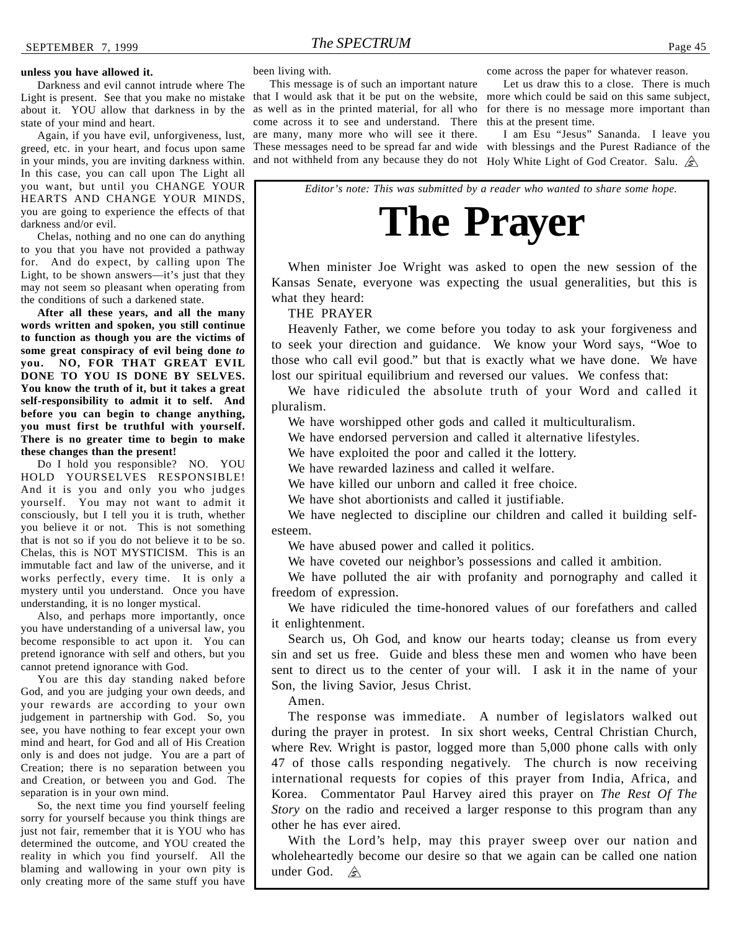#### **unless you have allowed it.**

Darkness and evil cannot intrude where The Light is present. See that you make no mistake about it. YOU allow that darkness in by the state of your mind and heart.

Again, if you have evil, unforgiveness, lust, greed, etc. in your heart, and focus upon same in your minds, you are inviting darkness within. In this case, you can call upon The Light all you want, but until you CHANGE YOUR HEARTS AND CHANGE YOUR MINDS, you are going to experience the effects of that darkness and/or evil.

Chelas, nothing and no one can do anything to you that you have not provided a pathway for. And do expect, by calling upon The Light, to be shown answers—it's just that they may not seem so pleasant when operating from the conditions of such a darkened state.

**After all these years, and all the many words written and spoken, you still continue to function as though you are the victims of some great conspiracy of evil being done** *to* **you. NO, FOR THAT GREAT EVIL DONE TO YOU IS DONE BY SELVES. You know the truth of it, but it takes a great self-responsibility to admit it to self. And before you can begin to change anything, you must first be truthful with yourself. There is no greater time to begin to make these changes than the present!**

Do I hold you responsible? NO. YOU HOLD YOURSELVES RESPONSIBLE! And it is you and only you who judges yourself. You may not want to admit it consciously, but I tell you it is truth, whether you believe it or not. This is not something that is not so if you do not believe it to be so. Chelas, this is NOT MYSTICISM. This is an immutable fact and law of the universe, and it works perfectly, every time. It is only a mystery until you understand. Once you have understanding, it is no longer mystical.

Also, and perhaps more importantly, once you have understanding of a universal law, you become responsible to act upon it. You can pretend ignorance with self and others, but you cannot pretend ignorance with God.

You are this day standing naked before God, and you are judging your own deeds, and your rewards are according to your own judgement in partnership with God. So, you see, you have nothing to fear except your own mind and heart, for God and all of His Creation only is and does not judge. You are a part of Creation; there is no separation between you and Creation, or between you and God. The separation is in your own mind.

So, the next time you find yourself feeling sorry for yourself because you think things are just not fair, remember that it is YOU who has determined the outcome, and YOU created the reality in which you find yourself. All the blaming and wallowing in your own pity is only creating more of the same stuff you have

been living with.

This message is of such an important nature that I would ask that it be put on the website, as well as in the printed material, for all who come across it to see and understand. There are many, many more who will see it there. These messages need to be spread far and wide and not withheld from any because they do not

come across the paper for whatever reason.

Let us draw this to a close. There is much more which could be said on this same subject, for there is no message more important than this at the present time.

I am Esu "Jesus" Sananda. I leave you with blessings and the Purest Radiance of the Holy White Light of God Creator. Salu.  $\hat{\mathcal{S}}$ 

**The Prayer** *Editor's note: This was submitted by a reader who wanted to share some hope.*

When minister Joe Wright was asked to open the new session of the Kansas Senate, everyone was expecting the usual generalities, but this is what they heard:

#### THE PRAYER

Heavenly Father, we come before you today to ask your forgiveness and to seek your direction and guidance. We know your Word says, "Woe to those who call evil good." but that is exactly what we have done. We have lost our spiritual equilibrium and reversed our values. We confess that:

We have ridiculed the absolute truth of your Word and called it pluralism.

We have worshipped other gods and called it multiculturalism.

We have endorsed perversion and called it alternative lifestyles.

We have exploited the poor and called it the lottery.

We have rewarded laziness and called it welfare.

We have killed our unborn and called it free choice.

We have shot abortionists and called it justifiable.

We have neglected to discipline our children and called it building selfesteem.

We have abused power and called it politics.

We have coveted our neighbor's possessions and called it ambition.

We have polluted the air with profanity and pornography and called it freedom of expression.

We have ridiculed the time-honored values of our forefathers and called it enlightenment.

Search us, Oh God, and know our hearts today; cleanse us from every sin and set us free. Guide and bless these men and women who have been sent to direct us to the center of your will. I ask it in the name of your Son, the living Savior, Jesus Christ.

Amen.

The response was immediate. A number of legislators walked out during the prayer in protest. In six short weeks, Central Christian Church, where Rev. Wright is pastor, logged more than 5,000 phone calls with only 47 of those calls responding negatively. The church is now receiving international requests for copies of this prayer from India, Africa, and Korea. Commentator Paul Harvey aired this prayer on *The Rest Of The Story* on the radio and received a larger response to this program than any other he has ever aired.

With the Lord's help, may this prayer sweep over our nation and wholeheartedly become our desire so that we again can be called one nation under God.  $\mathcal{A}$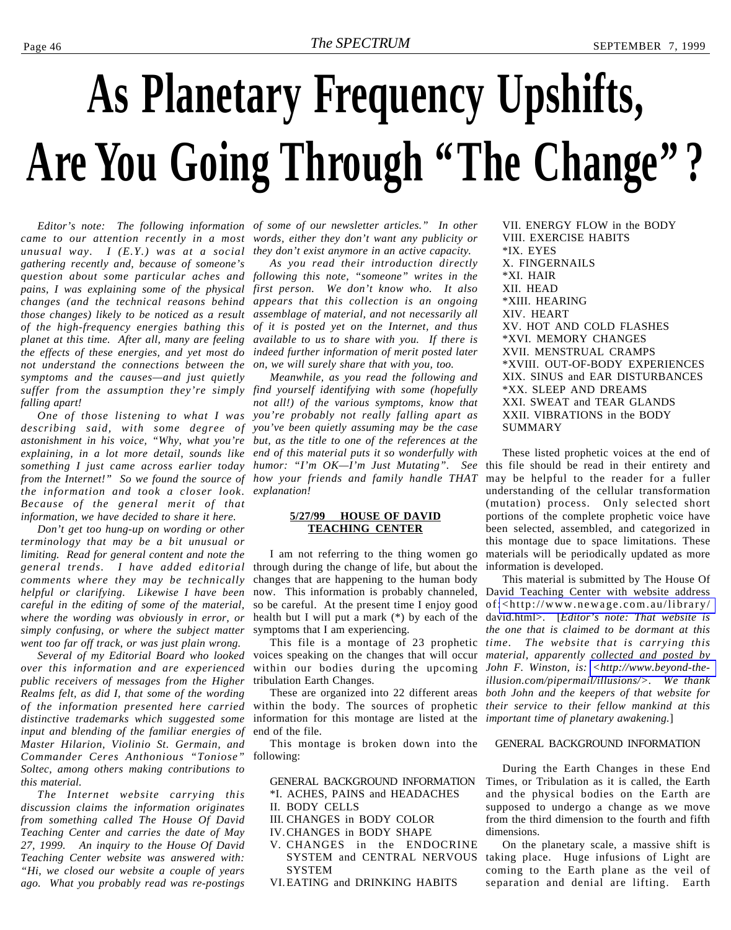## **As Planetary Frequency Upshifts, Are You Going Through "The Change" ?**

*came to our attention recently in a most unusual way. I (E.Y.) was at a social they don't exist anymore in an active capacity. gathering recently and, because of someone's question about some particular aches and following this note, "someone" writes in the pains, I was explaining some of the physical first person. We don't know who. It also changes (and the technical reasons behind appears that this collection is an ongoing those changes) likely to be noticed as a result of the high-frequency energies bathing this planet at this time. After all, many are feeling the effects of these energies, and yet most do not understand the connections between the symptoms and the causes—and just quietly suffer from the assumption they're simply find yourself identifying with some (hopefully falling apart!*

*describing said, with some degree of astonishment in his voice, "Why, what you're explaining, in a lot more detail, sounds like something I just came across earlier today from the Internet!" So we found the source of the information and took a closer look. explanation! Because of the general merit of that information, we have decided to share it here.*

*Don't get too hung-up on wording or other terminology that may be a bit unusual or limiting. Read for general content and note the general trends. I have added editorial comments where they may be technically helpful or clarifying. Likewise I have been careful in the editing of some of the material, where the wording was obviously in error, or simply confusing, or where the subject matter went too far off track, or was just plain wrong.*

*Several of my Editorial Board who looked over this information and are experienced public receivers of messages from the Higher Realms felt, as did I, that some of the wording of the information presented here carried distinctive trademarks which suggested some input and blending of the familiar energies of Master Hilarion, Violinio St. Germain, and Commander Ceres Anthonious "Toniose" Soltec, among others making contributions to this material.*

*The Internet website carrying this discussion claims the information originates from something called The House Of David Teaching Center and carries the date of May 27, 1999. An inquiry to the House Of David Teaching Center website was answered with: "Hi, we closed our website a couple of years ago. What you probably read was re-postings*

*Editor's note: The following information of some of our newsletter articles." In other words, either they don't want any publicity or*

> *As you read their introduction directly assemblage of material, and not necessarily all of it is posted yet on the Internet, and thus available to us to share with you. If there is indeed further information of merit posted later on, we will surely share that with you, too.*

*One of those listening to what I was you're probably not really falling apart as Meanwhile, as you read the following and not all!) of the various symptoms, know that you've been quietly assuming may be the case but, as the title to one of the references at the end of this material puts it so wonderfully with humor: "I'm OK—I'm Just Mutating". See how your friends and family handle THAT*

#### **5/27/99 HOUSE OF DAVID TEACHING CENTER**

I am not referring to the thing women go through during the change of life, but about the changes that are happening to the human body now. This information is probably channeled, so be careful. At the present time I enjoy good of[:<http://www.newage.com.au/library/](http://www.newage.com.au/library/david.html) health but I will put a mark (\*) by each of the david.html>. [*Editor's note: That website is* symptoms that I am experiencing.

voices speaking on the changes that will occur *material, apparently collected and posted by* within our bodies during the upcoming tribulation Earth Changes.

information for this montage are listed at the *important time of planetary awakening.*] end of the file.

This montage is broken down into the following:

GENERAL BACKGROUND INFORMATION \*I. ACHES, PAINS and HEADACHES

- II. BODY CELLS
- III. CHANGES in BODY COLOR
- IV.CHANGES in BODY SHAPE
- V. CHANGES in the ENDOCRINE SYSTEM
- VI.EATING and DRINKING HABITS

VII. ENERGY FLOW in the BODY VIII. EXERCISE HABITS \*IX. EYES X. FINGERNAILS \*XI. HAIR XII. HEAD \*XIII. HEARING XIV. HEART XV. HOT AND COLD FLASHES \*XVI. MEMORY CHANGES XVII. MENSTRUAL CRAMPS \*XVIII. OUT-OF-BODY EXPERIENCES XIX. SINUS and EAR DISTURBANCES \*XX. SLEEP AND DREAMS XXI. SWEAT and TEAR GLANDS XXII. VIBRATIONS in the BODY SUMMARY

These listed prophetic voices at the end of this file should be read in their entirety and may be helpful to the reader for a fuller understanding of the cellular transformation (mutation) process. Only selected short portions of the complete prophetic voice have been selected, assembled, and categorized in this montage due to space limitations. These materials will be periodically updated as more information is developed.

This file is a montage of 23 prophetic *time. The website that is carrying this* These are organized into 22 different areas *both John and the keepers of that website for* within the body. The sources of prophetic *their service to their fellow mankind at this* This material is submitted by The House Of David Teaching Center with website address *the one that is claimed to be dormant at this John F. Winston, is: [<http://www.beyond-the](http://www.beyond-the-illusion.com/pipermail/illusions/)illusion.com/pipermail/illusions/>. We thank*

#### GENERAL BACKGROUND INFORMATION

During the Earth Changes in these End Times, or Tribulation as it is called, the Earth and the physical bodies on the Earth are supposed to undergo a change as we move from the third dimension to the fourth and fifth dimensions.

SYSTEM and CENTRAL NERVOUS taking place. Huge infusions of Light are On the planetary scale, a massive shift is coming to the Earth plane as the veil of separation and denial are lifting. Earth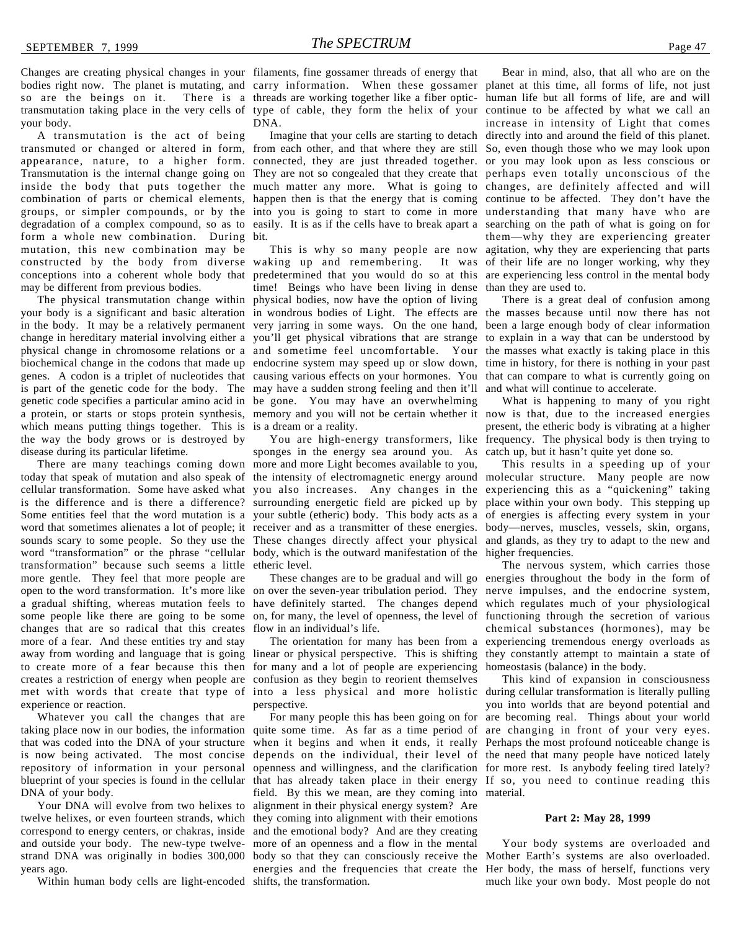Changes are creating physical changes in your filaments, fine gossamer threads of energy that bodies right now. The planet is mutating, and carry information. When these gossamer planet at this time, all forms of life, not just so are the beings on it. There is a threads are working together like a fiber optic-human life but all forms of life, are and will transmutation taking place in the very cells of type of cable, they form the helix of your continue to be affected by what we call an your body.

A transmutation is the act of being transmuted or changed or altered in form, from each other, and that where they are still So, even though those who we may look upon appearance, nature, to a higher form. connected, they are just threaded together. or you may look upon as less conscious or Transmutation is the internal change going on They are not so congealed that they create that perhaps even totally unconscious of the inside the body that puts together the much matter any more. What is going to changes, are definitely affected and will combination of parts or chemical elements, happen then is that the energy that is coming continue to be affected. They don't have the groups, or simpler compounds, or by the into you is going to start to come in more understanding that many have who are degradation of a complex compound, so as to easily. It is as if the cells have to break apart a searching on the path of what is going on for form a whole new combination. During bit. mutation, this new combination may be constructed by the body from diverse waking up and remembering. It was of their life are no longer working, why they conceptions into a coherent whole body that predetermined that you would do so at this are experiencing less control in the mental body may be different from previous bodies.

your body is a significant and basic alteration in wondrous bodies of Light. The effects are the masses because until now there has not in the body. It may be a relatively permanent very jarring in some ways. On the one hand, been a large enough body of clear information change in hereditary material involving either a you'll get physical vibrations that are strange to explain in a way that can be understood by physical change in chromosome relations or a and sometime feel uncomfortable. Your the masses what exactly is taking place in this biochemical change in the codons that made up endocrine system may speed up or slow down, time in history, for there is nothing in your past genes. A codon is a triplet of nucleotides that causing various effects on your hormones. You that can compare to what is currently going on is part of the genetic code for the body. The may have a sudden strong feeling and then it'll and what will continue to accelerate. genetic code specifies a particular amino acid in be gone. You may have an overwhelming a protein, or starts or stops protein synthesis, memory and you will not be certain whether it now is that, due to the increased energies which means putting things together. This is is a dream or a reality. the way the body grows or is destroyed by disease during its particular lifetime.

today that speak of mutation and also speak of cellular transformation. Some have asked what you also increases. Any changes in the is the difference and is there a difference? Some entities feel that the word mutation is a word that sometimes alienates a lot of people; it sounds scary to some people. So they use the word "transformation" or the phrase "cellular transformation" because such seems a little etheric level. more gentle. They feel that more people are open to the word transformation. It's more like on over the seven-year tribulation period. They nerve impulses, and the endocrine system, a gradual shifting, whereas mutation feels to have definitely started. The changes depend which regulates much of your physiological some people like there are going to be some changes that are so radical that this creates more of a fear. And these entities try and stay away from wording and language that is going linear or physical perspective. This is shifting to create more of a fear because this then for many and a lot of people are experiencing creates a restriction of energy when people are met with words that create that type of experience or reaction.

Whatever you call the changes that are that was coded into the DNA of your structure is now being activated. The most concise repository of information in your personal blueprint of your species is found in the cellular DNA of your body.

Your DNA will evolve from two helixes to twelve helixes, or even fourteen strands, which correspond to energy centers, or chakras, inside and outside your body. The new-type twelvestrand DNA was originally in bodies 300,000 years ago.

Within human body cells are light-encoded shifts, the transformation.

DNA.

The physical transmutation change within physical bodies, now have the option of living time! Beings who have been living in dense than they are used to.

There are many teachings coming down more and more Light becomes available to you, sponges in the energy sea around you. As the intensity of electromagnetic energy around surrounding energetic field are picked up by your subtle (etheric) body. This body acts as a of energies is affecting every system in your receiver and as a transmitter of these energies. These changes directly affect your physical and glands, as they try to adapt to the new and body, which is the outward manifestation of the higher frequencies.

> on, for many, the level of openness, the level of functioning through the secretion of various flow in an individual's life.

The orientation for many has been from a confusion as they begin to reorient themselves into a less physical and more holistic perspective.

taking place now in our bodies, the information quite some time. As far as a time period of are changing in front of your very eyes. when it begins and when it ends, it really Perhaps the most profound noticeable change is depends on the individual, their level of the need that many people have noticed lately openness and willingness, and the clarification for more rest. Is anybody feeling tired lately? that has already taken place in their energy If so, you need to continue reading this field. By this we mean, are they coming into material. alignment in their physical energy system? Are they coming into alignment with their emotions and the emotional body? And are they creating more of an openness and a flow in the mental body so that they can consciously receive the Mother Earth's systems are also overloaded. energies and the frequencies that create the Her body, the mass of herself, functions very

Imagine that your cells are starting to detach directly into and around the field of this planet. This is why so many people are now agitation, why they are experiencing that parts Bear in mind, also, that all who are on the increase in intensity of Light that comes them—why they are experiencing greater

There is a great deal of confusion among

You are high-energy transformers, like frequency. The physical body is then trying to What is happening to many of you right present, the etheric body is vibrating at a higher catch up, but it hasn't quite yet done so.

> This results in a speeding up of your molecular structure. Many people are now experiencing this as a "quickening" taking place within your own body. This stepping up body—nerves, muscles, vessels, skin, organs,

These changes are to be gradual and will go energies throughout the body in the form of The nervous system, which carries those chemical substances (hormones), may be experiencing tremendous energy overloads as they constantly attempt to maintain a state of homeostasis (balance) in the body.

For many people this has been going on for are becoming real. Things about your world This kind of expansion in consciousness during cellular transformation is literally pulling you into worlds that are beyond potential and

#### **Part 2: May 28, 1999**

Your body systems are overloaded and much like your own body. Most people do not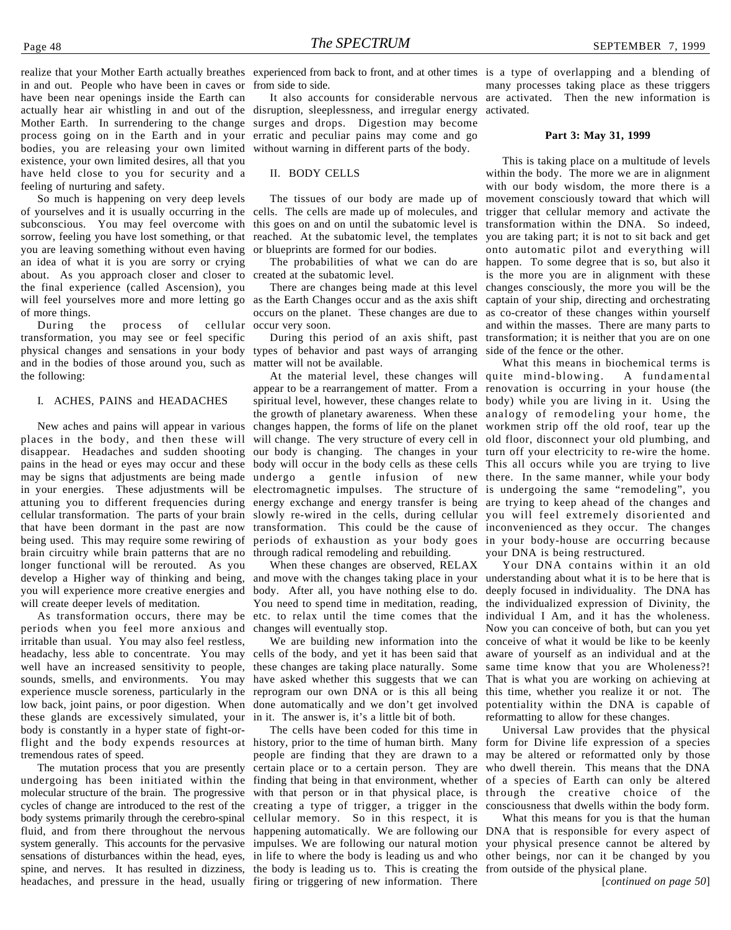in and out. People who have been in caves or from side to side. have been near openings inside the Earth can actually hear air whistling in and out of the disruption, sleeplessness, and irregular energy Mother Earth. In surrendering to the change surges and drops. Digestion may become process going on in the Earth and in your erratic and peculiar pains may come and go bodies, you are releasing your own limited without warning in different parts of the body. existence, your own limited desires, all that you have held close to you for security and a feeling of nurturing and safety.

So much is happening on very deep levels of yourselves and it is usually occurring in the cells. The cells are made up of molecules, and subconscious. You may feel overcome with this goes on and on until the subatomic level is transformation within the DNA. So indeed, sorrow, feeling you have lost something, or that reached. At the subatomic level, the templates you are taking part; it is not to sit back and get you are leaving something without even having an idea of what it is you are sorry or crying about. As you approach closer and closer to created at the subatomic level. the final experience (called Ascension), you will feel yourselves more and more letting go as the Earth Changes occur and as the axis shift captain of your ship, directing and orchestrating of more things.

During the process of cellular transformation, you may see or feel specific physical changes and sensations in your body and in the bodies of those around you, such as the following:

#### I. ACHES, PAINS and HEADACHES

New aches and pains will appear in various places in the body, and then these will disappear. Headaches and sudden shooting pains in the head or eyes may occur and these may be signs that adjustments are being made in your energies. These adjustments will be attuning you to different frequencies during cellular transformation. The parts of your brain that have been dormant in the past are now being used. This may require some rewiring of brain circuitry while brain patterns that are no longer functional will be rerouted. As you develop a Higher way of thinking and being, you will experience more creative energies and will create deeper levels of meditation.

As transformation occurs, there may be periods when you feel more anxious and irritable than usual. You may also feel restless, headachy, less able to concentrate. You may well have an increased sensitivity to people, sounds, smells, and environments. You may experience muscle soreness, particularly in the low back, joint pains, or poor digestion. When these glands are excessively simulated, your body is constantly in a hyper state of fight-orflight and the body expends resources at tremendous rates of speed.

The mutation process that you are presently undergoing has been initiated within the molecular structure of the brain. The progressive cycles of change are introduced to the rest of the body systems primarily through the cerebro-spinal fluid, and from there throughout the nervous system generally. This accounts for the pervasive impulses. We are following our natural motion your physical presence cannot be altered by sensations of disturbances within the head, eyes, in life to where the body is leading us and who other beings, nor can it be changed by you spine, and nerves. It has resulted in dizziness, the body is leading us to. This is creating the from outside of the physical plane. headaches, and pressure in the head, usually firing or triggering of new information. There

It also accounts for considerable nervous

II. BODY CELLS

The tissues of our body are made up of or blueprints are formed for our bodies.

The probabilities of what we can do are

occurs on the planet. These changes are due to as co-creator of these changes within yourself occur very soon.

types of behavior and past ways of arranging matter will not be available.

appear to be a rearrangement of matter. From a renovation is occurring in your house (the spiritual level, however, these changes relate to body) while you are living in it. Using the the growth of planetary awareness. When these analogy of remodeling your home, the changes happen, the forms of life on the planet workmen strip off the old roof, tear up the will change. The very structure of every cell in old floor, disconnect your old plumbing, and our body is changing. The changes in your turn off your electricity to re-wire the home. body will occur in the body cells as these cells This all occurs while you are trying to live undergo a gentle infusion of new there. In the same manner, while your body electromagnetic impulses. The structure of is undergoing the same "remodeling", you energy exchange and energy transfer is being are trying to keep ahead of the changes and slowly re-wired in the cells, during cellular you will feel extremely disoriented and transformation. This could be the cause of inconvenienced as they occur. The changes periods of exhaustion as your body goes in your body-house are occurring because through radical remodeling and rebuilding.

When these changes are observed, RELAX and move with the changes taking place in your understanding about what it is to be here that is body. After all, you have nothing else to do. You need to spend time in meditation, reading, the individualized expression of Divinity, the etc. to relax until the time comes that the individual I Am, and it has the wholeness. changes will eventually stop.

We are building new information into the cells of the body, and yet it has been said that these changes are taking place naturally. Some have asked whether this suggests that we can reprogram our own DNA or is this all being done automatically and we don't get involved in it. The answer is, it's a little bit of both.

The cells have been coded for this time in history, prior to the time of human birth. Many people are finding that they are drawn to a certain place or to a certain person. They are with that person or in that physical place, is creating a type of trigger, a trigger in the cellular memory. So in this respect, it is happening automatically. We are following our DNA that is responsible for every aspect of

realize that your Mother Earth actually breathes experienced from back to front, and at other times is a type of overlapping and a blending of many processes taking place as these triggers are activated. Then the new information is activated.

#### **Part 3: May 31, 1999**

There are changes being made at this level changes consciously, the more you will be the During this period of an axis shift, past transformation; it is neither that you are on one This is taking place on a multitude of levels within the body. The more we are in alignment with our body wisdom, the more there is a movement consciously toward that which will trigger that cellular memory and activate the onto automatic pilot and everything will happen. To some degree that is so, but also it is the more you are in alignment with these and within the masses. There are many parts to side of the fence or the other.

At the material level, these changes will quite mind-blowing. A fundamental What this means in biochemical terms is your DNA is being restructured.

Your DNA contains within it an old deeply focused in individuality. The DNA has Now you can conceive of both, but can you yet conceive of what it would be like to be keenly aware of yourself as an individual and at the same time know that you are Wholeness?! That is what you are working on achieving at this time, whether you realize it or not. The potentiality within the DNA is capable of reformatting to allow for these changes.

finding that being in that environment, whether of a species of Earth can only be altered Universal Law provides that the physical form for Divine life expression of a species may be altered or reformatted only by those who dwell therein. This means that the DNA through the creative choice of the consciousness that dwells within the body form.

What this means for you is that the human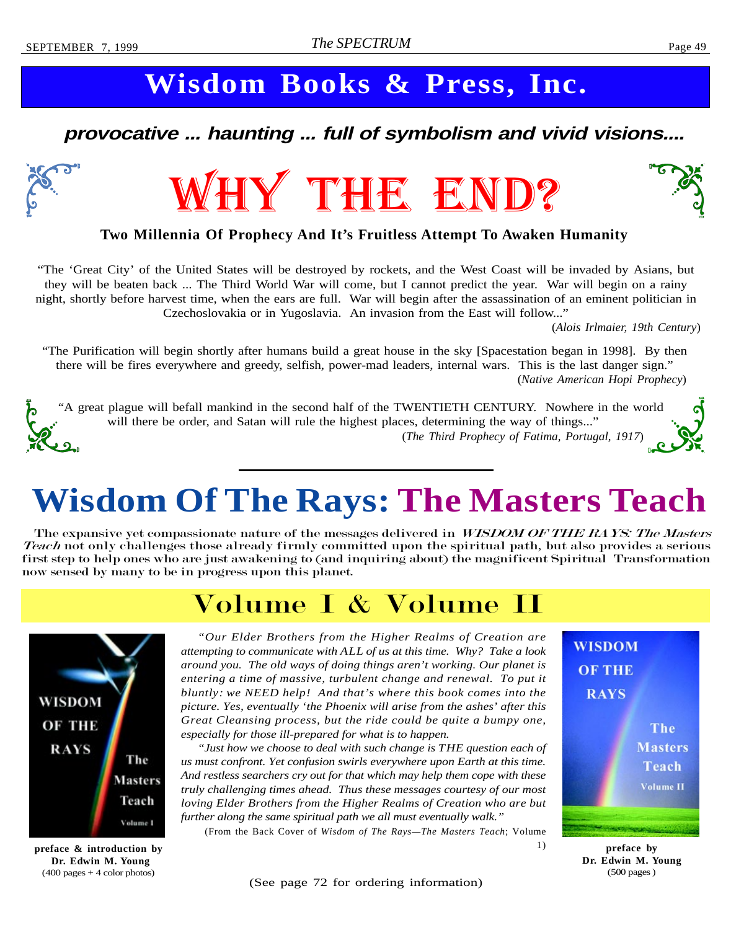## **Wisdom Books & Press, Inc.**

### **provocative ... haunting ... full of symbolism and vivid visions....**





**Two Millennia Of Prophecy And It's Fruitless Attempt To Awaken Humanity**

"The 'Great City' of the United States will be destroyed by rockets, and the West Coast will be invaded by Asians, but they will be beaten back ... The Third World War will come, but I cannot predict the year. War will begin on a rainy night, shortly before harvest time, when the ears are full. War will begin after the assassination of an eminent politician in Czechoslovakia or in Yugoslavia. An invasion from the East will follow..."

(*Alois Irlmaier, 19th Century*)

"The Purification will begin shortly after humans build a great house in the sky [Spacestation began in 1998]. By then there will be fires everywhere and greedy, selfish, power-mad leaders, internal wars. This is the last danger sign." (*Native American Hopi Prophecy*)

"A great plague will befall mankind in the second half of the TWENTIETH CENTURY. Nowhere in the world will there be order, and Satan will rule the highest places, determining the way of things..." (*The Third Prophecy of Fatima, Portugal, 1917*)

## **Wisdom Of The Rays: The Masters Teach**

The expansive yet compassionate nature of the messages delivered in WISDOM OF THE RAYS: The Masters Teach not only challenges those already firmly committed upon the spiritual path, but also provides a serious first step to help ones who are just awakening to (and inquiring about) the magnificent Spiritual Transformation now sensed by many to be in progress upon this planet.

### Volume I & Volume II



preface  $\&$  introduction by  **Dr. Edwin M. Young**  $(400 \text{ pages} + 4 \text{ color photos})$ 

*"Our Elder Brothers from the Higher Realms of Creation are attempting to communicate with ALL of us at this time. Why? Take a look around you. The old ways of doing things aren't working. Our planet is entering a time of massive, turbulent change and renewal. To put it bluntly: we NEED help! And that's where this book comes into the picture. Yes, eventually 'the Phoenix will arise from the ashes' after this Great Cleansing process, but the ride could be quite a bumpy one, especially for those ill-prepared for what is to happen.*

*"Just how we choose to deal with such change is THE question each of us must confront. Yet confusion swirls everywhere upon Earth at this time. And restless searchers cry out for that which may help them cope with these truly challenging times ahead. Thus these messages courtesy of our most loving Elder Brothers from the Higher Realms of Creation who are but further along the same spiritual path we all must eventually walk."*

(From the Back Cover of *Wisdom of The Rays—The Masters Teach*; Volume



**preface by Dr. Edwin M. Young** (500 pages )

<sup>(</sup>See page 72 for ordering information)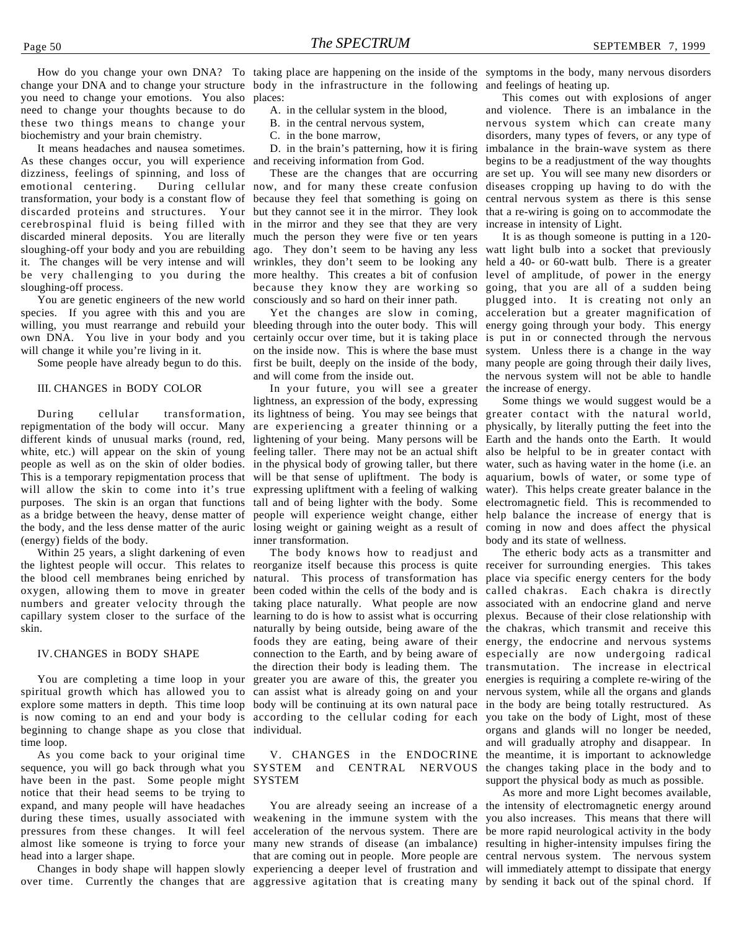change your DNA and to change your structure body in the infrastructure in the following and feelings of heating up. you need to change your emotions. You also places: need to change your thoughts because to do these two things means to change your biochemistry and your brain chemistry.

It means headaches and nausea sometimes. As these changes occur, you will experience dizziness, feelings of spinning, and loss of emotional centering. transformation, your body is a constant flow of because they feel that something is going on discarded proteins and structures. Your but they cannot see it in the mirror. They look cerebrospinal fluid is being filled with in the mirror and they see that they are very discarded mineral deposits. You are literally much the person they were five or ten years sloughing-off your body and you are rebuilding ago. They don't seem to be having any less watt light bulb into a socket that previously it. The changes will be very intense and will wrinkles, they don't seem to be looking any held a 40- or 60-watt bulb. There is a greater be very challenging to you during the more healthy. This creates a bit of confusion level of amplitude, of power in the energy sloughing-off process.

You are genetic engineers of the new world species. If you agree with this and you are willing, you must rearrange and rebuild your bleeding through into the outer body. This will energy going through your body. This energy own DNA. You live in your body and you will change it while you're living in it.

Some people have already begun to do this.

#### III. CHANGES in BODY COLOR

During cellular transformation, repigmentation of the body will occur. Many different kinds of unusual marks (round, red, white, etc.) will appear on the skin of young people as well as on the skin of older bodies. This is a temporary repigmentation process that will allow the skin to come into it's true purposes. The skin is an organ that functions as a bridge between the heavy, dense matter of the body, and the less dense matter of the auric (energy) fields of the body.

Within 25 years, a slight darkening of even the blood cell membranes being enriched by oxygen, allowing them to move in greater numbers and greater velocity through the skin.

#### IV.CHANGES in BODY SHAPE

spiritual growth which has allowed you to can assist what is already going on and your nervous system, while all the organs and glands explore some matters in depth. This time loop body will be continuing at its own natural pace in the body are being totally restructured. As is now coming to an end and your body is according to the cellular coding for each beginning to change shape as you close that individual. time loop.

As you come back to your original time sequence, you will go back through what you SYSTEM and CENTRAL NERVOUS have been in the past. Some people might SYSTEM notice that their head seems to be trying to expand, and many people will have headaches during these times, usually associated with pressures from these changes. It will feel almost like someone is trying to force your head into a larger shape.

How do you change your own DNA? To taking place are happening on the inside of the symptoms in the body, many nervous disorders

- A. in the cellular system in the blood,
- B. in the central nervous system,
- C. in the bone marrow,

D. in the brain's patterning, how it is firing and receiving information from God.

These are the changes that are occurring During cellular now, and for many these create confusion because they know they are working so going, that you are all of a sudden being consciously and so hard on their inner path.

certainly occur over time, but it is taking place is put in or connected through the nervous on the inside now. This is where the base must system. Unless there is a change in the way first be built, deeply on the inside of the body, many people are going through their daily lives, and will come from the inside out.

In your future, you will see a greater lightness, an expression of the body, expressing its lightness of being. You may see beings that are experiencing a greater thinning or a lightening of your being. Many persons will be feeling taller. There may not be an actual shift in the physical body of growing taller, but there will be that sense of upliftment. The body is expressing upliftment with a feeling of walking tall and of being lighter with the body. Some people will experience weight change, either help balance the increase of energy that is losing weight or gaining weight as a result of coming in now and does affect the physical inner transformation.

the lightest people will occur. This relates to reorganize itself because this process is quite receiver for surrounding energies. This takes capillary system closer to the surface of the learning to do is how to assist what is occurring plexus. Because of their close relationship with You are completing a time loop in your greater you are aware of this, the greater you energies is requiring a complete re-wiring of the The body knows how to readjust and natural. This process of transformation has place via specific energy centers for the body been coded within the cells of the body and is called chakras. Each chakra is directly taking place naturally. What people are now naturally by being outside, being aware of the the chakras, which transmit and receive this foods they are eating, being aware of their energy, the endocrine and nervous systems connection to the Earth, and by being aware of especially are now undergoing radical the direction their body is leading them. The transmutation. The increase in electrical

Changes in body shape will happen slowly experiencing a deeper level of frustration and will immediately attempt to dissipate that energy over time. Currently the changes that are aggressive agitation that is creating many by sending it back out of the spinal chord. If weakening in the immune system with the you also increases. This means that there will acceleration of the nervous system. There are be more rapid neurological activity in the body many new strands of disease (an imbalance) resulting in higher-intensity impulses firing the that are coming out in people. More people are central nervous system. The nervous system

This comes out with explosions of anger and violence. There is an imbalance in the nervous system which can create many disorders, many types of fevers, or any type of imbalance in the brain-wave system as there begins to be a readjustment of the way thoughts are set up. You will see many new disorders or diseases cropping up having to do with the central nervous system as there is this sense that a re-wiring is going on to accommodate the increase in intensity of Light.

Yet the changes are slow in coming, acceleration but a greater magnification of It is as though someone is putting in a 120 plugged into. It is creating not only an the nervous system will not be able to handle the increase of energy.

> Some things we would suggest would be a greater contact with the natural world, physically, by literally putting the feet into the Earth and the hands onto the Earth. It would also be helpful to be in greater contact with water, such as having water in the home (i.e. an aquarium, bowls of water, or some type of water). This helps create greater balance in the electromagnetic field. This is recommended to body and its state of wellness.

V. CHANGES in the ENDOCRINE the meantime, it is important to acknowledge The etheric body acts as a transmitter and associated with an endocrine gland and nerve you take on the body of Light, most of these organs and glands will no longer be needed, and will gradually atrophy and disappear. In the changes taking place in the body and to support the physical body as much as possible.

You are already seeing an increase of a the intensity of electromagnetic energy around As more and more Light becomes available,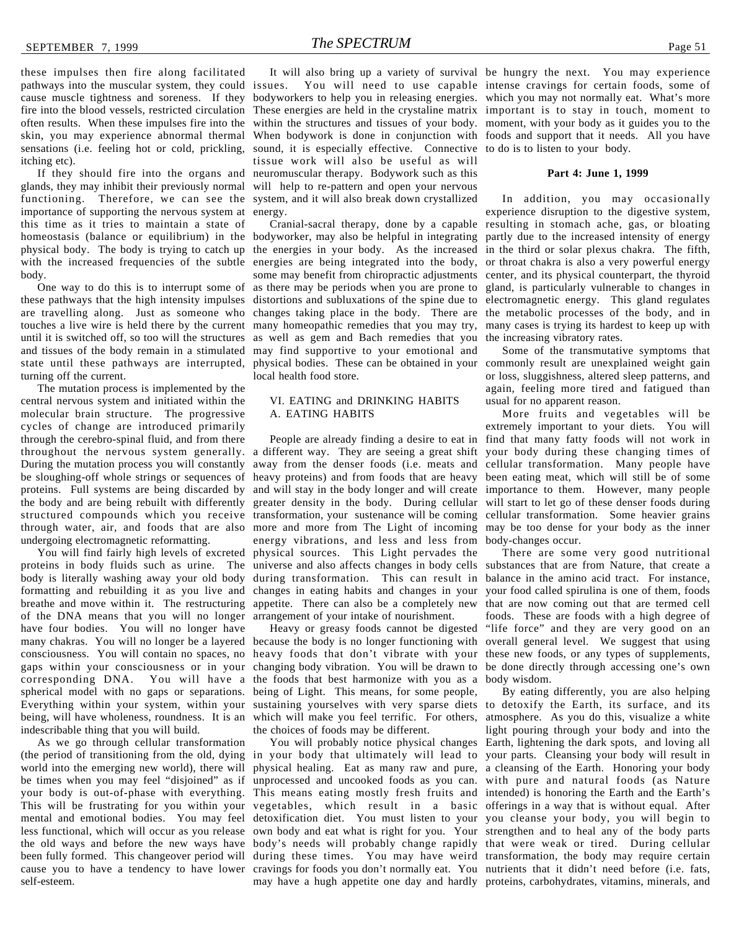these impulses then fire along facilitated pathways into the muscular system, they could issues. You will need to use capable intense cravings for certain foods, some of cause muscle tightness and soreness. If they bodyworkers to help you in releasing energies. which you may not normally eat. What's more fire into the blood vessels, restricted circulation These energies are held in the crystaline matrix important is to stay in touch, moment to often results. When these impulses fire into the within the structures and tissues of your body. moment, with your body as it guides you to the skin, you may experience abnormal thermal When bodywork is done in conjunction with foods and support that it needs. All you have sensations (i.e. feeling hot or cold, prickling, itching etc).

If they should fire into the organs and glands, they may inhibit their previously normal functioning. Therefore, we can see the system, and it will also break down crystallized importance of supporting the nervous system at energy. this time as it tries to maintain a state of homeostasis (balance or equilibrium) in the bodyworker, may also be helpful in integrating partly due to the increased intensity of energy physical body. The body is trying to catch up the energies in your body. As the increased in the third or solar plexus chakra. The fifth, with the increased frequencies of the subtle energies are being integrated into the body, or throat chakra is also a very powerful energy body.

until it is switched off, so too will the structures as well as gem and Bach remedies that you the increasing vibratory rates. and tissues of the body remain in a stimulated may find supportive to your emotional and state until these pathways are interrupted, physical bodies. These can be obtained in your commonly result are unexplained weight gain turning off the current.

The mutation process is implemented by the central nervous system and initiated within the molecular brain structure. The progressive cycles of change are introduced primarily through the cerebro-spinal fluid, and from there throughout the nervous system generally. a different way. They are seeing a great shift During the mutation process you will constantly be sloughing-off whole strings or sequences of proteins. Full systems are being discarded by the body and are being rebuilt with differently structured compounds which you receive through water, air, and foods that are also undergoing electromagnetic reformatting.

You will find fairly high levels of excreted proteins in body fluids such as urine. The universe and also affects changes in body cells substances that are from Nature, that create a body is literally washing away your old body during transformation. This can result in formatting and rebuilding it as you live and breathe and move within it. The restructuring appetite. There can also be a completely new that are now coming out that are termed cell of the DNA means that you will no longer arrangement of your intake of nourishment. have four bodies. You will no longer have many chakras. You will no longer be a layered because the body is no longer functioning with overall general level. We suggest that using consciousness. You will contain no spaces, no heavy foods that don't vibrate with your these new foods, or any types of supplements, gaps within your consciousness or in your changing body vibration. You will be drawn to corresponding DNA. You will have a the foods that best harmonize with you as a spherical model with no gaps or separations. Everything within your system, within your sustaining yourselves with very sparse diets to detoxify the Earth, its surface, and its being, will have wholeness, roundness. It is an which will make you feel terrific. For others, atmosphere. As you do this, visualize a white indescribable thing that you will build.

As we go through cellular transformation (the period of transitioning from the old, dying in your body that ultimately will lead to your parts. Cleansing your body will result in world into the emerging new world), there will be times when you may feel "disjoined" as if your body is out-of-phase with everything. This will be frustrating for you within your vegetables, which result in a basic offerings in a way that is without equal. After mental and emotional bodies. You may feel detoxification diet. You must listen to your you cleanse your body, you will begin to less functional, which will occur as you release own body and eat what is right for you. Your strengthen and to heal any of the body parts the old ways and before the new ways have body's needs will probably change rapidly that were weak or tired. During cellular been fully formed. This changeover period will during these times. You may have weird transformation, the body may require certain cause you to have a tendency to have lower cravings for foods you don't normally eat. You nutrients that it didn't need before (i.e. fats, self-esteem.

sound, it is especially effective. Connective to do is to listen to your body. tissue work will also be useful as will neuromuscular therapy. Bodywork such as this will help to re-pattern and open your nervous

local health food store.

#### VI. EATING and DRINKING HABITS A. EATING HABITS

People are already finding a desire to eat in away from the denser foods (i.e. meats and heavy proteins) and from foods that are heavy and will stay in the body longer and will create greater density in the body. During cellular transformation, your sustenance will be coming more and more from The Light of incoming may be too dense for your body as the inner energy vibrations, and less and less from body-changes occur. physical sources. This Light pervades the changes in eating habits and changes in your

Heavy or greasy foods cannot be digested being of Light. This means, for some people, the choices of foods may be different.

physical healing. Eat as many raw and pure, a cleansing of the Earth. Honoring your body unprocessed and uncooked foods as you can. with pure and natural foods (as Nature This means eating mostly fresh fruits and intended) is honoring the Earth and the Earth's may have a hugh appetite one day and hardly proteins, carbohydrates, vitamins, minerals, and

It will also bring up a variety of survival be hungry the next. You may experience

#### **Part 4: June 1, 1999**

One way to do this is to interrupt some of as there may be periods when you are prone to gland, is particularly vulnerable to changes in these pathways that the high intensity impulses distortions and subluxations of the spine due to electromagnetic energy. This gland regulates are travelling along. Just as someone who changes taking place in the body. There are the metabolic processes of the body, and in touches a live wire is held there by the current many homeopathic remedies that you may try, many cases is trying its hardest to keep up with Cranial-sacral therapy, done by a capable resulting in stomach ache, gas, or bloating some may benefit from chiropractic adjustments center, and its physical counterpart, the thyroid In addition, you may occasionally experience disruption to the digestive system,

Some of the transmutative symptoms that or loss, sluggishness, altered sleep patterns, and again, feeling more tired and fatigued than usual for no apparent reason.

More fruits and vegetables will be extremely important to your diets. You will find that many fatty foods will not work in your body during these changing times of cellular transformation. Many people have been eating meat, which will still be of some importance to them. However, many people will start to let go of these denser foods during cellular transformation. Some heavier grains

There are some very good nutritional balance in the amino acid tract. For instance, your food called spirulina is one of them, foods foods. These are foods with a high degree of "life force" and they are very good on an be done directly through accessing one's own body wisdom.

You will probably notice physical changes Earth, lightening the dark spots, and loving all By eating differently, you are also helping light pouring through your body and into the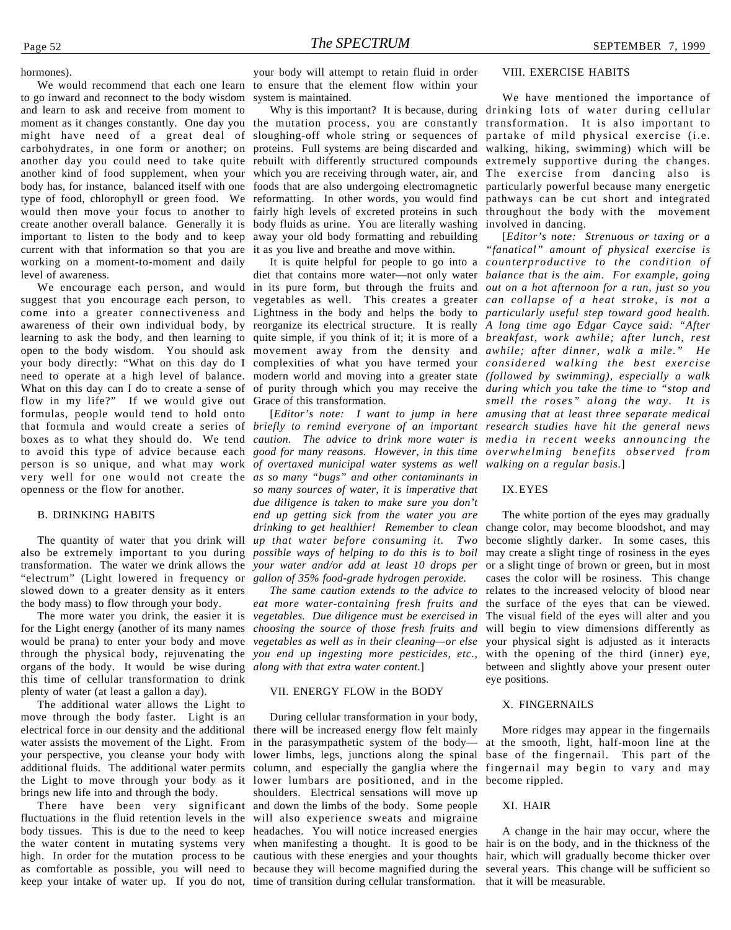#### hormones).

to go inward and reconnect to the body wisdom and learn to ask and receive from moment to moment as it changes constantly. One day you the mutation process, you are constantly transformation. It is also important to might have need of a great deal of carbohydrates, in one form or another; on another day you could need to take quite another kind of food supplement, when your body has, for instance, balanced itself with one foods that are also undergoing electromagnetic type of food, chlorophyll or green food. We reformatting. In other words, you would find would then move your focus to another to fairly high levels of excreted proteins in such throughout the body with the movement create another overall balance. Generally it is body fluids as urine. You are literally washing involved in dancing. important to listen to the body and to keep away your old body formatting and rebuilding current with that information so that you are it as you live and breathe and move within. working on a moment-to-moment and daily level of awareness.

suggest that you encourage each person, to vegetables as well. This creates a greater *can collapse of a heat stroke, is not a* come into a greater connectiveness and Lightness in the body and helps the body to *particularly useful step toward good health.* awareness of their own individual body, by reorganize its electrical structure. It is really *A long time ago Edgar Cayce said: "After* learning to ask the body, and then learning to quite simple, if you think of it; it is more of a *breakfast, work awhile; after lunch, rest* open to the body wisdom. You should ask movement away from the density and *awhile; after dinner, walk a mile." He* your body directly: "What on this day do I complexities of what you have termed your *considered walking the best exercise* need to operate at a high level of balance. modern world and moving into a greater state *(followed by swimming), especially a walk* What on this day can I do to create a sense of of purity through which you may receive the *during which you take the time to "stop and* flow in my life?" If we would give out Grace of this transformation. formulas, people would tend to hold onto that formula and would create a series of *briefly to remind everyone of an important research studies have hit the general news* boxes as to what they should do. We tend *caution. The advice to drink more water is media in recent weeks announcing the* to avoid this type of advice because each *good for many reasons. However, in this time overwhelming benefits observed from* person is so unique, and what may work *of overtaxed municipal water systems as well walking on a regular basis.*] very well for one would not create the *as so many "bugs" and other contaminants in* openness or the flow for another.

#### B. DRINKING HABITS

The quantity of water that you drink will also be extremely important to you during transformation. The water we drink allows the "electrum" (Light lowered in frequency or slowed down to a greater density as it enters the body mass) to flow through your body.

The more water you drink, the easier it is for the Light energy (another of its many names would be prana) to enter your body and move through the physical body, rejuvenating the *you end up ingesting more pesticides, etc.,* organs of the body. It would be wise during *along with that extra water content.*] this time of cellular transformation to drink plenty of water (at least a gallon a day).

The additional water allows the Light to move through the body faster. Light is an electrical force in our density and the additional water assists the movement of the Light. From your perspective, you cleanse your body with additional fluids. The additional water permits the Light to move through your body as it brings new life into and through the body.

There have been very significant fluctuations in the fluid retention levels in the will also experience sweats and migraine body tissues. This is due to the need to keep headaches. You will notice increased energies the water content in mutating systems very when manifesting a thought. It is good to be hair is on the body, and in the thickness of the high. In order for the mutation process to be cautious with these energies and your thoughts hair, which will gradually become thicker over as comfortable as possible, you will need to because they will become magnified during the several years. This change will be sufficient so keep your intake of water up. If you do not, time of transition during cellular transformation. that it will be measurable.

We would recommend that each one learn to ensure that the element flow within your your body will attempt to retain fluid in order system is maintained.

> sloughing-off whole string or sequences of proteins. Full systems are being discarded and walking, hiking, swimming) which will be rebuilt with differently structured compounds extremely supportive during the changes. which you are receiving through water, air, and The exercise from dancing also is

We encourage each person, and would in its pure form, but through the fruits and *out on a hot afternoon for a run, just so you* diet that contains more water—not only water *balance that is the aim. For example, going*

> *so many sources of water, it is imperative that due diligence is taken to make sure you don't end up getting sick from the water you are drinking to get healthier! Remember to clean up that water before consuming it. Two possible ways of helping to do this is to boil your water and/or add at least 10 drops per gallon of 35% food-grade hydrogen peroxide.*

> *The same caution extends to the advice to eat more water-containing fresh fruits and vegetables. Due diligence must be exercised in choosing the source of those fresh fruits and vegetables as well as in their cleaning—or else*

#### VII. ENERGY FLOW in the BODY

During cellular transformation in your body, there will be increased energy flow felt mainly in the parasympathetic system of the body lower limbs, legs, junctions along the spinal column, and especially the ganglia where the lower lumbars are positioned, and in the shoulders. Electrical sensations will move up and down the limbs of the body. Some people

#### VIII. EXERCISE HABITS

Why is this important? It is because, during drinking lots of water during cellular We have mentioned the importance of partake of mild physical exercise (i.e. particularly powerful because many energetic pathways can be cut short and integrated

It is quite helpful for people to go into a *counterproductive to the condition of* [*Editor's note: I want to jump in here amusing that at least three separate medical* [*Editor's note: Strenuous or taxing or a "fanatical" amount of physical exercise is smell the roses" along the way. It is*

#### IX.EYES

The white portion of the eyes may gradually change color, may become bloodshot, and may become slightly darker. In some cases, this may create a slight tinge of rosiness in the eyes or a slight tinge of brown or green, but in most cases the color will be rosiness. This change relates to the increased velocity of blood near the surface of the eyes that can be viewed. The visual field of the eyes will alter and you will begin to view dimensions differently as your physical sight is adjusted as it interacts with the opening of the third (inner) eye, between and slightly above your present outer eye positions.

#### X. FINGERNAILS

More ridges may appear in the fingernails at the smooth, light, half-moon line at the base of the fingernail. This part of the fingernail may begin to vary and may become rippled.

#### XI. HAIR

A change in the hair may occur, where the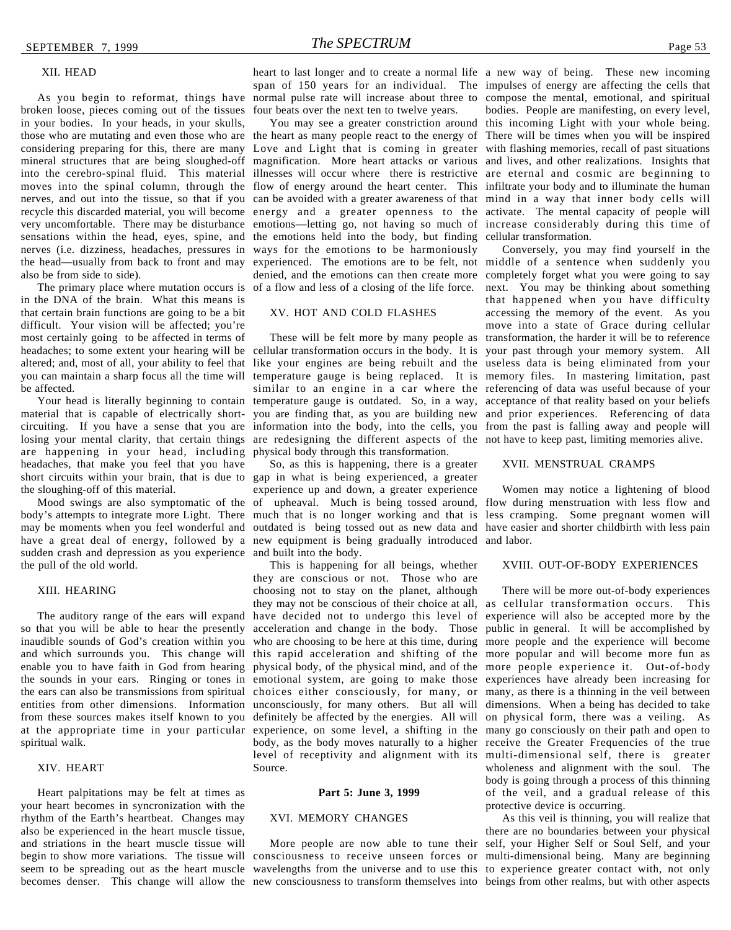#### XII. HEAD

As you begin to reformat, things have broken loose, pieces coming out of the tissues in your bodies. In your heads, in your skulls, those who are mutating and even those who are the heart as many people react to the energy of There will be times when you will be inspired considering preparing for this, there are many mineral structures that are being sloughed-off into the cerebro-spinal fluid. This material moves into the spinal column, through the nerves, and out into the tissue, so that if you recycle this discarded material, you will become very uncomfortable. There may be disturbance emotions—letting go, not having so much of increase considerably during this time of sensations within the head, eyes, spine, and the emotions held into the body, but finding cellular transformation. nerves (i.e. dizziness, headaches, pressures in ways for the emotions to be harmoniously the head—usually from back to front and may experienced. The emotions are to be felt, not middle of a sentence when suddenly you also be from side to side).

The primary place where mutation occurs is in the DNA of the brain. What this means is that certain brain functions are going to be a bit difficult. Your vision will be affected; you're most certainly going to be affected in terms of headaches; to some extent your hearing will be cellular transformation occurs in the body. It is your past through your memory system. All altered; and, most of all, your ability to feel that like your engines are being rebuilt and the useless data is being eliminated from your you can maintain a sharp focus all the time will be affected.

material that is capable of electrically shortcircuiting. If you have a sense that you are losing your mental clarity, that certain things are happening in your head, including headaches, that make you feel that you have short circuits within your brain, that is due to gap in what is being experienced, a greater the sloughing-off of this material.

body's attempts to integrate more Light. There may be moments when you feel wonderful and have a great deal of energy, followed by a sudden crash and depression as you experience the pull of the old world.

#### XIII. HEARING

The auditory range of the ears will expand so that you will be able to hear the presently inaudible sounds of God's creation within you and which surrounds you. This change will enable you to have faith in God from hearing the sounds in your ears. Ringing or tones in the ears can also be transmissions from spiritual entities from other dimensions. Information from these sources makes itself known to you at the appropriate time in your particular spiritual walk.

#### XIV. HEART

Heart palpitations may be felt at times as your heart becomes in syncronization with the rhythm of the Earth's heartbeat. Changes may also be experienced in the heart muscle tissue, and striations in the heart muscle tissue will begin to show more variations. The tissue will consciousness to receive unseen forces or multi-dimensional being. Many are beginning seem to be spreading out as the heart muscle wavelengths from the universe and to use this to experience greater contact with, not only becomes denser. This change will allow the new consciousness to transform themselves into beings from other realms, but with other aspects

heart to last longer and to create a normal life a new way of being. These new incoming span of 150 years for an individual. The impulses of energy are affecting the cells that normal pulse rate will increase about three to compose the mental, emotional, and spiritual four beats over the next ten to twelve years.

Love and Light that is coming in greater with flashing memories, recall of past situations magnification. More heart attacks or various and lives, and other realizations. Insights that illnesses will occur where there is restrictive are eternal and cosmic are beginning to flow of energy around the heart center. This infiltrate your body and to illuminate the human can be avoided with a greater awareness of that mind in a way that inner body cells will energy and a greater openness to the activate. The mental capacity of people will

#### XV. HOT AND COLD FLASHES

are redesigning the different aspects of the not have to keep past, limiting memories alive. physical body through this transformation.

Mood swings are also symptomatic of the of upheaval. Much is being tossed around, So, as this is happening, there is a greater experience up and down, a greater experience much that is no longer working and that is outdated is being tossed out as new data and new equipment is being gradually introduced and built into the body.

> This is happening for all beings, whether they are conscious or not. Those who are choosing not to stay on the planet, although they may not be conscious of their choice at all, as cellular transformation occurs. This have decided not to undergo this level of acceleration and change in the body. Those who are choosing to be here at this time, during more people and the experience will become this rapid acceleration and shifting of the more popular and will become more fun as physical body, of the physical mind, and of the more people experience it. Out-of-body emotional system, are going to make those experiences have already been increasing for choices either consciously, for many, or many, as there is a thinning in the veil between unconsciously, for many others. But all will dimensions. When a being has decided to take definitely be affected by the energies. All will on physical form, there was a veiling. As experience, on some level, a shifting in the many go consciously on their path and open to body, as the body moves naturally to a higher receive the Greater Frequencies of the true level of receptivity and alignment with its multi-dimensional self, there is greater Source.

#### **Part 5: June 3, 1999**

#### XVI. MEMORY CHANGES

You may see a greater constriction around this incoming Light with your whole being. bodies. People are manifesting, on every level,

Your head is literally beginning to contain temperature gauge is outdated. So, in a way, acceptance of that reality based on your beliefs denied, and the emotions can then create more completely forget what you were going to say of a flow and less of a closing of the life force. next. You may be thinking about something These will be felt more by many people as transformation, the harder it will be to reference temperature gauge is being replaced. It is memory files. In mastering limitation, past similar to an engine in a car where the referencing of data was useful because of your you are finding that, as you are building new and prior experiences. Referencing of data information into the body, into the cells, you from the past is falling away and people will Conversely, you may find yourself in the that happened when you have difficulty accessing the memory of the event. As you move into a state of Grace during cellular

#### XVII. MENSTRUAL CRAMPS

Women may notice a lightening of blood flow during menstruation with less flow and less cramping. Some pregnant women will have easier and shorter childbirth with less pain and labor.

#### XVIII. OUT-OF-BODY EXPERIENCES

There will be more out-of-body experiences experience will also be accepted more by the public in general. It will be accomplished by wholeness and alignment with the soul. The body is going through a process of this thinning of the veil, and a gradual release of this protective device is occurring.

More people are now able to tune their self, your Higher Self or Soul Self, and your As this veil is thinning, you will realize that there are no boundaries between your physical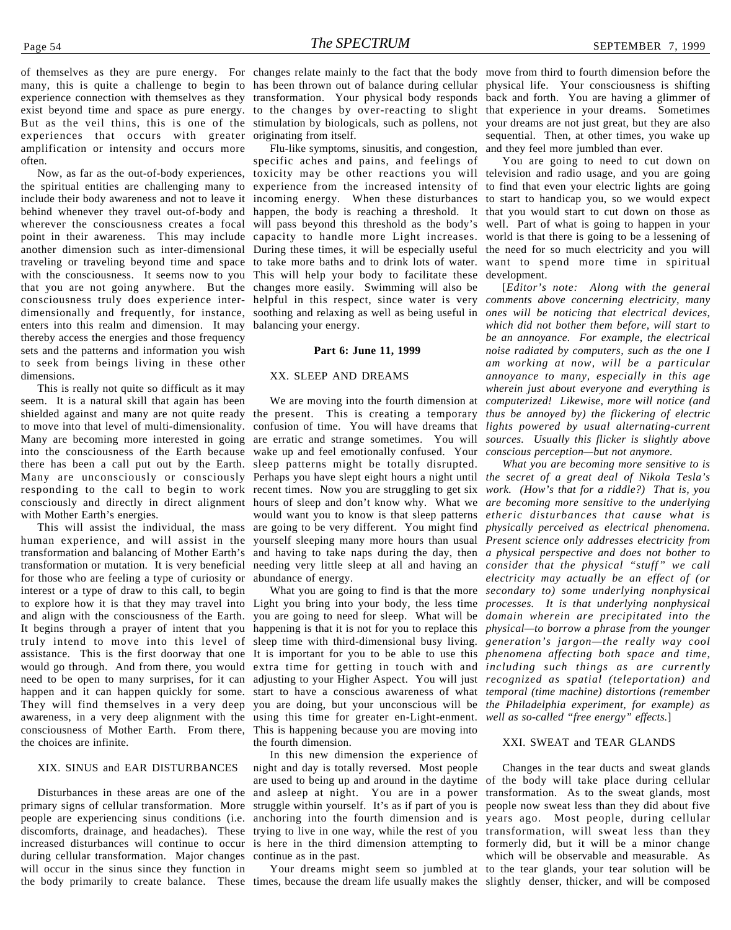many, this is quite a challenge to begin to has been thrown out of balance during cellular physical life. Your consciousness is shifting experience connection with themselves as they transformation. Your physical body responds back and forth. You are having a glimmer of exist beyond time and space as pure energy. to the changes by over-reacting to slight that experience in your dreams. Sometimes But as the veil thins, this is one of the stimulation by biologicals, such as pollens, not experiences that occurs with greater originating from itself. amplification or intensity and occurs more often.

the spiritual entities are challenging many to experience from the increased intensity of to find that even your electric lights are going include their body awareness and not to leave it incoming energy. When these disturbances to start to handicap you, so we would expect behind whenever they travel out-of-body and happen, the body is reaching a threshold. It that you would start to cut down on those as wherever the consciousness creates a focal will pass beyond this threshold as the body's well. Part of what is going to happen in your point in their awareness. This may include capacity to handle more Light increases. world is that there is going to be a lessening of another dimension such as inter-dimensional During these times, it will be especially useful the need for so much electricity and you will traveling or traveling beyond time and space to take more baths and to drink lots of water. want to spend more time in spiritual with the consciousness. It seems now to you This will help your body to facilitate these development. that you are not going anywhere. But the changes more easily. Swimming will also be consciousness truly does experience inter-helpful in this respect, since water is very *comments above concerning electricity, many* dimensionally and frequently, for instance, soothing and relaxing as well as being useful in *ones will be noticing that electrical devices*, enters into this realm and dimension. It may balancing your energy. thereby access the energies and those frequency sets and the patterns and information you wish to seek from beings living in these other dimensions.

This is really not quite so difficult as it may seem. It is a natural skill that again has been shielded against and many are not quite ready the present. This is creating a temporary to move into that level of multi-dimensionality. Many are becoming more interested in going into the consciousness of the Earth because there has been a call put out by the Earth. Many are unconsciously or consciously responding to the call to begin to work consciously and directly in direct alignment with Mother Earth's energies.

This will assist the individual, the mass human experience, and will assist in the transformation and balancing of Mother Earth's transformation or mutation. It is very beneficial for those who are feeling a type of curiosity or abundance of energy. interest or a type of draw to this call, to begin to explore how it is that they may travel into Light you bring into your body, the less time *processes. It is that underlying nonphysical* and align with the consciousness of the Earth. It begins through a prayer of intent that you truly intend to move into this level of assistance. This is the first doorway that one It is important for you to be able to use this *phenomena affecting both space and time,* would go through. And from there, you would need to be open to many surprises, for it can adjusting to your Higher Aspect. You will just *recognized as spatial (teleportation) and* happen and it can happen quickly for some. start to have a conscious awareness of what *temporal (time machine) distortions (remember* They will find themselves in a very deep you are doing, but your unconscious will be *the Philadelphia experiment, for example) as* awareness, in a very deep alignment with the using this time for greater en-Light-enment. *well as so-called "free energy" effects*.] consciousness of Mother Earth. From there, the choices are infinite.

#### XIX. SINUS and EAR DISTURBANCES

Disturbances in these areas are one of the primary signs of cellular transformation. More people are experiencing sinus conditions (i.e. during cellular transformation. Major changes continue as in the past. will occur in the sinus since they function in the body primarily to create balance. These times, because the dream life usually makes the slightly denser, thicker, and will be composed

of themselves as they are pure energy. For changes relate mainly to the fact that the body move from third to fourth dimension before the

Now, as far as the out-of-body experiences, toxicity may be other reactions you will television and radio usage, and you are going Flu-like symptoms, sinusitis, and congestion, specific aches and pains, and feelings of

#### **Part 6: June 11, 1999**

#### XX. SLEEP AND DREAMS

confusion of time. You will have dreams that *lights powered by usual alternating-current* are erratic and strange sometimes. You will wake up and feel emotionally confused. Your *conscious perception—but not anymore.* sleep patterns might be totally disrupted. Perhaps you have slept eight hours a night until *the secret of a great deal of Nikola Tesla's* recent times. Now you are struggling to get six *work. (How's that for a riddle?) That is, you* hours of sleep and don't know why. What we *are becoming more sensitive to the underlying* would want you to know is that sleep patterns *etheric disturbances that cause what is* are going to be very different. You might find *physically perceived as electrical phenomena.* yourself sleeping many more hours than usual *Present science only addresses electricity from* and having to take naps during the day, then *a physical perspective and does not bother to* needing very little sleep at all and having an *consider that the physical "stuff" we call*

you are going to need for sleep. What will be *domain wherein are precipitated into the* happening is that it is not for you to replace this *physical—to borrow a phrase from the younger* sleep time with third-dimensional busy living. *generation's jargon—the really way cool* extra time for getting in touch with and *including such things as are currently* This is happening because you are moving into the fourth dimension.

discomforts, drainage, and headaches). These trying to live in one way, while the rest of you transformation, will sweat less than they increased disturbances will continue to occur is here in the third dimension attempting to formerly did, but it will be a minor change In this new dimension the experience of night and day is totally reversed. Most people are used to being up and around in the daytime and asleep at night. You are in a power struggle within yourself. It's as if part of you is anchoring into the fourth dimension and is

your dreams are not just great, but they are also sequential. Then, at other times, you wake up and they feel more jumbled than ever.

You are going to need to cut down on

We are moving into the fourth dimension at *computerized! Likewise, more will notice (and* [*Editor's note: Along with the general which did not bother them before, will start to be an annoyance. For example, the electrical noise radiated by computers, such as the one I am working at now, will be a particular annoyance to many, especially in this age wherein just about everyone and everything is thus be annoyed by) the flickering of electric sources. Usually this flicker is slightly above*

What you are going to find is that the more *secondary to) some underlying nonphysical What you are becoming more sensitive to is electricity may actually be an effect of (or*

#### XXI. SWEAT and TEAR GLANDS

Your dreams might seem so jumbled at to the tear glands, your tear solution will be Changes in the tear ducts and sweat glands of the body will take place during cellular transformation. As to the sweat glands, most people now sweat less than they did about five years ago. Most people, during cellular which will be observable and measurable. As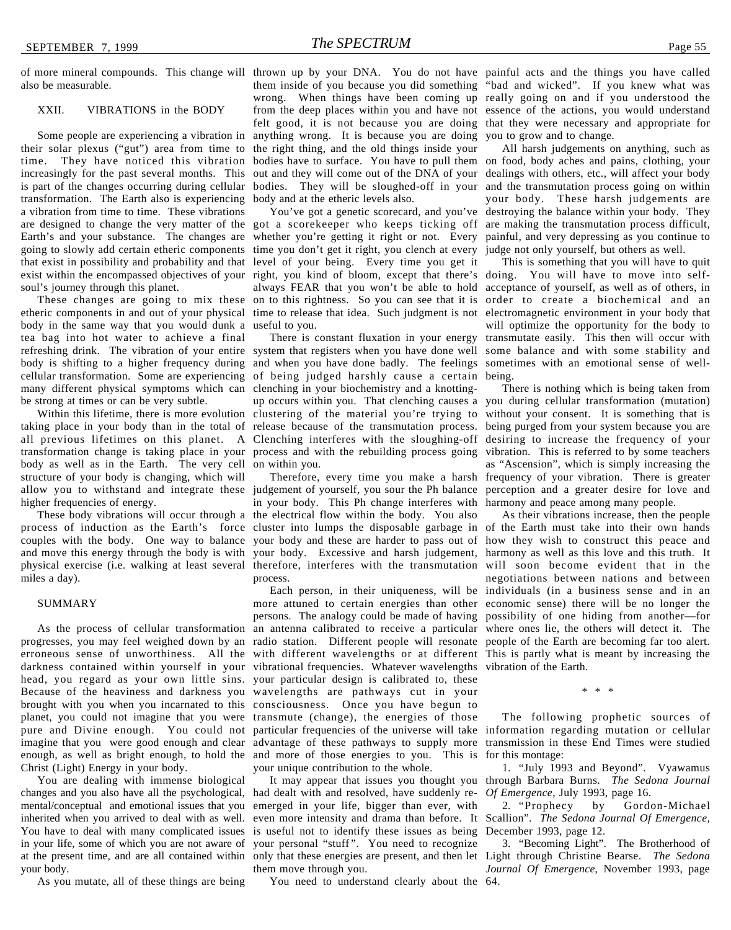of more mineral compounds. This change will thrown up by your DNA. You do not have painful acts and the things you have called also be measurable.

#### XXII. VIBRATIONS in the BODY

Some people are experiencing a vibration in their solar plexus ("gut") area from time to time. They have noticed this vibration increasingly for the past several months. This is part of the changes occurring during cellular transformation. The Earth also is experiencing a vibration from time to time. These vibrations are designed to change the very matter of the got a scorekeeper who keeps ticking off are making the transmutation process difficult, Earth's and your substance. The changes are whether you're getting it right or not. Every painful, and very depressing as you continue to going to slowly add certain etheric components time you don't get it right, you clench at every judge not only yourself, but others as well. that exist in possibility and probability and that level of your being. Every time you get it exist within the encompassed objectives of your right, you kind of bloom, except that there's doing. You will have to move into selfsoul's journey through this planet.

These changes are going to mix these etheric components in and out of your physical time to release that idea. Such judgment is not electromagnetic environment in your body that body in the same way that you would dunk a tea bag into hot water to achieve a final refreshing drink. The vibration of your entire system that registers when you have done well some balance and with some stability and body is shifting to a higher frequency during cellular transformation. Some are experiencing of being judged harshly cause a certain many different physical symptoms which can clenching in your biochemistry and a knottingbe strong at times or can be very subtle.

taking place in your body than in the total of release because of the transmutation process. all previous lifetimes on this planet. A Clenching interferes with the sloughing-off transformation change is taking place in your body as well as in the Earth. The very cell structure of your body is changing, which will allow you to withstand and integrate these judgement of yourself, you sour the Ph balance higher frequencies of energy.

miles a day).

#### SUMMARY

progresses, you may feel weighed down by an radio station. Different people will resonate people of the Earth are becoming far too alert. erroneous sense of unworthiness. All the with different wavelengths or at different This is partly what is meant by increasing the darkness contained within yourself in your vibrational frequencies. Whatever wavelengths vibration of the Earth. head, you regard as your own little sins. your particular design is calibrated to, these Because of the heaviness and darkness you wavelengths are pathways cut in your brought with you when you incarnated to this consciousness. Once you have begun to planet, you could not imagine that you were transmute (change), the energies of those pure and Divine enough. You could not particular frequencies of the universe will take information regarding mutation or cellular imagine that you were good enough and clear advantage of these pathways to supply more transmission in these End Times were studied enough, as well as bright enough, to hold the and more of those energies to you. This is Christ (Light) Energy in your body.

You are dealing with immense biological changes and you also have all the psychological, mental/conceptual and emotional issues that you emerged in your life, bigger than ever, with inherited when you arrived to deal with as well. You have to deal with many complicated issues is useful not to identify these issues as being in your life, some of which you are not aware of your personal "stuff ". You need to recognize your body.

As you mutate, all of these things are being

them inside of you because you did something "bad and wicked". If you knew what was wrong. When things have been coming up really going on and if you understood the from the deep places within you and have not essence of the actions, you would understand felt good, it is not because you are doing that they were necessary and appropriate for anything wrong. It is because you are doing you to grow and to change. the right thing, and the old things inside your bodies. They will be sloughed-off in your body and at the etheric levels also.

You've got a genetic scorecard, and you've always FEAR that you won't be able to hold acceptance of yourself, as well as of others, in on to this rightness. So you can see that it is order to create a biochemical and an useful to you.

Within this lifetime, there is more evolution clustering of the material you're trying to and when you have done badly. The feelings up occurs within you. That clenching causes a you during cellular transformation (mutation) process and with the rebuilding process going vibration. This is referred to by some teachers on within you.

These body vibrations will occur through a the electrical flow within the body. You also process of induction as the Earth's force cluster into lumps the disposable garbage in of the Earth must take into their own hands couples with the body. One way to balance your body and these are harder to pass out of how they wish to construct this peace and and move this energy through the body is with your body. Excessive and harsh judgement, harmony as well as this love and this truth. It physical exercise (i.e. walking at least several therefore, interferes with the transmutation will soon become evident that in the Therefore, every time you make a harsh in your body. This Ph change interferes with process.

As the process of cellular transformation an antenna calibrated to receive a particular more attuned to certain energies than other economic sense) there will be no longer the persons. The analogy could be made of having possibility of one hiding from another—for your unique contribution to the whole.

at the present time, and are all contained within only that these energies are present, and then let Light through Christine Bearse. *The Sedona* had dealt with and resolved, have suddenly reeven more intensity and drama than before. It them move through you.

You need to understand clearly about the 64.

bodies have to surface. You have to pull them on food, body aches and pains, clothing, your out and they will come out of the DNA of your dealings with others, etc., will affect your body All harsh judgements on anything, such as and the transmutation process going on within your body. These harsh judgements are destroying the balance within your body. They

There is constant fluxation in your energy transmutate easily. This then will occur with This is something that you will have to quit will optimize the opportunity for the body to sometimes with an emotional sense of wellbeing.

> There is nothing which is being taken from without your consent. It is something that is being purged from your system because you are desiring to increase the frequency of your as "Ascension", which is simply increasing the frequency of your vibration. There is greater perception and a greater desire for love and harmony and peace among many people.

Each person, in their uniqueness, will be individuals (in a business sense and in an As their vibrations increase, then the people negotiations between nations and between where ones lie, the others will detect it. The

\* \* \*

The following prophetic sources of for this montage:

It may appear that issues you thought you through Barbara Burns. *The Sedona Journal* 1. "July 1993 and Beyond". Vyawamus *Of Emergence*, July 1993, page 16.

> 2. "Prophecy by Gordon-Michael Scallion". *The Sedona Journal Of Emergence*, December 1993, page 12.

> 3. "Becoming Light". The Brotherhood of *Journal Of Emergence*, November 1993, page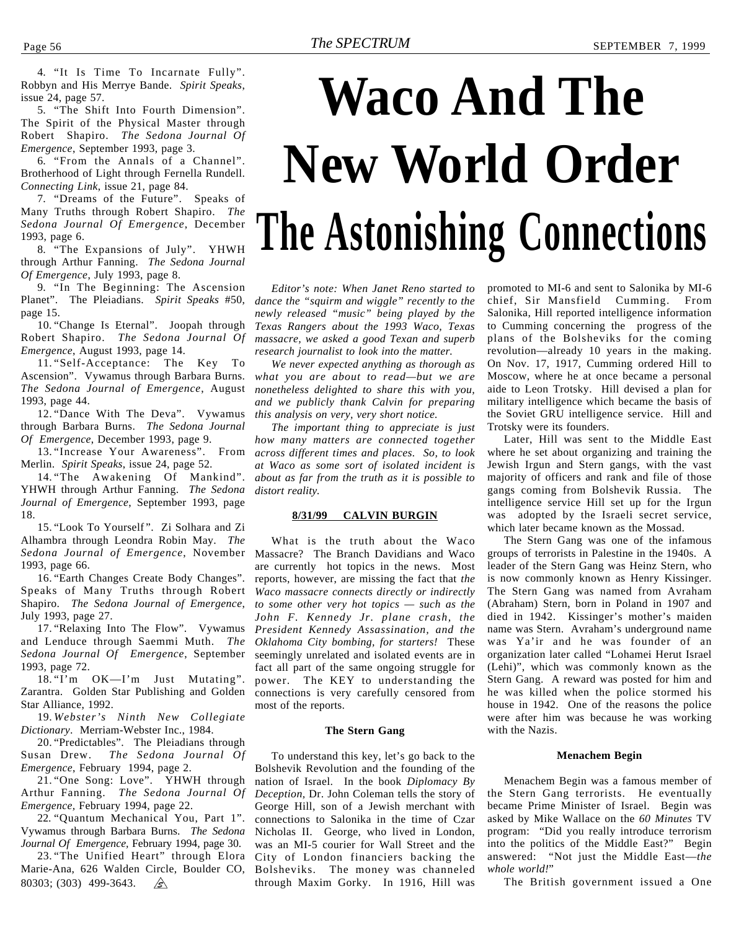4. "It Is Time To Incarnate Fully". Robbyn and His Merrye Bande. *Spirit Speaks*, issue 24, page 57.

5. "The Shift Into Fourth Dimension". The Spirit of the Physical Master through Robert Shapiro. *The Sedona Journal Of Emergence*, September 1993, page 3.

6. "From the Annals of a Channel". Brotherhood of Light through Fernella Rundell. *Connecting Link*, issue 21, page 84.

7. "Dreams of the Future". Speaks of Many Truths through Robert Shapiro. *The Sedona Journal Of Emergence*, December 1993, page 6.

8. "The Expansions of July". YHWH through Arthur Fanning. *The Sedona Journal Of Emergence*, July 1993, page 8.

9. "In The Beginning: The Ascension Planet". The Pleiadians. *Spirit Speaks* #50, page 15.

10. "Change Is Eternal". Joopah through Robert Shapiro. *The Sedona Journal Of Emergence*, August 1993, page 14.

11. "Self-Acceptance: The Key To Ascension". Vywamus through Barbara Burns. *The Sedona Journal of Emergence*, August 1993, page 44.

12. "Dance With The Deva". Vywamus through Barbara Burns. *The Sedona Journal Of Emergence*, December 1993, page 9.

13. "Increase Your Awareness". From Merlin. *Spirit Speaks*, issue 24, page 52.

14. "The Awakening Of Mankind". YHWH through Arthur Fanning. *The Sedona Journal of Emergence*, September 1993, page 18.

15. "Look To Yourself ". Zi Solhara and Zi Alhambra through Leondra Robin May. *The Sedona Journal of Emergence*, November 1993, page 66.

16. "Earth Changes Create Body Changes". Speaks of Many Truths through Robert Shapiro. *The Sedona Journal of Emergence*, July 1993, page 27.

17. "Relaxing Into The Flow". Vywamus and Lenduce through Saemmi Muth. *The Sedona Journal Of Emergence*, September 1993, page 72.

18. "I'm OK—I'm Just Mutating". Zarantra. Golden Star Publishing and Golden Star Alliance, 1992.

19. *Webster's Ninth New Collegiate Dictionary*. Merriam-Webster Inc., 1984.

20. "Predictables". The Pleiadians through Susan Drew. *The Sedona Journal Of Emergence*, February 1994, page 2.

21. "One Song: Love". YHWH through Arthur Fanning. *The Sedona Journal Of Emergence,* February 1994, page 22.

22. "Quantum Mechanical You, Part 1". Vywamus through Barbara Burns. *The Sedona Journal Of Emergence,* February 1994, page 30.

23. "The Unified Heart" through Elora Marie-Ana, 626 Walden Circle, Boulder CO, 80303; (303) 499-3643.  $\mathscr{B}$ 

# **Waco And The New World Order The Astonishing Connections**

*Editor's note: When Janet Reno started to dance the "squirm and wiggle" recently to the newly released "music" being played by the Texas Rangers about the 1993 Waco, Texas massacre, we asked a good Texan and superb research journalist to look into the matter.*

*We never expected anything as thorough as what you are about to read—but we are nonetheless delighted to share this with you, and we publicly thank Calvin for preparing this analysis on very, very short notice.*

*The important thing to appreciate is just how many matters are connected together across different times and places. So, to look at Waco as some sort of isolated incident is about as far from the truth as it is possible to distort reality.*

#### **8/31/99 CALVIN BURGIN**

What is the truth about the Waco Massacre? The Branch Davidians and Waco are currently hot topics in the news. Most reports, however, are missing the fact that *the Waco massacre connects directly or indirectly to some other very hot topics — such as the John F. Kennedy Jr. plane crash, the President Kennedy Assassination, and the Oklahoma City bombing, for starters!* These seemingly unrelated and isolated events are in fact all part of the same ongoing struggle for power. The KEY to understanding the connections is very carefully censored from most of the reports.

#### **The Stern Gang**

To understand this key, let's go back to the Bolshevik Revolution and the founding of the nation of Israel. In the book *Diplomacy By Deception,* Dr. John Coleman tells the story of George Hill, son of a Jewish merchant with connections to Salonika in the time of Czar Nicholas II. George, who lived in London, was an MI-5 courier for Wall Street and the City of London financiers backing the Bolsheviks. The money was channeled through Maxim Gorky. In 1916, Hill was promoted to MI-6 and sent to Salonika by MI-6 chief, Sir Mansfield Cumming. From Salonika, Hill reported intelligence information to Cumming concerning the progress of the plans of the Bolsheviks for the coming revolution—already 10 years in the making. On Nov. 17, 1917, Cumming ordered Hill to Moscow, where he at once became a personal aide to Leon Trotsky. Hill devised a plan for military intelligence which became the basis of the Soviet GRU intelligence service. Hill and Trotsky were its founders.

Later, Hill was sent to the Middle East where he set about organizing and training the Jewish Irgun and Stern gangs, with the vast majority of officers and rank and file of those gangs coming from Bolshevik Russia. The intelligence service Hill set up for the Irgun was adopted by the Israeli secret service, which later became known as the Mossad.

The Stern Gang was one of the infamous groups of terrorists in Palestine in the 1940s. A leader of the Stern Gang was Heinz Stern, who is now commonly known as Henry Kissinger. The Stern Gang was named from Avraham (Abraham) Stern, born in Poland in 1907 and died in 1942. Kissinger's mother's maiden name was Stern. Avraham's underground name was Ya'ir and he was founder of an organization later called "Lohamei Herut Israel (Lehi)", which was commonly known as the Stern Gang. A reward was posted for him and he was killed when the police stormed his house in 1942. One of the reasons the police were after him was because he was working with the Nazis.

#### **Menachem Begin**

Menachem Begin was a famous member of the Stern Gang terrorists. He eventually became Prime Minister of Israel. Begin was asked by Mike Wallace on the *60 Minutes* TV program: "Did you really introduce terrorism into the politics of the Middle East?" Begin answered: "Not just the Middle East—*the whole world!*"

The British government issued a One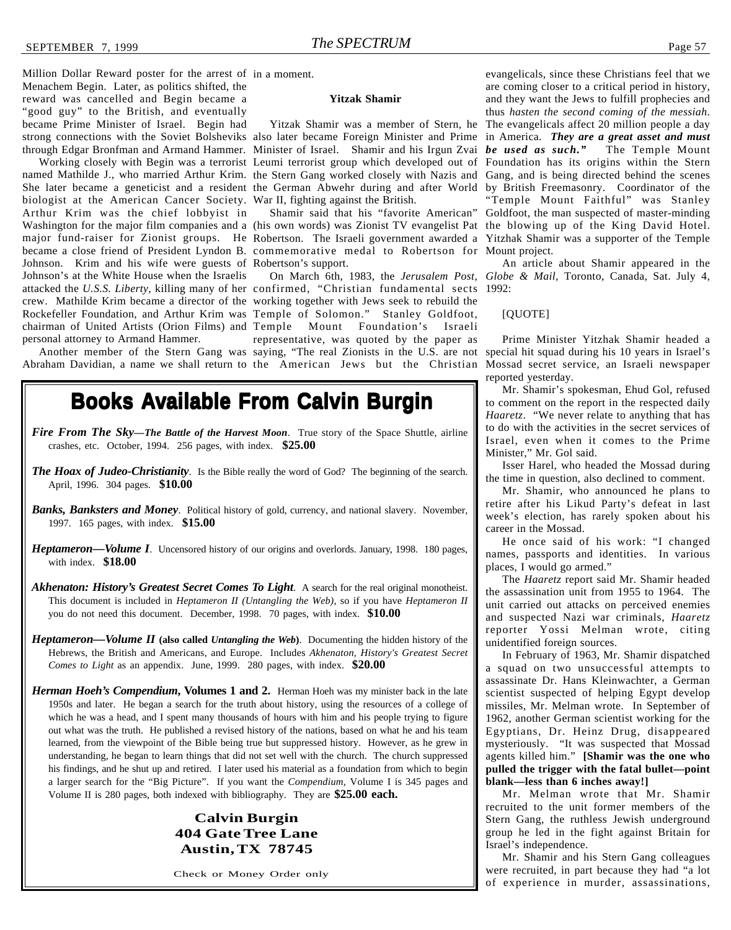Million Dollar Reward poster for the arrest of in a moment.

Menachem Begin. Later, as politics shifted, the reward was cancelled and Begin became a "good guy" to the British, and eventually became Prime Minister of Israel. Begin had strong connections with the Soviet Bolsheviks also later became Foreign Minister and Prime in America. *They are a great asset and must*

named Mathilde J., who married Arthur Krim. the Stern Gang worked closely with Nazis and Gang, and is being directed behind the scenes She later became a geneticist and a resident the German Abwehr during and after World by British Freemasonry. Coordinator of the biologist at the American Cancer Society. War II, fighting against the British. Arthur Krim was the chief lobbyist in Washington for the major film companies and a (his own words) was Zionist TV evangelist Pat the blowing up of the King David Hotel. major fund-raiser for Zionist groups. He Robertson. The Israeli government awarded a Yitzhak Shamir was a supporter of the Temple became a close friend of President Lyndon B. commemorative medal to Robertson for Mount project. Johnson. Krim and his wife were guests of Robertson's support. Johnson's at the White House when the Israelis crew. Mathilde Krim became a director of the working together with Jews seek to rebuild the Rockefeller Foundation, and Arthur Krim was Temple of Solomon." Stanley Goldfoot, chairman of United Artists (Orion Films) and personal attorney to Armand Hammer.

Abraham Davidian, a name we shall return to the American Jews but the Christian

#### **Yitzak Shamir**

through Edgar Bronfman and Armand Hammer. Minister of Israel. Shamir and his Irgun Zvai Working closely with Begin was a terrorist Leumi terrorist group which developed out of Foundation has its origins within the Stern

attacked the *U.S.S. Liberty*, killing many of her confirmed, "Christian fundamental sects 1992: Another member of the Stern Gang was saying, "The real Zionists in the U.S. are not Mount Foundation's Israeli representative, was quoted by the paper as

### **Books Available From Calvin Burgin**

- *Fire From The Sky—The Battle of the Harvest Moon.* True story of the Space Shuttle, airline crashes, etc. October, 1994. 256 pages, with index. **\$25.00**
- *The Hoax of Judeo-Christianity*. Is the Bible really the word of God? The beginning of the search. April, 1996. 304 pages. **\$10.00**
- *Banks, Banksters and Money*. Political history of gold, currency, and national slavery. November, 1997. 165 pages, with index. **\$15.00**
- *Heptameron—Volume I*. Uncensored history of our origins and overlords. January, 1998. 180 pages, with index. **\$18.00**
- *Akhenaton: History's Greatest Secret Comes To Light*. A search for the real original monotheist. This document is included in *Heptameron II (Untangling the Web)*, so if you have *Heptameron II* you do not need this document. December, 1998. 70 pages, with index. **\$10.00**
- *Heptameron—Volume II* **(also called** *Untangling the Web***)**. Documenting the hidden history of the Hebrews, the British and Americans, and Europe. Includes *Akhenaton, History's Greatest Secret Comes to Light* as an appendix. June, 1999. 280 pages, with index. **\$20.00**
- *Herman Hoeh's Compendium*, **Volumes 1 and 2.** Herman Hoeh was my minister back in the late 1950s and later. He began a search for the truth about history, using the resources of a college of which he was a head, and I spent many thousands of hours with him and his people trying to figure out what was the truth. He published a revised history of the nations, based on what he and his team learned, from the viewpoint of the Bible being true but suppressed history. However, as he grew in understanding, he began to learn things that did not set well with the church. The church suppressed his findings, and he shut up and retired. I later used his material as a foundation from which to begin a larger search for the "Big Picture". If you want the *Compendium*, Volume I is 345 pages and Volume II is 280 pages, both indexed with bibliography. They are **\$25.00 each.**

#### **Calvin Burgin 404 Gate Tree Lane Austin, TX 78745**

Check or Money Order only

Yitzak Shamir was a member of Stern, he The evangelicals affect 20 million people a day Shamir said that his "favorite American" Goldfoot, the man suspected of master-minding evangelicals, since these Christians feel that we are coming closer to a critical period in history, and they want the Jews to fulfill prophecies and thus *hasten the second coming of the messiah*. The Temple Mount "Temple Mount Faithful" was Stanley

On March 6th, 1983, the *Jerusalem Post*, *Globe & Mail,* Toronto, Canada, Sat. July 4, An article about Shamir appeared in the

#### [QUOTE]

Prime Minister Yitzhak Shamir headed a special hit squad during his 10 years in Israel's Mossad secret service, an Israeli newspaper reported yesterday.

Mr. Shamir's spokesman, Ehud Gol, refused to comment on the report in the respected daily *Haaretz*. "We never relate to anything that has to do with the activities in the secret services of Israel, even when it comes to the Prime Minister," Mr. Gol said.

Isser Harel, who headed the Mossad during the time in question, also declined to comment.

Mr. Shamir, who announced he plans to retire after his Likud Party's defeat in last week's election, has rarely spoken about his career in the Mossad.

He once said of his work: "I changed names, passports and identities. In various places, I would go armed."

The *Haaretz* report said Mr. Shamir headed the assassination unit from 1955 to 1964. The unit carried out attacks on perceived enemies and suspected Nazi war criminals, *Haaretz* reporter Yossi Melman wrote, citing unidentified foreign sources.

In February of 1963, Mr. Shamir dispatched a squad on two unsuccessful attempts to assassinate Dr. Hans Kleinwachter, a German scientist suspected of helping Egypt develop missiles, Mr. Melman wrote. In September of 1962, another German scientist working for the Egyptians, Dr. Heinz Drug, disappeared mysteriously. "It was suspected that Mossad agents killed him." **[Shamir was the one who pulled the trigger with the fatal bullet—point blank—less than 6 inches away!]**

Mr. Melman wrote that Mr. Shamir recruited to the unit former members of the Stern Gang, the ruthless Jewish underground group he led in the fight against Britain for Israel's independence.

Mr. Shamir and his Stern Gang colleagues were recruited, in part because they had "a lot of experience in murder, assassinations,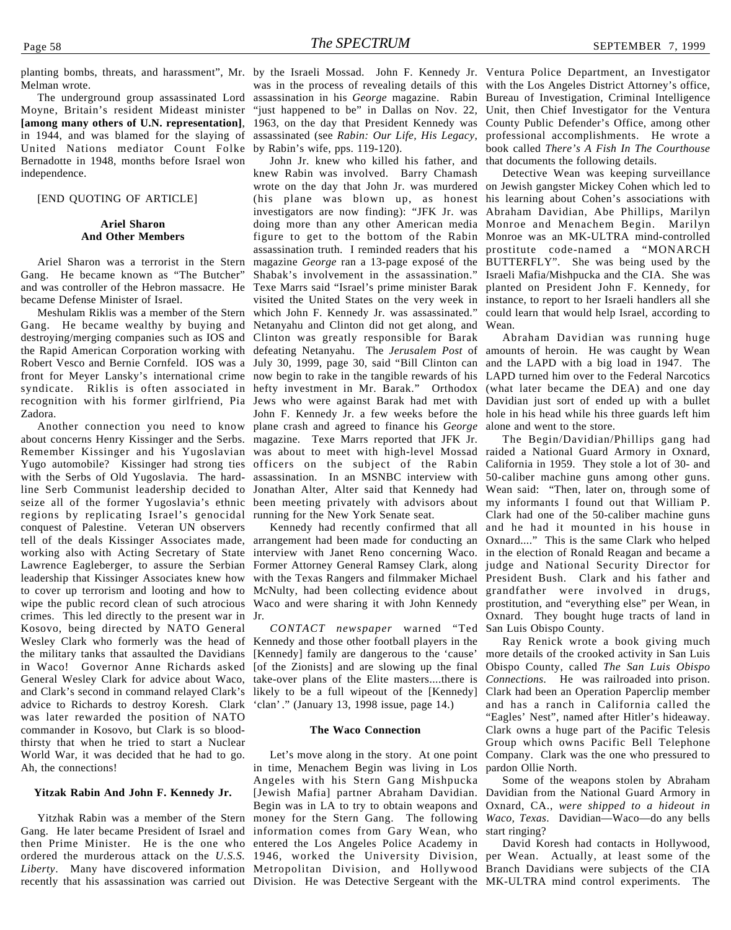Melman wrote.

The underground group assassinated Lord Moyne, Britain's resident Mideast minister **[among many others of U.N. representation]**, in 1944, and was blamed for the slaying of United Nations mediator Count Folke Bernadotte in 1948, months before Israel won independence.

#### [END QUOTING OF ARTICLE]

#### **Ariel Sharon And Other Members**

Ariel Sharon was a terrorist in the Stern Gang. He became known as "The Butcher" and was controller of the Hebron massacre. He became Defense Minister of Israel.

Meshulam Riklis was a member of the Stern Gang. He became wealthy by buying and Netanyahu and Clinton did not get along, and Wean. destroying/merging companies such as IOS and Clinton was greatly responsible for Barak the Rapid American Corporation working with defeating Netanyahu. The *Jerusalem Post* of amounts of heroin. He was caught by Wean Robert Vesco and Bernie Cornfeld. IOS was a July 30, 1999, page 30, said "Bill Clinton can and the LAPD with a big load in 1947. The front for Meyer Lansky's international crime now begin to rake in the tangible rewards of his syndicate. Riklis is often associated in hefty investment in Mr. Barak." Orthodox recognition with his former girlfriend, Pia Jews who were against Barak had met with Zadora.

Another connection you need to know about concerns Henry Kissinger and the Serbs. Remember Kissinger and his Yugoslavian Yugo automobile? Kissinger had strong ties with the Serbs of Old Yugoslavia. The hardline Serb Communist leadership decided to seize all of the former Yugoslavia's ethnic regions by replicating Israel's genocidal conquest of Palestine. Veteran UN observers tell of the deals Kissinger Associates made, working also with Acting Secretary of State Lawrence Eagleberger, to assure the Serbian leadership that Kissinger Associates knew how to cover up terrorism and looting and how to wipe the public record clean of such atrocious Waco and were sharing it with John Kennedy prostitution, and "everything else" per Wean, in crimes. This led directly to the present war in Jr. Kosovo, being directed by NATO General Wesley Clark who formerly was the head of the military tanks that assaulted the Davidians in Waco! Governor Anne Richards asked General Wesley Clark for advice about Waco, and Clark's second in command relayed Clark's likely to be a full wipeout of the [Kennedy] advice to Richards to destroy Koresh. Clark was later rewarded the position of NATO commander in Kosovo, but Clark is so bloodthirsty that when he tried to start a Nuclear World War, it was decided that he had to go. Ah, the connections!

#### **Yitzak Rabin And John F. Kennedy Jr.**

Yitzhak Rabin was a member of the Stern Gang. He later became President of Israel and then Prime Minister. He is the one who entered the Los Angeles Police Academy in ordered the murderous attack on the *U.S.S.* 1946, worked the University Division, per Wean. Actually, at least some of the *Liberty*. Many have discovered information Metropolitan Division, and Hollywood Branch Davidians were subjects of the CIA recently that his assassination was carried out Division. He was Detective Sergeant with the MK-ULTRA mind control experiments. The

planting bombs, threats, and harassment", Mr. by the Israeli Mossad. John F. Kennedy Jr. Ventura Police Department, an Investigator was in the process of revealing details of this with the Los Angeles District Attorney's office, assassination in his *George* magazine. Rabin Bureau of Investigation, Criminal Intelligence "just happened to be" in Dallas on Nov. 22, Unit, then Chief Investigator for the Ventura 1963, on the day that President Kennedy was County Public Defender's Office, among other assassinated (see *Rabin: Our Life, His Legacy*, professional accomplishments. He wrote a by Rabin's wife, pps. 119-120).

John Jr. knew who killed his father, and knew Rabin was involved. Barry Chamash wrote on the day that John Jr. was murdered on Jewish gangster Mickey Cohen which led to (his plane was blown up, as honest his learning about Cohen's associations with investigators are now finding): "JFK Jr. was Abraham Davidian, Abe Phillips, Marilyn doing more than any other American media Monroe and Menachem Begin. Marilyn figure to get to the bottom of the Rabin Monroe was an MK-ULTRA mind-controlled assassination truth. I reminded readers that his prostitute code-named a "MONARCH magazine *George* ran a 13-page exposé of the BUTTERFLY". She was being used by the Shabak's involvement in the assassination." Israeli Mafia/Mishpucka and the CIA. She was Texe Marrs said "Israel's prime minister Barak planted on President John F. Kennedy, for visited the United States on the very week in instance, to report to her Israeli handlers all she which John F. Kennedy Jr. was assassinated." could learn that would help Israel, according to John F. Kennedy Jr. a few weeks before the plane crash and agreed to finance his *George* magazine. Texe Marrs reported that JFK Jr. was about to meet with high-level Mossad raided a National Guard Armory in Oxnard, officers on the subject of the Rabin assassination. In an MSNBC interview with Jonathan Alter, Alter said that Kennedy had been meeting privately with advisors about my informants I found out that William P. running for the New York Senate seat.

Kennedy had recently confirmed that all arrangement had been made for conducting an Oxnard...." This is the same Clark who helped interview with Janet Reno concerning Waco. in the election of Ronald Reagan and became a Former Attorney General Ramsey Clark, along judge and National Security Director for with the Texas Rangers and filmmaker Michael President Bush. Clark and his father and McNulty, had been collecting evidence about grandfather were involved in drugs,

*CONTACT newspaper* warned "Ted Kennedy and those other football players in the [Kennedy] family are dangerous to the 'cause' [of the Zionists] and are slowing up the final take-over plans of the Elite masters....there is 'clan' ." (January 13, 1998 issue, page 14.)

#### **The Waco Connection**

Let's move along in the story. At one point in time, Menachem Begin was living in Los Angeles with his Stern Gang Mishpucka [Jewish Mafia] partner Abraham Davidian. Begin was in LA to try to obtain weapons and money for the Stern Gang. The following information comes from Gary Wean, who

book called *There's A Fish In The Courthouse* that documents the following details.

Detective Wean was keeping surveillance

Abraham Davidian was running huge LAPD turned him over to the Federal Narcotics (what later became the DEA) and one day Davidian just sort of ended up with a bullet hole in his head while his three guards left him alone and went to the store.

The Begin/Davidian/Phillips gang had California in 1959. They stole a lot of 30- and 50-caliber machine guns among other guns. Wean said: "Then, later on, through some of Clark had one of the 50-caliber machine guns and he had it mounted in his house in Oxnard. They bought huge tracts of land in San Luis Obispo County.

Ray Renick wrote a book giving much more details of the crooked activity in San Luis Obispo County, called *The San Luis Obispo Connections.* He was railroaded into prison. Clark had been an Operation Paperclip member and has a ranch in California called the "Eagles' Nest", named after Hitler's hideaway. Clark owns a huge part of the Pacific Telesis Group which owns Pacific Bell Telephone Company. Clark was the one who pressured to pardon Ollie North.

Some of the weapons stolen by Abraham Davidian from the National Guard Armory in Oxnard, CA., *were shipped to a hideout in Waco, Texas*. Davidian—Waco—do any bells start ringing?

David Koresh had contacts in Hollywood,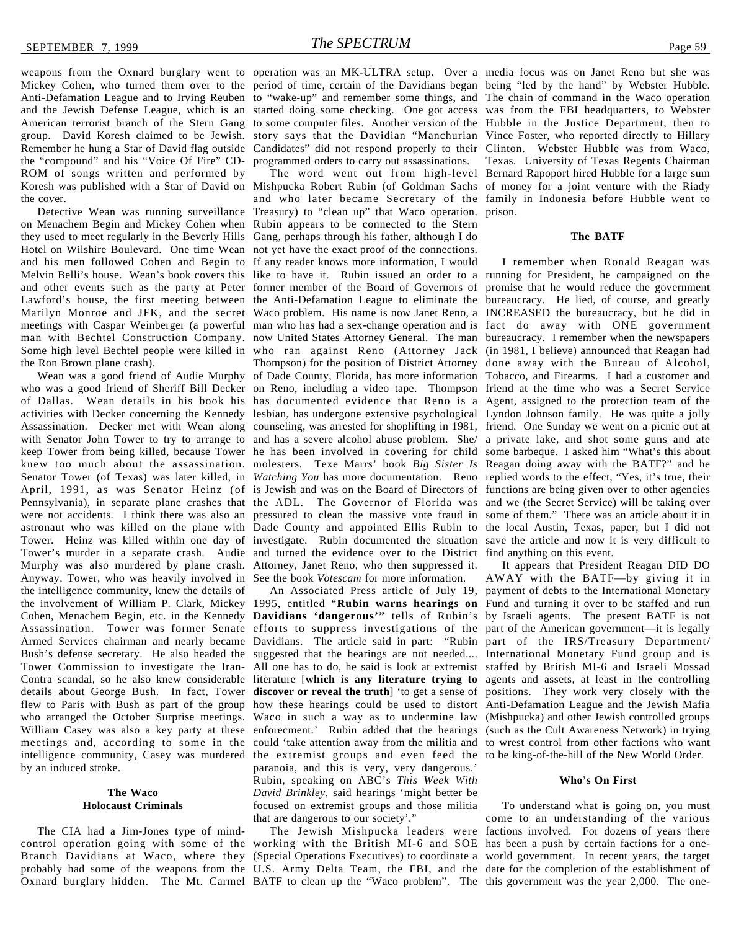Mickey Cohen, who turned them over to the period of time, certain of the Davidians began being "led by the hand" by Webster Hubble. Anti-Defamation League and to Irving Reuben to "wake-up" and remember some things, and The chain of command in the Waco operation and the Jewish Defense League, which is an started doing some checking. One got access was from the FBI headquarters, to Webster American terrorist branch of the Stern Gang to some computer files. Another version of the Hubble in the Justice Department, then to group. David Koresh claimed to be Jewish. story says that the Davidian "Manchurian Vince Foster, who reported directly to Hillary Remember he hung a Star of David flag outside Candidates" did not respond properly to their Clinton. Webster Hubble was from Waco, the "compound" and his "Voice Of Fire" CD-programmed orders to carry out assassinations. ROM of songs written and performed by Koresh was published with a Star of David on Mishpucka Robert Rubin (of Goldman Sachs of money for a joint venture with the Riady the cover.

on Menachem Begin and Mickey Cohen when Rubin appears to be connected to the Stern they used to meet regularly in the Beverly Hills Gang, perhaps through his father, although I do Hotel on Wilshire Boulevard. One time Wean not yet have the exact proof of the connections. and his men followed Cohen and Begin to If any reader knows more information, I would Melvin Belli's house. Wean's book covers this like to have it. Rubin issued an order to a running for President, he campaigned on the and other events such as the party at Peter former member of the Board of Governors of promise that he would reduce the government Lawford's house, the first meeting between the Anti-Defamation League to eliminate the bureaucracy. He lied, of course, and greatly Marilyn Monroe and JFK, and the secret Waco problem. His name is now Janet Reno, a INCREASED the bureaucracy, but he did in meetings with Caspar Weinberger (a powerful man who has had a sex-change operation and is fact do away with ONE government man with Bechtel Construction Company. now United States Attorney General. The man bureaucracy. I remember when the newspapers Some high level Bechtel people were killed in who ran against Reno (Attorney Jack (in 1981, I believe) announced that Reagan had the Ron Brown plane crash).

who was a good friend of Sheriff Bill Decker on Reno, including a video tape. Thompson friend at the time who was a Secret Service of Dallas. Wean details in his book his has documented evidence that Reno is a Agent, assigned to the protection team of the activities with Decker concerning the Kennedy lesbian, has undergone extensive psychological Lyndon Johnson family. He was quite a jolly Assassination. Decker met with Wean along counseling, was arrested for shoplifting in 1981, friend. One Sunday we went on a picnic out at with Senator John Tower to try to arrange to and has a severe alcohol abuse problem. She/ a private lake, and shot some guns and ate keep Tower from being killed, because Tower he has been involved in covering for child some barbeque. I asked him "What's this about knew too much about the assassination. molesters. Texe Marrs' book *Big Sister Is* Reagan doing away with the BATF?" and he Senator Tower (of Texas) was later killed, in Watching You has more documentation. Reno replied words to the effect, "Yes, it's true, their April, 1991, as was Senator Heinz (of is Jewish and was on the Board of Directors of functions are being given over to other agencies Pennsylvania), in separate plane crashes that the ADL. The Governor of Florida was and we (the Secret Service) will be taking over were not accidents. I think there was also an pressured to clean the massive vote fraud in some of them." There was an article about it in astronaut who was killed on the plane with Dade County and appointed Ellis Rubin to the local Austin, Texas, paper, but I did not Tower. Heinz was killed within one day of investigate. Rubin documented the situation save the article and now it is very difficult to Tower's murder in a separate crash. Audie and turned the evidence over to the District find anything on this event. Murphy was also murdered by plane crash. Attorney, Janet Reno, who then suppressed it. Anyway, Tower, who was heavily involved in See the book *Votescam* for more information. the intelligence community, knew the details of the involvement of William P. Clark, Mickey 1995, entitled "**Rubin warns hearings on** Fund and turning it over to be staffed and run Cohen, Menachem Begin, etc. in the Kennedy **Davidians 'dangerous'"** tells of Rubin's by Israeli agents. The present BATF is not Assassination. Tower was former Senate efforts to suppress investigations of the part of the American government—it is legally Armed Services chairman and nearly became Davidians. The article said in part: "Rubin part of the IRS/Treasury Department/ Bush's defense secretary. He also headed the suggested that the hearings are not needed.... International Monetary Fund group and is Tower Commission to investigate the Iran-All one has to do, he said is look at extremist staffed by British MI-6 and Israeli Mossad Contra scandal, so he also knew considerable literature [**which is any literature trying to** agents and assets, at least in the controlling details about George Bush. In fact, Tower **discover or reveal the truth**] 'to get a sense of positions. They work very closely with the flew to Paris with Bush as part of the group how these hearings could be used to distort Anti-Defamation League and the Jewish Mafia who arranged the October Surprise meetings. Waco in such a way as to undermine law (Mishpucka) and other Jewish controlled groups William Casey was also a key party at these enforecment.' Rubin added that the hearings (such as the Cult Awareness Network) in trying meetings and, according to some in the could 'take attention away from the militia and to wrest control from other factions who want intelligence community, Casey was murdered the extremist groups and even feed the tobe king-of-the-hill of the New World Order. by an induced stroke.

#### **The Waco Holocaust Criminals**

The CIA had a Jim-Jones type of mindcontrol operation going with some of the working with the British MI-6 and SOE has been a push by certain factions for a one-Branch Davidians at Waco, where they (Special Operations Executives) to coordinate a world government. In recent years, the target probably had some of the weapons from the U.S. Army Delta Team, the FBI, and the date for the completion of the establishment of Oxnard burglary hidden. The Mt. Carmel BATF to clean up the "Waco problem". The this government was the year 2,000. The one-

Detective Wean was running surveillance Treasury) to "clean up" that Waco operation. prison. Wean was a good friend of Audie Murphy of Dade County, Florida, has more information Tobacco, and Firearms. I had a customer and and who later became Secretary of the family in Indonesia before Hubble went to Thompson) for the position of District Attorney done away with the Bureau of Alcohol,

> paranoia, and this is very, very dangerous.' Rubin, speaking on ABC's *This Week With David Brinkley*, said hearings 'might better be focused on extremist groups and those militia that are dangerous to our society'."

weapons from the Oxnard burglary went to operation was an MK-ULTRA setup. Over a media focus was on Janet Reno but she was The word went out from high-level Bernard Rapoport hired Hubble for a large sum Texas. University of Texas Regents Chairman

#### **The BATF**

I remember when Ronald Reagan was

An Associated Press article of July 19, payment of debts to the International Monetary It appears that President Reagan DID DO AWAY with the BATF—by giving it in

#### **Who's On First**

The Jewish Mishpucka leaders were factions involved. For dozens of years there To understand what is going on, you must come to an understanding of the various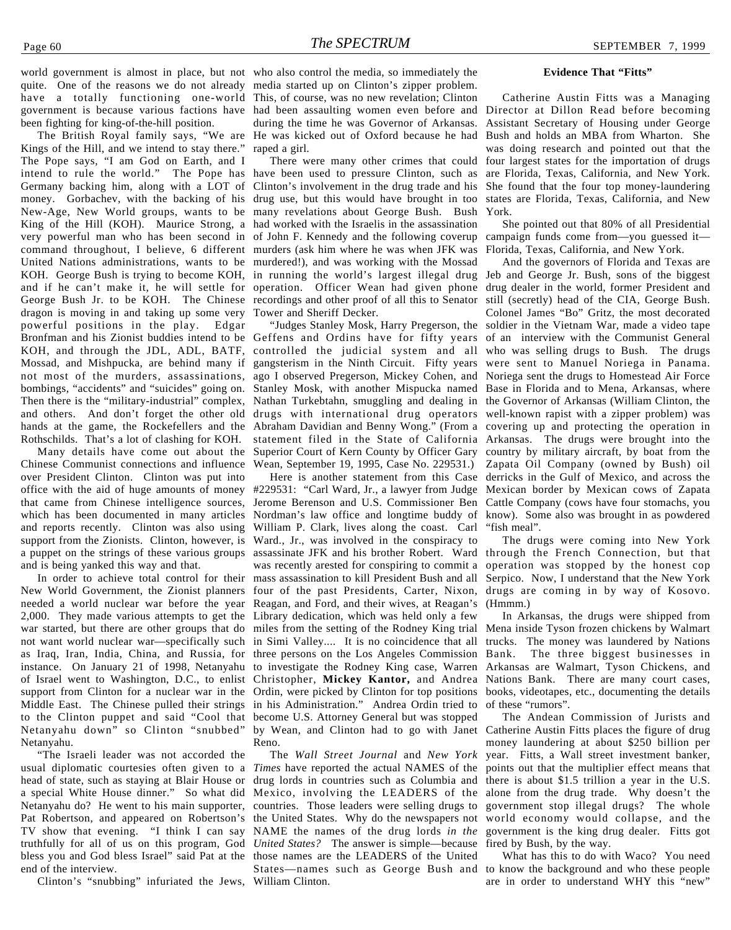world government is almost in place, but not who also control the media, so immediately the quite. One of the reasons we do not already media started up on Clinton's zipper problem. have a totally functioning one-world This, of course, was no new revelation; Clinton government is because various factions have been fighting for king-of-the-hill position.

The British Royal family says, "We are Kings of the Hill, and we intend to stay there." The Pope says, "I am God on Earth, and I intend to rule the world." The Pope has have been used to pressure Clinton, such as Germany backing him, along with a LOT of Clinton's involvement in the drug trade and his money. Gorbachev, with the backing of his drug use, but this would have brought in too New-Age, New World groups, wants to be many revelations about George Bush. Bush King of the Hill (KOH). Maurice Strong, a had worked with the Israelis in the assassination very powerful man who has been second in of John F. Kennedy and the following coverup campaign funds come from—you guessed it command throughout, I believe, 6 different murders (ask him where he was when JFK was United Nations administrations, wants to be murdered!), and was working with the Mossad KOH. George Bush is trying to become KOH, in running the world's largest illegal drug Jeb and George Jr. Bush, sons of the biggest and if he can't make it, he will settle for operation. Officer Wean had given phone drug dealer in the world, former President and George Bush Jr. to be KOH. The Chinese recordings and other proof of all this to Senator dragon is moving in and taking up some very Tower and Sheriff Decker. powerful positions in the play. Edgar Bronfman and his Zionist buddies intend to be Geffens and Ordins have for fifty years KOH, and through the JDL, ADL, BATF, controlled the judicial system and all Mossad, and Mishpucka, are behind many if gangsterism in the Ninth Circuit. Fifty years not most of the murders, assassinations, bombings, "accidents" and "suicides" going on. Then there is the "military-industrial" complex, and others. And don't forget the other old hands at the game, the Rockefellers and the Rothschilds. That's a lot of clashing for KOH.

Many details have come out about the Chinese Communist connections and influence over President Clinton. Clinton was put into office with the aid of huge amounts of money that came from Chinese intelligence sources, which has been documented in many articles and reports recently. Clinton was also using support from the Zionists. Clinton, however, is a puppet on the strings of these various groups and is being yanked this way and that.

In order to achieve total control for their New World Government, the Zionist planners needed a world nuclear war before the year 2,000. They made various attempts to get the war started, but there are other groups that do not want world nuclear war—specifically such as Iraq, Iran, India, China, and Russia, for instance. On January 21 of 1998, Netanyahu of Israel went to Washington, D.C., to enlist support from Clinton for a nuclear war in the Middle East. The Chinese pulled their strings to the Clinton puppet and said "Cool that become U.S. Attorney General but was stopped Netanyahu down" so Clinton "snubbed" Netanyahu.

"The Israeli leader was not accorded the usual diplomatic courtesies often given to a *Times* have reported the actual NAMES of the head of state, such as staying at Blair House or a special White House dinner." So what did Mexico, involving the LEADERS of the Netanyahu do? He went to his main supporter, countries. Those leaders were selling drugs to Pat Robertson, and appeared on Robertson's the United States. Why do the newspapers not TV show that evening. "I think I can say NAME the names of the drug lords *in the* truthfully for all of us on this program, God *United States?* The answer is simple—because bless you and God bless Israel" said Pat at the those names are the LEADERS of the United end of the interview.

Clinton's "snubbing" infuriated the Jews, William Clinton.

had been assaulting women even before and during the time he was Governor of Arkansas. He was kicked out of Oxford because he had raped a girl.

There were many other crimes that could

ago I observed Pregerson, Mickey Cohen, and Noriega sent the drugs to Homestead Air Force Stanley Mosk, with another Mispucka named Base in Florida and to Mena, Arkansas, where Nathan Turkebtahn, smuggling and dealing in the Governor of Arkansas (William Clinton, the drugs with international drug operators well-known rapist with a zipper problem) was Abraham Davidian and Benny Wong." (From a covering up and protecting the operation in statement filed in the State of California Arkansas. The drugs were brought into the Superior Court of Kern County by Officer Gary Wean, September 19, 1995, Case No. 229531.)

Here is another statement from this Case #229531: "Carl Ward, Jr., a lawyer from Judge Jerome Berenson and U.S. Commissioner Ben Nordman's law office and longtime buddy of William P. Clark, lives along the coast. Carl Ward., Jr., was involved in the conspiracy to assassinate JFK and his brother Robert. Ward through the French Connection, but that was recently arested for conspiring to commit a mass assassination to kill President Bush and all Serpico. Now, I understand that the New York four of the past Presidents, Carter, Nixon, drugs are coming in by way of Kosovo. Reagan, and Ford, and their wives, at Reagan's Library dedication, which was held only a few miles from the setting of the Rodney King trial in Simi Valley.... It is no coincidence that all three persons on the Los Angeles Commission to investigate the Rodney King case, Warren Christopher, **Mickey Kantor,** and Andrea Ordin, were picked by Clinton for top positions in his Administration." Andrea Ordin tried to by Wean, and Clinton had to go with Janet Reno.

The *Wall Street Journal* and *New York* drug lords in countries such as Columbia and States—names such as George Bush and to know the background and who these people

#### **Evidence That "Fitts"**

Catherine Austin Fitts was a Managing Director at Dillon Read before becoming Assistant Secretary of Housing under George Bush and holds an MBA from Wharton. She was doing research and pointed out that the four largest states for the importation of drugs are Florida, Texas, California, and New York. She found that the four top money-laundering states are Florida, Texas, California, and New York.

She pointed out that 80% of all Presidential Florida, Texas, California, and New York.

"Judges Stanley Mosk, Harry Pregerson, the soldier in the Vietnam War, made a video tape And the governors of Florida and Texas are still (secretly) head of the CIA, George Bush. Colonel James "Bo" Gritz, the most decorated of an interview with the Communist General who was selling drugs to Bush. The drugs were sent to Manuel Noriega in Panama. country by military aircraft, by boat from the Zapata Oil Company (owned by Bush) oil derricks in the Gulf of Mexico, and across the Mexican border by Mexican cows of Zapata Cattle Company (cows have four stomachs, you know). Some also was brought in as powdered "fish meal".

> The drugs were coming into New York operation was stopped by the honest cop (Hmmm.)

> In Arkansas, the drugs were shipped from Mena inside Tyson frozen chickens by Walmart trucks. The money was laundered by Nations Bank. The three biggest businesses in Arkansas are Walmart, Tyson Chickens, and Nations Bank. There are many court cases, books, videotapes, etc., documenting the details of these "rumors".

> The Andean Commission of Jurists and Catherine Austin Fitts places the figure of drug money laundering at about \$250 billion per year. Fitts, a Wall street investment banker, points out that the multiplier effect means that there is about \$1.5 trillion a year in the U.S. alone from the drug trade. Why doesn't the government stop illegal drugs? The whole world economy would collapse, and the government is the king drug dealer. Fitts got fired by Bush, by the way.

> What has this to do with Waco? You need are in order to understand WHY this "new"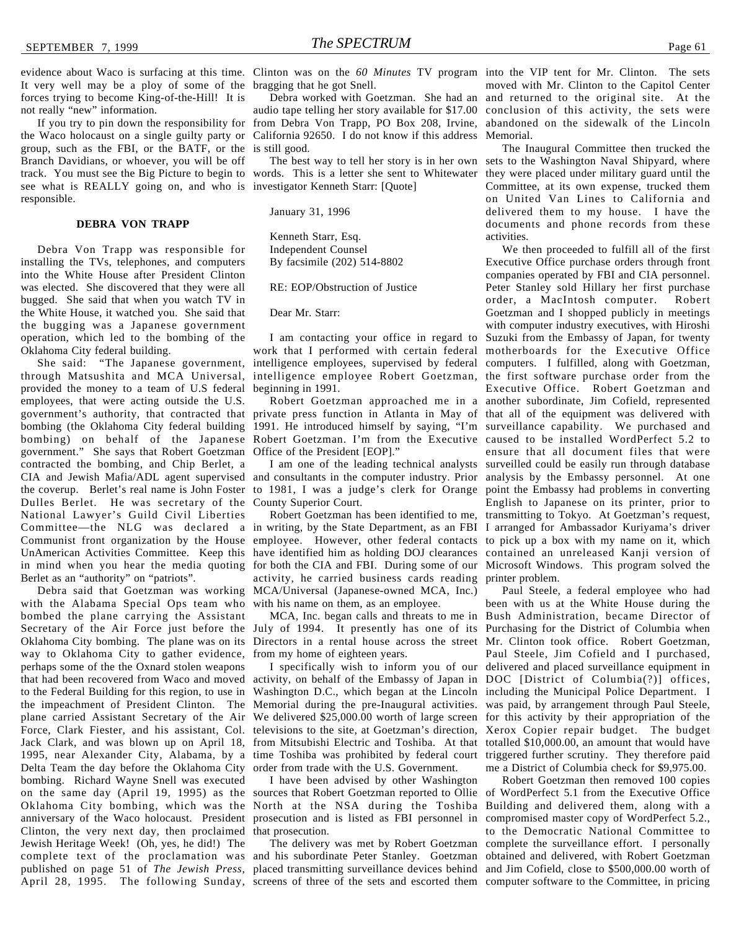It very well may be a ploy of some of the bragging that he got Snell. forces trying to become King-of-the-Hill! It is not really "new" information.

the Waco holocaust on a single guilty party or group, such as the FBI, or the BATF, or the Branch Davidians, or whoever, you will be off track. You must see the Big Picture to begin to words. This is a letter she sent to Whitewater see what is REALLY going on, and who is investigator Kenneth Starr: [Quote] responsible.

#### **DEBRA VON TRAPP**

Debra Von Trapp was responsible for installing the TVs, telephones, and computers into the White House after President Clinton was elected. She discovered that they were all bugged. She said that when you watch TV in the White House, it watched you. She said that the bugging was a Japanese government operation, which led to the bombing of the Oklahoma City federal building.

through Matsushita and MCA Universal, provided the money to a team of U.S federal employees, that were acting outside the U.S. government's authority, that contracted that private press function in Atlanta in May of that all of the equipment was delivered with bombing (the Oklahoma City federal building 1991. He introduced himself by saying, "I'm surveillance capability. We purchased and bombing) on behalf of the Japanese government." She says that Robert Goetzman contracted the bombing, and Chip Berlet, a CIA and Jewish Mafia/ADL agent supervised and consultants in the computer industry. Prior analysis by the Embassy personnel. At one the coverup. Berlet's real name is John Foster to 1981, I was a judge's clerk for Orange point the Embassy had problems in converting Dulles Berlet. He was secretary of the County Superior Court. National Lawyer's Guild Civil Liberties Committee—the NLG was declared a in writing, by the State Department, as an FBI I arranged for Ambassador Kuriyama's driver Communist front organization by the House UnAmerican Activities Committee. Keep this in mind when you hear the media quoting for both the CIA and FBI. During some of our Microsoft Windows. This program solved the Berlet as an "authority" on "patriots".

with the Alabama Special Ops team who with his name on them, as an employee. bombed the plane carrying the Assistant Secretary of the Air Force just before the July of 1994. It presently has one of its Purchasing for the District of Columbia when Oklahoma City bombing. The plane was on its Directors in a rental house across the street Mr. Clinton took office. Robert Goetzman, way to Oklahoma City to gather evidence, perhaps some of the the Oxnard stolen weapons that had been recovered from Waco and moved to the Federal Building for this region, to use in the impeachment of President Clinton. The plane carried Assistant Secretary of the Air We delivered \$25,000.00 worth of large screen for this activity by their appropriation of the Force, Clark Fiester, and his assistant, Col. televisions to the site, at Goetzman's direction, Xerox Copier repair budget. The budget Jack Clark, and was blown up on April 18, from Mitsubishi Electric and Toshiba. At that totalled \$10,000.00, an amount that would have 1995, near Alexander City, Alabama, by a time Toshiba was prohibited by federal court triggered further scrutiny. They therefore paid Delta Team the day before the Oklahoma City bombing. Richard Wayne Snell was executed on the same day (April 19, 1995) as the sources that Robert Goetzman reported to Ollie Oklahoma City bombing, which was the North at the NSA during the Toshiba anniversary of the Waco holocaust. President Clinton, the very next day, then proclaimed Jewish Heritage Week! (Oh, yes, he did!) The complete text of the proclamation was and his subordinate Peter Stanley. Goetzman obtained and delivered, with Robert Goetzman published on page 51 of *The Jewish Press*, placed transmitting surveillance devices behind and Jim Cofield, close to \$500,000.00 worth of

If you try to pin down the responsibility for from Debra Von Trapp, PO Box 208, Irvine, audio tape telling her story available for \$17.00 California 92650. I do not know if this address Memorial. is still good.

The best way to tell her story is in her own

January 31, 1996

Kenneth Starr, Esq. Independent Counsel By facsimile (202) 514-8802

#### RE: EOP/Obstruction of Justice

Dear Mr. Starr:

She said: "The Japanese government, intelligence employees, supervised by federal computers. I fulfilled, along with Goetzman, work that I performed with certain federal motherboards for the Executive Office intelligence employee Robert Goetzman, the first software purchase order from the beginning in 1991.

> Robert Goetzman. I'm from the Executive caused to be installed WordPerfect 5.2 to Office of the President [EOP]."

Debra said that Goetzman was working MCA/Universal (Japanese-owned MCA, Inc.) employee. However, other federal contacts to pick up a box with my name on it, which have identified him as holding DOJ clearances contained an unreleased Kanji version of activity, he carried business cards reading printer problem.

from my home of eighteen years.

activity, on behalf of the Embassy of Japan in DOC [District of Columbia(?)] offices, Washington D.C., which began at the Lincoln including the Municipal Police Department. I Memorial during the pre-Inaugural activities. was paid, by arrangement through Paul Steele, order from trade with the U.S. Government.

I have been advised by other Washington prosecution and is listed as FBI personnel in that prosecution.

April 28, 1995. The following Sunday, screens of three of the sets and escorted them computer software to the Committee, in pricing

evidence about Waco is surfacing at this time. Clinton was on the 60 Minutes TV program into the VIP tent for Mr. Clinton. The sets Debra worked with Goetzman. She had an and returned to the original site. At the moved with Mr. Clinton to the Capitol Center conclusion of this activity, the sets were abandoned on the sidewalk of the Lincoln

> The Inaugural Committee then trucked the sets to the Washington Naval Shipyard, where they were placed under military guard until the Committee, at its own expense, trucked them on United Van Lines to California and delivered them to my house. I have the documents and phone records from these activities.

I am contacting your office in regard to Suzuki from the Embassy of Japan, for twenty Robert Goetzman approached me in a another subordinate, Jim Cofield, represented I am one of the leading technical analysts surveilled could be easily run through database Robert Goetzman has been identified to me, transmitting to Tokyo. At Goetzman's request, We then proceeded to fulfill all of the first Executive Office purchase orders through front companies operated by FBI and CIA personnel. Peter Stanley sold Hillary her first purchase order, a MacIntosh computer. Robert Goetzman and I shopped publicly in meetings with computer industry executives, with Hiroshi Executive Office. Robert Goetzman and ensure that all document files that were English to Japanese on its printer, prior to

MCA, Inc. began calls and threats to me in Bush Administration, became Director of I specifically wish to inform you of our delivered and placed surveillance equipment in Paul Steele, a federal employee who had been with us at the White House during the Paul Steele, Jim Cofield and I purchased, me a District of Columbia check for \$9,975.00.

The delivery was met by Robert Goetzman complete the surveillance effort. I personally Robert Goetzman then removed 100 copies of WordPerfect 5.1 from the Executive Office Building and delivered them, along with a compromised master copy of WordPerfect 5.2., to the Democratic National Committee to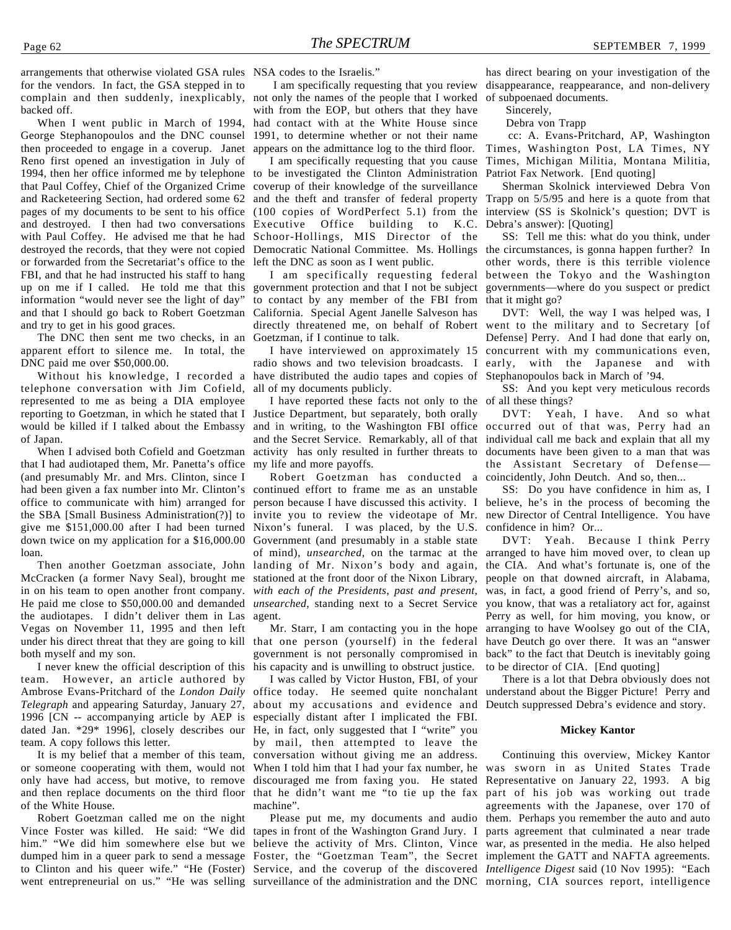arrangements that otherwise violated GSA rules NSA codes to the Israelis." for the vendors. In fact, the GSA stepped in to complain and then suddenly, inexplicably, backed off.

When I went public in March of 1994, George Stephanopoulos and the DNC counsel then proceeded to engage in a coverup. Janet Reno first opened an investigation in July of 1994, then her office informed me by telephone that Paul Coffey, Chief of the Organized Crime and Racketeering Section, had ordered some 62 pages of my documents to be sent to his office and destroyed. I then had two conversations Executive Office building to K.C. with Paul Coffey. He advised me that he had Schoor-Hollings, MIS Director of the destroyed the records, that they were not copied Democratic National Committee. Ms. Hollings the circumstances, is gonna happen further? In or forwarded from the Secretariat's office to the left the DNC as soon as I went public. FBI, and that he had instructed his staff to hang up on me if I called. He told me that this government protection and that I not be subject governments—where do you suspect or predict information "would never see the light of day" and that I should go back to Robert Goetzman and try to get in his good graces.

The DNC then sent me two checks, in an Goetzman, if I continue to talk. apparent effort to silence me. In total, the DNC paid me over \$50,000.00.

telephone conversation with Jim Cofield, represented to me as being a DIA employee reporting to Goetzman, in which he stated that I Justice Department, but separately, both orally would be killed if I talked about the Embassy of Japan.

When I advised both Cofield and Goetzman that I had audiotaped them, Mr. Panetta's office (and presumably Mr. and Mrs. Clinton, since I had been given a fax number into Mr. Clinton's office to communicate with him) arranged for the SBA [Small Business Administration(?)] to give me \$151,000.00 after I had been turned down twice on my application for a \$16,000.00 loan.

Then another Goetzman associate, John McCracken (a former Navy Seal), brought me in on his team to open another front company. He paid me close to \$50,000.00 and demanded the audiotapes. I didn't deliver them in Las Vegas on November 11, 1995 and then left under his direct threat that they are going to kill both myself and my son.

I never knew the official description of this team. However, an article authored by Ambrose Evans-Pritchard of the *London Daily Telegraph* and appearing Saturday, January 27, 1996 [CN -- accompanying article by AEP is dated Jan. \*29\* 1996], closely describes our team. A copy follows this letter.

It is my belief that a member of this team, or someone cooperating with them, would not When I told him that I had your fax number, he only have had access, but motive, to remove discouraged me from faxing you. He stated and then replace documents on the third floor of the White House.

Robert Goetzman called me on the night Vince Foster was killed. He said: "We did tapes in front of the Washington Grand Jury. I him." "We did him somewhere else but we believe the activity of Mrs. Clinton, Vince war, as presented in the media. He also helped dumped him in a queer park to send a message Foster, the "Goetzman Team", the Secret implement the GATT and NAFTA agreements. to Clinton and his queer wife." "He (Foster) Service, and the coverup of the discovered *Intelligence Digest* said (10 Nov 1995): "Each went entrepreneurial on us." "He was selling surveillance of the administration and the DNC morning, CIA sources report, intelligence

 I am specifically requesting that you review not only the names of the people that I worked with from the EOP, but others that they have had contact with at the White House since 1991, to determine whether or not their name appears on the admittance log to the third floor.

I am specifically requesting that you cause to be investigated the Clinton Administration coverup of their knowledge of the surveillance and the theft and transfer of federal property (100 copies of WordPerfect 5.1) from the interview (SS is Skolnick's question; DVT is

to contact by any member of the FBI from California. Special Agent Janelle Salveson has directly threatened me, on behalf of Robert went to the military and to Secretary [of

Without his knowledge, I recorded a have distributed the audio tapes and copies of Stephanopoulos back in March of '94. radio shows and two television broadcasts. I early, with the Japanese and with all of my documents publicly.

> I have reported these facts not only to the of all these things? and in writing, to the Washington FBI office occurred out of that was, Perry had an and the Secret Service. Remarkably, all of that activity has only resulted in further threats to documents have been given to a man that was my life and more payoffs.

> Robert Goetzman has conducted a coincidently, John Deutch. And so, then... continued effort to frame me as an unstable person because I have discussed this activity. I believe, he's in the process of becoming the invite you to review the videotape of Mr. new Director of Central Intelligence. You have Nixon's funeral. I was placed, by the U.S. confidence in him? Or... Government (and presumably in a stable state of mind), *unsearched*, on the tarmac at the arranged to have him moved over, to clean up landing of Mr. Nixon's body and again, the CIA. And what's fortunate is, one of the stationed at the front door of the Nixon Library, people on that downed aircraft, in Alabama, *with each of the Presidents, past and present,* unsearched, standing next to a Secret Service you know, that was a retaliatory act for, against agent.

Mr. Starr, I am contacting you in the hope that one person (yourself) in the federal government is not personally compromised in his capacity and is unwilling to obstruct justice.

I was called by Victor Huston, FBI, of your office today. He seemed quite nonchalant about my accusations and evidence and especially distant after I implicated the FBI. He, in fact, only suggested that I "write" you by mail, then attempted to leave the conversation without giving me an address. that he didn't want me "to tie up the fax machine".

Please put me, my documents and audio

has direct bearing on your investigation of the disappearance, reappearance, and non-delivery of subpoenaed documents.

Sincerely,

Debra von Trapp

 cc: A. Evans-Pritchard, AP, Washington Times, Washington Post, LA Times, NY Times, Michigan Militia, Montana Militia, Patriot Fax Network. [End quoting]

Sherman Skolnick interviewed Debra Von Trapp on 5/5/95 and here is a quote from that Debra's answer): [Quoting]

I am specifically requesting federal between the Tokyo and the Washington SS: Tell me this: what do you think, under other words, there is this terrible violence that it might go?

I have interviewed on approximately 15 concurrent with my communications even, DVT: Well, the way I was helped was, I Defense] Perry. And I had done that early on,

SS: And you kept very meticulous records

DVT: Yeah, I have. And so what individual call me back and explain that all my the Assistant Secretary of Defense—

SS: Do you have confidence in him as, I

DVT: Yeah. Because I think Perry was, in fact, a good friend of Perry's, and so, Perry as well, for him moving, you know, or arranging to have Woolsey go out of the CIA, have Deutch go over there. It was an "answer back" to the fact that Deutch is inevitably going to be director of CIA. [End quoting]

There is a lot that Debra obviously does not understand about the Bigger Picture! Perry and Deutch suppressed Debra's evidence and story.

#### **Mickey Kantor**

Continuing this overview, Mickey Kantor was sworn in as United States Trade Representative on January 22, 1993. A big part of his job was working out trade agreements with the Japanese, over 170 of them. Perhaps you remember the auto and auto parts agreement that culminated a near trade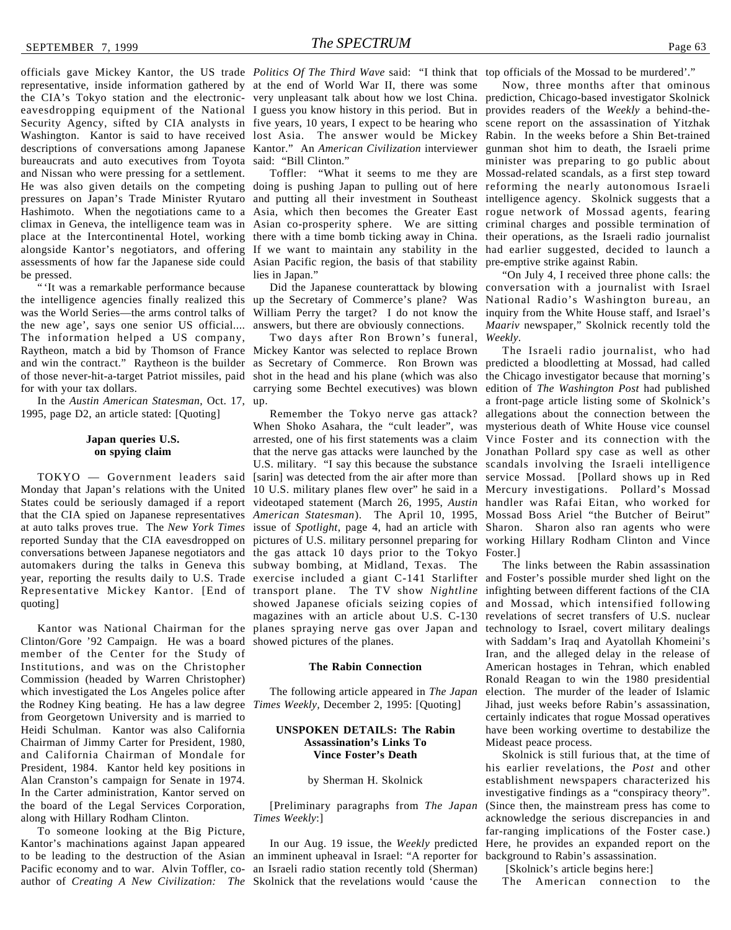representative, inside information gathered by at the end of World War II, there was some the CIA's Tokyo station and the electronic-very unpleasant talk about how we lost China. eavesdropping equipment of the National I guess you know history in this period. But in provides readers of the Weekly a behind-the-Security Agency, sifted by CIA analysts in five years, 10 years, I expect to be hearing who scene report on the assassination of Yitzhak Washington. Kantor is said to have received lost Asia. The answer would be Mickey descriptions of conversations among Japanese Kantor." An *American Civilization* interviewer bureaucrats and auto executives from Toyota said: "Bill Clinton." and Nissan who were pressing for a settlement. He was also given details on the competing doing is pushing Japan to pulling out of here reforming the nearly autonomous Israeli pressures on Japan's Trade Minister Ryutaro and putting all their investment in Southeast intelligence agency. Skolnick suggests that a Hashimoto. When the negotiations came to a Asia, which then becomes the Greater East rogue network of Mossad agents, fearing climax in Geneva, the intelligence team was in Asian co-prosperity sphere. We are sitting criminal charges and possible termination of place at the Intercontinental Hotel, working there with a time bomb ticking away in China. their operations, as the Israeli radio journalist alongside Kantor's negotiators, and offering If we want to maintain any stability in the had earlier suggested, decided to launch a assessments of how far the Japanese side could Asian Pacific region, the basis of that stability pre-emptive strike against Rabin. be pressed.

" 'It was a remarkable performance because the intelligence agencies finally realized this up the Secretary of Commerce's plane? Was National Radio's Washington bureau, an was the World Series—the arms control talks of William Perry the target? I do not know the inquiry from the White House staff, and Israel's the new age', says one senior US official.... answers, but there are obviously connections. The information helped a US company, Raytheon, match a bid by Thomson of France Mickey Kantor was selected to replace Brown and win the contract." Raytheon is the builder as Secretary of Commerce. Ron Brown was predicted a bloodletting at Mossad, had called of those never-hit-a-target Patriot missiles, paid for with your tax dollars.

In the *Austin American Statesman*, Oct. 17, up. 1995, page D2, an article stated: [Quoting]

#### **Japan queries U.S. on spying claim**

TOKYO — Government leaders said Monday that Japan's relations with the United States could be seriously damaged if a report that the CIA spied on Japanese representatives at auto talks proves true. The *New York Times* reported Sunday that the CIA eavesdropped on conversations between Japanese negotiators and automakers during the talks in Geneva this Representative Mickey Kantor. [End of quoting]

Kantor was National Chairman for the Clinton/Gore '92 Campaign. He was a board member of the Center for the Study of Institutions, and was on the Christopher Commission (headed by Warren Christopher) which investigated the Los Angeles police after the Rodney King beating. He has a law degree from Georgetown University and is married to Heidi Schulman. Kantor was also California Chairman of Jimmy Carter for President, 1980, and California Chairman of Mondale for President, 1984. Kantor held key positions in Alan Cranston's campaign for Senate in 1974. In the Carter administration, Kantor served on the board of the Legal Services Corporation, along with Hillary Rodham Clinton.

To someone looking at the Big Picture, Kantor's machinations against Japan appeared to be leading to the destruction of the Asian an imminent upheaval in Israel: "A reporter for Pacific economy and to war. Alvin Toffler, co- an Israeli radio station recently told (Sherman) author of *Creating A New Civilization: The* Skolnick that the revelations would 'cause the

officials gave Mickey Kantor, the US trade *Politics Of The Third Wave* said: "I think that top officials of the Mossad to be murdered'."

lies in Japan."

Two days after Ron Brown's funeral, shot in the head and his plane (which was also the Chicago investigator because that morning's carrying some Bechtel executives) was blown edition of *The Washington Post* had published

year, reporting the results daily to U.S. Trade exercise included a giant C-141 Starlifter and Foster's possible murder shed light on the When Shoko Asahara, the "cult leader", was mysterious death of White House vice counsel arrested, one of his first statements was a claim Vince Foster and its connection with the that the nerve gas attacks were launched by the Jonathan Pollard spy case as well as other U.S. military. "I say this because the substance scandals involving the Israeli intelligence [sarin] was detected from the air after more than service Mossad. [Pollard shows up in Red 10 U.S. military planes flew over" he said in a Mercury investigations. Pollard's Mossad videotaped statement (March 26, 1995, *Austin* handler was Rafai Eitan, who worked for *American Statesman*). The April 10, 1995, Mossad Boss Ariel "the Butcher of Beirut" issue of *Spotlight*, page 4, had an article with Sharon. Sharon also ran agents who were pictures of U.S. military personnel preparing for working Hillary Rodham Clinton and Vince the gas attack 10 days prior to the Tokyo Foster.] subway bombing, at Midland, Texas. The transport plane. The TV show *Nightline* infighting between different factions of the CIA showed Japanese oficials seizing copies of and Mossad, which intensified following magazines with an article about U.S. C-130 revelations of secret transfers of U.S. nuclear planes spraying nerve gas over Japan and technology to Israel, covert military dealings showed pictures of the planes.

#### **The Rabin Connection**

The following article appeared in *The Japan Times Weekly,* December 2, 1995: [Quoting]

#### **UNSPOKEN DETAILS: The Rabin Assassination's Links To Vince Foster's Death**

#### by Sherman H. Skolnick

[Preliminary paragraphs from *The Japan Times Weekly*:]

Toffler: "What it seems to me they are Mossad-related scandals, as a first step toward Now, three months after that ominous prediction, Chicago-based investigator Skolnick Rabin. In the weeks before a Shin Bet-trained gunman shot him to death, the Israeli prime minister was preparing to go public about

Did the Japanese counterattack by blowing conversation with a journalist with Israel "On July 4, I received three phone calls: the *Maariv* newspaper," Skolnick recently told the *Weekly*.

Remember the Tokyo nerve gas attack? allegations about the connection between the The Israeli radio journalist, who had a front-page article listing some of Skolnick's

> The links between the Rabin assassination with Saddam's Iraq and Ayatollah Khomeini's Iran, and the alleged delay in the release of American hostages in Tehran, which enabled Ronald Reagan to win the 1980 presidential election. The murder of the leader of Islamic Jihad, just weeks before Rabin's assassination, certainly indicates that rogue Mossad operatives have been working overtime to destabilize the Mideast peace process.

In our Aug. 19 issue, the *Weekly* predicted Here, he provides an expanded report on the Skolnick is still furious that, at the time of his earlier revelations, the *Post* and other establishment newspapers characterized his investigative findings as a "conspiracy theory". (Since then, the mainstream press has come to acknowledge the serious discrepancies in and far-ranging implications of the Foster case.) background to Rabin's assassination.

[Skolnick's article begins here:]

The American connection to the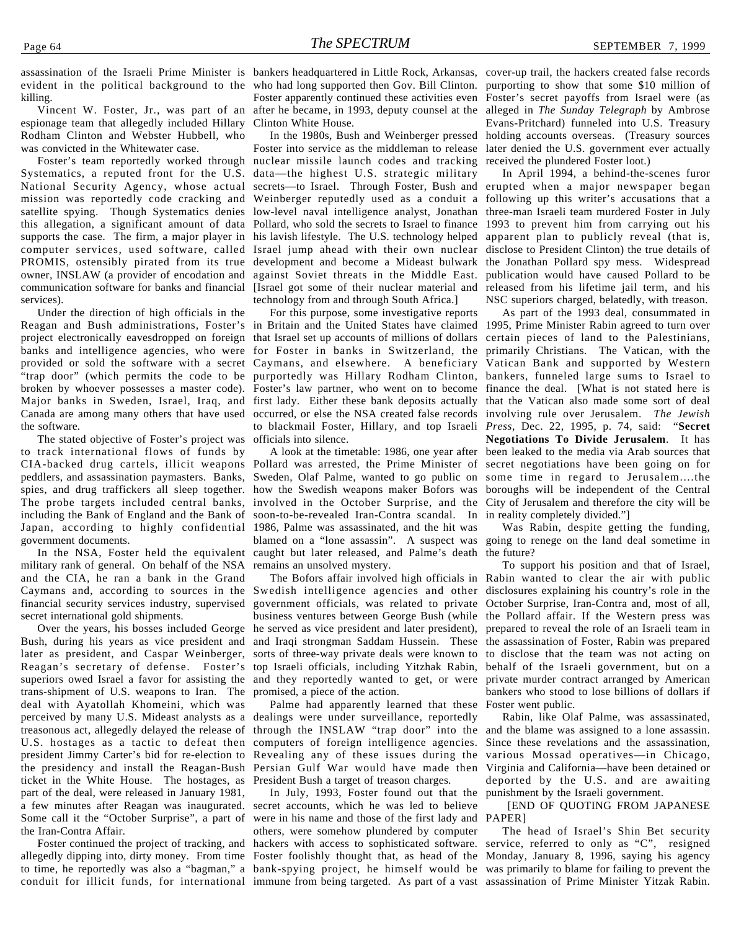killing.

Vincent W. Foster, Jr., was part of an espionage team that allegedly included Hillary Rodham Clinton and Webster Hubbell, who was convicted in the Whitewater case.

Foster's team reportedly worked through Systematics, a reputed front for the U.S. National Security Agency, whose actual mission was reportedly code cracking and Weinberger reputedly used as a conduit a following up this writer's accusations that a satellite spying. Though Systematics denies low-level naval intelligence analyst, Jonathan three-man Israeli team murdered Foster in July this allegation, a significant amount of data Pollard, who sold the secrets to Israel to finance 1993 to prevent him from carrying out his supports the case. The firm, a major player in his lavish lifestyle. The U.S. technology helped apparent plan to publicly reveal (that is, computer services, used software, called Israel jump ahead with their own nuclear disclose to President Clinton) the true details of PROMIS, ostensibly pirated from its true development and become a Mideast bulwark the Jonathan Pollard spy mess. Widespread owner, INSLAW (a provider of encodation and against Soviet threats in the Middle East. publication would have caused Pollard to be communication software for banks and financial [Israel got some of their nuclear material and released from his lifetime jail term, and his services).

Under the direction of high officials in the Reagan and Bush administrations, Foster's in Britain and the United States have claimed 1995, Prime Minister Rabin agreed to turn over project electronically eavesdropped on foreign that Israel set up accounts of millions of dollars certain pieces of land to the Palestinians, banks and intelligence agencies, who were for Foster in banks in Switzerland, the primarily Christians. The Vatican, with the provided or sold the software with a secret Caymans, and elsewhere. A beneficiary "trap door" (which permits the code to be purportedly was Hillary Rodham Clinton, bankers, funneled large sums to Israel to broken by whoever possesses a master code). Major banks in Sweden, Israel, Iraq, and first lady. Either these bank deposits actually that the Vatican also made some sort of deal Canada are among many others that have used the software.

The stated objective of Foster's project was to track international flows of funds by CIA-backed drug cartels, illicit weapons peddlers, and assassination paymasters. Banks, spies, and drug traffickers all sleep together. The probe targets included central banks, including the Bank of England and the Bank of Japan, according to highly confidential 1986, Palme was assassinated, and the hit was government documents.

military rank of general. On behalf of the NSA and the CIA, he ran a bank in the Grand Caymans and, according to sources in the Swedish intelligence agencies and other disclosures explaining his country's role in the financial security services industry, supervised secret international gold shipments.

Over the years, his bosses included George Bush, during his years as vice president and later as president, and Caspar Weinberger, Reagan's secretary of defense. Foster's superiors owed Israel a favor for assisting the trans-shipment of U.S. weapons to Iran. The deal with Ayatollah Khomeini, which was perceived by many U.S. Mideast analysts as a dealings were under surveillance, reportedly treasonous act, allegedly delayed the release of through the INSLAW "trap door" into the U.S. hostages as a tactic to defeat then computers of foreign intelligence agencies. president Jimmy Carter's bid for re-election to Revealing any of these issues during the the presidency and install the Reagan-Bush ticket in the White House. The hostages, as part of the deal, were released in January 1981, a few minutes after Reagan was inaugurated. secret accounts, which he was led to believe Some call it the "October Surprise", a part of the Iran-Contra Affair.

allegedly dipping into, dirty money. From time Foster foolishly thought that, as head of the Monday, January 8, 1996, saying his agency to time, he reportedly was also a "bagman," a bank-spying project, he himself would be was primarily to blame for failing to prevent the

assassination of the Israeli Prime Minister is bankers headquartered in Little Rock, Arkansas, cover-up trail, the hackers created false records evident in the political background to the who had long supported then Gov. Bill Clinton. purporting to show that some \$10 million of Foster apparently continued these activities even Foster's secret payoffs from Israel were (as after he became, in 1993, deputy counsel at the alleged in *The Sunday Telegraph* by Ambrose Clinton White House.

> Foster into service as the middleman to release nuclear missile launch codes and tracking data—the highest U.S. strategic military secrets—to Israel. Through Foster, Bush and erupted when a major newspaper began technology from and through South Africa.]

> For this purpose, some investigative reports Foster's law partner, who went on to become finance the deal. [What is not stated here is occurred, or else the NSA created false records involving rule over Jerusalem. *The Jewish* to blackmail Foster, Hillary, and top Israeli *Press,* Dec. 22, 1995, p. 74, said: "**Secret** officials into silence.

In the NSA, Foster held the equivalent caught but later released, and Palme's death the future? A look at the timetable: 1986, one year after Pollard was arrested, the Prime Minister of Sweden, Olaf Palme, wanted to go public on how the Swedish weapons maker Bofors was involved in the October Surprise, and the City of Jerusalem and therefore the city will be soon-to-be-revealed Iran-Contra scandal. In in reality completely divided."] blamed on a "lone assassin". A suspect was going to renege on the land deal sometime in remains an unsolved mystery.

> government officials, was related to private October Surprise, Iran-Contra and, most of all, business ventures between George Bush (while the Pollard affair. If the Western press was he served as vice president and later president), and Iraqi strongman Saddam Hussein. These sorts of three-way private deals were known to top Israeli officials, including Yitzhak Rabin, and they reportedly wanted to get, or were promised, a piece of the action.

Palme had apparently learned that these Persian Gulf War would have made then President Bush a target of treason charges.

Foster continued the project of tracking, and hackers with access to sophisticated software. service, referred to only as "C", resigned conduit for illicit funds, for international immune from being targeted. As part of a vast assassination of Prime Minister Yitzak Rabin. In July, 1993, Foster found out that the were in his name and those of the first lady and others, were somehow plundered by computer

In the 1980s, Bush and Weinberger pressed holding accounts overseas. (Treasury sources Evans-Pritchard) funneled into U.S. Treasury later denied the U.S. government ever actually received the plundered Foster loot.)

In April 1994, a behind-the-scenes furor NSC superiors charged, belatedly, with treason.

As part of the 1993 deal, consummated in Vatican Bank and supported by Western **Negotiations To Divide Jerusalem**. It has been leaked to the media via Arab sources that secret negotiations have been going on for some time in regard to Jerusalem....the boroughs will be independent of the Central

Was Rabin, despite getting the funding,

The Bofors affair involved high officials in Rabin wanted to clear the air with public To support his position and that of Israel, prepared to reveal the role of an Israeli team in the assassination of Foster, Rabin was prepared to disclose that the team was not acting on behalf of the Israeli government, but on a private murder contract arranged by American bankers who stood to lose billions of dollars if Foster went public.

> Rabin, like Olaf Palme, was assassinated, and the blame was assigned to a lone assassin. Since these revelations and the assassination, various Mossad operatives—in Chicago, Virginia and California—have been detained or deported by the U.S. and are awaiting punishment by the Israeli government.

> [END OF QUOTING FROM JAPANESE PAPER]

> The head of Israel's Shin Bet security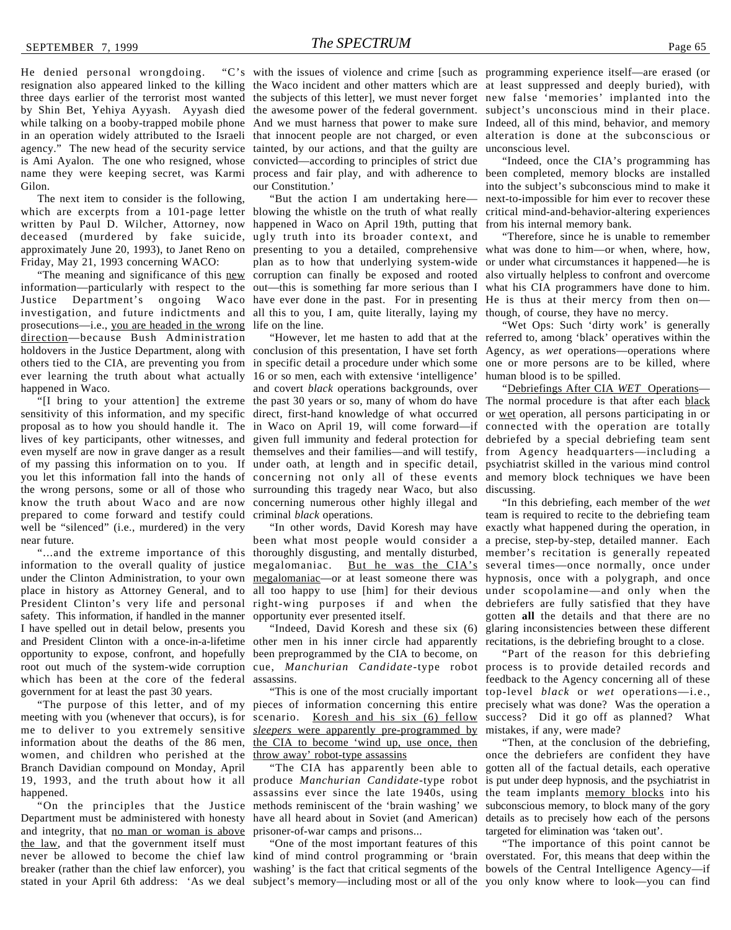He denied personal wrongdoing. resignation also appeared linked to the killing the Waco incident and other matters which are at least suppressed and deeply buried), with three days earlier of the terrorist most wanted the subjects of this letter], we must never forget new false 'memories' implanted into the by Shin Bet, Yehiya Ayyash. Ayyash died the awesome power of the federal government. subject's unconscious mind in their place. while talking on a booby-trapped mobile phone And we must harness that power to make sure Indeed, all of this mind, behavior, and memory in an operation widely attributed to the Israeli agency." The new head of the security service is Ami Ayalon. The one who resigned, whose name they were keeping secret, was Karmi Gilon.

The next item to consider is the following, which are excerpts from a 101-page letter blowing the whistle on the truth of what really written by Paul D. Wilcher, Attorney, now deceased (murdered by fake suicide, approximately June 20, 1993), to Janet Reno on Friday, May 21, 1993 concerning WACO:

information—particularly with respect to the out—this is something far more serious than I Justice Department's ongoing investigation, and future indictments and all this to you, I am, quite literally, laying my though, of course, they have no mercy. prosecutions—i.e., you are headed in the wrong direction—because Bush Administration holdovers in the Justice Department, along with conclusion of this presentation, I have set forth Agency, as *wet* operations—operations where others tied to the CIA, are preventing you from in specific detail a procedure under which some one or more persons are to be killed, where ever learning the truth about what actually 16 or so men, each with extensive 'intelligence' happened in Waco.

"[I bring to your attention] the extreme sensitivity of this information, and my specific proposal as to how you should handle it. The lives of key participants, other witnesses, and even myself are now in grave danger as a result of my passing this information on to you. If you let this information fall into the hands of the wrong persons, some or all of those who know the truth about Waco and are now prepared to come forward and testify could well be "silenced" (i.e., murdered) in the very near future.

information to the overall quality of justice megalomaniac. under the Clinton Administration, to your own place in history as Attorney General, and to President Clinton's very life and personal safety. This information, if handled in the manner I have spelled out in detail below, presents you and President Clinton with a once-in-a-lifetime opportunity to expose, confront, and hopefully root out much of the system-wide corruption which has been at the core of the federal government for at least the past 30 years.

meeting with you (whenever that occurs), is for scenario. Koresh and his six (6) fellow success? Did it go off as planned? What me to deliver to you extremely sensitive information about the deaths of the 86 men, women, and children who perished at the Branch Davidian compound on Monday, April 19, 1993, and the truth about how it all happened.

"On the principles that the Justice Department must be administered with honesty and integrity, that <u>no man or woman is above</u> the law, and that the government itself must never be allowed to become the chief law kind of mind control programming or 'brain overstated. For, this means that deep within the breaker (rather than the chief law enforcer), you washing' is the fact that critical segments of the bowels of the Central Intelligence Agency—if stated in your April 6th address: 'As we deal subject's memory—including most or all of the you only know where to look—you can find

with the issues of violence and crime [such as programming experience itself—are erased (or that innocent people are not charged, or even tainted, by our actions, and that the guilty are convicted—according to principles of strict due process and fair play, and with adherence to our Constitution.'

"The meaning and significance of this **new** corruption can finally be exposed and rooted "But the action I am undertaking here happened in Waco on April 19th, putting that ugly truth into its broader context, and presenting to you a detailed, comprehensive what was done to him—or when, where, how, plan as to how that underlying system-wide or under what circumstances it happened—he is have ever done in the past. For in presenting He is thus at their mercy from then onlife on the line.

> and covert *black* operations backgrounds, over the past 30 years or so, many of whom do have The normal procedure is that after each black direct, first-hand knowledge of what occurred in Waco on April 19, will come forward—if connected with the operation are totally given full immunity and federal protection for debriefed by a special debriefing team sent themselves and their families—and will testify, from Agency headquarters—including a under oath, at length and in specific detail, psychiatrist skilled in the various mind control concerning not only all of these events and memory block techniques we have been surrounding this tragedy near Waco, but also concerning numerous other highly illegal and criminal *black* operations.

"...and the extreme importance of this thoroughly disgusting, and mentally disturbed, member's recitation is generally repeated been what most people would consider a a precise, step-by-step, detailed manner. Each megalomaniac. But he was the CIA's several times—once normally, once under megalomaniac—or at least someone there was hypnosis, once with a polygraph, and once all too happy to use [him] for their devious under scopolamine—and only when the right-wing purposes if and when the debriefers are fully satisfied that they have opportunity ever presented itself.

> "Indeed, David Koresh and these six (6) other men in his inner circle had apparently been preprogrammed by the CIA to become, on cue, *Manchurian Candidate-*type robot process is to provide detailed records and assassins.

"The purpose of this letter, and of my pieces of information concerning this entire precisely what was done? Was the operation a "This is one of the most crucially important *sleepers* were apparently pre-programmed by the CIA to become 'wind up, use once, then throw away' robot-type assassins

> "The CIA has apparently been able to produce *Manchurian Candidate-*type robot methods reminiscent of the 'brain washing' we have all heard about in Soviet (and American) prisoner-of-war camps and prisons...

"One of the most important features of this

alteration is done at the subconscious or unconscious level.

"Indeed, once the CIA's programming has been completed, memory blocks are installed into the subject's subconscious mind to make it next-to-impossible for him ever to recover these critical mind-and-behavior-altering experiences from his internal memory bank.

"Therefore, since he is unable to remember also virtually helpless to confront and overcome what his CIA programmers have done to him.

"However, let me hasten to add that at the referred to, among 'black' operatives within the "Wet Ops: Such 'dirty work' is generally human blood is to be spilled.

> "Debriefings After CIA *WET* Operations or wet operation, all persons participating in or discussing.

"In other words, David Koresh may have exactly what happened during the operation, in "In this debriefing, each member of the *wet* team is required to recite to the debriefing team gotten **all** the details and that there are no glaring inconsistencies between these different recitations, is the debriefing brought to a close.

> "Part of the reason for this debriefing feedback to the Agency concerning all of these top-level *black* or *wet* operations—i.e., mistakes, if any, were made?

assassins ever since the late 1940s, using the team implants memory blocks into his "Then, at the conclusion of the debriefing, once the debriefers are confident they have gotten all of the factual details, each operative is put under deep hypnosis, and the psychiatrist in subconscious memory, to block many of the gory details as to precisely how each of the persons targeted for elimination was 'taken out'.

"The importance of this point cannot be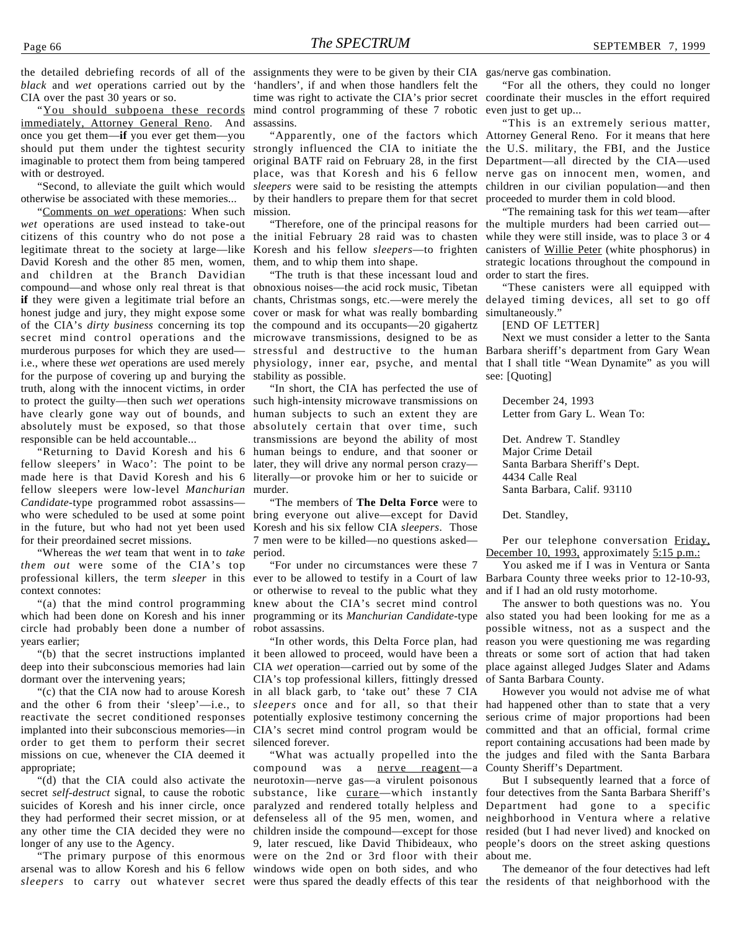CIA over the past 30 years or so.

"You should subpoena these records immediately, Attorney General Reno. And once you get them—**if** you ever get them—you should put them under the tightest security imaginable to protect them from being tampered with or destroyed.

"Second, to alleviate the guilt which would otherwise be associated with these memories...

"Comments on *wet* operations: When such *wet* operations are used instead to take-out citizens of this country who do not pose a the initial February 28 raid was to chasten while they were still inside, was to place 3 or 4 legitimate threat to the society at large—like Koresh and his fellow *sleepers*—to frighten canisters of Willie Peter (white phosphorus) in David Koresh and the other 85 men, women, and children at the Branch Davidian compound—and whose only real threat is that obnoxious noises—the acid rock music, Tibetan **if** they were given a legitimate trial before an chants, Christmas songs, etc.—were merely the delayed timing devices, all set to go off honest judge and jury, they might expose some of the CIA's *dirty business* concerning its top the compound and its occupants—20 gigahertz secret mind control operations and the microwave transmissions, designed to be as murderous purposes for which they are used i.e., where these *wet* operations are used merely physiology, inner ear, psyche, and mental for the purpose of covering up and burying the truth, along with the innocent victims, in order to protect the guilty—then such *wet* operations such high-intensity microwave transmissions on have clearly gone way out of bounds, and absolutely must be exposed, so that those responsible can be held accountable...

"Returning to David Koresh and his 6 fellow sleepers' in Waco': The point to be made here is that David Koresh and his 6 fellow sleepers were low-level *Manchurian* murder. *Candidate*-type programmed robot assassins who were scheduled to be used at some point bring everyone out alive—except for David in the future, but who had not yet been used for their preordained secret missions.

"Whereas the *wet* team that went in to *take* period. *them out* were some of the CIA's top professional killers, the term *sleeper* in this ever to be allowed to testify in a Court of law context connotes:

which had been done on Koresh and his inner circle had probably been done a number of years earlier;

deep into their subconscious memories had lain CIA *wet* operation—carried out by some of the dormant over the intervening years;

and the other 6 from their 'sleep'—i.e., to *sleepers* once and for all, so that their reactivate the secret conditioned responses implanted into their subconscious memories—in order to get them to perform their secret silenced forever. missions on cue, whenever the CIA deemed it appropriate;

"(d) that the CIA could also activate the secret *self-destruct* signal, to cause the robotic suicides of Koresh and his inner circle, once they had performed their secret mission, or at any other time the CIA decided they were no longer of any use to the Agency.

arsenal was to allow Koresh and his 6 fellow windows wide open on both sides, and who *sleepers* to carry out whatever secret were thus spared the deadly effects of this tear the residents of that neighborhood with the

the detailed debriefing records of all of the assignments they were to be given by their CIA gas/nerve gas combination. *black* and *wet* operations carried out by the 'handlers', if and when those handlers felt the mind control programming of these 7 robotic even just to get up... assassins.

> original BATF raid on February 28, in the first place, was that Koresh and his 6 fellow by their handlers to prepare them for that secret proceeded to murder them in cold blood. mission.

them, and to whip them into shape.

"The truth is that these incessant loud and cover or mask for what was really bombarding stressful and destructive to the human stability as possible.

"In short, the CIA has perfected the use of human subjects to such an extent they are absolutely certain that over time, such transmissions are beyond the ability of most human beings to endure, and that sooner or later, they will drive any normal person crazy literally—or provoke him or her to suicide or

"The members of **The Delta Force** were to Koresh and his six fellow CIA *sleepers*. Those 7 men were to be killed—no questions asked—

"(a) that the mind control programming knew about the CIA's secret mind control "For under no circumstances were these 7 or otherwise to reveal to the public what they robot assassins.

"(b) that the secret instructions implanted it been allowed to proceed, would have been a "(c) that the CIA now had to arouse Koresh in all black garb, to 'take out' these 7 CIA "In other words, this Delta Force plan, had CIA's top professional killers, fittingly dressed potentially explosive testimony concerning the CIA's secret mind control program would be

"The primary purpose of this enormous were on the 2nd or 3rd floor with their "What was actually propelled into the compound was a nerve reagent—a neurotoxin—nerve gas—a virulent poisonous substance, like curare—which instantly paralyzed and rendered totally helpless and defenseless all of the 95 men, women, and 9, later rescued, like David Thibideaux, who

time was right to activate the CIA's prior secret coordinate their muscles in the effort required "For all the others, they could no longer

"Apparently, one of the factors which Attorney General Reno. For it means that here strongly influenced the CIA to initiate the the U.S. military, the FBI, and the Justice *sleepers* were said to be resisting the attempts children in our civilian population—and then "This is an extremely serious matter, Department—all directed by the CIA—used nerve gas on innocent men, women, and

"Therefore, one of the principal reasons for the multiple murders had been carried out— "The remaining task for this *wet* team—after strategic locations throughout the compound in order to start the fires.

> "These canisters were all equipped with simultaneously."

[END OF LETTER]

Next we must consider a letter to the Santa Barbara sheriff's department from Gary Wean that I shall title "Wean Dynamite" as you will see: [Quoting]

December 24, 1993 Letter from Gary L. Wean To:

Det. Andrew T. Standley Major Crime Detail Santa Barbara Sheriff's Dept. 4434 Calle Real Santa Barbara, Calif. 93110

Det. Standley,

Per our telephone conversation Friday, December 10, 1993, approximately 5:15 p.m.:

You asked me if I was in Ventura or Santa Barbara County three weeks prior to 12-10-93, and if I had an old rusty motorhome.

programming or its *Manchurian Candidate-*type also stated you had been looking for me as a The answer to both questions was no. You possible witness, not as a suspect and the reason you were questioning me was regarding threats or some sort of action that had taken place against alleged Judges Slater and Adams of Santa Barbara County.

> However you would not advise me of what had happened other than to state that a very serious crime of major proportions had been committed and that an official, formal crime report containing accusations had been made by the judges and filed with the Santa Barbara County Sheriff's Department.

children inside the compound—except for those resided (but I had never lived) and knocked on But I subsequently learned that a force of four detectives from the Santa Barbara Sheriff's Department had gone to a specific neighborhood in Ventura where a relative people's doors on the street asking questions about me.

The demeanor of the four detectives had left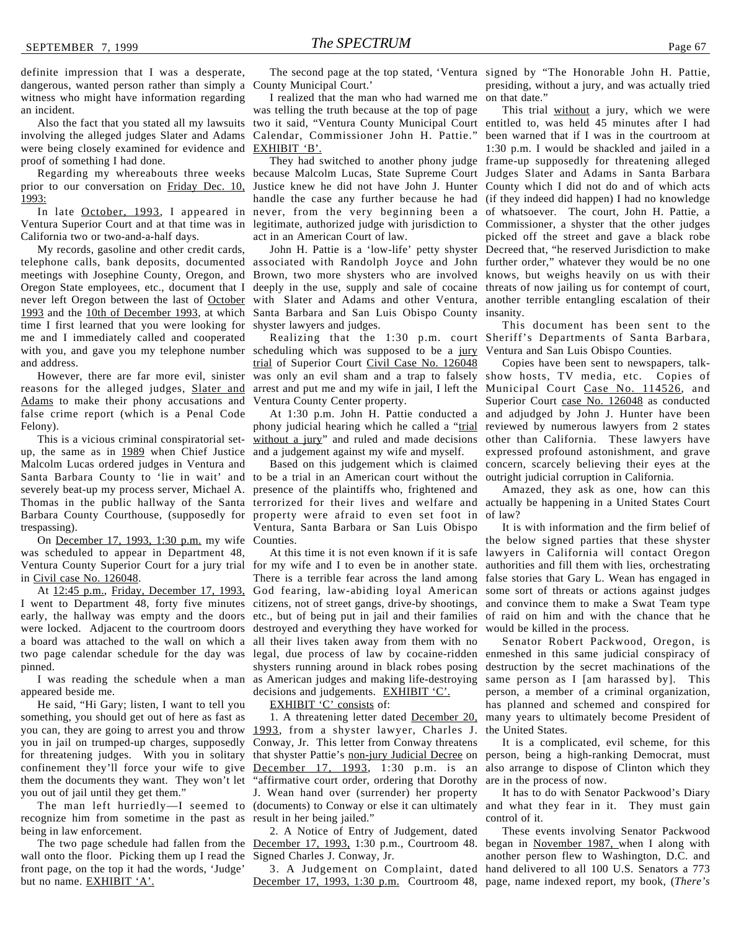definite impression that I was a desperate, dangerous, wanted person rather than simply a witness who might have information regarding an incident.

Also the fact that you stated all my lawsuits involving the alleged judges Slater and Adams were being closely examined for evidence and proof of something I had done.

prior to our conversation on Friday Dec. 10, 1993:

In late October, 1993, I appeared in Ventura Superior Court and at that time was in California two or two-and-a-half days.

My records, gasoline and other credit cards, telephone calls, bank deposits, documented associated with Randolph Joyce and John further order," whatever they would be no one meetings with Josephine County, Oregon, and Brown, two more shysters who are involved knows, but weighs heavily on us with their Oregon State employees, etc., document that I never left Oregon between the last of October with Slater and Adams and other Ventura, another terrible entangling escalation of their 1993 and the 10th of December 1993, at which Santa Barbara and San Luis Obispo County insanity. time I first learned that you were looking for shyster lawyers and judges. me and I immediately called and cooperated with you, and gave you my telephone number scheduling which was supposed to be a jury and address.

reasons for the alleged judges, Slater and Adams to make their phony accusations and false crime report (which is a Penal Code Felony).

This is a vicious criminal conspiratorial setup, the same as in 1989 when Chief Justice Malcolm Lucas ordered judges in Ventura and Santa Barbara County to 'lie in wait' and to be a trial in an American court without the severely beat-up my process server, Michael A. Thomas in the public hallway of the Santa Barbara County Courthouse, (supposedly for trespassing).

On December 17, 1993, 1:30 p.m. my wife Counties. was scheduled to appear in Department 48, Ventura County Superior Court for a jury trial for my wife and I to even be in another state. in Civil case No. 126048.

At 12:45 p.m., Friday, December 17, 1993, I went to Department 48, forty five minutes early, the hallway was empty and the doors were locked. Adjacent to the courtroom doors a board was attached to the wall on which a two page calendar schedule for the day was pinned.

I was reading the schedule when a man appeared beside me.

He said, "Hi Gary; listen, I want to tell you something, you should get out of here as fast as you can, they are going to arrest you and throw you in jail on trumped-up charges, supposedly for threatening judges. With you in solitary confinement they'll force your wife to give them the documents they want. They won't let you out of jail until they get them."

The man left hurriedly—I seemed to recognize him from sometime in the past as being in law enforcement.

The two page schedule had fallen from the wall onto the floor. Picking them up I read the Signed Charles J. Conway, Jr. front page, on the top it had the words, 'Judge' but no name. EXHIBIT 'A'.

County Municipal Court.'

I realized that the man who had warned me was telling the truth because at the top of page Calendar, Commissioner John H. Pattie." EXHIBIT 'B'.

act in an American Court of law.

deeply in the use, supply and sale of cocaine threats of now jailing us for contempt of court,

However, there are far more evil, sinister was only an evil sham and a trap to falsely trial of Superior Court Civil Case No. 126048 arrest and put me and my wife in jail, I left the Municipal Court Case No. 114526, and Ventura County Center property.

and a judgement against my wife and myself.

Based on this judgement which is claimed presence of the plaintiffs who, frightened and terrorized for their lives and welfare and property were afraid to even set foot in Ventura, Santa Barbara or San Luis Obispo

God fearing, law-abiding loyal American citizens, not of street gangs, drive-by shootings, destroyed and everything they have worked for all their lives taken away from them with no legal, due process of law by cocaine-ridden shysters running around in black robes posing as American judges and making life-destroying decisions and judgements. EXHIBIT 'C'.

#### EXHIBIT 'C' consists of:

1. A threatening letter dated December 20, 1993, from a shyster lawyer, Charles J. Conway, Jr. This letter from Conway threatens that shyster Pattie's non-jury Judicial Decree on December 17, 1993, 1:30 p.m. is an "affirmative court order, ordering that Dorothy

J. Wean hand over (surrender) her property (documents) to Conway or else it can ultimately result in her being jailed."

2. A Notice of Entry of Judgement, dated December 17, 1993, 1:30 p.m., Courtroom 48.

December 17, 1993, 1:30 p.m. Courtroom 48, page, name indexed report, my book, (*There's*

The second page at the top stated, 'Ventura signed by "The Honorable John H. Pattie, presiding, without a jury, and was actually tried on that date."

Regarding my whereabouts three weeks because Malcolm Lucas, State Supreme Court Judges Slater and Adams in Santa Barbara two it said, "Ventura County Municipal Court entitled to, was held 45 minutes after I had They had switched to another phony judge frame-up supposedly for threatening alleged Justice knew he did not have John J. Hunter County which I did not do and of which acts handle the case any further because he had (if they indeed did happen) I had no knowledge never, from the very beginning been a of whatsoever. The court, John H. Pattie, a legitimate, authorized judge with jurisdiction to Commissioner, a shyster that the other judges John H. Pattie is a 'low-life' petty shyster Decreed that, "he reserved Jurisdiction to make This trial without a jury, which we were been warned that if I was in the courtroom at 1:30 p.m. I would be shackled and jailed in a picked off the street and gave a black robe

Realizing that the 1:30 p.m. court Sheriff's Departments of Santa Barbara, This document has been sent to the Ventura and San Luis Obispo Counties.

At 1:30 p.m. John H. Pattie conducted a and adjudged by John J. Hunter have been phony judicial hearing which he called a "trial reviewed by numerous lawyers from 2 states without a jury" and ruled and made decisions other than California. These lawyers have Copies have been sent to newspapers, talkshow hosts, TV media, etc. Copies of Superior Court case No. 126048 as conducted expressed profound astonishment, and grave concern, scarcely believing their eyes at the outright judicial corruption in California.

> Amazed, they ask as one, how can this actually be happening in a United States Court of law?

At this time it is not even known if it is safe lawyers in California will contact Oregon There is a terrible fear across the land among false stories that Gary L. Wean has engaged in etc., but of being put in jail and their families of raid on him and with the chance that he It is with information and the firm belief of the below signed parties that these shyster authorities and fill them with lies, orchestrating some sort of threats or actions against judges and convince them to make a Swat Team type would be killed in the process.

> Senator Robert Packwood, Oregon, is enmeshed in this same judicial conspiracy of destruction by the secret machinations of the same person as I [am harassed by]. This person, a member of a criminal organization, has planned and schemed and conspired for many years to ultimately become President of the United States.

> It is a complicated, evil scheme, for this person, being a high-ranking Democrat, must also arrange to dispose of Clinton which they are in the process of now.

> It has to do with Senator Packwood's Diary and what they fear in it. They must gain control of it.

3. A Judgement on Complaint, dated hand delivered to all 100 U.S. Senators a 773 These events involving Senator Packwood began in November 1987, when I along with another person flew to Washington, D.C. and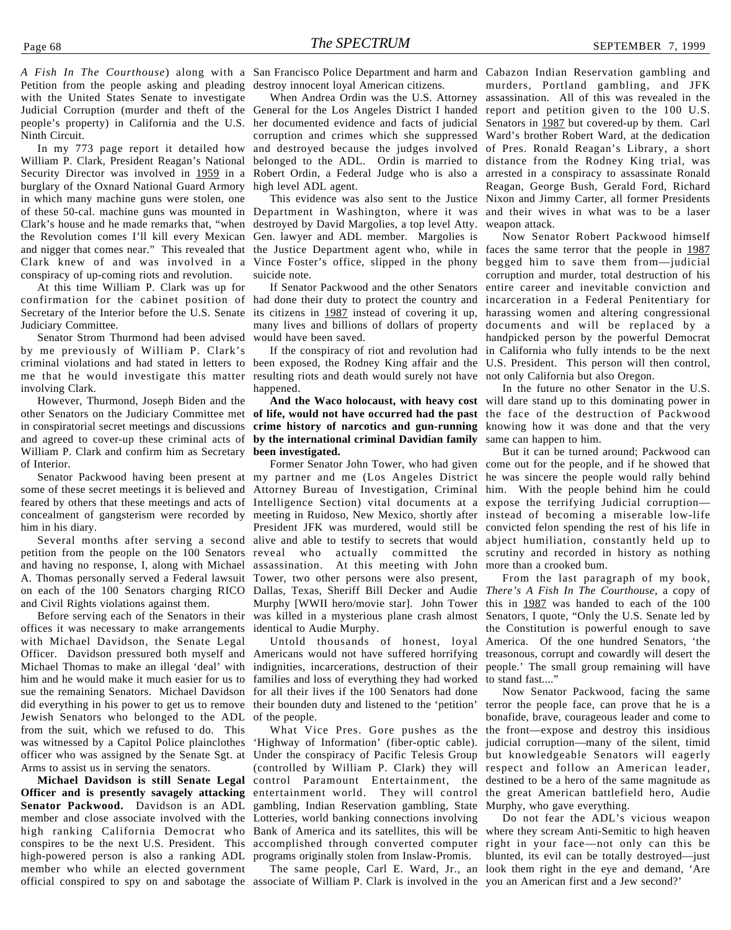Petition from the people asking and pleading destroy innocent loyal American citizens. with the United States Senate to investigate Judicial Corruption (murder and theft of the people's property) in California and the U.S. Ninth Circuit.

In my 773 page report it detailed how William P. Clark, President Reagan's National Security Director was involved in 1959 in a burglary of the Oxnard National Guard Armory in which many machine guns were stolen, one of these 50-cal. machine guns was mounted in Department in Washington, where it was and their wives in what was to be a laser Clark's house and he made remarks that, "when destroyed by David Margolies, a top level Atty. the Revolution comes I'll kill every Mexican Gen. lawyer and ADL member. Margolies is and nigger that comes near." This revealed that the Justice Department agent who, while in faces the same terror that the people in 1987 Clark knew of and was involved in a conspiracy of up-coming riots and revolution.

At this time William P. Clark was up for Secretary of the Interior before the U.S. Senate its citizens in 1987 instead of covering it up, Judiciary Committee.

Senator Strom Thurmond had been advised by me previously of William P. Clark's criminal violations and had stated in letters to been exposed, the Rodney King affair and the U.S. President. This person will then control, me that he would investigate this matter resulting riots and death would surely not have not only California but also Oregon. involving Clark.

However, Thurmond, Joseph Biden and the other Senators on the Judiciary Committee met in conspiratorial secret meetings and discussions and agreed to cover-up these criminal acts of William P. Clark and confirm him as Secretary of Interior.

some of these secret meetings it is believed and him in his diary.

petition from the people on the 100 Senators and having no response, I, along with Michael A. Thomas personally served a Federal lawsuit Tower, two other persons were also present, on each of the 100 Senators charging RICO and Civil Rights violations against them.

Before serving each of the Senators in their offices it was necessary to make arrangements with Michael Davidson, the Senate Legal Officer. Davidson pressured both myself and Michael Thomas to make an illegal 'deal' with him and he would make it much easier for us to sue the remaining Senators. Michael Davidson did everything in his power to get us to remove Jewish Senators who belonged to the ADL from the suit, which we refused to do. This was witnessed by a Capitol Police plainclothes officer who was assigned by the Senate Sgt. at Arms to assist us in serving the senators.

**Michael Davidson is still Senate Legal Officer and is presently savagely attacking** entertainment world. They will control **Senator Packwood.** Davidson is an ADL member and close associate involved with the high ranking California Democrat who Bank of America and its satellites, this will be where they scream Anti-Semitic to high heaven conspires to be the next U.S. President. This accomplished through converted computer right in your face—not only can this be high-powered person is also a ranking ADL programs originally stolen from Inslaw-Promis. member who while an elected government official conspired to spy on and sabotage the associate of William P. Clark is involved in the you an American first and a Jew second?'

When Andrea Ordin was the U.S. Attorney General for the Los Angeles District I handed report and petition given to the 100 U.S. her documented evidence and facts of judicial corruption and crimes which she suppressed Ward's brother Robert Ward, at the dedication and destroyed because the judges involved of Pres. Ronald Reagan's Library, a short belonged to the ADL. Ordin is married to distance from the Rodney King trial, was Robert Ordin, a Federal Judge who is also a high level ADL agent.

Vince Foster's office, slipped in the phony begged him to save them from—judicial suicide note.

confirmation for the cabinet position of had done their duty to protect the country and incarceration in a Federal Penitentiary for many lives and billions of dollars of property would have been saved.

happened.

**of life, would not have occurred had the past** the face of the destruction of Packwood **crime history of narcotics and gun-running** knowing how it was done and that the very **by the international criminal Davidian family** same can happen to him. **been investigated.**

Senator Packwood having been present at my partner and me (Los Angeles District he was sincere the people would rally behind feared by others that these meetings and acts of Intelligence Section) vital documents at a expose the terrifying Judicial corruption concealment of gangsterism were recorded by meeting in Ruidoso, New Mexico, shortly after instead of becoming a miserable low-life Several months after serving a second alive and able to testify to secrets that would abject humiliation, constantly held up to Attorney Bureau of Investigation, Criminal him. With the people behind him he could President JFK was murdered, would still be convicted felon spending the rest of his life in reveal who actually committed the scrutiny and recorded in history as nothing assassination. At this meeting with John more than a crooked bum. Dallas, Texas, Sheriff Bill Decker and Audie *There's A Fish In The Courthouse*, a copy of Murphy [WWII hero/movie star]. John Tower this in 1987 was handed to each of the 100 was killed in a mysterious plane crash almost Senators, I quote, "Only the U.S. Senate led by identical to Audie Murphy.

> Untold thousands of honest, loyal Americans would not have suffered horrifying indignities, incarcerations, destruction of their families and loss of everything they had worked for all their lives if the 100 Senators had done their bounden duty and listened to the 'petition' of the people.

What Vice Pres. Gore pushes as the 'Highway of Information' (fiber-optic cable). Under the conspiracy of Pacific Telesis Group (controlled by William P. Clark) they will respect and follow an American leader, control Paramount Entertainment, the destined to be a hero of the same magnitude as gambling, Indian Reservation gambling, State Lotteries, world banking connections involving

*A Fish In The Courthouse*) along with a San Francisco Police Department and harm and Cabazon Indian Reservation gambling and This evidence was also sent to the Justice Nixon and Jimmy Carter, all former Presidents murders, Portland gambling, and JFK assassination. All of this was revealed in the Senators in 1987 but covered-up by them. Carl arrested in a conspiracy to assassinate Ronald Reagan, George Bush, Gerald Ford, Richard weapon attack.

> If Senator Packwood and the other Senators entire career and inevitable conviction and If the conspiracy of riot and revolution had in California who fully intends to be the next Now Senator Robert Packwood himself corruption and murder, total destruction of his harassing women and altering congressional documents and will be replaced by a handpicked person by the powerful Democrat

> **And the Waco holocaust, with heavy cost** will dare stand up to this dominating power in In the future no other Senator in the U.S.

> Former Senator John Tower, who had given come out for the people, and if he showed that But it can be turned around; Packwood can

> > From the last paragraph of my book, the Constitution is powerful enough to save America. Of the one hundred Senators, 'the treasonous, corrupt and cowardly will desert the people.' The small group remaining will have to stand fast...."

> > Now Senator Packwood, facing the same terror the people face, can prove that he is a bonafide, brave, courageous leader and come to the front—expose and destroy this insidious judicial corruption—many of the silent, timid but knowledgeable Senators will eagerly the great American battlefield hero, Audie Murphy, who gave everything.

The same people, Carl E. Ward, Jr., an look them right in the eye and demand, 'Are Do not fear the ADL's vicious weapon blunted, its evil can be totally destroyed—just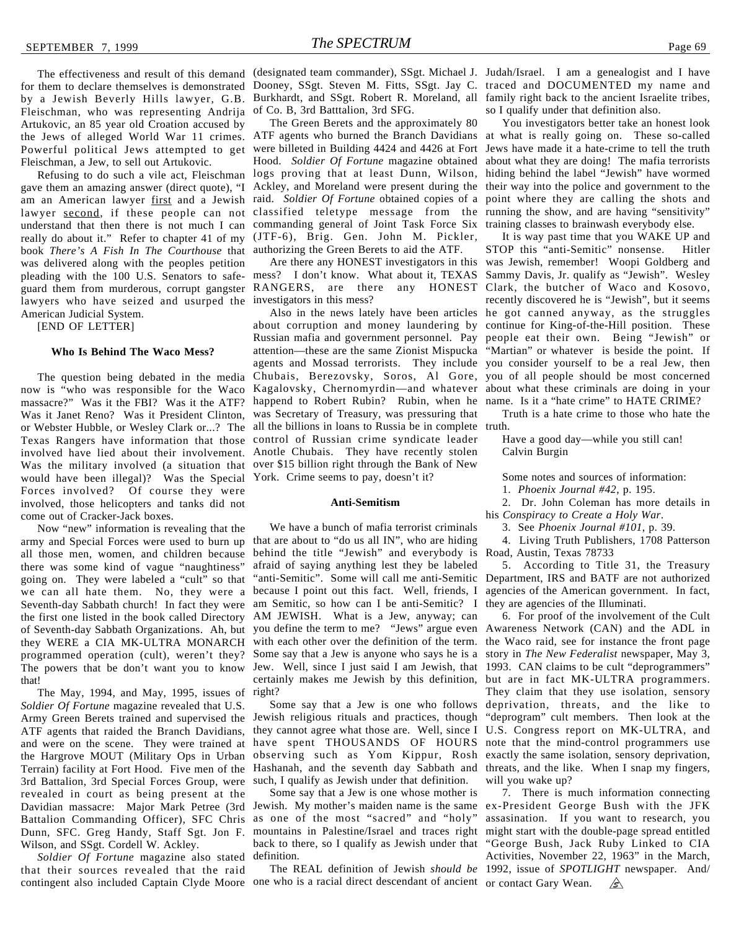for them to declare themselves is demonstrated Dooney, SSgt. Steven M. Fitts, SSgt. Jay C. traced and DOCUMENTED my name and by a Jewish Beverly Hills lawyer, G.B. Burkhardt, and SSgt. Robert R. Moreland, all family right back to the ancient Israelite tribes, Fleischman, who was representing Andrija Artukovic, an 85 year old Croation accused by the Jews of alleged World War 11 crimes. ATF agents who burned the Branch Davidians at what is really going on. These so-called Powerful political Jews attempted to get were billeted in Building 4424 and 4426 at Fort Jews have made it a hate-crime to tell the truth Fleischman, a Jew, to sell out Artukovic.

gave them an amazing answer (direct quote), "I Ackley, and Moreland were present during the their way into the police and government to the am an American lawyer <u>first</u> and a Jewish raid. Soldier Of Fortune obtained copies of a point where they are calling the shots and lawyer second, if these people can not classified teletype message from the running the show, and are having "sensitivity" understand that then there is not much I can commanding general of Joint Task Force Six training classes to brainwash everybody else. really do about it." Refer to chapter 41 of my (JTF-6), Brig. Gen. John M. Pickler, book *There's A Fish In The Courthouse* that authorizing the Green Berets to aid the ATF. was delivered along with the peoples petition lawyers who have seized and usurped the investigators in this mess? American Judicial System.

[END OF LETTER]

#### **Who Is Behind The Waco Mess?**

The question being debated in the media now is "who was responsible for the Waco massacre?" Was it the FBI? Was it the ATF? Was it Janet Reno? Was it President Clinton, or Webster Hubble, or Wesley Clark or...? The Texas Rangers have information that those involved have lied about their involvement. Was the military involved (a situation that would have been illegal)? Was the Special York. Crime seems to pay, doesn't it? Forces involved? Of course they were involved, those helicopters and tanks did not come out of Cracker-Jack boxes.

Now "new" information is revealing that the army and Special Forces were used to burn up all those men, women, and children because there was some kind of vague "naughtiness" going on. They were labeled a "cult" so that we can all hate them. No, they were a Seventh-day Sabbath church! In fact they were am Semitic, so how can I be anti-Semitic? I the first one listed in the book called Directory of Seventh-day Sabbath Organizations. Ah, but you define the term to me? "Jews" argue even they WERE a CIA MK-ULTRA MONARCH programmed operation (cult), weren't they? The powers that be don't want you to know that!

The May, 1994, and May, 1995, issues of *Soldier Of Fortune* magazine revealed that U.S. Army Green Berets trained and supervised the ATF agents that raided the Branch Davidians, and were on the scene. They were trained at have spent THOUSANDS OF HOURS note that the mind-control programmers use the Hargrove MOUT (Military Ops in Urban Terrain) facility at Fort Hood. Five men of the 3rd Battalion, 3rd Special Forces Group, were revealed in court as being present at the Battalion Commanding Officer), SFC Chris as one of the most "sacred" and "holy" Wilson, and SSgt. Cordell W. Ackley.

*Soldier Of Fortune* magazine also stated definition. that their sources revealed that the raid contingent also included Captain Clyde Moore one who is a racial direct descendant of ancient or contact Gary Wean.

The effectiveness and result of this demand (designated team commander), SSgt. Michael J. Judah/Israel. I am a genealogist and I have of Co. B, 3rd Batttalion, 3rd SFG.

Refusing to do such a vile act, Fleischman logs proving that at least Dunn, Wilson, hiding behind the label "Jewish" have wormed The Green Berets and the approximately 80 Hood. *Soldier Of Fortune* magazine obtained about what they are doing! The mafia terrorists

pleading with the 100 U.S. Senators to safe-mess? I don't know. What about it, TEXAS Sammy Davis, Jr. qualify as "Jewish". Wesley guard them from murderous, corrupt gangster RANGERS, are there any HONEST Clark, the butcher of Waco and Kosovo,

> about corruption and money laundering by continue for King-of-the-Hill position. These Russian mafia and government personnel. Pay people eat their own. Being "Jewish" or attention—these are the same Zionist Mispucka agents and Mossad terrorists. They include you consider yourself to be a real Jew, then Chubais, Berezovsky, Soros, Al Gore, you of all people should be most concerned Kagalovsky, Chernomyrdin—and whatever about what these criminals are doing in your happend to Robert Rubin? Rubin, when he name. Is it a "hate crime" to HATE CRIME? was Secretary of Treasury, was pressuring that all the billions in loans to Russia be in complete truth. control of Russian crime syndicate leader Anotle Chubais. They have recently stolen over \$15 billion right through the Bank of New

#### **Anti-Semitism**

We have a bunch of mafia terrorist criminals that are about to "do us all IN", who are hiding behind the title "Jewish" and everybody is afraid of saying anything lest they be labeled because I point out this fact. Well, friends, I AM JEWISH. What is a Jew, anyway; can with each other over the definition of the term. Some say that a Jew is anyone who says he is a certainly makes me Jewish by this definition, right?

Some say that a Jew is one who follows Jewish religious rituals and practices, though they cannot agree what those are. Well, since I U.S. Congress report on MK-ULTRA, and observing such as Yom Kippur, Rosh exactly the same isolation, sensory deprivation, Hashanah, and the seventh day Sabbath and threats, and the like. When I snap my fingers, such, I qualify as Jewish under that definition.

Davidian massacre: Major Mark Petree (3rd Jewish. My mother's maiden name is the same ex-President George Bush with the JFK Dunn, SFC. Greg Handy, Staff Sgt. Jon F. mountains in Palestine/Israel and traces right might start with the double-page spread entitled Some say that a Jew is one whose mother is back to there, so I qualify as Jewish under that

so I qualify under that definition also.

You investigators better take an honest look

Are there any HONEST investigators in this was Jewish, remember! Woopi Goldberg and Also in the news lately have been articles he got canned anyway, as the struggles It is way past time that you WAKE UP and STOP this "anti-Semitic" nonsense. Hitler recently discovered he is "Jewish", but it seems "Martian" or whatever is beside the point. If

Truth is a hate crime to those who hate the

Have a good day—while you still can! Calvin Burgin

Some notes and sources of information:

1. *Phoenix Journal #42*, p. 195.

2. Dr. John Coleman has more details in his *Conspiracy to Create a Holy War*.

3. See *Phoenix Journal #101*, p. 39.

4. Living Truth Publishers, 1708 Patterson Road, Austin, Texas 78733

"anti-Semitic". Some will call me anti-Semitic Department, IRS and BATF are not authorized 5. According to Title 31, the Treasury agencies of the American government. In fact, they are agencies of the Illuminati.

Jew. Well, since I just said I am Jewish, that 1993. CAN claims to be cult "deprogrammers" 6. For proof of the involvement of the Cult Awareness Network (CAN) and the ADL in the Waco raid, see for instance the front page story in *The New Federalist* newspaper, May 3, but are in fact MK-ULTRA programmers. They claim that they use isolation, sensory deprivation, threats, and the like to "deprogram" cult members. Then look at the will you wake up?

7. There is much information connecting assasination. If you want to research, you "George Bush, Jack Ruby Linked to CIA Activities, November 22, 1963" in the March, The REAL definition of Jewish *should be* 1992, issue of *SPOTLIGHT* newspaper. And/  $\mathscr{B}$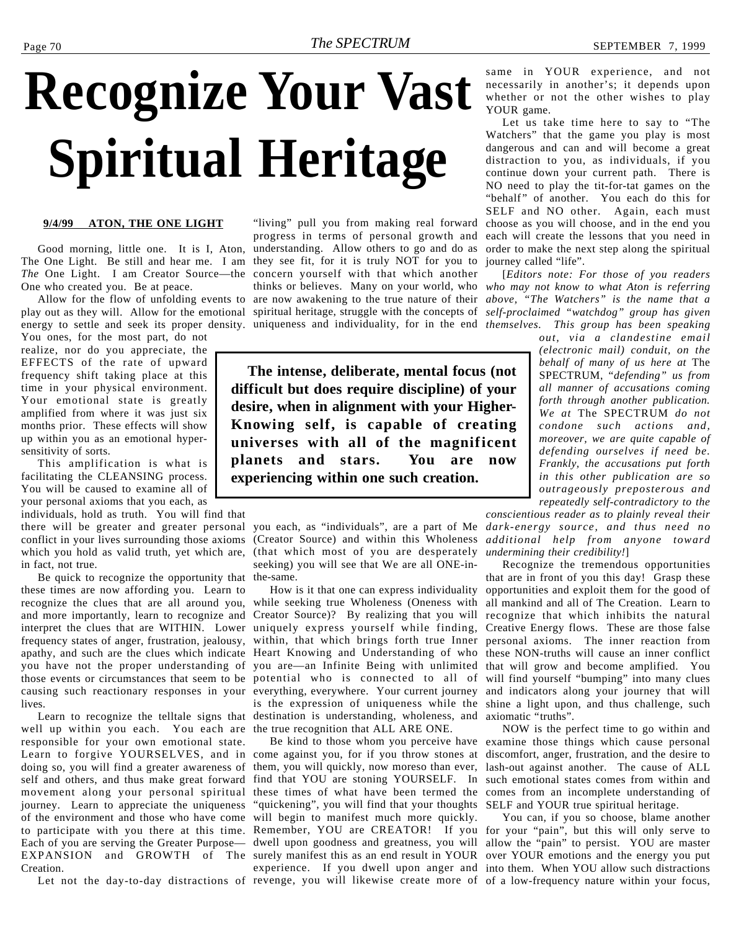# **Recognize Your Vast Spiritual Heritage**

#### **9/4/99 ATON, THE ONE LIGHT**

The One Light. Be still and hear me. I am they see fit, for it is truly NOT for you to *The* One Light. I am Creator Source—the concern yourself with that which another One who created you. Be at peace.

play out as they will. Allow for the emotional spiritual heritage, struggle with the concepts of *self-proclaimed "watchdog" group has given* energy to settle and seek its proper density. uniqueness and individuality, for in the end *themselves. This group has been speaking*

You ones, for the most part, do not realize, nor do you appreciate, the EFFECTS of the rate of upward frequency shift taking place at this time in your physical environment. Your emotional state is greatly amplified from where it was just six months prior. These effects will show up within you as an emotional hypersensitivity of sorts.

This amplification is what is facilitating the CLEANSING process. You will be caused to examine all of your personal axioms that you each, as

individuals, hold as truth. You will find that conflict in your lives surrounding those axioms (Creator Source) and within this Wholeness in fact, not true.

Be quick to recognize the opportunity that the-same. these times are now affording you. Learn to recognize the clues that are all around you, and more importantly, learn to recognize and Creator Source)? By realizing that you will interpret the clues that are WITHIN. Lower uniquely express yourself while finding, frequency states of anger, frustration, jealousy, apathy, and such are the clues which indicate Heart Knowing and Understanding of who you have not the proper understanding of those events or circumstances that seem to be potential who is connected to all of causing such reactionary responses in your everything, everywhere. Your current journey lives.

well up within you each. You each are the true recognition that ALL ARE ONE. responsible for your own emotional state. Learn to forgive YOURSELVES, and in come against you, for if you throw stones at discomfort, anger, frustration, and the desire to doing so, you will find a greater awareness of them, you will quickly, now moreso than ever, lash-out against another. The cause of ALL self and others, and thus make great forward find that YOU are stoning YOURSELF. In such emotional states comes from within and movement along your personal spiritual these times of what have been termed the comes from an incomplete understanding of journey. Learn to appreciate the uniqueness "quickening", you will find that your thoughts SELF and YOUR true spiritual heritage. of the environment and those who have come will begin to manifest much more quickly. to participate with you there at this time. Each of you are serving the Greater Purpose— EXPANSION and GROWTH of The surely manifest this as an end result in YOUR over YOUR emotions and the energy you put Creation.

Good morning, little one. It is I, Aton, understanding. Allow others to go and do as Allow for the flow of unfolding events to are now awakening to the true nature of their *above, "The Watchers" is the name that a* "living" pull you from making real forward progress in terms of personal growth and

> **The intense, deliberate, mental focus (not difficult but does require discipline) of your desire, when in alignment with your Higher-Knowing self, is capable of creating universes with all of the magnificent planets and stars. You are now experiencing within one such creation.**

there will be greater and greater personal you each, as "individuals", are a part of Me *dark-energy source, and thus need no* which you hold as valid truth, yet which are, (that which most of you are desperately *undermining their credibility!*] seeking) you will see that We are all ONE-in-

Learn to recognize the telltale signs that destination is understanding, wholeness, and How is it that one can express individuality while seeking true Wholeness (Oneness with within, that which brings forth true Inner you are—an Infinite Being with unlimited is the expression of uniqueness while the

Let not the day-to-day distractions of revenge, you will likewise create more of of a low-frequency nature within your focus, Remember, YOU are CREATOR! If you dwell upon goodness and greatness, you will experience. If you dwell upon anger and into them. When YOU allow such distractions

same in YOUR experience, and not necessarily in another's; it depends upon whether or not the other wishes to play YOUR game.

Let us take time here to say to "The Watchers" that the game you play is most dangerous and can and will become a great distraction to you, as individuals, if you continue down your current path. There is NO need to play the tit-for-tat games on the "behalf" of another. You each do this for SELF and NO other. Again, each must choose as you will choose, and in the end you each will create the lessons that you need in order to make the next step along the spiritual journey called "life".

thinks or believes. Many on your world, who *who may not know to what Aton is referring* [*Editors note: For those of you readers*

> *out, via a clandestine email (electronic mail) conduit, on the behalf of many of us here at* The SPECTRUM, "*defending" us from all manner of accusations coming forth through another publication. We at* The SPECTRUM *do not condone such actions and, moreover, we are quite capable of defending ourselves if need be. Frankly, the accusations put forth in this other publication are so outrageously preposterous and repeatedly self-contradictory to the*

*conscientious reader as to plainly reveal their additional help from anyone toward*

Recognize the tremendous opportunities that are in front of you this day! Grasp these opportunities and exploit them for the good of all mankind and all of The Creation. Learn to recognize that which inhibits the natural Creative Energy flows. These are those false personal axioms. The inner reaction from these NON-truths will cause an inner conflict that will grow and become amplified. You will find yourself "bumping" into many clues and indicators along your journey that will shine a light upon, and thus challenge, such axiomatic "truths".

Be kind to those whom you perceive have examine those things which cause personal NOW is the perfect time to go within and

> You can, if you so choose, blame another for your "pain", but this will only serve to allow the "pain" to persist. YOU are master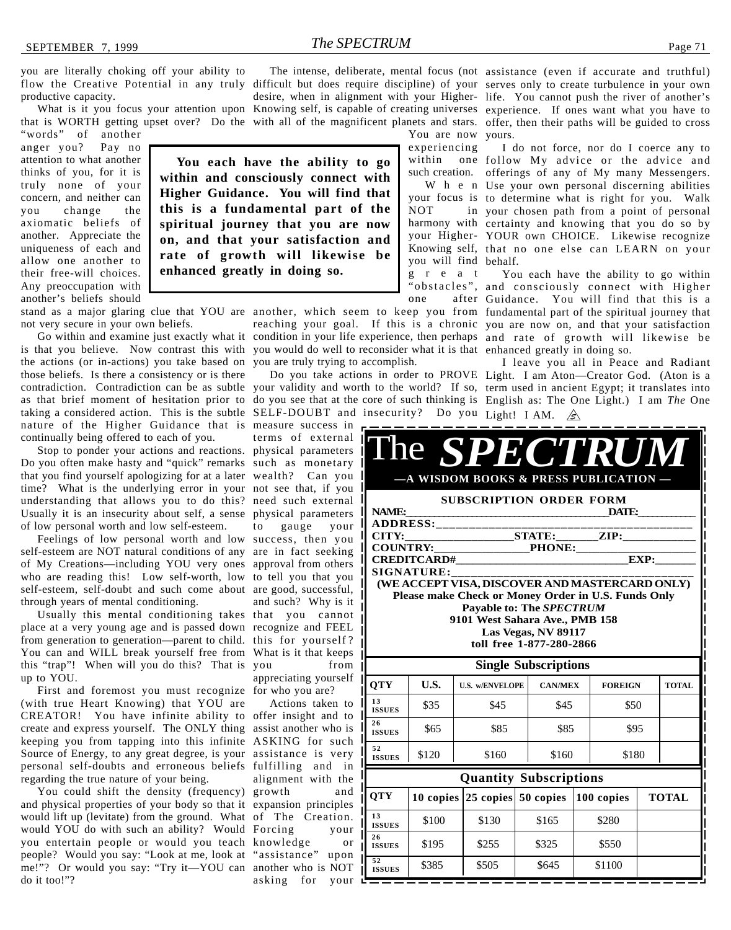you are literally choking off your ability to productive capacity.

"words" of another anger you? Pay no attention to what another thinks of you, for it is truly none of your concern, and neither can you change the axiomatic beliefs of another. Appreciate the uniqueness of each and allow one another to their free-will choices. Any preoccupation with another's beliefs should

not very secure in your own beliefs.

is that you believe. Now contrast this with you would do well to reconsider what it is that enhanced greatly in doing so. the actions (or in-actions) you take based on you are truly trying to accomplish. those beliefs. Is there a consistency or is there taking a considered action. This is the subtle SELF-DOUBT and insecurity? Do you Light! I AM. nature of the Higher Guidance that is measure success in continually being offered to each of you.

Stop to ponder your actions and reactions. physical parameters Do you often make hasty and "quick" remarks such as monetary that you find yourself apologizing for at a later wealth? Can you time? What is the underlying error in your not see that, if you understanding that allows you to do this? need such external Usually it is an insecurity about self, a sense physical parameters of low personal worth and low self-esteem.

Feelings of low personal worth and low success, then you self-esteem are NOT natural conditions of any are in fact seeking of My Creations—including YOU very ones approval from others who are reading this! Low self-worth, low to tell you that you self-esteem, self-doubt and such come about are good, successful, through years of mental conditioning.

Usually this mental conditioning takes that you cannot place at a very young age and is passed down recognize and FEEL from generation to generation—parent to child. this for yourself ? You can and WILL break yourself free from What is it that keeps this "trap"! When will you do this? That is up to YOU.

First and foremost you must recognize for who you are? (with true Heart Knowing) that YOU are CREATOR! You have infinite ability to offer insight and to create and express yourself. The ONLY thing assist another who is keeping you from tapping into this infinite ASKING for such Source of Energy, to any great degree, is your assistance is very personal self-doubts and erroneous beliefs fulfilling and in regarding the true nature of your being.

You could shift the density (frequency) growth and and physical properties of your body so that it expansion principles would lift up (levitate) from the ground. What of The Creation. would YOU do with such an ability? Would Forcing your you entertain people or would you teach knowledge or people? Would you say: "Look at me, look at "assistance" upon me!"? Or would you say: "Try it—YOU can another who is NOT do it too!"?

**You each have the ability to go within and consciously connect with Higher Guidance. You will find that this is a fundamental part of the spiritual journey that you are now on, and that your satisfaction and rate of growth will likewise be**

**enhanced greatly in doing so.**

You are now yours. experiencing

NOT<sub>1</sub> you will find behalf. great

terms of external to gauge your and such? Why is it from appreciating yourself

Actions taken to alignment with the asking for your  $L$ 

flow the Creative Potential in any truly difficult but does require discipline) of your serves only to create turbulence in your own What is it you focus your attention upon Knowing self, is capable of creating universes experience. If ones want what you have to that is WORTH getting upset over? Do the with all of the magnificent planets and stars. offer, then their paths will be guided to cross The intense, deliberate, mental focus (not assistance (even if accurate and truthful) desire, when in alignment with your Higher-life. You cannot push the river of another's

> within one follow My advice or the advice and such creation. offerings of any of My many Messengers. W h e n Use your own personal discerning abilities your focus is to determine what is right for you. Walk harmony with certainty and knowing that you do so by your Higher-YOUR own CHOICE. Likewise recognize Knowing self, that no one else can LEARN on your I do not force, nor do I coerce any to your chosen path from a point of personal

stand as a major glaring clue that YOU are another, which seem to keep you from fundamental part of the spiritual journey that Go within and examine just exactly what it condition in your life experience, then perhaps and rate of growth will likewise be "obstacles", and consciously connect with Higher one after Guidance. You will find that this is a reaching your goal. If this is a chronic you are now on, and that your satisfaction You each have the ability to go within

contradiction. Contradiction can be as subtle your validity and worth to the world? If so, term used in ancient Egypt; it translates into as that brief moment of hesitation prior to do you see that at the core of such thinking is English as: The One Light.) I am *The* One Do you take actions in order to PROVE Light. I am Aton—Creator God. (Aton is a I leave you all in Peace and Radiant

|                                                     | The SY2ECYPRUM                                            |  |  |  |  |
|-----------------------------------------------------|-----------------------------------------------------------|--|--|--|--|
|                                                     | -A WISDOM BOOKS & PRESS PUBLICATION-                      |  |  |  |  |
|                                                     | <b>SUBSCRIPTION ORDER FORM</b>                            |  |  |  |  |
| NAME:                                               | DATE:                                                     |  |  |  |  |
|                                                     | ADDRESS:_________________<br>____________________________ |  |  |  |  |
|                                                     | CITY:_______________________STATE:_________ZIP:_____      |  |  |  |  |
|                                                     | COUNTRY: PHONE:                                           |  |  |  |  |
|                                                     | CREDITCARD#<br>EXP:                                       |  |  |  |  |
| <b>SIGNATURE:</b>                                   |                                                           |  |  |  |  |
|                                                     | (WE ACCEPT VISA, DISCOVER AND MASTERCARD ONLY)            |  |  |  |  |
| Please make Check or Money Order in U.S. Funds Only |                                                           |  |  |  |  |
| Payable to: The SPECTRUM                            |                                                           |  |  |  |  |
| 9101 West Sahara Ave., PMB 158                      |                                                           |  |  |  |  |
| Las Vegas, NV 89117                                 |                                                           |  |  |  |  |
| toll free 1-877-280-2866                            |                                                           |  |  |  |  |
| <b>Single Subscriptions</b>                         |                                                           |  |  |  |  |

| Single Subscriptions |                               |                        |  |                |  |                |  |              |  |  |
|----------------------|-------------------------------|------------------------|--|----------------|--|----------------|--|--------------|--|--|
| <b>OTY</b>           | U.S.                          | <b>U.S. w/ENVELOPE</b> |  | <b>CAN/MEX</b> |  | <b>FOREIGN</b> |  | <b>TOTAL</b> |  |  |
| 13<br><b>ISSUES</b>  | \$35                          | \$45                   |  | \$45           |  | \$50           |  |              |  |  |
| 26<br><b>ISSUES</b>  | \$65                          | \$85                   |  | \$85           |  | \$95           |  |              |  |  |
| 52<br><b>ISSUES</b>  | \$120                         | \$160                  |  | \$160          |  | \$180          |  |              |  |  |
|                      | <b>Quantity Subscriptions</b> |                        |  |                |  |                |  |              |  |  |
| <b>OTY</b>           | 10 copies $ $                 | 25 copies 50 copies    |  |                |  | 100 copies     |  | <b>TOTAL</b> |  |  |
| 13<br><b>ISSUES</b>  | \$100                         | \$130                  |  | \$165          |  | \$280          |  |              |  |  |
| 26<br><b>ISSUES</b>  | \$195                         | \$255                  |  | \$325          |  | \$550          |  |              |  |  |
| 52<br><b>ISSUES</b>  | \$385                         | \$505                  |  | \$645          |  | \$1100         |  |              |  |  |